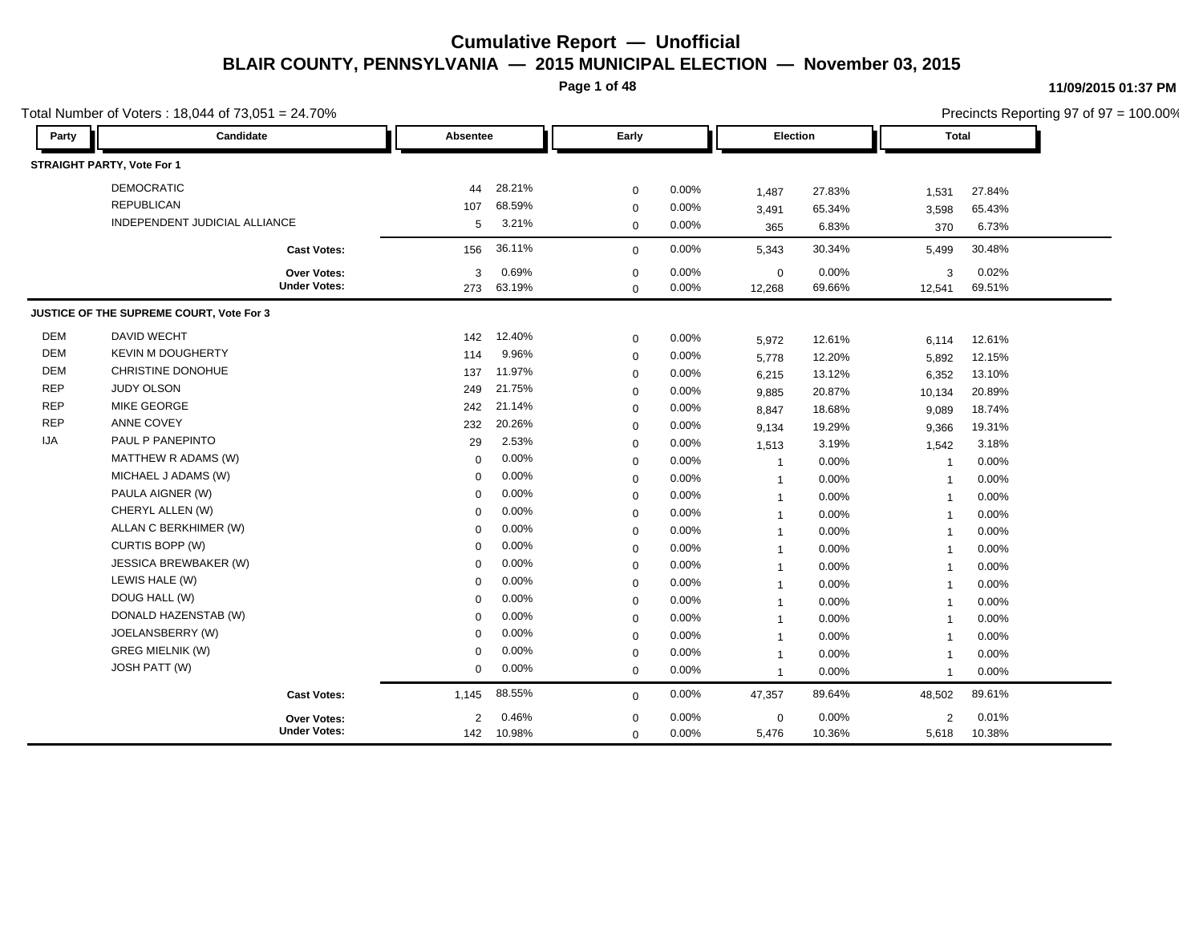**Page 1 of 48**

|            | Total Number of Voters: 18,044 of 73,051 = 24.70% |                     |             |        |             |          |                |        |                          | Precincts Reporting 97 of 97 = 100.00% |  |
|------------|---------------------------------------------------|---------------------|-------------|--------|-------------|----------|----------------|--------|--------------------------|----------------------------------------|--|
| Party      | Candidate                                         |                     | Absentee    |        | Early       |          | Election       |        | <b>Total</b>             |                                        |  |
|            | <b>STRAIGHT PARTY, Vote For 1</b>                 |                     |             |        |             |          |                |        |                          |                                        |  |
|            | <b>DEMOCRATIC</b>                                 |                     | 44          | 28.21% | $\mathbf 0$ | 0.00%    | 1,487          | 27.83% | 1,531                    | 27.84%                                 |  |
|            | <b>REPUBLICAN</b>                                 |                     | 107         | 68.59% | $\mathbf 0$ | 0.00%    | 3,491          | 65.34% | 3,598                    | 65.43%                                 |  |
|            | INDEPENDENT JUDICIAL ALLIANCE                     |                     | 5           | 3.21%  | $\mathbf 0$ | 0.00%    | 365            | 6.83%  | 370                      | 6.73%                                  |  |
|            |                                                   | <b>Cast Votes:</b>  | 156         | 36.11% | $\mathbf 0$ | 0.00%    | 5,343          | 30.34% | 5,499                    | 30.48%                                 |  |
|            |                                                   | Over Votes:         | 3           | 0.69%  | $\mathbf 0$ | 0.00%    | $\mathbf 0$    | 0.00%  | 3                        | 0.02%                                  |  |
|            |                                                   | <b>Under Votes:</b> | 273         | 63.19% | $\mathbf 0$ | 0.00%    | 12,268         | 69.66% | 12,541                   | 69.51%                                 |  |
|            | JUSTICE OF THE SUPREME COURT, Vote For 3          |                     |             |        |             |          |                |        |                          |                                        |  |
| <b>DEM</b> | DAVID WECHT                                       |                     | 142         | 12.40% | $\mathbf 0$ | 0.00%    | 5,972          | 12.61% | 6,114                    | 12.61%                                 |  |
| <b>DEM</b> | <b>KEVIN M DOUGHERTY</b>                          |                     | 114         | 9.96%  | $\mathbf 0$ | 0.00%    | 5,778          | 12.20% | 5,892                    | 12.15%                                 |  |
| <b>DEM</b> | CHRISTINE DONOHUE                                 |                     | 137         | 11.97% | $\mathbf 0$ | 0.00%    | 6,215          | 13.12% | 6,352                    | 13.10%                                 |  |
| <b>REP</b> | JUDY OLSON                                        |                     | 249         | 21.75% | $\mathbf 0$ | $0.00\%$ | 9,885          | 20.87% | 10,134                   | 20.89%                                 |  |
| <b>REP</b> | MIKE GEORGE                                       |                     | 242         | 21.14% | $\mathbf 0$ | 0.00%    | 8,847          | 18.68% | 9,089                    | 18.74%                                 |  |
| <b>REP</b> | ANNE COVEY                                        |                     | 232         | 20.26% | $\mathbf 0$ | 0.00%    | 9,134          | 19.29% | 9,366                    | 19.31%                                 |  |
| IJA        | PAUL P PANEPINTO                                  |                     | 29          | 2.53%  | $\mathbf 0$ | 0.00%    | 1,513          | 3.19%  | 1,542                    | 3.18%                                  |  |
|            | MATTHEW R ADAMS (W)                               |                     | $\Omega$    | 0.00%  | $\mathbf 0$ | 0.00%    | $\overline{1}$ | 0.00%  | $\overline{\phantom{a}}$ | 0.00%                                  |  |
|            | MICHAEL J ADAMS (W)                               |                     | $\Omega$    | 0.00%  | $\mathbf 0$ | 0.00%    | -1             | 0.00%  | -1                       | 0.00%                                  |  |
|            | PAULA AIGNER (W)                                  |                     | $\Omega$    | 0.00%  | $\mathbf 0$ | 0.00%    | $\mathbf 1$    | 0.00%  | -1                       | 0.00%                                  |  |
|            | CHERYL ALLEN (W)                                  |                     | $\Omega$    | 0.00%  | $\mathbf 0$ | 0.00%    | $\mathbf 1$    | 0.00%  | -1                       | 0.00%                                  |  |
|            | ALLAN C BERKHIMER (W)                             |                     | $\Omega$    | 0.00%  | $\mathbf 0$ | 0.00%    | $\overline{1}$ | 0.00%  | $\overline{\mathbf{1}}$  | 0.00%                                  |  |
|            | CURTIS BOPP (W)                                   |                     | $\mathbf 0$ | 0.00%  | $\mathbf 0$ | 0.00%    | $\overline{1}$ | 0.00%  | $\overline{\mathbf{1}}$  | 0.00%                                  |  |
|            | JESSICA BREWBAKER (W)                             |                     | $\mathbf 0$ | 0.00%  | $\mathbf 0$ | 0.00%    | $\overline{1}$ | 0.00%  | -1                       | 0.00%                                  |  |
|            | LEWIS HALE (W)                                    |                     | $\mathbf 0$ | 0.00%  | $\mathbf 0$ | 0.00%    | $\overline{1}$ | 0.00%  | 1                        | 0.00%                                  |  |
|            | DOUG HALL (W)                                     |                     | $\mathbf 0$ | 0.00%  | $\mathbf 0$ | 0.00%    | $\overline{1}$ | 0.00%  | $\overline{1}$           | 0.00%                                  |  |
|            | DONALD HAZENSTAB (W)                              |                     | $\mathbf 0$ | 0.00%  | $\mathbf 0$ | 0.00%    | $\overline{1}$ | 0.00%  | 1                        | 0.00%                                  |  |
|            | JOELANSBERRY (W)                                  |                     | $\mathbf 0$ | 0.00%  | $\mathbf 0$ | 0.00%    | $\overline{1}$ | 0.00%  | $\overline{\phantom{a}}$ | 0.00%                                  |  |
|            | <b>GREG MIELNIK (W)</b>                           |                     | $\mathbf 0$ | 0.00%  | $\mathbf 0$ | 0.00%    |                | 0.00%  | -1                       | 0.00%                                  |  |
|            | JOSH PATT (W)                                     | <b>Cast Votes:</b>  | $\mathbf 0$ | 0.00%  | $\mathbf 0$ | 0.00%    | -1             | 0.00%  | $\overline{1}$           | 0.00%                                  |  |
|            |                                                   |                     | 1,145       | 88.55% | $\mathbf 0$ | 0.00%    | 47,357         | 89.64% | 48,502                   | 89.61%                                 |  |
|            |                                                   | <b>Over Votes:</b>  | 2           | 0.46%  | $\mathbf 0$ | 0.00%    | $\mathbf 0$    | 0.00%  | 2                        | 0.01%                                  |  |
|            |                                                   | <b>Under Votes:</b> | 142         | 10.98% | $\mathbf 0$ | 0.00%    | 5,476          | 10.36% | 5,618                    | 10.38%                                 |  |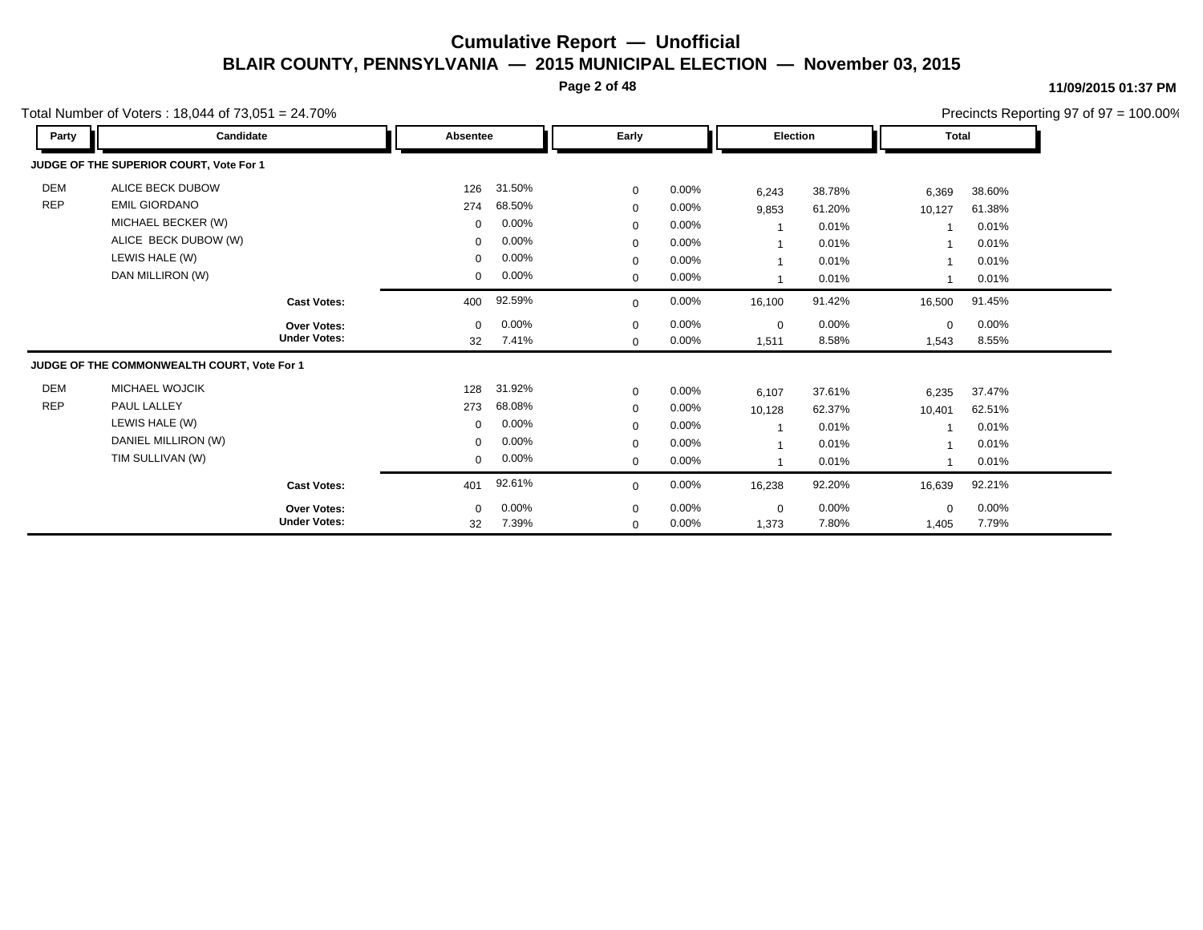**Page 2 of 48**

#### **11/09/2015 01:37 PM**

|            | Total Number of Voters: $18,044$ of $73,051 = 24.70\%$ |                     |             |        |             |          |                          |          |              |        | Precincts Reporting 97 of 97 = 100.00% |
|------------|--------------------------------------------------------|---------------------|-------------|--------|-------------|----------|--------------------------|----------|--------------|--------|----------------------------------------|
| Party      | Candidate                                              |                     | Absentee    |        | Early       |          | Election                 |          | <b>Total</b> |        |                                        |
|            | JUDGE OF THE SUPERIOR COURT, Vote For 1                |                     |             |        |             |          |                          |          |              |        |                                        |
| <b>DEM</b> | ALICE BECK DUBOW                                       |                     | 126         | 31.50% | $\mathbf 0$ | 0.00%    | 6,243                    | 38.78%   | 6,369        | 38.60% |                                        |
| <b>REP</b> | <b>EMIL GIORDANO</b>                                   |                     | 274         | 68.50% | $\mathbf 0$ | 0.00%    | 9,853                    | 61.20%   | 10,127       | 61.38% |                                        |
|            | MICHAEL BECKER (W)                                     |                     | $\mathbf 0$ | 0.00%  | $\mathbf 0$ | 0.00%    | $\overline{\phantom{a}}$ | 0.01%    |              | 0.01%  |                                        |
|            | ALICE BECK DUBOW (W)                                   |                     | $\mathbf 0$ | 0.00%  | $\mathbf 0$ | 0.00%    | $\overline{1}$           | 0.01%    |              | 0.01%  |                                        |
|            | LEWIS HALE (W)                                         |                     | $\Omega$    | 0.00%  | $\mathbf 0$ | 0.00%    | $\mathbf{1}$             | 0.01%    |              | 0.01%  |                                        |
|            | DAN MILLIRON (W)                                       |                     | $\mathbf 0$ | 0.00%  | $\mathbf 0$ | 0.00%    | 1                        | 0.01%    |              | 0.01%  |                                        |
|            |                                                        | <b>Cast Votes:</b>  | 400         | 92.59% | $\Omega$    | 0.00%    | 16,100                   | 91.42%   | 16,500       | 91.45% |                                        |
|            |                                                        | <b>Over Votes:</b>  | $\mathbf 0$ | 0.00%  | $\mathbf 0$ | 0.00%    | $\mathbf 0$              | $0.00\%$ | $\mathbf 0$  | 0.00%  |                                        |
|            |                                                        | <b>Under Votes:</b> | 32          | 7.41%  | $\mathbf 0$ | 0.00%    | 1,511                    | 8.58%    | 1,543        | 8.55%  |                                        |
|            | JUDGE OF THE COMMONWEALTH COURT, Vote For 1            |                     |             |        |             |          |                          |          |              |        |                                        |
| <b>DEM</b> | <b>MICHAEL WOJCIK</b>                                  |                     | 128         | 31.92% | $\mathbf 0$ | 0.00%    | 6,107                    | 37.61%   | 6,235        | 37.47% |                                        |
| <b>REP</b> | PAUL LALLEY                                            |                     | 273         | 68.08% | $\mathbf 0$ | 0.00%    | 10,128                   | 62.37%   | 10,401       | 62.51% |                                        |
|            | LEWIS HALE (W)                                         |                     | $\mathbf 0$ | 0.00%  | $\mathbf 0$ | 0.00%    | $\overline{\phantom{a}}$ | 0.01%    |              | 0.01%  |                                        |
|            | DANIEL MILLIRON (W)                                    |                     | $\mathbf 0$ | 0.00%  | $\mathbf 0$ | $0.00\%$ | $\overline{\phantom{a}}$ | 0.01%    |              | 0.01%  |                                        |
|            | TIM SULLIVAN (W)                                       |                     | $\mathbf 0$ | 0.00%  | $\mathbf 0$ | 0.00%    |                          | 0.01%    |              | 0.01%  |                                        |
|            |                                                        | <b>Cast Votes:</b>  | 401         | 92.61% | $\mathbf 0$ | 0.00%    | 16,238                   | 92.20%   | 16,639       | 92.21% |                                        |
|            |                                                        | <b>Over Votes:</b>  | $\mathbf 0$ | 0.00%  | $\mathbf 0$ | 0.00%    | 0                        | 0.00%    | $\mathbf 0$  | 0.00%  |                                        |
|            |                                                        | <b>Under Votes:</b> | 32          | 7.39%  | $\mathbf 0$ | 0.00%    | 1,373                    | 7.80%    | 1,405        | 7.79%  |                                        |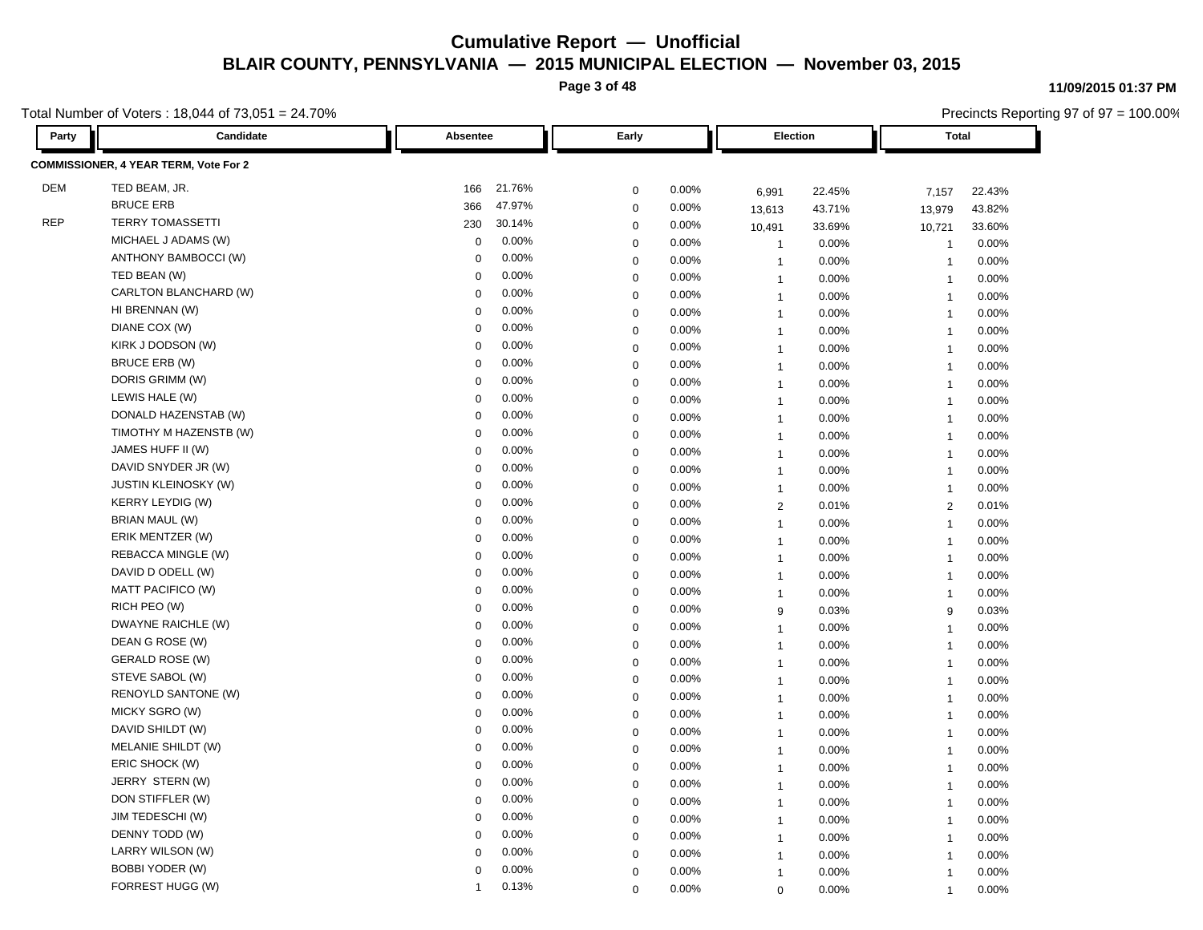**Page 3 of 48**

Total Number of Voters : 18,044 of 73,051 = 24.70%

**Party Candidate Absentee Early Election Total COMMISSIONER, 4 YEAR TERM, Vote For 2** DEM TED BEAM, JR. 166 21.76% 0 0.00% 6,991 22.45% 7,157 22.43% BRUCE ERB 366 47.97% 0 0.00% 13,613 43.71% 13,979 43.82% REP TERRY TOMASSETTI 230 30.14% 0 0.00% 10,491 33.69% 10,721 33.60% MICHAEL J ADAMS (W) 0 0.00% 0 0.00% 1 0.00% 1 0.00% ANTHONY BAMBOCCI (W) 0 0.00% 0 0.00% 1 0.00% 1 0.00% 1 TED BEAN (W) 0 0.00% 0 0.00% 1 0.00% 1 0.00% CARLTON BLANCHARD (W) 0 0.00% 0 0.00% 1 0.00% 1 0.00% HI BRENNAN (W) 0 0.00% 0 0.00% 1 0.00% 1 0.00% DIANE COX (W) 0 0.00% 0 0.00% 1 0.00% 1 0.00% KIRK J DODSON (W) 0 0.00% 0 0.00% 1 0.00% 1 0.00% BRUCE ERB (W) 0 0.00% 0 0.00% 1 0.00% 1 0.00% DORIS GRIMM (W) 0 0.00% 0 0.00% 1 0.00% 1 0.00% LEWIS HALE (W) 0 0.00% 0 0.00% 1 0.00% 1 0.00% DONALD HAZENSTAB (W) 0 0.00% 0 0.00% 1 0.00% 1 0.00% TIMOTHY M HAZENSTB (W) 0 0.00% 0 0.00% 1 0.00% 1 0.00% JAMES HUFF II (W) 0 0.00% 0 0.00% 1 0.00% 1 0.00% DAVID SNYDER JR (W) 0 0.00% 0 0.00% 1 0.00% 1 0.00% JUSTIN KLEINOSKY (W) 0 0.00% 0 0.00% 1 0.00% 1 0.00% KERRY LEYDIG (W) 0 0.00% 0 0.00% 2 0.01% 2 0.01% BRIAN MAUL (W) 0 0.00% 0 0.00% 1 0.00% 1 0.00% ERIK MENTZER (W) 0 0.00% 0 0.00% 1 0.00% 1 0.00% REBACCA MINGLE (W) 0 0.00% 0 0.00% 1 0.00% 1 0.00% DAVID D ODELL (W) 0 0.00% 0 0.00% 1 0.00% 1 0.00% MATT PACIFICO (W) 0 0.00% 0 0.00% 1 0.00% 1 0.00% RICH PEO (W) 0 0.00% 0 0.00% 9 0.03% 9 0.03% DWAYNE RAICHLE (W) 0 0.00% 0 0.00% 1 0.00% 1 0.00% DEAN G ROSE (W) 0 0.00% 0 0.00% 1 0.00% 1 0.00% GERALD ROSE (W) 0 0.00% 0 0.00% 1 0.00% 1 0.00% STEVE SABOL (W) 0 0.00% 0 0.00% 1 0.00% 1 0.00% RENOYLD SANTONE (W) 0 0.00% 0 0.00% 1 0.00% 1 0.00% 1 MICKY SGRO (W) 0 0.00% 0 0.00% 1 0.00% 1 0.00% DAVID SHILDT (W) 0 0.00% 0 0.00% 1 0.00% 1 0.00% MELANIE SHILDT (W) 0 0.00% 0 0.00% 1 0.00% 1 0.00% ERIC SHOCK (W) 0 0.00% 0 0.00% 1 0.00% 1 0.00% JERRY STERN (W) 0 0.00% 0 0.00% 1 0.00% 1 0.00% DON STIFFLER (W) 0 0.00% 0 0.00% 1 0.00% 1 0.00% JIM TEDESCHI (W) 0 0.00% 0 0.00% 1 0.00% 1 0.00% DENNY TODD (W) 0 0.00% 0 0.00% 1 0.00% 1 0.00% LARRY WILSON (W) 0 0.00% 0 0.00% 1 0.00% 1 0.00% BOBBI YODER (W) 0 0.00% 0 0.00% 1 0.00% 1 0.00% FORREST HUGG (W) 1 0.13% 0 0.00% 0 0.00% 1 0.00%

#### **11/09/2015 01:37 PM**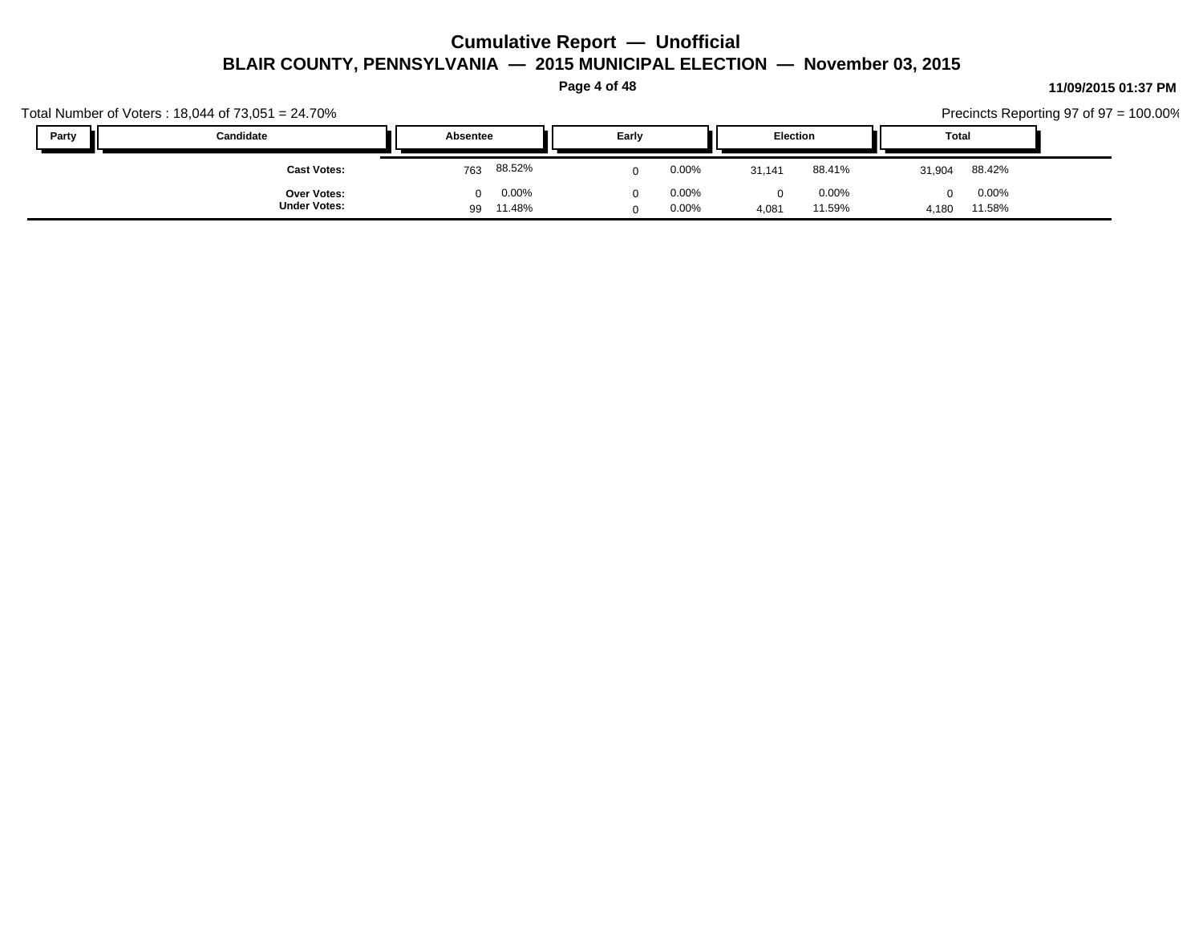**Page 4 of 48**

|       | Total Number of Voters: $18,044$ of $73,051 = 24.70\%$ |                                   |                      |                                         |                          | Precincts Reporting 97 of $97 = 100.00\%$ |
|-------|--------------------------------------------------------|-----------------------------------|----------------------|-----------------------------------------|--------------------------|-------------------------------------------|
| Party | Candidate                                              | Absentee                          | Early                | <b>Election</b>                         | Total                    |                                           |
|       | <b>Cast Votes:</b>                                     | 88.52%<br>763                     | 0.00%                | 88.41%<br>31.141                        | 88.42%<br>31,904         |                                           |
|       | <b>Over Votes:</b><br><b>Under Votes:</b>              | 0.00%<br>$\Omega$<br>11.48%<br>99 | $0.00\%$<br>$0.00\%$ | $0.00\%$<br>$\Omega$<br>11.59%<br>4,081 | 0.00%<br>11.58%<br>4,180 |                                           |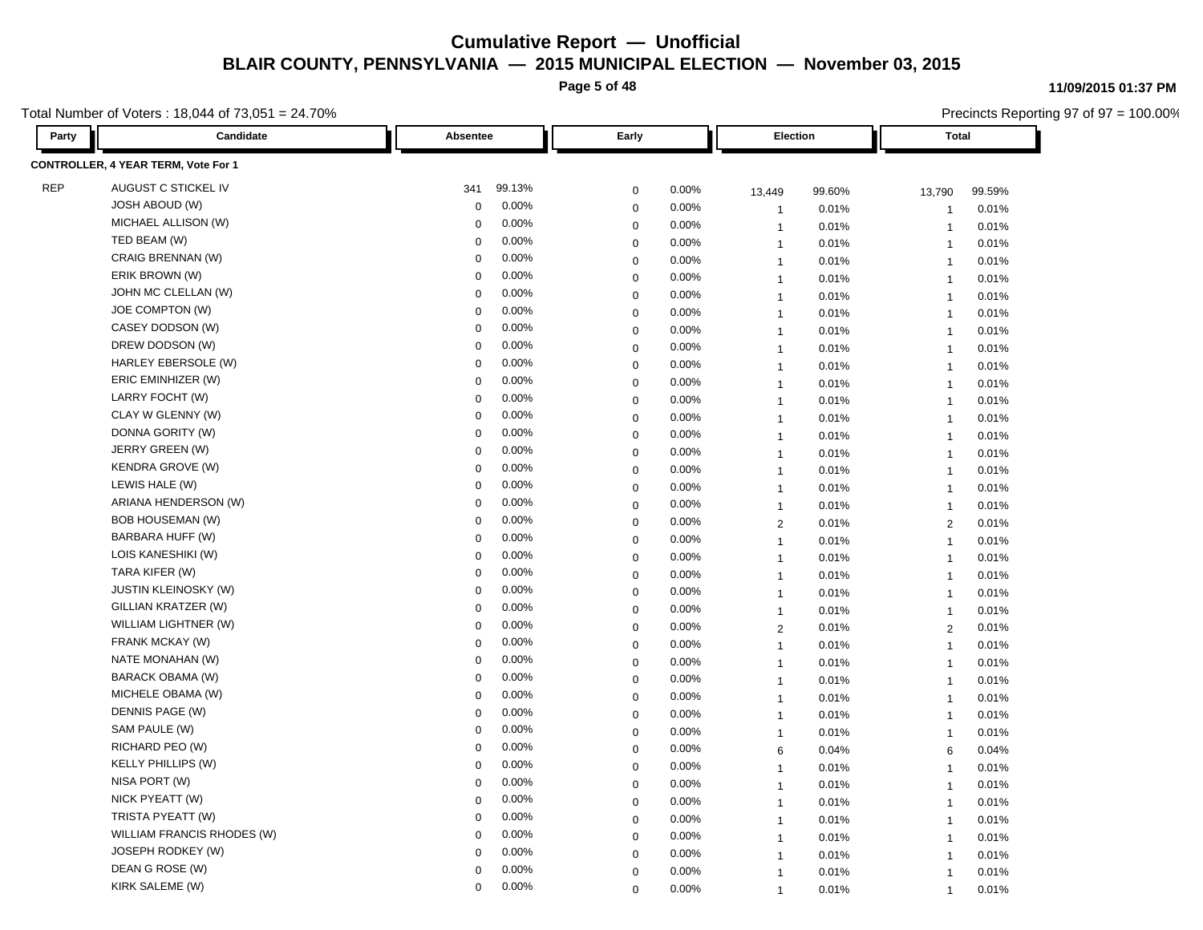**Page 5 of 48**

Total Number of Voters : 18,044 of 73,051 = 24.70%

**Party Candidate Absentee Early Election Total CONTROLLER, 4 YEAR TERM, Vote For 1** REP AUGUST C STICKEL IV 341 99.13% 0 0.00% 13,449 99.60% 13,790 99.59% JOSH ABOUD (W) 0 0.00% 0 0.00% 1 0.01% 1 0.01% MICHAEL ALLISON (W) 0 0.00% 0 0.00% 1 0.01% 1 0.01% TED BEAM (W) 0 0.00% 0 0.00% 1 0.01% 1 0.01% CRAIG BRENNAN (W) 0 0.00% 0 0.00% 1 0.01% 1 0.01% ERIK BROWN (W) 0 0.00% 0 0.00% 1 0.01% 1 0.01% JOHN MC CLELLAN (W) 0 0.00% 0 0.00% 1 0.01% 1 0.01% JOE COMPTON (W) 0 0.00% 0 0.00% 1 0.01% 1 0.01% CASEY DODSON (W) 0 0.00% 0 0.00% 1 0.01% 1 0.01% DREW DODSON (W) 0 0.00% 0 0.00% 1 0.01% 1 0.01% HARLEY EBERSOLE (W) 0 0.00% 0 0.00% 1 0.01% 1 0.01% ERIC EMINHIZER (W) 0 0.00% 0 0.00% 1 0.01% 1 0.01% LARRY FOCHT (W) 0 0.00% 0 0.00% 1 0.01% 1 0.01% CLAY W GLENNY (W) 0 0.00% 0 0.00% 1 0.01% 1 0.01% DONNA GORITY (W) 0 0.00% 0 0.00% 1 0.01% 1 0.01% JERRY GREEN (W) 0 0.00% 0 0.00% 1 0.01% 1 0.01% KENDRA GROVE (W) 0 0.00% 0 0.00% 1 0.01% 1 0.01% LEWIS HALE (W) 0 0.00% 0 0.00% 1 0.01% 1 0.01% ARIANA HENDERSON (W) 0 0.00% 0 0.00% 1 0.01% 1 0.01% BOB HOUSEMAN (W) 0 0.00% 0 0.00% 2 0.01% 2 0.01% BARBARA HUFF (W) 0 0.00% 0 0.00% 1 0.01% 1 0.01% LOIS KANESHIKI (W) 0 0.00% 0 0.00% 1 0.01% 1 0.01% TARA KIFER (W) 0 0.00% 0 0.00% 1 0.01% 1 0.01% JUSTIN KLEINOSKY (W) 0 0.00% 0 0.00% 1 0.01% 1 0.01% GILLIAN KRATZER (W) 0 0.00% 0 0.00% 1 0.01% 1 0.01% WILLIAM LIGHTNER (W) 0 0.00% 0 0.00% 2 0.01% 2 0.01% FRANK MCKAY (W) 0 0.00% 0 0.00% 1 0.01% 1 0.01% NATE MONAHAN (W) 0 0.00% 0 0.00% 1 0.01% 1 0.01% BARACK OBAMA (W) 0 0.00% 0 0.00% 1 0.01% 1 0.01% MICHELE OBAMA (W) 0 0.00% 0 0.00% 1 0.01% 1 0.01% DENNIS PAGE (W) 0 0.00% 0 0.00% 1 0.01% 1 0.01% SAM PAULE (W) 0 0.00% 0 0.00% 1 0.01% 1 0.01% RICHARD PEO (W) 0 0.00% 0 0.00% 6 0.04% 6 0.04% KELLY PHILLIPS (W) 0 0.00% 0 0.00% 1 0.01% 1 0.01% NISA PORT (W) 0 0.00% 0 0.00% 1 0.01% 1 0.01% 1 NICK PYEATT (W) 0 0.00% 0 0.00% 1 0.01% 1 0.01% TRISTA PYEATT (W) 0 0.00% 0 0.00% 1 0.01% 1 0.01% WILLIAM FRANCIS RHODES (W)  $\begin{array}{ccccccc}\n0 & 0.00\% & 0 & 0.00\% & 1 & 0.01\% & 1 & 0.01\% & 1\n\end{array}$ JOSEPH RODKEY (W) 0 0.00% 0 0.00% 1 0.01% 1 0.01% DEAN G ROSE (W) 0 0.00% 0 0.00% 1 0.01% 1 0.01% KIRK SALEME (W) 0 0.00% 0 0.00% 1 0.01% 1 0.01%

#### **11/09/2015 01:37 PM**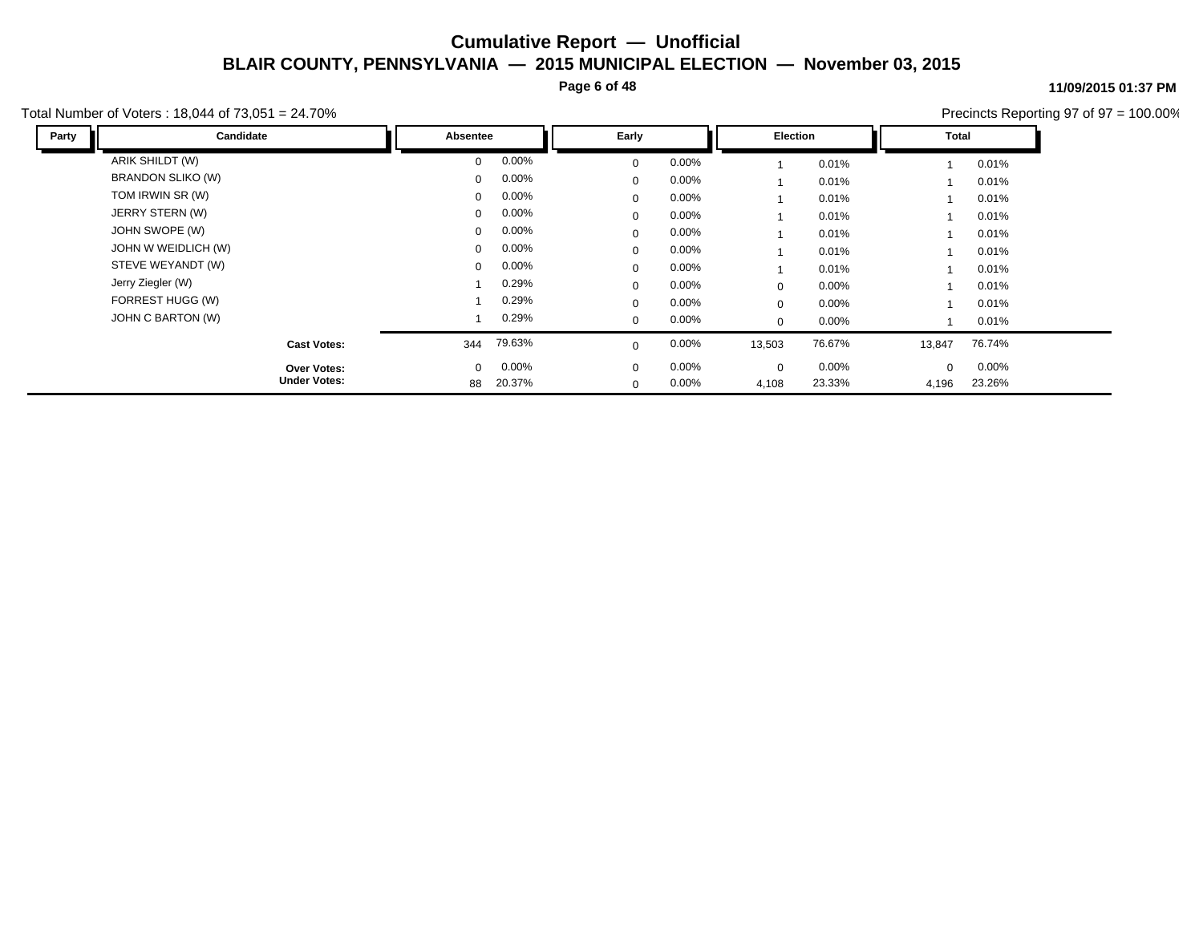**Page 6 of 48**

#### **11/09/2015 01:37 PM**

Total Number of Voters : 18,044 of 73,051 = 24.70%

| Party | Candidate           | Absentee     |          | Early        |          | Election |        | Total    |          |
|-------|---------------------|--------------|----------|--------------|----------|----------|--------|----------|----------|
|       | ARIK SHILDT (W)     | $\Omega$     | 0.00%    | $\mathbf 0$  | $0.00\%$ |          | 0.01%  |          | 0.01%    |
|       | BRANDON SLIKO (W)   | $\Omega$     | $0.00\%$ | $\mathbf 0$  | $0.00\%$ |          | 0.01%  |          | 0.01%    |
|       | TOM IRWIN SR (W)    | $\mathbf{0}$ | 0.00%    | 0            | $0.00\%$ |          | 0.01%  |          | 0.01%    |
|       | JERRY STERN (W)     | $\mathbf{0}$ | $0.00\%$ | $\mathbf 0$  | $0.00\%$ |          | 0.01%  |          | 0.01%    |
|       | JOHN SWOPE (W)      | $\Omega$     | $0.00\%$ | $\mathbf{0}$ | $0.00\%$ |          | 0.01%  |          | 0.01%    |
|       | JOHN W WEIDLICH (W) | $\mathbf{0}$ | $0.00\%$ | 0            | $0.00\%$ |          | 0.01%  |          | 0.01%    |
|       | STEVE WEYANDT (W)   | $\mathbf{0}$ | $0.00\%$ | $\mathbf 0$  | $0.00\%$ |          | 0.01%  |          | 0.01%    |
|       | Jerry Ziegler (W)   |              | 0.29%    | $\Omega$     | $0.00\%$ | 0        | 0.00%  |          | 0.01%    |
|       | FORREST HUGG (W)    |              | 0.29%    | $\mathbf{0}$ | $0.00\%$ | 0        | 0.00%  |          | 0.01%    |
|       | JOHN C BARTON (W)   |              | 0.29%    | $\mathbf 0$  | $0.00\%$ | 0        | 0.00%  |          | 0.01%    |
|       | <b>Cast Votes:</b>  | 344          | 79.63%   | 0            | $0.00\%$ | 13,503   | 76.67% | 13,847   | 76.74%   |
|       | Over Votes:         | $\mathbf{0}$ | $0.00\%$ | $\mathbf 0$  | $0.00\%$ | 0        | 0.00%  | $\Omega$ | $0.00\%$ |
|       | <b>Under Votes:</b> | 88           | 20.37%   | $\mathbf 0$  | $0.00\%$ | 4,108    | 23.33% | 4,196    | 23.26%   |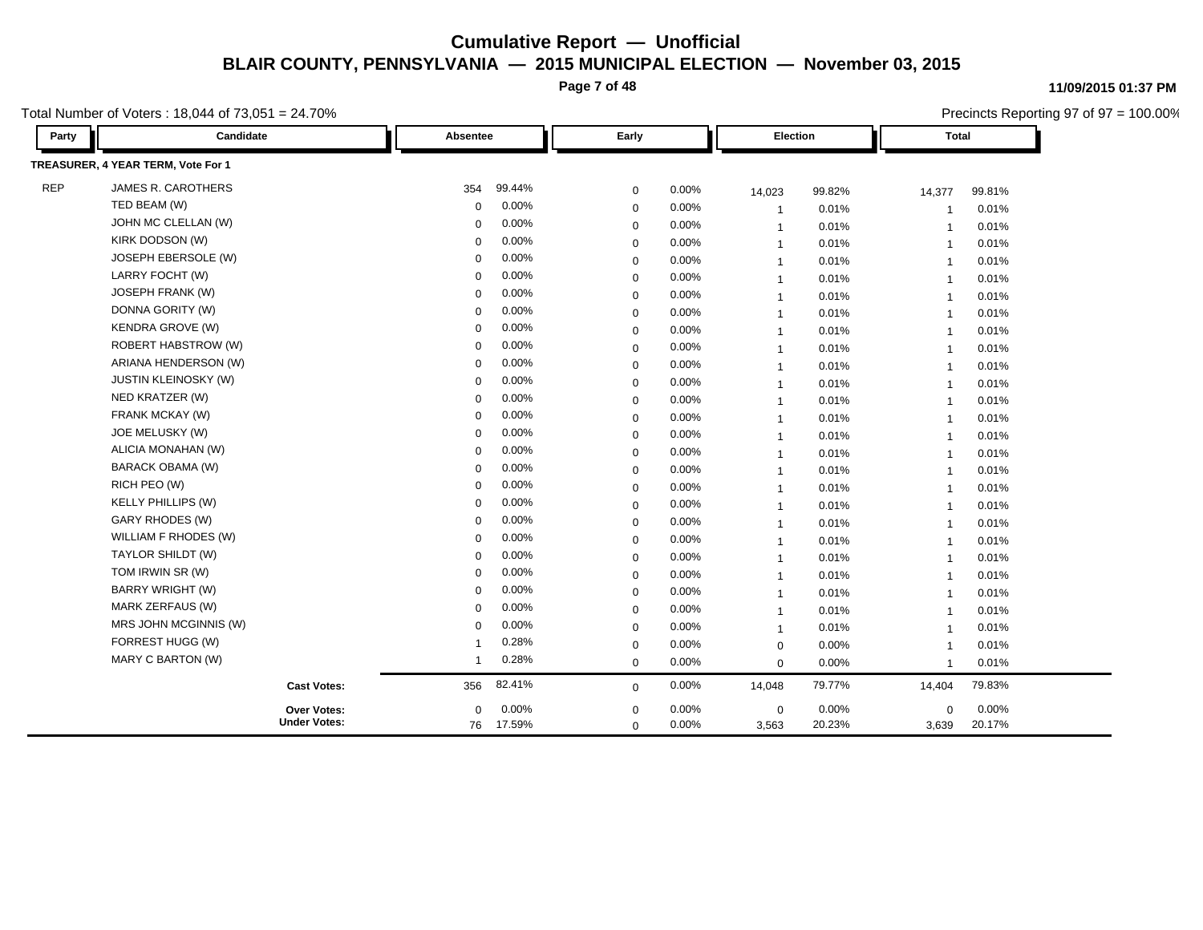**Page 7 of 48**

Total Number of Voters : 18,044 of 73,051 = 24.70%

| Party      | Candidate                          | Absentee       |        | Early       |       | Election       |        | <b>Total</b>            |          |
|------------|------------------------------------|----------------|--------|-------------|-------|----------------|--------|-------------------------|----------|
|            | TREASURER, 4 YEAR TERM, Vote For 1 |                |        |             |       |                |        |                         |          |
| <b>REP</b> | JAMES R. CAROTHERS                 | 354            | 99.44% | $\mathbf 0$ | 0.00% | 14,023         | 99.82% | 14,377                  | 99.81%   |
|            | TED BEAM (W)                       | 0              | 0.00%  | $\mathbf 0$ | 0.00% | $\overline{1}$ | 0.01%  | -1                      | 0.01%    |
|            | JOHN MC CLELLAN (W)                | 0              | 0.00%  | $\mathbf 0$ | 0.00% | $\overline{1}$ | 0.01%  | $\overline{1}$          | 0.01%    |
|            | KIRK DODSON (W)                    | 0              | 0.00%  | $\mathbf 0$ | 0.00% | $\overline{1}$ | 0.01%  | $\overline{\mathbf{1}}$ | 0.01%    |
|            | JOSEPH EBERSOLE (W)                | 0              | 0.00%  | $\mathbf 0$ | 0.00% | $\overline{1}$ | 0.01%  | $\overline{1}$          | 0.01%    |
|            | LARRY FOCHT (W)                    | $\Omega$       | 0.00%  | $\mathbf 0$ | 0.00% | $\overline{1}$ | 0.01%  | $\overline{1}$          | 0.01%    |
|            | JOSEPH FRANK (W)                   | $\Omega$       | 0.00%  | $\mathbf 0$ | 0.00% | $\mathbf{1}$   | 0.01%  | $\overline{1}$          | 0.01%    |
|            | DONNA GORITY (W)                   | $\Omega$       | 0.00%  | $\mathbf 0$ | 0.00% | $\overline{1}$ | 0.01%  | $\overline{1}$          | 0.01%    |
|            | <b>KENDRA GROVE (W)</b>            | $\mathbf 0$    | 0.00%  | $\mathbf 0$ | 0.00% | $\overline{1}$ | 0.01%  | $\overline{1}$          | 0.01%    |
|            | <b>ROBERT HABSTROW (W)</b>         | $\mathbf 0$    | 0.00%  | $\mathbf 0$ | 0.00% | $\overline{1}$ | 0.01%  | $\overline{1}$          | 0.01%    |
|            | ARIANA HENDERSON (W)               | $\Omega$       | 0.00%  | $\mathbf 0$ | 0.00% | $\overline{1}$ | 0.01%  | $\overline{1}$          | 0.01%    |
|            | <b>JUSTIN KLEINOSKY (W)</b>        | $\Omega$       | 0.00%  | $\mathbf 0$ | 0.00% | $\overline{1}$ | 0.01%  | $\overline{1}$          | 0.01%    |
|            | NED KRATZER (W)                    | $\Omega$       | 0.00%  | $\mathbf 0$ | 0.00% | $\overline{1}$ | 0.01%  | $\overline{1}$          | 0.01%    |
|            | FRANK MCKAY (W)                    | $\Omega$       | 0.00%  | $\mathbf 0$ | 0.00% | $\overline{1}$ | 0.01%  | $\overline{1}$          | 0.01%    |
|            | JOE MELUSKY (W)                    | $\mathbf 0$    | 0.00%  | $\mathbf 0$ | 0.00% | $\overline{1}$ | 0.01%  | $\overline{1}$          | 0.01%    |
|            | ALICIA MONAHAN (W)                 | $\mathbf 0$    | 0.00%  | $\mathbf 0$ | 0.00% | $\overline{1}$ | 0.01%  | $\overline{1}$          | 0.01%    |
|            | BARACK OBAMA (W)                   | $\Omega$       | 0.00%  | $\mathbf 0$ | 0.00% | $\mathbf{1}$   | 0.01%  | $\overline{1}$          | 0.01%    |
|            | RICH PEO (W)                       | $\mathbf 0$    | 0.00%  | $\mathbf 0$ | 0.00% | $\overline{1}$ | 0.01%  | $\overline{1}$          | 0.01%    |
|            | <b>KELLY PHILLIPS (W)</b>          | $\Omega$       | 0.00%  | $\mathbf 0$ | 0.00% | $\overline{1}$ | 0.01%  | $\overline{1}$          | 0.01%    |
|            | GARY RHODES (W)                    | $\mathbf 0$    | 0.00%  | $\mathbf 0$ | 0.00% | $\overline{1}$ | 0.01%  | $\overline{1}$          | 0.01%    |
|            | WILLIAM F RHODES (W)               | $\Omega$       | 0.00%  | $\mathbf 0$ | 0.00% | $\mathbf{1}$   | 0.01%  | $\overline{1}$          | 0.01%    |
|            | TAYLOR SHILDT (W)                  | $\Omega$       | 0.00%  | $\mathbf 0$ | 0.00% | $\overline{1}$ | 0.01%  | $\overline{1}$          | 0.01%    |
|            | TOM IRWIN SR (W)                   | $\mathbf 0$    | 0.00%  | $\mathbf 0$ | 0.00% | $\overline{1}$ | 0.01%  | $\overline{1}$          | 0.01%    |
|            | <b>BARRY WRIGHT (W)</b>            | 0              | 0.00%  | $\mathbf 0$ | 0.00% | $\overline{1}$ | 0.01%  | $\overline{1}$          | 0.01%    |
|            | MARK ZERFAUS (W)                   | $\Omega$       | 0.00%  | $\mathbf 0$ | 0.00% | $\overline{1}$ | 0.01%  | $\overline{1}$          | 0.01%    |
|            | MRS JOHN MCGINNIS (W)              | $\Omega$       | 0.00%  | $\mathbf 0$ | 0.00% | $\mathbf{1}$   | 0.01%  | $\overline{1}$          | 0.01%    |
|            | FORREST HUGG (W)                   | -1             | 0.28%  | 0           | 0.00% | $\mathbf 0$    | 0.00%  | $\overline{1}$          | 0.01%    |
|            | MARY C BARTON (W)                  | $\overline{1}$ | 0.28%  | $\mathbf 0$ | 0.00% | $\mathbf 0$    | 0.00%  | $\overline{1}$          | 0.01%    |
|            | <b>Cast Votes:</b>                 | 356            | 82.41% | $\mathbf 0$ | 0.00% | 14,048         | 79.77% | 14,404                  | 79.83%   |
|            | Over Votes:                        | $\mathbf 0$    | 0.00%  | $\mathbf 0$ | 0.00% | $\mathbf 0$    | 0.00%  | $\mathbf 0$             | $0.00\%$ |
|            | <b>Under Votes:</b>                | 76 17.59%      |        | $\mathbf 0$ | 0.00% | 3,563          | 20.23% | 3,639                   | 20.17%   |

**11/09/2015 01:37 PM**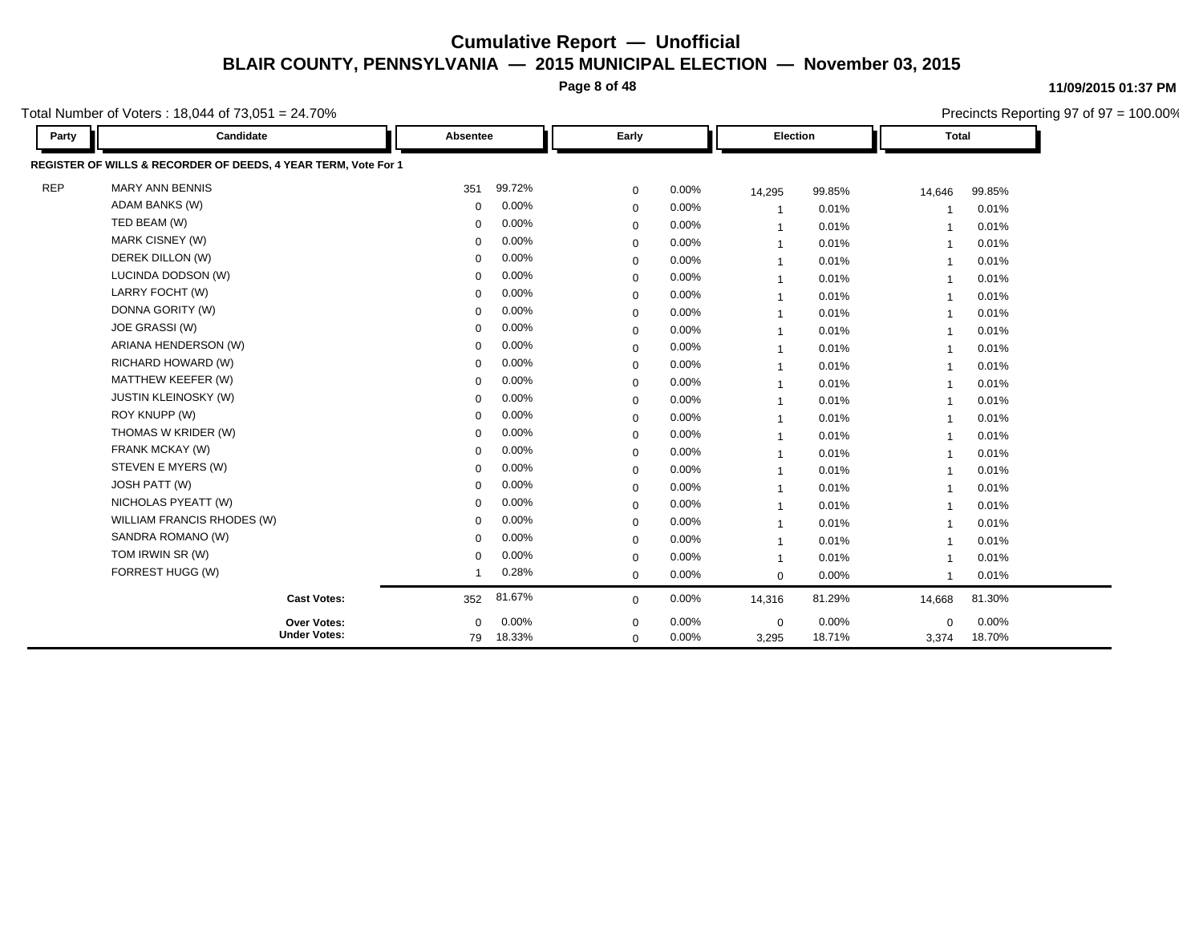**Page 8 of 48**

**11/09/2015 01:37 PM**

Precincts Reporting 97 of 97 = 100.00%

#### Total Number of Voters : 18,044 of 73,051 = 24.70%

| Party      | Candidate                                                      | Absentee |        | Early       |       | Election    |        | <b>Total</b>            |        |
|------------|----------------------------------------------------------------|----------|--------|-------------|-------|-------------|--------|-------------------------|--------|
|            | REGISTER OF WILLS & RECORDER OF DEEDS, 4 YEAR TERM, Vote For 1 |          |        |             |       |             |        |                         |        |
| <b>REP</b> | <b>MARY ANN BENNIS</b>                                         | 351      | 99.72% | 0           | 0.00% | 14,295      | 99.85% | 14,646                  | 99.85% |
|            | <b>ADAM BANKS (W)</b>                                          | $\Omega$ | 0.00%  | $\mathbf 0$ | 0.00% | -1          | 0.01%  | -1                      | 0.01%  |
|            | TED BEAM (W)                                                   | $\Omega$ | 0.00%  | $\mathbf 0$ | 0.00% | -1          | 0.01%  | -1                      | 0.01%  |
|            | MARK CISNEY (W)                                                | $\Omega$ | 0.00%  | $\mathbf 0$ | 0.00% | -1          | 0.01%  | -1                      | 0.01%  |
|            | DEREK DILLON (W)                                               | 0        | 0.00%  | $\mathbf 0$ | 0.00% | -1          | 0.01%  | -1                      | 0.01%  |
|            | LUCINDA DODSON (W)                                             | 0        | 0.00%  | $\mathbf 0$ | 0.00% | -1          | 0.01%  | -1                      | 0.01%  |
|            | LARRY FOCHT (W)                                                | $\Omega$ | 0.00%  | $\mathbf 0$ | 0.00% |             | 0.01%  | -1                      | 0.01%  |
|            | DONNA GORITY (W)                                               | 0        | 0.00%  | $\mathbf 0$ | 0.00% | -1          | 0.01%  | -1                      | 0.01%  |
|            | <b>JOE GRASSI (W)</b>                                          | $\Omega$ | 0.00%  | $\mathbf 0$ | 0.00% |             | 0.01%  | $\overline{\mathbf{1}}$ | 0.01%  |
|            | ARIANA HENDERSON (W)                                           | 0        | 0.00%  | 0           | 0.00% |             | 0.01%  | -1                      | 0.01%  |
|            | RICHARD HOWARD (W)                                             | $\Omega$ | 0.00%  | $\mathbf 0$ | 0.00% |             | 0.01%  | $\overline{\mathbf{1}}$ | 0.01%  |
|            | MATTHEW KEEFER (W)                                             | 0        | 0.00%  | $\mathbf 0$ | 0.00% | -1          | 0.01%  | $\overline{1}$          | 0.01%  |
|            | <b>JUSTIN KLEINOSKY (W)</b>                                    | 0        | 0.00%  | $\mathbf 0$ | 0.00% |             | 0.01%  | $\overline{1}$          | 0.01%  |
|            | ROY KNUPP (W)                                                  | 0        | 0.00%  | $\mathbf 0$ | 0.00% | -1          | 0.01%  | $\overline{1}$          | 0.01%  |
|            | THOMAS W KRIDER (W)                                            | $\Omega$ | 0.00%  | $\mathbf 0$ | 0.00% | -1          | 0.01%  | 1                       | 0.01%  |
|            | FRANK MCKAY (W)                                                | 0        | 0.00%  | 0           | 0.00% | -1          | 0.01%  | $\overline{1}$          | 0.01%  |
|            | STEVEN E MYERS (W)                                             | $\Omega$ | 0.00%  | $\mathbf 0$ | 0.00% |             | 0.01%  | 1                       | 0.01%  |
|            | <b>JOSH PATT (W)</b>                                           | $\Omega$ | 0.00%  | 0           | 0.00% | -1          | 0.01%  | $\overline{1}$          | 0.01%  |
|            | NICHOLAS PYEATT (W)                                            | 0        | 0.00%  | $\mathbf 0$ | 0.00% |             | 0.01%  | 1                       | 0.01%  |
|            | WILLIAM FRANCIS RHODES (W)                                     | $\Omega$ | 0.00%  | $\mathbf 0$ | 0.00% |             | 0.01%  | 1                       | 0.01%  |
|            | SANDRA ROMANO (W)                                              | $\Omega$ | 0.00%  | $\mathbf 0$ | 0.00% | -1          | 0.01%  | $\overline{1}$          | 0.01%  |
|            | TOM IRWIN SR (W)                                               | $\Omega$ | 0.00%  | 0           | 0.00% | $\mathbf 1$ | 0.01%  | $\overline{\mathbf{1}}$ | 0.01%  |
|            | FORREST HUGG (W)                                               |          | 0.28%  | $\mathbf 0$ | 0.00% | $\mathbf 0$ | 0.00%  | $\overline{1}$          | 0.01%  |
|            | <b>Cast Votes:</b>                                             | 352      | 81.67% | $\mathbf 0$ | 0.00% | 14,316      | 81.29% | 14,668                  | 81.30% |
|            | <b>Over Votes:</b>                                             | $\Omega$ | 0.00%  | $\mathbf 0$ | 0.00% | $\mathbf 0$ | 0.00%  | $\mathbf 0$             | 0.00%  |
|            | <b>Under Votes:</b>                                            | 79       | 18.33% | $\mathbf 0$ | 0.00% | 3,295       | 18.71% | 3,374                   | 18.70% |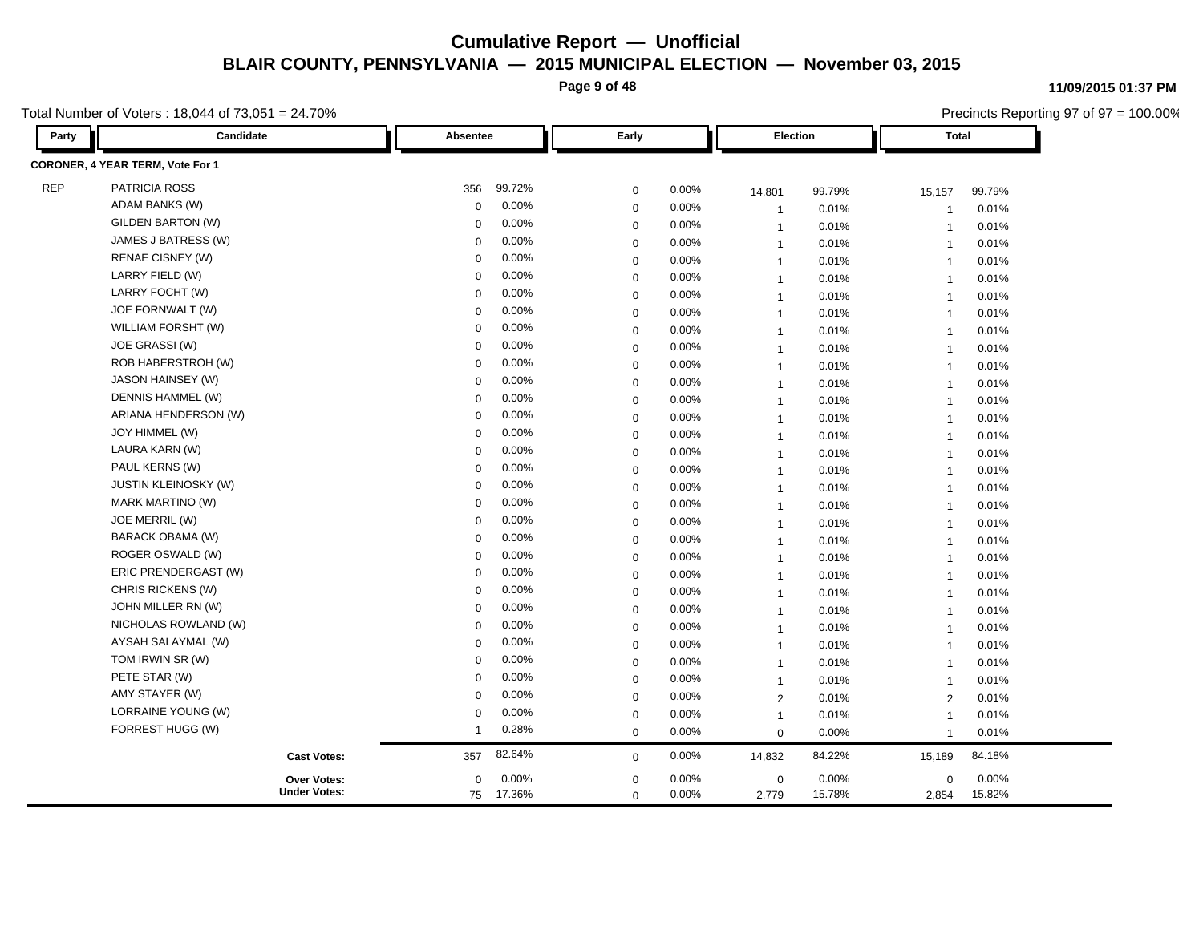**Page 9 of 48**

Total Number of Voters : 18,044 of 73,051 = 24.70%

| Party      | Candidate                        | Absentee    |           | Early       |       | Election       |        | Total          |        |
|------------|----------------------------------|-------------|-----------|-------------|-------|----------------|--------|----------------|--------|
|            | CORONER, 4 YEAR TERM, Vote For 1 |             |           |             |       |                |        |                |        |
| <b>REP</b> | PATRICIA ROSS                    | 356         | 99.72%    | $\mathbf 0$ | 0.00% | 14,801         | 99.79% | 15,157         | 99.79% |
|            | ADAM BANKS (W)                   | 0           | 0.00%     | $\mathbf 0$ | 0.00% | $\overline{1}$ | 0.01%  | -1             | 0.01%  |
|            | <b>GILDEN BARTON (W)</b>         | $\mathbf 0$ | 0.00%     | $\mathbf 0$ | 0.00% | $\overline{1}$ | 0.01%  | $\overline{1}$ | 0.01%  |
|            | JAMES J BATRESS (W)              | $\mathbf 0$ | 0.00%     | $\mathbf 0$ | 0.00% | $\overline{1}$ | 0.01%  | $\mathbf{1}$   | 0.01%  |
|            | <b>RENAE CISNEY (W)</b>          | $\Omega$    | 0.00%     | $\mathbf 0$ | 0.00% | $\overline{1}$ | 0.01%  | $\overline{1}$ | 0.01%  |
|            | LARRY FIELD (W)                  | $\mathbf 0$ | 0.00%     | $\mathbf 0$ | 0.00% | $\overline{1}$ | 0.01%  | $\overline{1}$ | 0.01%  |
|            | LARRY FOCHT (W)                  | $\mathbf 0$ | 0.00%     | $\mathbf 0$ | 0.00% | $\overline{1}$ | 0.01%  | $\overline{1}$ | 0.01%  |
|            | JOE FORNWALT (W)                 | $\mathbf 0$ | 0.00%     | $\mathbf 0$ | 0.00% | $\overline{1}$ | 0.01%  | $\overline{1}$ | 0.01%  |
|            | WILLIAM FORSHT (W)               | $\mathbf 0$ | 0.00%     | $\mathbf 0$ | 0.00% | $\overline{1}$ | 0.01%  | $\overline{1}$ | 0.01%  |
|            | JOE GRASSI (W)                   | 0           | 0.00%     | $\mathbf 0$ | 0.00% | $\overline{1}$ | 0.01%  | $\overline{1}$ | 0.01%  |
|            | ROB HABERSTROH (W)               | $\mathbf 0$ | 0.00%     | $\mathbf 0$ | 0.00% | $\overline{1}$ | 0.01%  | $\overline{1}$ | 0.01%  |
|            | JASON HAINSEY (W)                | $\mathbf 0$ | 0.00%     | $\mathbf 0$ | 0.00% | $\overline{1}$ | 0.01%  | $\overline{1}$ | 0.01%  |
|            | DENNIS HAMMEL (W)                | 0           | 0.00%     | $\mathbf 0$ | 0.00% | $\mathbf{1}$   | 0.01%  | $\overline{1}$ | 0.01%  |
|            | ARIANA HENDERSON (W)             | $\mathbf 0$ | 0.00%     | $\mathbf 0$ | 0.00% | $\mathbf{1}$   | 0.01%  | $\overline{1}$ | 0.01%  |
|            | JOY HIMMEL (W)                   | $\mathbf 0$ | 0.00%     | $\mathbf 0$ | 0.00% | $\mathbf{1}$   | 0.01%  | $\overline{1}$ | 0.01%  |
|            | LAURA KARN (W)                   | $\mathbf 0$ | 0.00%     | $\mathbf 0$ | 0.00% | $\overline{1}$ | 0.01%  | $\overline{1}$ | 0.01%  |
|            | PAUL KERNS (W)                   | $\Omega$    | 0.00%     | $\mathbf 0$ | 0.00% | $\overline{1}$ | 0.01%  | $\overline{1}$ | 0.01%  |
|            | <b>JUSTIN KLEINOSKY (W)</b>      | $\Omega$    | 0.00%     | $\mathbf 0$ | 0.00% | $\overline{1}$ | 0.01%  | $\overline{1}$ | 0.01%  |
|            | <b>MARK MARTINO (W)</b>          | $\Omega$    | 0.00%     | $\mathbf 0$ | 0.00% | $\overline{1}$ | 0.01%  | $\overline{1}$ | 0.01%  |
|            | JOE MERRIL (W)                   | $\Omega$    | 0.00%     | $\mathbf 0$ | 0.00% | $\overline{1}$ | 0.01%  | $\overline{1}$ | 0.01%  |
|            | BARACK OBAMA (W)                 | $\Omega$    | 0.00%     | $\mathbf 0$ | 0.00% | $\overline{1}$ | 0.01%  | $\overline{1}$ | 0.01%  |
|            | ROGER OSWALD (W)                 | $\mathbf 0$ | 0.00%     | $\mathbf 0$ | 0.00% | $\overline{1}$ | 0.01%  | $\overline{1}$ | 0.01%  |
|            | ERIC PRENDERGAST (W)             | $\Omega$    | 0.00%     | $\mathbf 0$ | 0.00% | $\overline{1}$ | 0.01%  | $\overline{1}$ | 0.01%  |
|            | CHRIS RICKENS (W)                | $\mathbf 0$ | 0.00%     | $\mathbf 0$ | 0.00% | $\mathbf{1}$   | 0.01%  | $\overline{1}$ | 0.01%  |
|            | JOHN MILLER RN (W)               | $\Omega$    | 0.00%     | $\mathbf 0$ | 0.00% | $\mathbf{1}$   | 0.01%  | $\overline{1}$ | 0.01%  |
|            | NICHOLAS ROWLAND (W)             | $\Omega$    | 0.00%     | $\mathbf 0$ | 0.00% | $\mathbf{1}$   | 0.01%  | $\overline{1}$ | 0.01%  |
|            | AYSAH SALAYMAL (W)               | $\Omega$    | 0.00%     | $\mathbf 0$ | 0.00% | $\overline{1}$ | 0.01%  | $\overline{1}$ | 0.01%  |
|            | TOM IRWIN SR (W)                 | $\Omega$    | 0.00%     | $\mathbf 0$ | 0.00% | $\overline{1}$ | 0.01%  | $\overline{1}$ | 0.01%  |
|            | PETE STAR (W)                    | $\Omega$    | 0.00%     | $\mathbf 0$ | 0.00% | $\overline{1}$ | 0.01%  | $\overline{1}$ | 0.01%  |
|            | AMY STAYER (W)                   | $\Omega$    | 0.00%     | $\mathbf 0$ | 0.00% | $\overline{2}$ | 0.01%  | $\overline{2}$ | 0.01%  |
|            | LORRAINE YOUNG (W)               | $\Omega$    | 0.00%     | $\mathbf 0$ | 0.00% | $\overline{1}$ | 0.01%  | $\overline{1}$ | 0.01%  |
|            | FORREST HUGG (W)                 | 1           | 0.28%     | $\mathbf 0$ | 0.00% | $\mathbf 0$    | 0.00%  | $\overline{1}$ | 0.01%  |
|            | <b>Cast Votes:</b>               | 357         | 82.64%    | $\mathbf 0$ | 0.00% | 14,832         | 84.22% | 15,189         | 84.18% |
|            | Over Votes:                      | $\mathbf 0$ | 0.00%     | $\mathbf 0$ | 0.00% | $\mathbf 0$    | 0.00%  | $\mathbf 0$    | 0.00%  |
|            | <b>Under Votes:</b>              |             | 75 17.36% | $\Omega$    | 0.00% | 2,779          | 15.78% | 2,854          | 15.82% |

**11/09/2015 01:37 PM**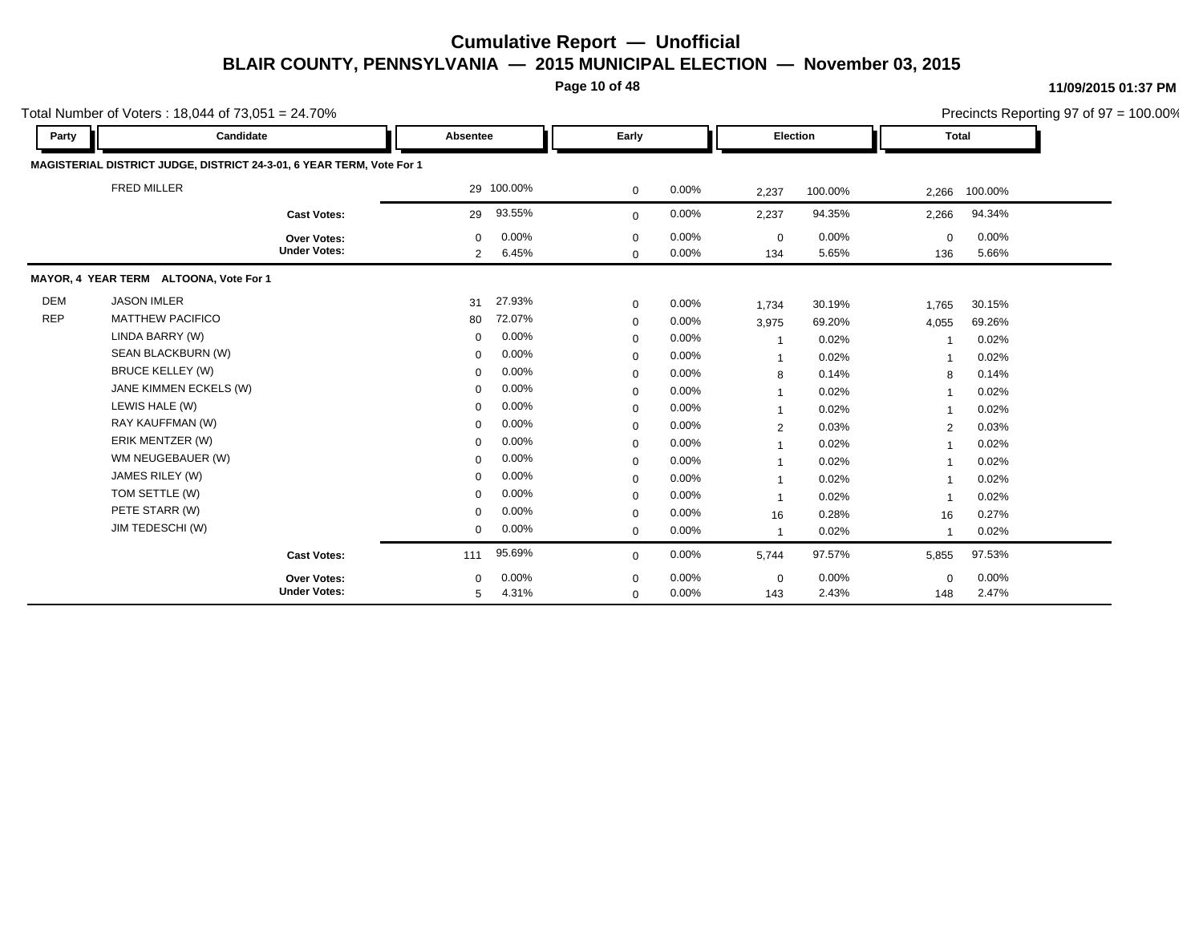**Page 10 of 48**

|            | Total Number of Voters: 18,044 of $73,051 = 24.70\%$                  |                                    |                  |                |                            |                |                    |                |                    |                | Precincts Reporting 97 of 97 = 100.00% |
|------------|-----------------------------------------------------------------------|------------------------------------|------------------|----------------|----------------------------|----------------|--------------------|----------------|--------------------|----------------|----------------------------------------|
| Party      | Candidate                                                             |                                    | Absentee         |                | Early                      |                | Election           |                | <b>Total</b>       |                |                                        |
|            | MAGISTERIAL DISTRICT JUDGE, DISTRICT 24-3-01, 6 YEAR TERM, Vote For 1 |                                    |                  |                |                            |                |                    |                |                    |                |                                        |
|            | <b>FRED MILLER</b>                                                    |                                    |                  | 29 100.00%     | $\mathbf 0$                | 0.00%          | 2,237              | 100.00%        | 2,266              | 100.00%        |                                        |
|            |                                                                       | <b>Cast Votes:</b>                 | 29               | 93.55%         | $\mathbf{0}$               | 0.00%          | 2,237              | 94.35%         | 2,266              | 94.34%         |                                        |
|            |                                                                       | Over Votes:<br><b>Under Votes:</b> | $\mathbf 0$<br>2 | 0.00%<br>6.45% | $\mathbf 0$<br>$\mathbf 0$ | 0.00%<br>0.00% | $\mathbf 0$<br>134 | 0.00%<br>5.65% | $\mathbf 0$<br>136 | 0.00%<br>5.66% |                                        |
|            | MAYOR, 4 YEAR TERM ALTOONA, Vote For 1                                |                                    |                  |                |                            |                |                    |                |                    |                |                                        |
| <b>DEM</b> | <b>JASON IMLER</b>                                                    |                                    | 31               | 27.93%         | $\mathbf 0$                | 0.00%          | 1,734              | 30.19%         | 1,765              | 30.15%         |                                        |
| <b>REP</b> | <b>MATTHEW PACIFICO</b>                                               |                                    | 80               | 72.07%         | $\mathbf 0$                | 0.00%          | 3,975              | 69.20%         | 4,055              | 69.26%         |                                        |
|            | LINDA BARRY (W)                                                       |                                    | $\mathbf 0$      | 0.00%          | $\mathbf 0$                | 0.00%          | $\overline{1}$     | 0.02%          |                    | 0.02%          |                                        |
|            | SEAN BLACKBURN (W)                                                    |                                    | $\mathbf 0$      | 0.00%          | $\mathbf 0$                | 0.00%          | -1                 | 0.02%          |                    | 0.02%          |                                        |
|            | <b>BRUCE KELLEY (W)</b>                                               |                                    | $\mathbf 0$      | 0.00%          | $\mathbf 0$                | 0.00%          | 8                  | 0.14%          | 8                  | 0.14%          |                                        |
|            | JANE KIMMEN ECKELS (W)                                                |                                    | $\mathbf 0$      | 0.00%          | $\mathbf 0$                | 0.00%          | -1                 | 0.02%          |                    | 0.02%          |                                        |
|            | LEWIS HALE (W)                                                        |                                    | $\mathbf 0$      | 0.00%          | $\mathbf 0$                | 0.00%          | -1                 | 0.02%          |                    | 0.02%          |                                        |
|            | RAY KAUFFMAN (W)                                                      |                                    | $\Omega$         | 0.00%          | $\mathbf 0$                | 0.00%          | 2                  | 0.03%          | 2                  | 0.03%          |                                        |
|            | ERIK MENTZER (W)                                                      |                                    | $\mathbf 0$      | 0.00%          | $\mathbf 0$                | 0.00%          | 1                  | 0.02%          |                    | 0.02%          |                                        |
|            | WM NEUGEBAUER (W)                                                     |                                    | $\mathbf 0$      | 0.00%          | $\mathbf 0$                | 0.00%          | 1                  | 0.02%          |                    | 0.02%          |                                        |
|            | JAMES RILEY (W)                                                       |                                    | $\mathbf 0$      | 0.00%          | $\mathbf 0$                | 0.00%          | -1                 | 0.02%          |                    | 0.02%          |                                        |
|            | TOM SETTLE (W)                                                        |                                    | $\mathbf 0$      | 0.00%          | $\mathbf 0$                | 0.00%          | 1                  | 0.02%          |                    | 0.02%          |                                        |
|            | PETE STARR (W)                                                        |                                    | $\Omega$         | 0.00%          | $\mathbf 0$                | 0.00%          | 16                 | 0.28%          | 16                 | 0.27%          |                                        |
|            | JIM TEDESCHI (W)                                                      |                                    | $\mathbf 0$      | 0.00%          | $\mathbf 0$                | 0.00%          | 1                  | 0.02%          | -1                 | 0.02%          |                                        |
|            |                                                                       | <b>Cast Votes:</b>                 | 111              | 95.69%         | $\mathbf 0$                | 0.00%          | 5,744              | 97.57%         | 5,855              | 97.53%         |                                        |
|            |                                                                       | Over Votes:                        | $\Omega$         | 0.00%          | $\mathbf 0$                | 0.00%          | $\mathbf 0$        | 0.00%          | $\Omega$           | 0.00%          |                                        |
|            |                                                                       | <b>Under Votes:</b>                | 5                | 4.31%          | $\mathbf 0$                | 0.00%          | 143                | 2.43%          | 148                | 2.47%          |                                        |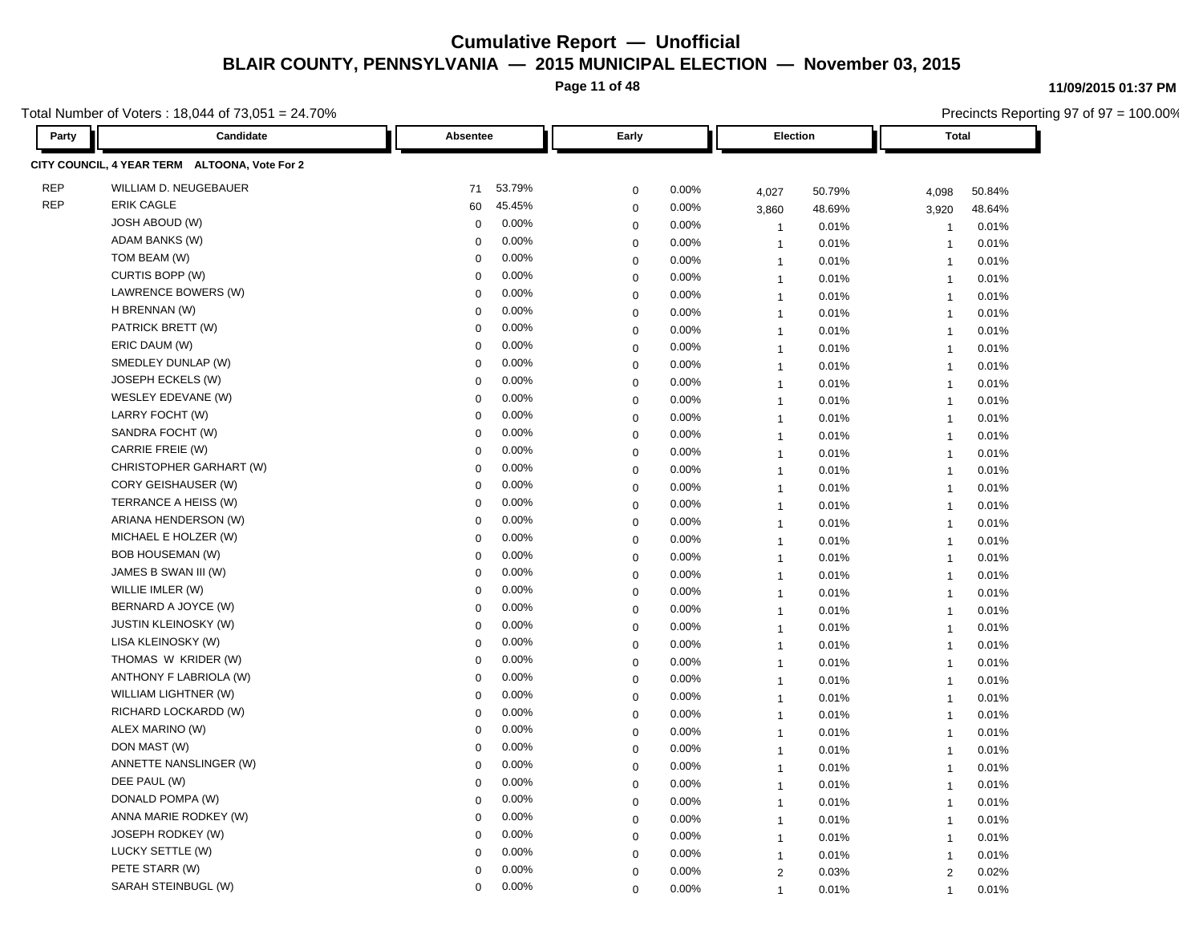**Page 11 of 48**

Total Number of Voters : 18,044 of 73,051 = 24.70%

**Party Candidate Absentee Early Election Total CITY COUNCIL, 4 YEAR TERM ALTOONA, Vote For 2** REP WILLIAM D. NEUGEBAUER 71 53.79% 0 0.00% 4,027 50.79% 4,098 50.84% REP ERIK CAGLE 60 45.45% 0 0.00% 3,860 48.69% 3,920 48.64% JOSH ABOUD (W) 0 0.00% 0 0.00% 1 0.01% 1 0.01% ADAM BANKS (W) 0 0.00% 0 0.00% 1 0.01% 1 0.01% TOM BEAM (W) 0 0.00% 0 0.00% 1 0.01% 1 0.01% CURTIS BOPP (W) 0 0.00% 0 0.00% 1 0.01% 1 0.01% LAWRENCE BOWERS (W) 0 0.00% 0 0.00% 1 0.01% 1 0.01% H BRENNAN (W) 0 0.00% 0 0.00% 1 0.01% 1 0.01% PATRICK BRETT (W) 0 0.00% 0 0.00% 1 0.01% 1 0.01% ERIC DAUM (W) 0 0.00% 0 0.00% 1 0.01% 1 0.01% SMEDLEY DUNLAP (W) 0 0.00% 0 0.00% 1 0.01% 1 0.01% JOSEPH ECKELS (W) 0 0.00% 0 0.00% 1 0.01% 1 0.01% WESLEY EDEVANE (W) 0 0.00% 0 0.00% 1 0.01% 1 0.01% LARRY FOCHT (W) 0 0.00% 0 0.00% 1 0.01% 1 0.01% SANDRA FOCHT (W) 0 0.00% 0 0.00% 1 0.01% 1 0.01% CARRIE FREIE (W) 0 0.00% 0 0.00% 1 0.01% 1 0.01% CHRISTOPHER GARHART (W) 0 0.00% 0 0.00% 1 0.01% 1 0.01% CORY GEISHAUSER (W) 0 0.00% 0 0.00% 1 0.01% 1 0.01% TERRANCE A HEISS (W) 0 0.00% 0 0.00% 1 0.01% 1 0.01% ARIANA HENDERSON (W) 0 0.00% 0 0.00% 1 0.01% 1 0.01% MICHAEL E HOLZER (W) 0 0.00% 0 0.00% 1 0.01% 1 0.01% BOB HOUSEMAN (W) 0 0.00% 0 0.00% 1 0.01% 1 0.01% JAMES B SWAN III (W) 0 0.00% 0 0.00% 1 0.01% 1 0.01% WILLIE IMLER (W) 0 0.00% 0 0.00% 1 0.01% 1 0.01% BERNARD A JOYCE (W) 0 0.00% 0 0.00% 1 0.01% 1 0.01% JUSTIN KLEINOSKY (W) 0 0.00% 0 0.00% 1 0.01% 1 0.01% LISA KLEINOSKY (W) 0 0.00% 0 0.00% 1 0.01% 1 0.01% THOMAS W KRIDER (W) 0 0.00% 0 0.00% 1 0.01% 1 0.01% ANTHONY F LABRIOLA (W) 0 0.00% 0 0.00% 1 0.01% 1 0.01% WILLIAM LIGHTNER (W) 0 0.00% 0 0.00% 1 0.01% 1 0.01% RICHARD LOCKARDD (W) 0 0.00% 0 0.00% 1 0.01% 1 0.01% ALEX MARINO (W) 0 0.00% 0 0.00% 1 0.01% 1 0.01% DON MAST (W) 0 0.00% 0 0.00% 1 0.01% 1 0.01% ANNETTE NANSLINGER (W) 0 0.00% 0 0.00% 1 0.01% 1 0.01% DEE PAUL (W) 0 0.00% 0 0.00% 1 0.01% 1 0.01% DONALD POMPA (W) 0 0.00% 0 0.00% 1 0.01% 1 0.01% ANNA MARIE RODKEY (W) 0 0.00% 0 0.00% 1 0.01% 1 0.01% JOSEPH RODKEY (W) 0 0.00% 0 0.00% 1 0.01% 1 0.01% LUCKY SETTLE (W) 0 0.00% 0 0.00% 1 0.01% 1 0.01% PETE STARR (W) 0 0.00% 0 0.00% 2 0.03% 2 0.02% SARAH STEINBUGL (W) 0 0.00% 0 0.00% 1 0.01% 1 0.01%

#### **11/09/2015 01:37 PM**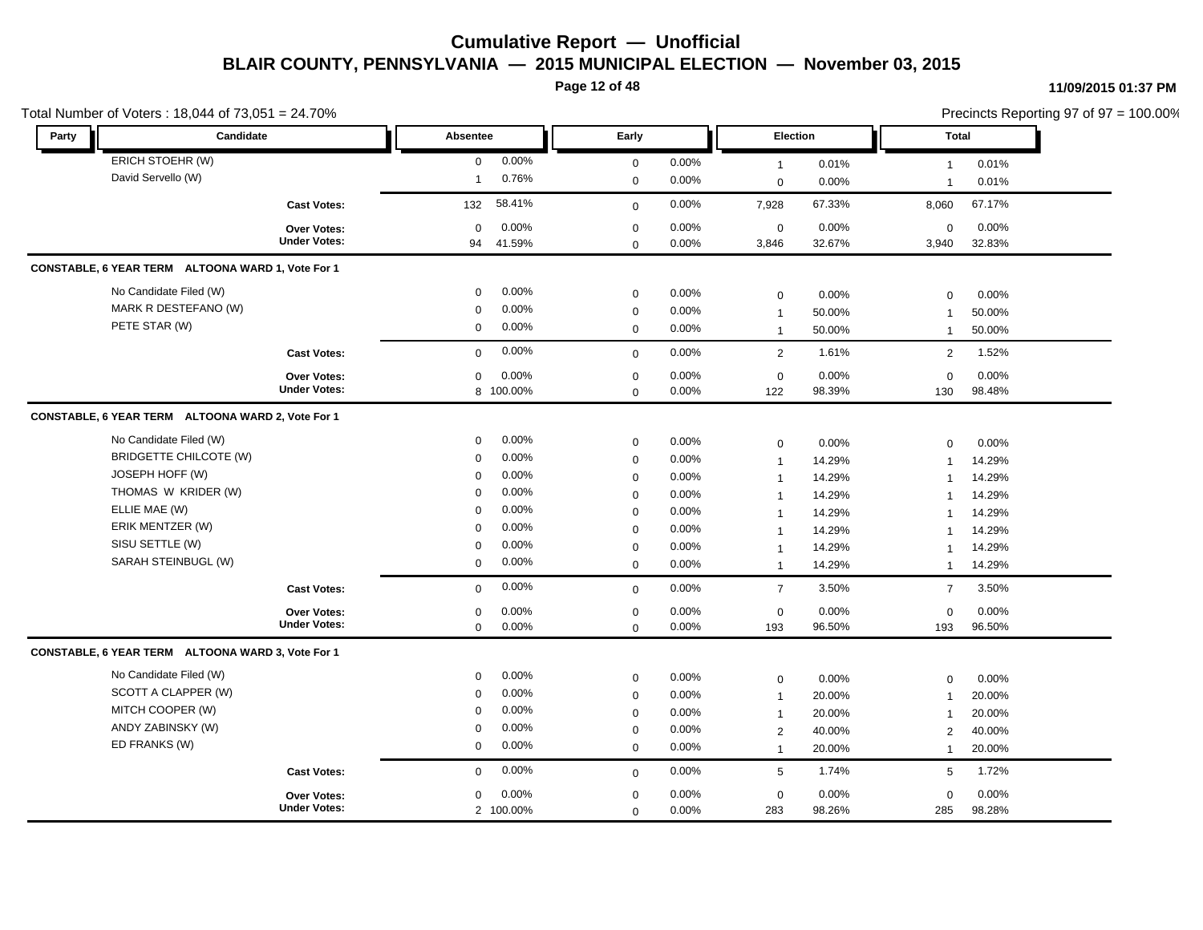**Page 12 of 48**

|               | Total Number of Voters: 18,044 of 73,051 = 24.70%       |                            |                    |                            |                |                               |                 |                          | Precincts Reporting 97 of 97 = 100.00% |  |
|---------------|---------------------------------------------------------|----------------------------|--------------------|----------------------------|----------------|-------------------------------|-----------------|--------------------------|----------------------------------------|--|
| Party         | Candidate                                               | Absentee                   |                    | Early                      |                | Election                      |                 | <b>Total</b>             |                                        |  |
|               | ERICH STOEHR (W)                                        | $\mathbf 0$                | 0.00%              | $\mathbf 0$                | 0.00%          | $\overline{1}$                | 0.01%           | $\mathbf{1}$             | 0.01%                                  |  |
|               | David Servello (W)                                      | $\mathbf{1}$               | 0.76%              | $\mathbf 0$                | 0.00%          | $\mathbf{0}$                  | 0.00%           | $\overline{1}$           | 0.01%                                  |  |
|               | <b>Cast Votes:</b>                                      | 132                        | 58.41%             | $\mathbf 0$                | 0.00%          | 7,928                         | 67.33%          | 8,060                    | 67.17%                                 |  |
|               | <b>Over Votes:</b><br><b>Under Votes:</b>               | $\mathbf 0$<br>94          | 0.00%<br>41.59%    | $\pmb{0}$<br>$\mathsf 0$   | 0.00%<br>0.00% | $\mathbf 0$<br>3,846          | 0.00%<br>32.67% | $\mathbf 0$<br>3,940     | 0.00%<br>32.83%                        |  |
|               | CONSTABLE, 6 YEAR TERM ALTOONA WARD 1, Vote For 1       |                            |                    |                            |                |                               |                 |                          |                                        |  |
|               | No Candidate Filed (W)<br>MARK R DESTEFANO (W)          | 0<br>$\mathbf 0$           | 0.00%<br>0.00%     | $\pmb{0}$<br>$\mathbf 0$   | 0.00%<br>0.00% | $\mathbf 0$<br>$\overline{1}$ | 0.00%<br>50.00% | 0<br>$\overline{1}$      | 0.00%<br>50.00%                        |  |
|               | PETE STAR (W)                                           | $\mathbf 0$                | 0.00%              | $\mathbf{0}$               | $0.00\%$       | $\overline{1}$                | 50.00%          | $\mathbf{1}$             | 50.00%                                 |  |
|               | <b>Cast Votes:</b>                                      | $\mathbf 0$                | 0.00%              | $\mathbf 0$                | 0.00%          | $\overline{2}$                | 1.61%           | 2                        | 1.52%                                  |  |
|               | Over Votes:<br><b>Under Votes:</b>                      | $\mathbf 0$                | 0.00%<br>8 100.00% | $\pmb{0}$<br>$\mathbf 0$   | 0.00%<br>0.00% | $\mathbf 0$<br>122            | 0.00%<br>98.39% | $\mathbf 0$<br>130       | 0.00%<br>98.48%                        |  |
|               | CONSTABLE, 6 YEAR TERM ALTOONA WARD 2, Vote For 1       |                            |                    |                            |                |                               |                 |                          |                                        |  |
|               | No Candidate Filed (W)<br><b>BRIDGETTE CHILCOTE (W)</b> | $\mathbf 0$<br>$\mathbf 0$ | 0.00%<br>0.00%     | $\mathbf 0$<br>$\pmb{0}$   | 0.00%<br>0.00% | $\mathbf 0$<br>$\mathbf{1}$   | 0.00%<br>14.29% | 0<br>1                   | 0.00%<br>14.29%                        |  |
|               | JOSEPH HOFF (W)                                         | $\mathbf 0$                | 0.00%              | $\mathbf 0$                | 0.00%          | $\mathbf{1}$                  | 14.29%          | $\overline{1}$           | 14.29%                                 |  |
|               | THOMAS W KRIDER (W)                                     | $\Omega$                   | 0.00%              | $\mathbf 0$                | 0.00%          | $\overline{1}$                | 14.29%          | $\mathbf 1$              | 14.29%                                 |  |
| ELLIE MAE (W) |                                                         | $\Omega$                   | 0.00%              | $\mathbf 0$                | 0.00%          | -1                            | 14.29%          | $\overline{\phantom{a}}$ | 14.29%                                 |  |
|               | ERIK MENTZER (W)                                        | $\Omega$                   | 0.00%              | $\mathbf 0$                | 0.00%          | $\overline{1}$                | 14.29%          | 1                        | 14.29%                                 |  |
|               | SISU SETTLE (W)                                         | $\mathbf 0$                | 0.00%              | $\mathbf 0$                | 0.00%          | $\overline{1}$                | 14.29%          | -1                       | 14.29%                                 |  |
|               | SARAH STEINBUGL (W)                                     | $\mathbf 0$                | 0.00%              | $\mathbf 0$                | 0.00%          | $\overline{1}$                | 14.29%          | $\mathbf{1}$             | 14.29%                                 |  |
|               | <b>Cast Votes:</b>                                      | $\mathbf 0$                | 0.00%              | $\mathbf 0$                | 0.00%          | $\overline{7}$                | 3.50%           | $\overline{7}$           | 3.50%                                  |  |
|               | Over Votes:<br><b>Under Votes:</b>                      | $\mathbf 0$                | 0.00%              | $\mathbf 0$                | 0.00%          | $\mathsf 0$                   | 0.00%           | 0                        | 0.00%                                  |  |
|               |                                                         | $\mathbf 0$                | 0.00%              | $\mathbf 0$                | 0.00%          | 193                           | 96.50%          | 193                      | 96.50%                                 |  |
|               | CONSTABLE, 6 YEAR TERM ALTOONA WARD 3, Vote For 1       |                            |                    |                            |                |                               |                 |                          |                                        |  |
|               | No Candidate Filed (W)                                  | $\mathbf 0$                | 0.00%              | $\mathbf 0$                | 0.00%          | $\mathbf 0$                   | 0.00%           | $\mathbf 0$              | 0.00%                                  |  |
|               | SCOTT A CLAPPER (W)                                     | $\mathbf 0$                | 0.00%              | $\pmb{0}$                  | 0.00%          | $\overline{1}$                | 20.00%          | $\overline{1}$           | 20.00%                                 |  |
|               | MITCH COOPER (W)                                        | $\mathbf 0$                | 0.00%              | $\mathbf 0$                | 0.00%          | $\mathbf 1$                   | 20.00%          | $\mathbf 1$              | 20.00%                                 |  |
|               | ANDY ZABINSKY (W)                                       | $\mathbf 0$                | 0.00%              | $\mathbf 0$                | 0.00%          | $\overline{2}$                | 40.00%          | 2                        | 40.00%                                 |  |
|               | ED FRANKS (W)                                           | $\mathbf 0$                | 0.00%              | $\mathbf 0$                | 0.00%          | $\overline{1}$                | 20.00%          | $\mathbf{1}$             | 20.00%                                 |  |
|               | <b>Cast Votes:</b>                                      | $\mathbf 0$                | 0.00%              | $\mathbf 0$                | 0.00%          | $5\phantom{.0}$               | 1.74%           | 5                        | 1.72%                                  |  |
|               | Over Votes:<br><b>Under Votes:</b>                      | $\mathbf 0$                | 0.00%<br>2 100.00% | $\mathbf 0$<br>$\mathbf 0$ | 0.00%<br>0.00% | $\mathbf 0$<br>283            | 0.00%<br>98.26% | $\mathbf 0$<br>285       | 0.00%<br>98.28%                        |  |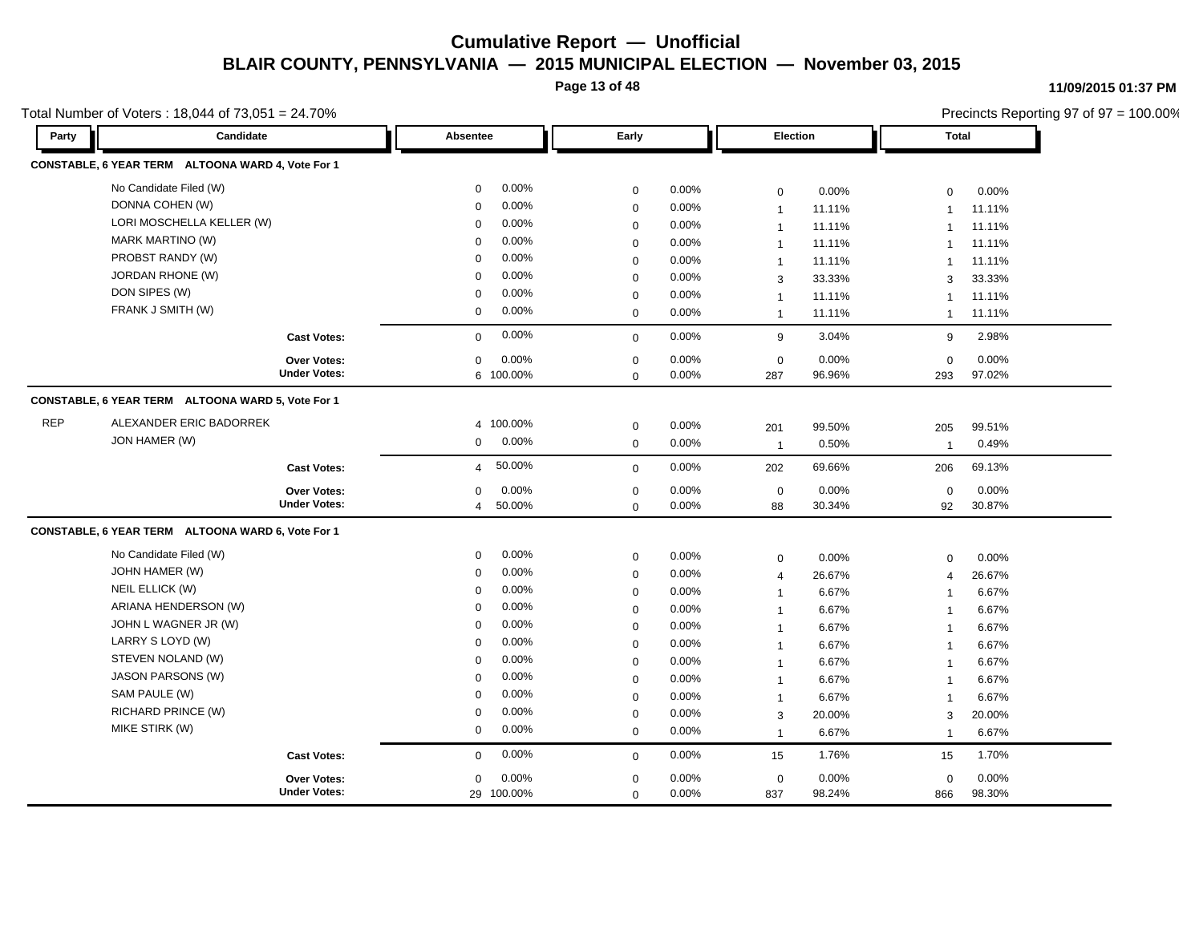**Page 13 of 48**

**11/09/2015 01:37 PM**

|            | Total Number of Voters: 18,044 of 73,051 = 24.70% |                          |             |       |                 |        |                | Precincts Reporting 97 of 97 = 100.00% |  |
|------------|---------------------------------------------------|--------------------------|-------------|-------|-----------------|--------|----------------|----------------------------------------|--|
| Party      | Candidate                                         | Absentee                 | Early       |       | <b>Election</b> |        | Total          |                                        |  |
|            | CONSTABLE, 6 YEAR TERM ALTOONA WARD 4, Vote For 1 |                          |             |       |                 |        |                |                                        |  |
|            | No Candidate Filed (W)                            | 0.00%<br>0               | $\mathbf 0$ | 0.00% | $\mathbf 0$     | 0.00%  | $\mathbf 0$    | 0.00%                                  |  |
|            | DONNA COHEN (W)                                   | 0.00%<br>$\Omega$        | $\mathbf 0$ | 0.00% | $\mathbf{1}$    | 11.11% | $\mathbf{1}$   | 11.11%                                 |  |
|            | LORI MOSCHELLA KELLER (W)                         | 0.00%<br>$\Omega$        | $\mathbf 0$ | 0.00% | $\mathbf{1}$    | 11.11% | $\mathbf{1}$   | 11.11%                                 |  |
|            | <b>MARK MARTINO (W)</b>                           | 0.00%<br>$\Omega$        | $\mathbf 0$ | 0.00% | $\mathbf{1}$    | 11.11% |                | 11.11%                                 |  |
|            | PROBST RANDY (W)                                  | 0.00%<br>$\Omega$        | $\mathbf 0$ | 0.00% | $\mathbf{1}$    | 11.11% | $\overline{1}$ | 11.11%                                 |  |
|            | <b>JORDAN RHONE (W)</b>                           | 0.00%<br>$\Omega$        | $\mathbf 0$ | 0.00% | 3               | 33.33% | 3              | 33.33%                                 |  |
|            | DON SIPES (W)                                     | 0.00%<br>0               | $\mathbf 0$ | 0.00% | $\mathbf{1}$    | 11.11% | -1             | 11.11%                                 |  |
|            | FRANK J SMITH (W)                                 | 0.00%<br>0               | $\mathbf 0$ | 0.00% | $\mathbf{1}$    | 11.11% | $\overline{1}$ | 11.11%                                 |  |
|            | <b>Cast Votes:</b>                                | 0.00%<br>$\mathbf 0$     | $\mathbf 0$ | 0.00% | 9               | 3.04%  | 9              | 2.98%                                  |  |
|            | Over Votes:                                       | 0.00%<br>0               | $\mathbf 0$ | 0.00% | $\mathsf 0$     | 0.00%  | $\mathbf 0$    | 0.00%                                  |  |
|            | <b>Under Votes:</b>                               | 6 100.00%                | $\Omega$    | 0.00% | 287             | 96.96% | 293            | 97.02%                                 |  |
|            | CONSTABLE, 6 YEAR TERM ALTOONA WARD 5, Vote For 1 |                          |             |       |                 |        |                |                                        |  |
| <b>REP</b> | ALEXANDER ERIC BADORREK                           | 4 100.00%                | $\mathbf 0$ | 0.00% | 201             | 99.50% | 205            | 99.51%                                 |  |
|            | JON HAMER (W)                                     | 0.00%<br>0               | $\mathbf 0$ | 0.00% | $\overline{1}$  | 0.50%  | $\overline{1}$ | 0.49%                                  |  |
|            | <b>Cast Votes:</b>                                | 50.00%<br>$\overline{4}$ | $\mathbf 0$ | 0.00% | 202             | 69.66% | 206            | 69.13%                                 |  |
|            | Over Votes:                                       | 0.00%<br>$\Omega$        | $\mathbf 0$ | 0.00% | $\mathbf 0$     | 0.00%  | $\mathbf 0$    | 0.00%                                  |  |
|            | <b>Under Votes:</b>                               | 50.00%<br>4              | $\mathbf 0$ | 0.00% | 88              | 30.34% | 92             | 30.87%                                 |  |
|            | CONSTABLE, 6 YEAR TERM ALTOONA WARD 6, Vote For 1 |                          |             |       |                 |        |                |                                        |  |
|            | No Candidate Filed (W)                            | 0.00%<br>0               | $\mathbf 0$ | 0.00% | $\mathbf 0$     | 0.00%  | $\mathbf 0$    | 0.00%                                  |  |
|            | JOHN HAMER (W)                                    | 0.00%<br>0               | $\mathbf 0$ | 0.00% | $\overline{4}$  | 26.67% | $\overline{4}$ | 26.67%                                 |  |
|            | NEIL ELLICK (W)                                   | 0.00%<br>$\Omega$        | $\mathbf 0$ | 0.00% | $\mathbf{1}$    | 6.67%  | -1             | 6.67%                                  |  |
|            | ARIANA HENDERSON (W)                              | 0.00%<br>$\Omega$        | $\mathbf 0$ | 0.00% | $\mathbf{1}$    | 6.67%  | $\mathbf 1$    | 6.67%                                  |  |
|            | JOHN L WAGNER JR (W)                              | 0.00%<br>$\Omega$        | $\mathbf 0$ | 0.00% | $\mathbf{1}$    | 6.67%  | $\mathbf{1}$   | 6.67%                                  |  |
|            | LARRY S LOYD (W)                                  | 0.00%<br>$\Omega$        | $\Omega$    | 0.00% | $\mathbf{1}$    | 6.67%  | -1             | 6.67%                                  |  |
|            | STEVEN NOLAND (W)                                 | 0.00%<br>$\Omega$        | $\mathbf 0$ | 0.00% | $\mathbf{1}$    | 6.67%  | $\overline{1}$ | 6.67%                                  |  |
|            | <b>JASON PARSONS (W)</b>                          | 0.00%<br>$\Omega$        | $\mathbf 0$ | 0.00% | $\mathbf{1}$    | 6.67%  | $\overline{1}$ | 6.67%                                  |  |
|            | SAM PAULE (W)                                     | 0.00%<br>$\Omega$        | $\mathbf 0$ | 0.00% | $\mathbf{1}$    | 6.67%  | $\mathbf{1}$   | 6.67%                                  |  |
|            | RICHARD PRINCE (W)                                | 0.00%<br>$\mathbf 0$     | $\mathbf 0$ | 0.00% | 3               | 20.00% | 3              | 20.00%                                 |  |
|            | MIKE STIRK (W)                                    | 0.00%<br>$\mathbf 0$     | $\mathbf 0$ | 0.00% | $\mathbf{1}$    | 6.67%  | $\overline{1}$ | 6.67%                                  |  |
|            | <b>Cast Votes:</b>                                | 0.00%<br>0               | $\mathbf 0$ | 0.00% | 15              | 1.76%  | 15             | 1.70%                                  |  |
|            | <b>Over Votes:</b>                                | 0.00%<br>0               | $\mathbf 0$ | 0.00% | $\mathbf 0$     | 0.00%  | $\mathbf 0$    | 0.00%                                  |  |
|            | <b>Under Votes:</b>                               | 29 100.00%               | $\mathbf 0$ | 0.00% | 837             | 98.24% | 866            | 98.30%                                 |  |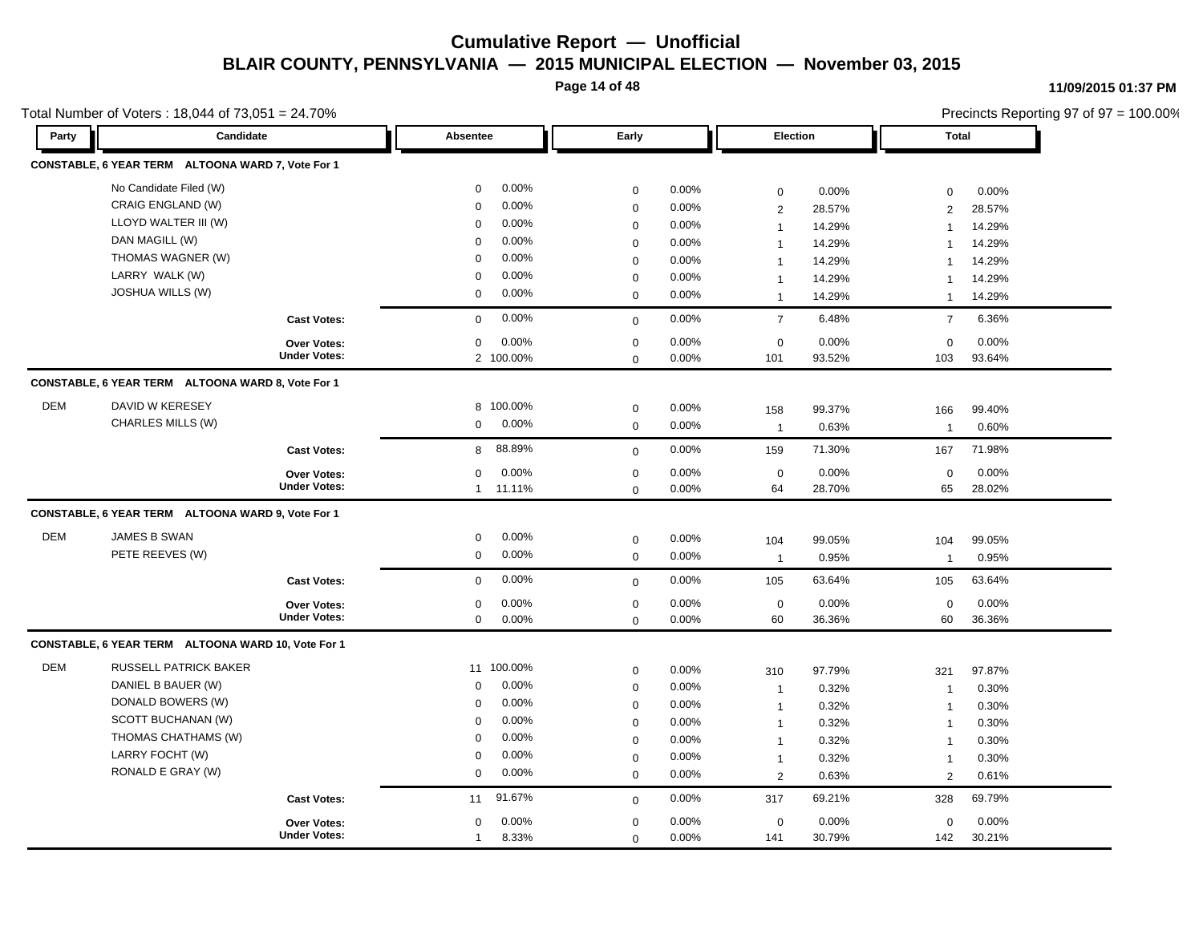**Page 14 of 48**

|            | Total Number of Voters: 18,044 of $73,051 = 24.70\%$ |                     |                         |             |       |                |        |                | Precincts Reporting 97 of 97 = 100.00% |
|------------|------------------------------------------------------|---------------------|-------------------------|-------------|-------|----------------|--------|----------------|----------------------------------------|
| Party      | Candidate                                            |                     | Absentee                | Early       |       | Election       |        | <b>Total</b>   |                                        |
|            | CONSTABLE, 6 YEAR TERM ALTOONA WARD 7, Vote For 1    |                     |                         |             |       |                |        |                |                                        |
|            | No Candidate Filed (W)                               |                     | 0.00%<br>$\mathbf 0$    | $\mathbf 0$ | 0.00% | $\mathsf 0$    | 0.00%  | $\mathbf 0$    | 0.00%                                  |
|            | CRAIG ENGLAND (W)                                    |                     | 0.00%<br>$\Omega$       | $\mathbf 0$ | 0.00% | $\overline{2}$ | 28.57% | $\overline{2}$ | 28.57%                                 |
|            | LLOYD WALTER III (W)                                 |                     | 0.00%<br>$\Omega$       | $\mathbf 0$ | 0.00% | $\mathbf{1}$   | 14.29% | $\overline{1}$ | 14.29%                                 |
|            | DAN MAGILL (W)                                       |                     | 0.00%<br>$\Omega$       | $\mathbf 0$ | 0.00% | $\mathbf{1}$   | 14.29% |                | 14.29%                                 |
|            | THOMAS WAGNER (W)                                    |                     | 0.00%<br>$\Omega$       | $\mathbf 0$ | 0.00% | $\mathbf{1}$   | 14.29% | $\overline{1}$ | 14.29%                                 |
|            | LARRY WALK (W)                                       |                     | 0.00%<br>$\Omega$       | $\mathbf 0$ | 0.00% | $\mathbf{1}$   | 14.29% | $\mathbf{1}$   | 14.29%                                 |
|            | <b>JOSHUA WILLS (W)</b>                              |                     | 0.00%<br>$\mathbf 0$    | $\mathbf 0$ | 0.00% | $\mathbf{1}$   | 14.29% | $\overline{1}$ | 14.29%                                 |
|            |                                                      | <b>Cast Votes:</b>  | 0.00%<br>$\mathbf 0$    | $\mathbf 0$ | 0.00% | $\overline{7}$ | 6.48%  | $\overline{7}$ | 6.36%                                  |
|            |                                                      | Over Votes:         | $0.00\%$<br>$\mathbf 0$ | $\mathbf 0$ | 0.00% | $\mathbf 0$    | 0.00%  | $\mathbf 0$    | 0.00%                                  |
|            |                                                      | <b>Under Votes:</b> | 2 100.00%               | $\mathbf 0$ | 0.00% | 101            | 93.52% | 103            | 93.64%                                 |
|            | CONSTABLE, 6 YEAR TERM ALTOONA WARD 8, Vote For 1    |                     |                         |             |       |                |        |                |                                        |
| <b>DEM</b> | DAVID W KERESEY                                      |                     | 8 100.00%               | $\mathbf 0$ | 0.00% | 158            | 99.37% | 166            | 99.40%                                 |
|            | CHARLES MILLS (W)                                    |                     | 0.00%<br>$\mathbf 0$    | $\mathbf 0$ | 0.00% | $\mathbf{1}$   | 0.63%  | $\overline{1}$ | 0.60%                                  |
|            |                                                      | <b>Cast Votes:</b>  | 88.89%<br>8             | $\mathbf 0$ | 0.00% | 159            | 71.30% | 167            | 71.98%                                 |
|            |                                                      | Over Votes:         | 0.00%<br>$\mathbf 0$    | $\mathbf 0$ | 0.00% | $\mathbf 0$    | 0.00%  | $\mathbf 0$    | 0.00%                                  |
|            |                                                      | <b>Under Votes:</b> | 11.11%<br>$\mathbf{1}$  | $\mathbf 0$ | 0.00% | 64             | 28.70% | 65             | 28.02%                                 |
|            | CONSTABLE, 6 YEAR TERM ALTOONA WARD 9, Vote For 1    |                     |                         |             |       |                |        |                |                                        |
| <b>DEM</b> | <b>JAMES B SWAN</b>                                  |                     | 0.00%<br>0              | $\mathbf 0$ | 0.00% | 104            | 99.05% | 104            | 99.05%                                 |
|            | PETE REEVES (W)                                      |                     | 0.00%<br>0              | $\mathbf 0$ | 0.00% | $\mathbf{1}$   | 0.95%  | $\overline{1}$ | 0.95%                                  |
|            |                                                      | <b>Cast Votes:</b>  | 0.00%<br>$\mathbf 0$    | $\mathbf 0$ | 0.00% | 105            | 63.64% | 105            | 63.64%                                 |
|            |                                                      | <b>Over Votes:</b>  | 0.00%<br>$\mathbf 0$    | $\mathbf 0$ | 0.00% | $\mathsf 0$    | 0.00%  | $\mathbf 0$    | 0.00%                                  |
|            |                                                      | <b>Under Votes:</b> | 0.00%<br>$\mathbf 0$    | $\mathbf 0$ | 0.00% | 60             | 36.36% | 60             | 36.36%                                 |
|            | CONSTABLE, 6 YEAR TERM ALTOONA WARD 10, Vote For 1   |                     |                         |             |       |                |        |                |                                        |
| <b>DEM</b> | <b>RUSSELL PATRICK BAKER</b>                         |                     | 11 100.00%              | $\mathbf 0$ | 0.00% | 310            | 97.79% | 321            | 97.87%                                 |
|            | DANIEL B BAUER (W)                                   |                     | 0.00%<br>0              | $\mathbf 0$ | 0.00% | $\mathbf{1}$   | 0.32%  | $\overline{1}$ | 0.30%                                  |
|            | DONALD BOWERS (W)                                    |                     | 0.00%<br>$\mathbf 0$    | $\mathbf 0$ | 0.00% | $\mathbf{1}$   | 0.32%  | $\overline{1}$ | 0.30%                                  |
|            | SCOTT BUCHANAN (W)                                   |                     | 0.00%<br>$\Omega$       | $\mathbf 0$ | 0.00% | $\mathbf{1}$   | 0.32%  | $\overline{1}$ | 0.30%                                  |
|            | THOMAS CHATHAMS (W)                                  |                     | 0.00%<br>$\mathbf 0$    | $\mathbf 0$ | 0.00% | $\mathbf{1}$   | 0.32%  | $\overline{1}$ | 0.30%                                  |
|            | LARRY FOCHT (W)                                      |                     | 0.00%<br>0              | $\mathbf 0$ | 0.00% | $\mathbf{1}$   | 0.32%  | $\overline{1}$ | 0.30%                                  |
|            | RONALD E GRAY (W)                                    |                     | 0.00%<br>0              | $\mathbf 0$ | 0.00% | 2              | 0.63%  | 2              | 0.61%                                  |
|            |                                                      | <b>Cast Votes:</b>  | 91.67%<br>11            | $\mathbf 0$ | 0.00% | 317            | 69.21% | 328            | 69.79%                                 |
|            |                                                      | <b>Over Votes:</b>  | 0.00%<br>0              | $\mathbf 0$ | 0.00% | $\mathbf 0$    | 0.00%  | $\mathbf 0$    | 0.00%                                  |
|            |                                                      | <b>Under Votes:</b> | 8.33%<br>$\mathbf{1}$   | $\Omega$    | 0.00% | 141            | 30.79% | 142            | 30.21%                                 |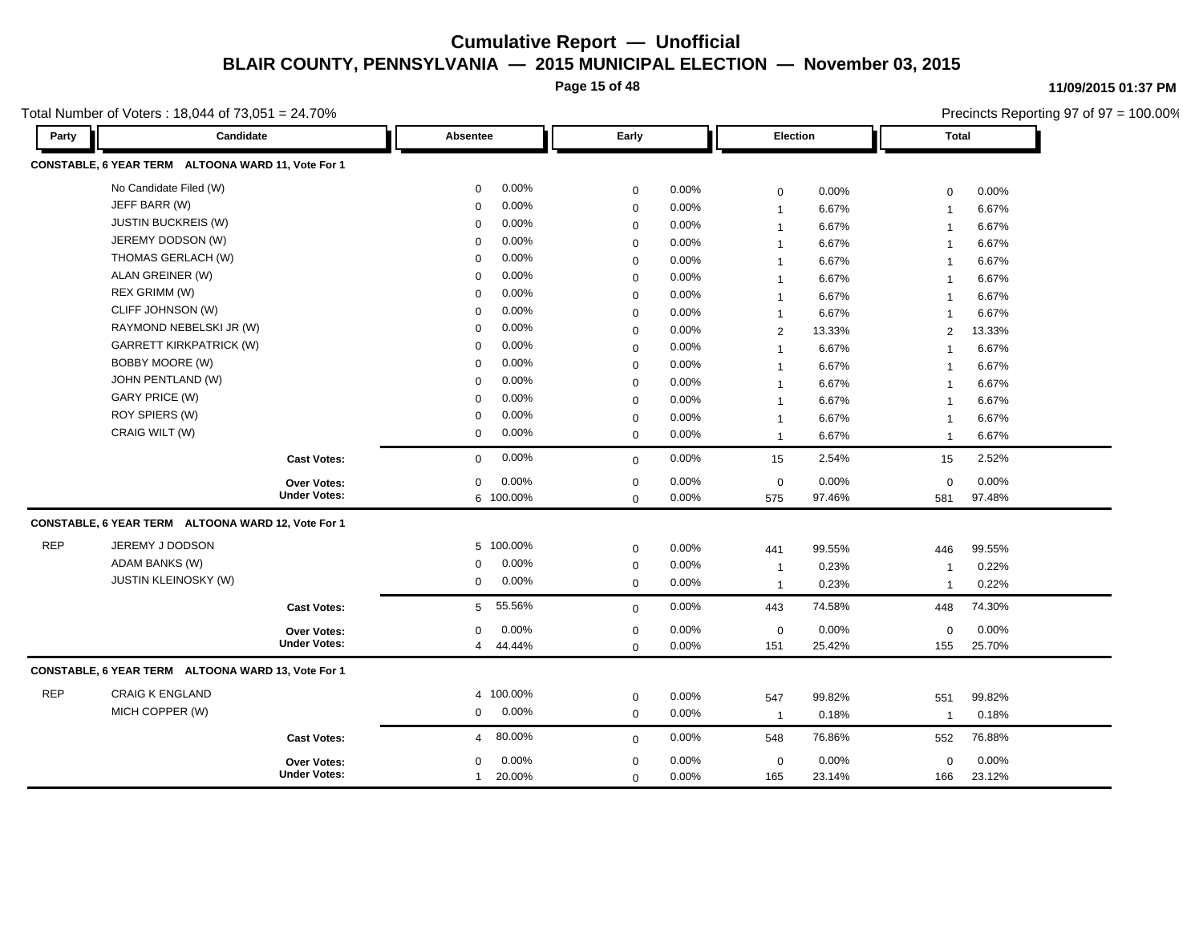**Page 15 of 48**

**11/09/2015 01:37 PM**

|            | Total Number of Voters: 18,044 of 73,051 = 24.70%  |                          |             |       |                       |        |                     | Precincts Reporting 97 of 97 = 100.00% |
|------------|----------------------------------------------------|--------------------------|-------------|-------|-----------------------|--------|---------------------|----------------------------------------|
| Party      | Candidate                                          | Absentee                 | Early       |       | Election              |        | <b>Total</b>        |                                        |
|            | CONSTABLE, 6 YEAR TERM ALTOONA WARD 11, Vote For 1 |                          |             |       |                       |        |                     |                                        |
|            | No Candidate Filed (W)                             | 0.00%<br>0               | $\mathbf 0$ | 0.00% | $\mathbf 0$           | 0.00%  | $\mathbf 0$         | 0.00%                                  |
|            | JEFF BARR (W)                                      | 0.00%<br>$\mathbf 0$     | $\mathbf 0$ | 0.00% | $\mathbf{1}$          | 6.67%  | $\mathbf{1}$        | 6.67%                                  |
|            | <b>JUSTIN BUCKREIS (W)</b>                         | 0.00%<br>0               | $\mathbf 0$ | 0.00% | $\overline{1}$        | 6.67%  | $\mathbf{1}$        | 6.67%                                  |
|            | JEREMY DODSON (W)                                  | 0.00%<br>$\mathbf 0$     | $\mathbf 0$ | 0.00% | -1                    | 6.67%  | $\mathbf{1}$        | 6.67%                                  |
|            | THOMAS GERLACH (W)                                 | 0.00%<br>$\mathbf 0$     | $\mathbf 0$ | 0.00% |                       | 6.67%  | $\mathbf{1}$        | 6.67%                                  |
|            | ALAN GREINER (W)                                   | 0.00%<br>0               | $\mathbf 0$ | 0.00% | -1                    | 6.67%  | $\mathbf{1}$        | 6.67%                                  |
|            | REX GRIMM (W)                                      | 0.00%<br>0               | $\mathbf 0$ | 0.00% | -1                    | 6.67%  | $\mathbf{1}$        | 6.67%                                  |
|            | CLIFF JOHNSON (W)                                  | 0.00%<br>$\mathbf 0$     | $\mathbf 0$ | 0.00% | -1                    | 6.67%  | 1                   | 6.67%                                  |
|            | RAYMOND NEBELSKI JR (W)                            | 0.00%<br>0               | $\mathbf 0$ | 0.00% | $\overline{2}$        | 13.33% | 2                   | 13.33%                                 |
|            | <b>GARRETT KIRKPATRICK (W)</b>                     | 0.00%<br>$\Omega$        | $\mathbf 0$ | 0.00% | $\overline{1}$        | 6.67%  | $\mathbf{1}$        | 6.67%                                  |
|            | BOBBY MOORE (W)                                    | 0.00%<br>$\mathbf 0$     | $\mathbf 0$ | 0.00% | $\mathbf 1$           | 6.67%  | $\mathbf{1}$        | 6.67%                                  |
|            | JOHN PENTLAND (W)                                  | 0.00%<br>0               | $\mathbf 0$ | 0.00% | -1                    | 6.67%  | $\mathbf{1}$        | 6.67%                                  |
|            | <b>GARY PRICE (W)</b>                              | 0.00%<br>0               | $\mathbf 0$ | 0.00% | -1                    | 6.67%  | $\mathbf{1}$        | 6.67%                                  |
|            | ROY SPIERS (W)                                     | 0.00%<br>0               | $\mathbf 0$ | 0.00% | -1                    | 6.67%  | $\mathbf{1}$        | 6.67%                                  |
|            | CRAIG WILT (W)                                     | 0.00%<br>0               | $\mathbf 0$ | 0.00% | $\mathbf{1}$          | 6.67%  | $\mathbf{1}$        | 6.67%                                  |
|            | <b>Cast Votes:</b>                                 | 0.00%<br>$\mathbf{0}$    | $\mathbf 0$ | 0.00% | 15                    | 2.54%  | 15                  | 2.52%                                  |
|            | Over Votes:                                        | 0.00%<br>0               | $\mathbf 0$ | 0.00% | $\mathbf 0$           | 0.00%  | $\mathbf 0$         | 0.00%                                  |
|            | <b>Under Votes:</b>                                | 6 100.00%                | $\Omega$    | 0.00% | 575                   | 97.46% | 581                 | 97.48%                                 |
|            | CONSTABLE, 6 YEAR TERM ALTOONA WARD 12, Vote For 1 |                          |             |       |                       |        |                     |                                        |
| <b>REP</b> | JEREMY J DODSON                                    | 5 100.00%                | $\mathbf 0$ | 0.00% | 441                   | 99.55% | 446                 | 99.55%                                 |
|            | ADAM BANKS (W)                                     | 0.00%<br>$\Omega$        | $\mathbf 0$ | 0.00% | $\overline{1}$        | 0.23%  | $\mathbf{1}$        | 0.22%                                  |
|            | <b>JUSTIN KLEINOSKY (W)</b>                        | 0.00%<br>0               | $\mathbf 0$ | 0.00% | $\mathbf{1}$          | 0.23%  | $\mathbf{1}$        | 0.22%                                  |
|            | <b>Cast Votes:</b>                                 | 55.56%<br>5 <sup>5</sup> | $\mathbf 0$ | 0.00% | 443                   | 74.58% | 448                 | 74.30%                                 |
|            | Over Votes:                                        | 0.00%<br>$\mathbf 0$     | $\mathbf 0$ | 0.00% | $\mathbf 0$           | 0.00%  | $\mathbf 0$         | 0.00%                                  |
|            | <b>Under Votes:</b>                                | 44.44%<br>$\overline{4}$ | $\mathbf 0$ | 0.00% | 151                   | 25.42% | 155                 | 25.70%                                 |
|            | CONSTABLE, 6 YEAR TERM ALTOONA WARD 13, Vote For 1 |                          |             |       |                       |        |                     |                                        |
| <b>REP</b> | <b>CRAIG K ENGLAND</b>                             | 4 100.00%                | $\mathbf 0$ | 0.00% |                       | 99.82% |                     | 99.82%                                 |
|            | MICH COPPER (W)                                    | 0.00%<br>0               | $\mathbf 0$ | 0.00% | 547<br>$\overline{1}$ | 0.18%  | 551<br>$\mathbf{1}$ | 0.18%                                  |
|            | <b>Cast Votes:</b>                                 | 80.00%<br>$\overline{4}$ | $\mathbf 0$ | 0.00% | 548                   | 76.86% | 552                 | 76.88%                                 |
|            | <b>Over Votes:</b>                                 | 0.00%<br>0               | 0           | 0.00% | $\mathbf 0$           | 0.00%  | 0                   | 0.00%                                  |
|            | <b>Under Votes:</b>                                | 20.00%<br>$\mathbf{1}$   | $\mathbf 0$ | 0.00% | 165                   | 23.14% | 166                 | 23.12%                                 |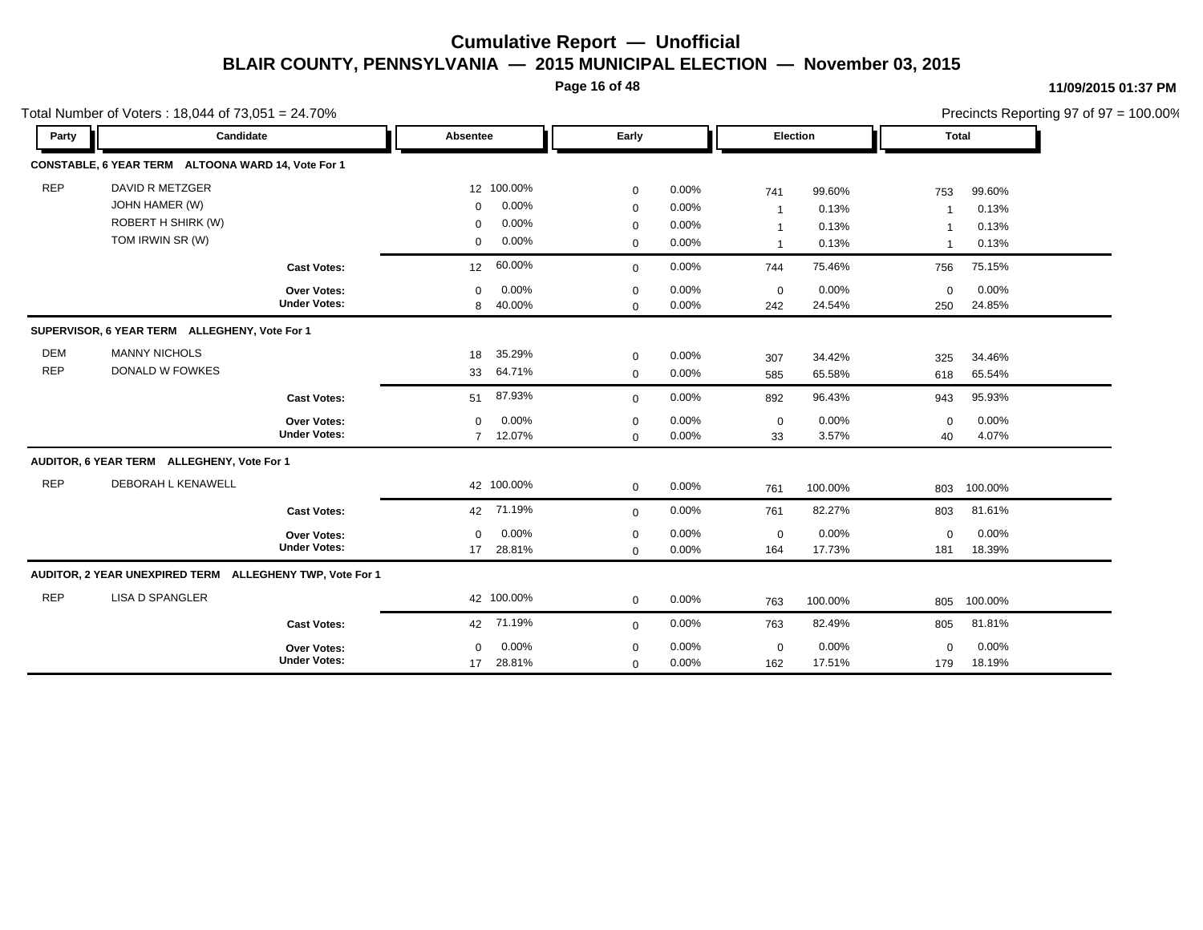**Page 16 of 48**

#### **11/09/2015 01:37 PM**

|            | Total Number of Voters: 18,044 of 73,051 = 24.70%        |                     |                      |              |       |                |         | Precincts Reporting 97 of 97 = 100.00% |         |  |
|------------|----------------------------------------------------------|---------------------|----------------------|--------------|-------|----------------|---------|----------------------------------------|---------|--|
| Party      | Candidate                                                |                     | Absentee             | Early        |       | Election       |         | <b>Total</b>                           |         |  |
|            | CONSTABLE, 6 YEAR TERM ALTOONA WARD 14, Vote For 1       |                     |                      |              |       |                |         |                                        |         |  |
| <b>REP</b> | DAVID R METZGER                                          |                     | 12 100.00%           | $\mathbf 0$  | 0.00% | 741            | 99.60%  | 753                                    | 99.60%  |  |
|            | JOHN HAMER (W)                                           |                     | 0.00%<br>$\mathbf 0$ | $\mathbf 0$  | 0.00% | $\overline{1}$ | 0.13%   | -1                                     | 0.13%   |  |
|            | ROBERT H SHIRK (W)                                       |                     | 0.00%<br>$\mathbf 0$ | $\mathbf 0$  | 0.00% | $\mathbf{1}$   | 0.13%   |                                        | 0.13%   |  |
|            | TOM IRWIN SR (W)                                         |                     | 0.00%<br>0           | $\mathbf 0$  | 0.00% | $\mathbf{1}$   | 0.13%   | $\overline{1}$                         | 0.13%   |  |
|            |                                                          | <b>Cast Votes:</b>  | 60.00%<br>12         | $\mathbf 0$  | 0.00% | 744            | 75.46%  | 756                                    | 75.15%  |  |
|            |                                                          | Over Votes:         | 0.00%<br>$\mathbf 0$ | $\mathbf 0$  | 0.00% | $\mathbf 0$    | 0.00%   | $\mathbf 0$                            | 0.00%   |  |
|            |                                                          | <b>Under Votes:</b> | 40.00%<br>8          | $\mathbf 0$  | 0.00% | 242            | 24.54%  | 250                                    | 24.85%  |  |
|            | SUPERVISOR, 6 YEAR TERM ALLEGHENY, Vote For 1            |                     |                      |              |       |                |         |                                        |         |  |
| <b>DEM</b> | <b>MANNY NICHOLS</b>                                     |                     | 35.29%<br>18         | $\mathbf 0$  | 0.00% | 307            | 34.42%  | 325                                    | 34.46%  |  |
| <b>REP</b> | DONALD W FOWKES                                          |                     | 64.71%<br>33         | $\mathbf 0$  | 0.00% | 585            | 65.58%  | 618                                    | 65.54%  |  |
|            |                                                          | <b>Cast Votes:</b>  | 87.93%<br>51         | $\mathbf 0$  | 0.00% | 892            | 96.43%  | 943                                    | 95.93%  |  |
|            |                                                          | Over Votes:         | 0.00%<br>$\Omega$    | $\mathbf 0$  | 0.00% | $\mathbf 0$    | 0.00%   | $\mathbf 0$                            | 0.00%   |  |
|            |                                                          | <b>Under Votes:</b> | 7 12.07%             | $\mathbf 0$  | 0.00% | 33             | 3.57%   | 40                                     | 4.07%   |  |
|            | AUDITOR, 6 YEAR TERM ALLEGHENY, Vote For 1               |                     |                      |              |       |                |         |                                        |         |  |
| <b>REP</b> | DEBORAH L KENAWELL                                       |                     | 42 100.00%           | $\mathbf 0$  | 0.00% | 761            | 100.00% | 803                                    | 100.00% |  |
|            |                                                          | <b>Cast Votes:</b>  | 71.19%<br>42         | $\mathbf{0}$ | 0.00% | 761            | 82.27%  | 803                                    | 81.61%  |  |
|            |                                                          | Over Votes:         | 0.00%<br>$\Omega$    | $\mathbf 0$  | 0.00% | $\pmb{0}$      | 0.00%   | $\mathbf 0$                            | 0.00%   |  |
|            |                                                          | <b>Under Votes:</b> | 28.81%<br>17         | $\mathbf 0$  | 0.00% | 164            | 17.73%  | 181                                    | 18.39%  |  |
|            | AUDITOR, 2 YEAR UNEXPIRED TERM ALLEGHENY TWP, Vote For 1 |                     |                      |              |       |                |         |                                        |         |  |
| <b>REP</b> | <b>LISA D SPANGLER</b>                                   |                     | 42 100.00%           | $\mathbf 0$  | 0.00% | 763            | 100.00% | 805                                    | 100.00% |  |
|            |                                                          | <b>Cast Votes:</b>  | 71.19%<br>42         | $\mathbf 0$  | 0.00% | 763            | 82.49%  | 805                                    | 81.81%  |  |
|            |                                                          | Over Votes:         | 0.00%<br>$\Omega$    | $\mathbf 0$  | 0.00% | $\pmb{0}$      | 0.00%   | $\mathbf 0$                            | 0.00%   |  |
|            |                                                          | <b>Under Votes:</b> | 28.81%<br>17         | $\mathbf 0$  | 0.00% | 162            | 17.51%  | 179                                    | 18.19%  |  |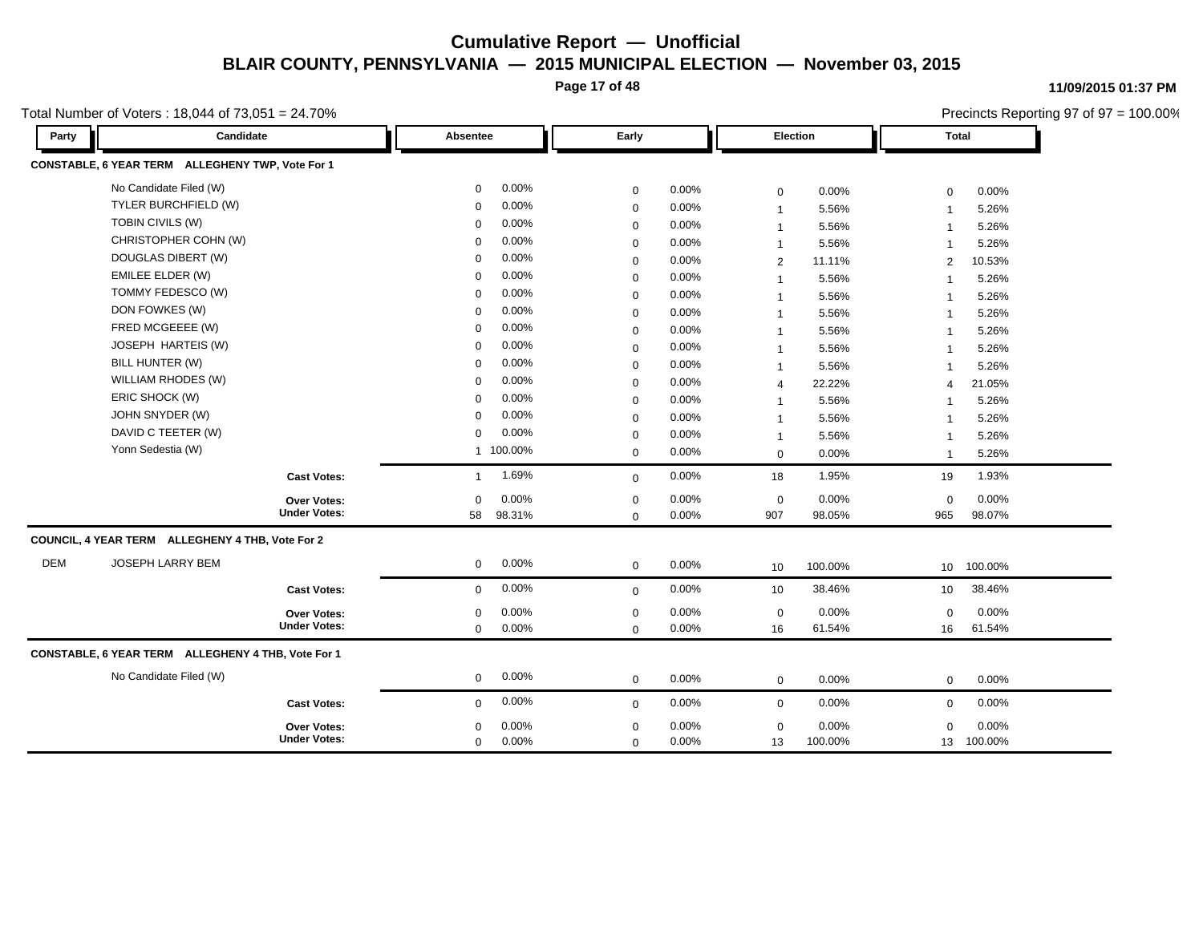**Page 17 of 48**

**11/09/2015 01:37 PM**

Total Number of Voters : 18,044 of 73,051 = 24.70%

|            | Total Number of Voters: 18,044 of 73,051 = 24.70%  |                     |              |           |                  |       |                |         |                | Precincts Reporting 97 of 97 = 100.00% |
|------------|----------------------------------------------------|---------------------|--------------|-----------|------------------|-------|----------------|---------|----------------|----------------------------------------|
| Party      | Candidate                                          |                     | Absentee     |           | Early            |       | Election       |         | <b>Total</b>   |                                        |
|            | CONSTABLE, 6 YEAR TERM ALLEGHENY TWP, Vote For 1   |                     |              |           |                  |       |                |         |                |                                        |
|            | No Candidate Filed (W)                             |                     | 0            | 0.00%     | 0                | 0.00% | $\mathsf 0$    | 0.00%   | $\mathbf 0$    | 0.00%                                  |
|            | TYLER BURCHFIELD (W)                               |                     | $\mathbf 0$  | 0.00%     | $\mathbf 0$      | 0.00% | $\mathbf 1$    | 5.56%   | $\overline{1}$ | 5.26%                                  |
|            | TOBIN CIVILS (W)                                   |                     | $\mathbf 0$  | 0.00%     | $\mathbf 0$      | 0.00% | $\mathbf 1$    | 5.56%   | $\overline{1}$ | 5.26%                                  |
|            | CHRISTOPHER COHN (W)                               |                     | 0            | 0.00%     | $\mathbf 0$      | 0.00% | $\mathbf 1$    | 5.56%   | $\overline{1}$ | 5.26%                                  |
|            | DOUGLAS DIBERT (W)                                 |                     | $\mathbf 0$  | 0.00%     | $\mathbf 0$      | 0.00% | $\overline{2}$ | 11.11%  | 2              | 10.53%                                 |
|            | <b>EMILEE ELDER (W)</b>                            |                     | $\mathbf 0$  | 0.00%     | $\mathbf 0$      | 0.00% |                | 5.56%   | -1             | 5.26%                                  |
|            | TOMMY FEDESCO (W)                                  |                     | 0            | 0.00%     | $\mathbf 0$      | 0.00% |                | 5.56%   | $\overline{1}$ | 5.26%                                  |
|            | DON FOWKES (W)                                     |                     | $\mathbf 0$  | 0.00%     | $\mathbf 0$      | 0.00% |                | 5.56%   | $\overline{1}$ | 5.26%                                  |
|            | FRED MCGEEEE (W)                                   |                     | $\mathbf 0$  | 0.00%     | $\mathbf 0$      | 0.00% |                | 5.56%   | $\overline{1}$ | 5.26%                                  |
|            | JOSEPH HARTEIS (W)                                 |                     | 0            | 0.00%     | $\mathbf 0$      | 0.00% | $\mathbf{1}$   | 5.56%   | $\mathbf{1}$   | 5.26%                                  |
|            | BILL HUNTER (W)                                    |                     | 0            | 0.00%     | $\mathbf 0$      | 0.00% | $\overline{1}$ | 5.56%   | $\mathbf{1}$   | 5.26%                                  |
|            | WILLIAM RHODES (W)                                 |                     | 0            | 0.00%     | $\mathbf 0$      | 0.00% | $\overline{4}$ | 22.22%  | 4              | 21.05%                                 |
|            | ERIC SHOCK (W)                                     |                     | $\mathbf 0$  | 0.00%     | $\mathbf 0$      | 0.00% | $\mathbf{1}$   | 5.56%   | $\mathbf{1}$   | 5.26%                                  |
|            | JOHN SNYDER (W)                                    |                     | $\mathbf 0$  | 0.00%     | $\mathbf 0$      | 0.00% | $\mathbf 1$    | 5.56%   | $\mathbf{1}$   | 5.26%                                  |
|            | DAVID C TEETER (W)                                 |                     | $\mathbf 0$  | 0.00%     | $\mathbf 0$      | 0.00% | $\mathbf 1$    | 5.56%   | $\mathbf{1}$   | 5.26%                                  |
|            | Yonn Sedestia (W)                                  |                     |              | 1 100.00% | $\mathbf 0$      | 0.00% | $\mathsf 0$    | 0.00%   | $\mathbf{1}$   | 5.26%                                  |
|            |                                                    | <b>Cast Votes:</b>  | $\mathbf{1}$ | 1.69%     | $\mathbf 0$      | 0.00% | 18             | 1.95%   | 19             | 1.93%                                  |
|            |                                                    | Over Votes:         | 0            | 0.00%     | $\mathbf 0$      | 0.00% | $\pmb{0}$      | 0.00%   | $\mathbf 0$    | 0.00%                                  |
|            |                                                    | <b>Under Votes:</b> | 58           | 98.31%    | $\mathbf 0$      | 0.00% | 907            | 98.05%  | 965            | 98.07%                                 |
|            | COUNCIL, 4 YEAR TERM ALLEGHENY 4 THB, Vote For 2   |                     |              |           |                  |       |                |         |                |                                        |
| <b>DEM</b> | <b>JOSEPH LARRY BEM</b>                            |                     | 0            | 0.00%     | $\mathbf 0$      | 0.00% | 10             | 100.00% |                | 10 100.00%                             |
|            |                                                    | <b>Cast Votes:</b>  | 0            | 0.00%     | $\mathbf 0$      | 0.00% | 10             | 38.46%  | 10             | 38.46%                                 |
|            |                                                    | Over Votes:         | 0            | 0.00%     | $\boldsymbol{0}$ | 0.00% | $\pmb{0}$      | 0.00%   | $\mathbf 0$    | 0.00%                                  |
|            |                                                    | <b>Under Votes:</b> | 0            | 0.00%     | $\mathbf 0$      | 0.00% | 16             | 61.54%  | 16             | 61.54%                                 |
|            | CONSTABLE, 6 YEAR TERM ALLEGHENY 4 THB, Vote For 1 |                     |              |           |                  |       |                |         |                |                                        |
|            | No Candidate Filed (W)                             |                     | 0            | 0.00%     | $\mathbf 0$      | 0.00% | $\mathbf 0$    | 0.00%   | $\mathbf 0$    | 0.00%                                  |
|            |                                                    | <b>Cast Votes:</b>  | 0            | 0.00%     | $\mathbf 0$      | 0.00% | 0              | 0.00%   | 0              | 0.00%                                  |
|            |                                                    | <b>Over Votes:</b>  | 0            | 0.00%     | $\mathbf 0$      | 0.00% | $\mathbf 0$    | 0.00%   | $\mathbf 0$    | 0.00%                                  |
|            |                                                    | <b>Under Votes:</b> | 0            | 0.00%     | $\mathbf 0$      | 0.00% | 13             | 100.00% | 13             | 100.00%                                |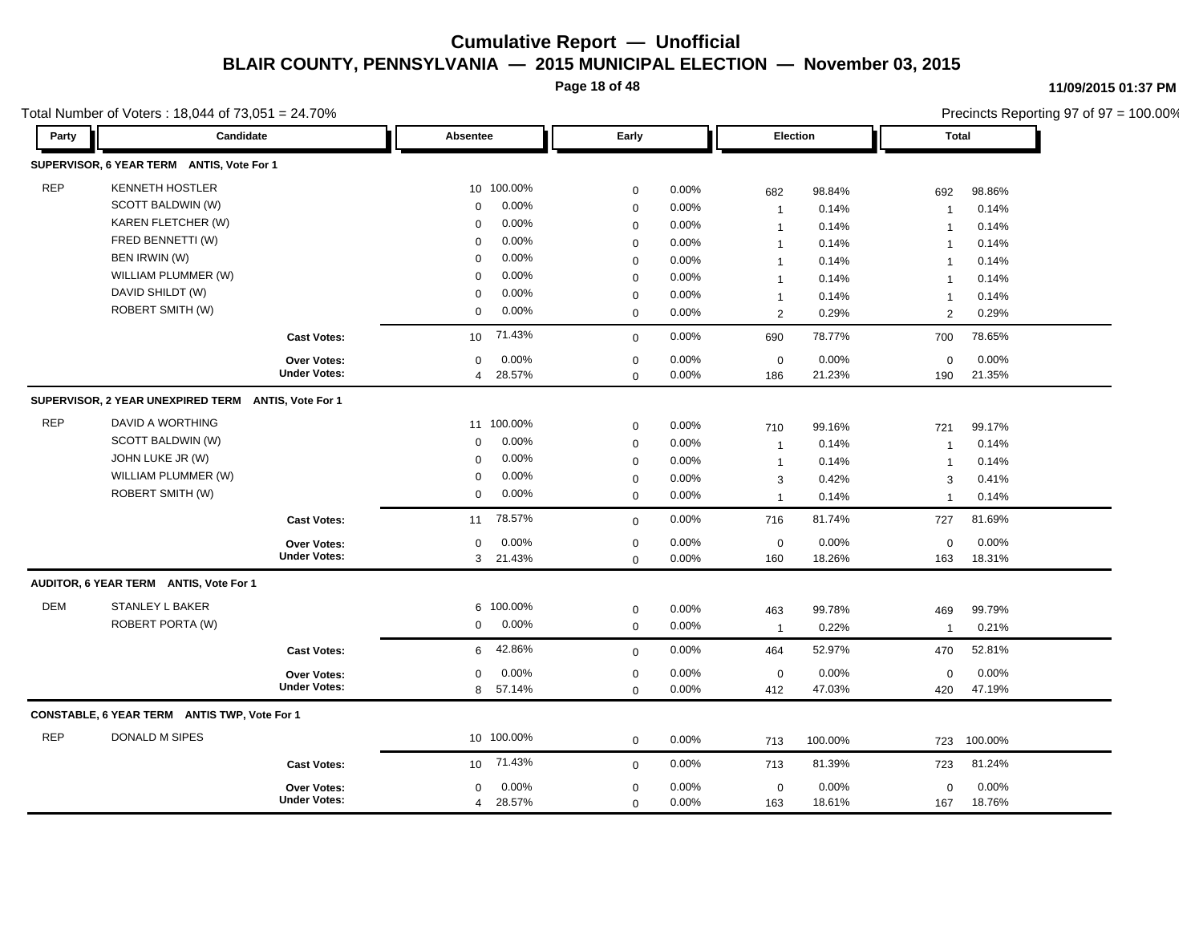**Page 18 of 48**

#### **11/09/2015 01:37 PM**

Precincts Reporting 97 of 97 = 100.00%

| Party      | Candidate                                           | $10,001$ $-27.10$ $0000$ $-10$ $-10$ $-10$ $-10$ $-10$ $-10$ $-10$ $-10$ | Absentee                  | Early       |       | <b>Election</b> |         | <b>Total</b>   | $\frac{1}{2}$ recircles independing $\frac{1}{2}$ or $\frac{1}{2}$ = 100.00 $\pi$ |
|------------|-----------------------------------------------------|--------------------------------------------------------------------------|---------------------------|-------------|-------|-----------------|---------|----------------|-----------------------------------------------------------------------------------|
|            | SUPERVISOR, 6 YEAR TERM ANTIS, Vote For 1           |                                                                          |                           |             |       |                 |         |                |                                                                                   |
| <b>REP</b> | <b>KENNETH HOSTLER</b>                              |                                                                          | 10 100.00%                | $\pmb{0}$   | 0.00% | 682             | 98.84%  | 692            | 98.86%                                                                            |
|            | SCOTT BALDWIN (W)                                   |                                                                          | 0.00%<br>$\mathbf 0$      | $\pmb{0}$   | 0.00% | $\mathbf{1}$    | 0.14%   | $\mathbf{1}$   | 0.14%                                                                             |
|            | KAREN FLETCHER (W)                                  |                                                                          | 0.00%<br>$\mathbf 0$      | $\mathbf 0$ | 0.00% | $\mathbf{1}$    | 0.14%   | $\mathbf{1}$   | 0.14%                                                                             |
|            | FRED BENNETTI (W)                                   |                                                                          | 0.00%<br>$\Omega$         | $\mathbf 0$ | 0.00% | $\mathbf{1}$    | 0.14%   | $\mathbf{1}$   | 0.14%                                                                             |
|            | BEN IRWIN (W)                                       |                                                                          | 0.00%<br>$\Omega$         | $\mathbf 0$ | 0.00% | $\mathbf{1}$    | 0.14%   | $\overline{1}$ | 0.14%                                                                             |
|            | WILLIAM PLUMMER (W)                                 |                                                                          | 0.00%<br>$\Omega$         | $\mathbf 0$ | 0.00% | $\mathbf{1}$    | 0.14%   | $\overline{1}$ | 0.14%                                                                             |
|            | DAVID SHILDT (W)                                    |                                                                          | 0.00%<br>$\Omega$         | $\mathbf 0$ | 0.00% | $\mathbf{1}$    | 0.14%   | $\mathbf{1}$   | 0.14%                                                                             |
|            | ROBERT SMITH (W)                                    |                                                                          | 0.00%<br>0                | $\mathbf 0$ | 0.00% | 2               | 0.29%   | $\overline{2}$ | 0.29%                                                                             |
|            |                                                     | <b>Cast Votes:</b>                                                       | 71.43%<br>10              | $\mathbf 0$ | 0.00% | 690             | 78.77%  | 700            | 78.65%                                                                            |
|            |                                                     | Over Votes:                                                              | 0.00%<br>0                | $\mathbf 0$ | 0.00% | $\mathbf 0$     | 0.00%   | 0              | 0.00%                                                                             |
|            |                                                     | <b>Under Votes:</b>                                                      | 28.57%<br>$\overline{4}$  | $\mathbf 0$ | 0.00% | 186             | 21.23%  | 190            | 21.35%                                                                            |
|            | SUPERVISOR, 2 YEAR UNEXPIRED TERM ANTIS, Vote For 1 |                                                                          |                           |             |       |                 |         |                |                                                                                   |
| <b>REP</b> | DAVID A WORTHING                                    |                                                                          | 11 100.00%                | $\mathbf 0$ | 0.00% | 710             | 99.16%  | 721            | 99.17%                                                                            |
|            | SCOTT BALDWIN (W)                                   |                                                                          | 0.00%<br>$\Omega$         | $\mathbf 0$ | 0.00% | $\mathbf{1}$    | 0.14%   | $\overline{1}$ | 0.14%                                                                             |
|            | JOHN LUKE JR (W)                                    |                                                                          | 0.00%<br>$\Omega$         | $\mathbf 0$ | 0.00% | $\mathbf{1}$    | 0.14%   | $\mathbf 1$    | 0.14%                                                                             |
|            | WILLIAM PLUMMER (W)                                 |                                                                          | 0.00%<br>0                | $\mathbf 0$ | 0.00% | 3               | 0.42%   | 3              | 0.41%                                                                             |
|            | ROBERT SMITH (W)                                    |                                                                          | 0.00%<br>$\mathbf 0$      | $\mathbf 0$ | 0.00% | $\mathbf{1}$    | 0.14%   | $\overline{1}$ | 0.14%                                                                             |
|            |                                                     | <b>Cast Votes:</b>                                                       | 78.57%<br>11              | $\mathbf 0$ | 0.00% | 716             | 81.74%  | 727            | 81.69%                                                                            |
|            |                                                     | <b>Over Votes:</b>                                                       | 0.00%<br>$\mathbf 0$      | $\mathbf 0$ | 0.00% | $\mathbf 0$     | 0.00%   | $\mathbf 0$    | 0.00%                                                                             |
|            |                                                     | <b>Under Votes:</b>                                                      | 3 <sup>1</sup><br>21.43%  | $\mathbf 0$ | 0.00% | 160             | 18.26%  | 163            | 18.31%                                                                            |
|            | AUDITOR, 6 YEAR TERM ANTIS, Vote For 1              |                                                                          |                           |             |       |                 |         |                |                                                                                   |
| <b>DEM</b> | <b>STANLEY L BAKER</b>                              |                                                                          | 6 100.00%                 | $\pmb{0}$   | 0.00% | 463             | 99.78%  | 469            | 99.79%                                                                            |
|            | ROBERT PORTA (W)                                    |                                                                          | 0.00%<br>$\mathbf 0$      | $\mathbf 0$ | 0.00% | $\mathbf{1}$    | 0.22%   | $\mathbf{1}$   | 0.21%                                                                             |
|            |                                                     | <b>Cast Votes:</b>                                                       | 42.86%<br>6               | $\mathbf 0$ | 0.00% | 464             | 52.97%  | 470            | 52.81%                                                                            |
|            |                                                     | <b>Over Votes:</b>                                                       | 0.00%<br>0                | $\pmb{0}$   | 0.00% | $\mathbf 0$     | 0.00%   | $\mathbf 0$    | 0.00%                                                                             |
|            |                                                     | <b>Under Votes:</b>                                                      | 8<br>57.14%               | $\mathbf 0$ | 0.00% | 412             | 47.03%  | 420            | 47.19%                                                                            |
|            | CONSTABLE, 6 YEAR TERM ANTIS TWP, Vote For 1        |                                                                          |                           |             |       |                 |         |                |                                                                                   |
| <b>REP</b> | <b>DONALD M SIPES</b>                               |                                                                          | 10 100.00%                | $\mathbf 0$ | 0.00% | 713             | 100.00% | 723            | 100.00%                                                                           |
|            |                                                     | <b>Cast Votes:</b>                                                       | 71.43%<br>10 <sup>1</sup> | $\mathbf 0$ | 0.00% | 713             | 81.39%  | 723            | 81.24%                                                                            |
|            |                                                     | Over Votes:                                                              | 0.00%<br>0                | $\pmb{0}$   | 0.00% | $\mathbf 0$     | 0.00%   | $\mathbf 0$    | 0.00%                                                                             |
|            |                                                     | <b>Under Votes:</b>                                                      | 4 28.57%                  | $\mathbf 0$ | 0.00% | 163             | 18.61%  | 167            | 18.76%                                                                            |

Total Number of Voters  $\cdot$  18,044 of 73,051 = 24,70%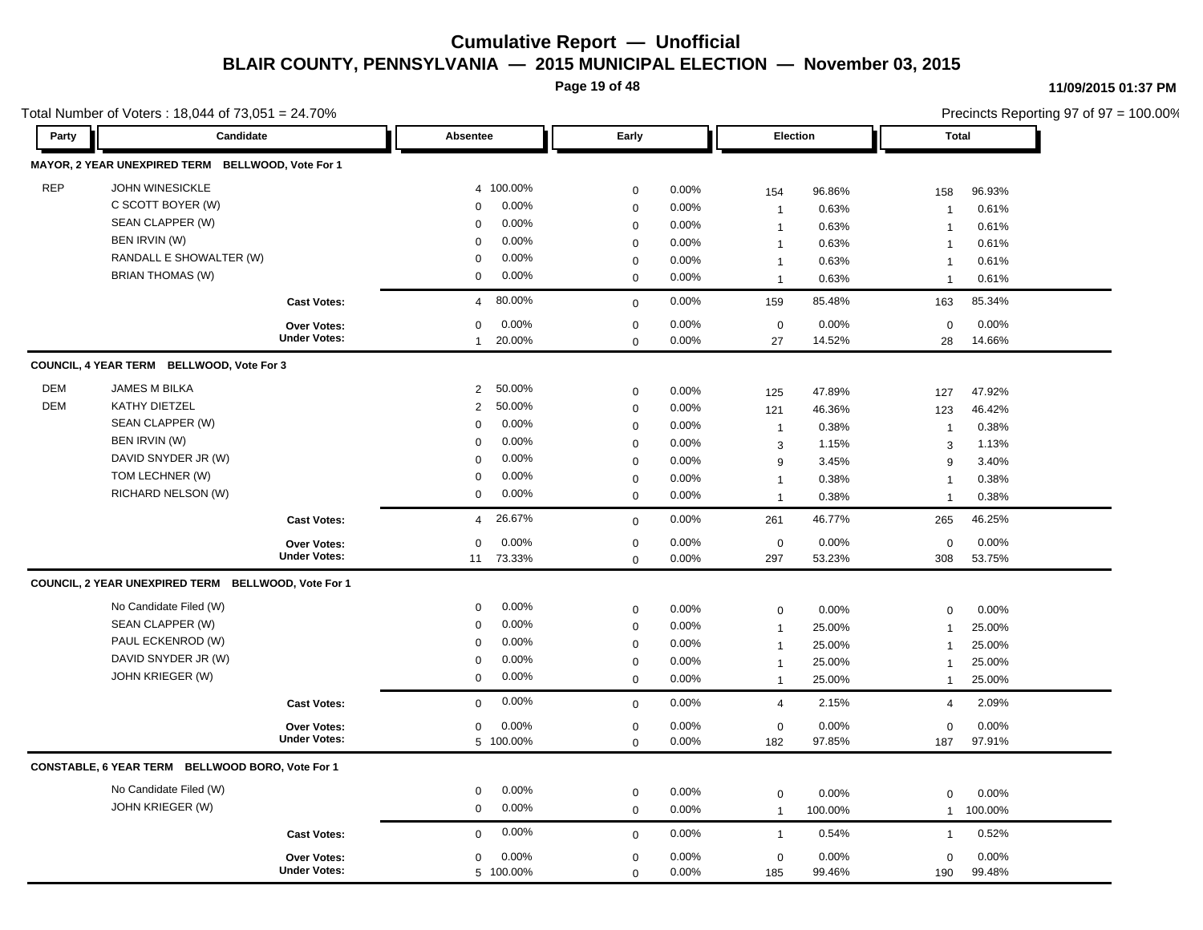**Page 19 of 48**

#### **11/09/2015 01:37 PM**

|            | Total Number of Voters: 18,044 of $73,051 = 24.70\%$ |                                    |                                 |             |          |                 |         |                | Precincts Reporting 97 of 97 = 100.00% |
|------------|------------------------------------------------------|------------------------------------|---------------------------------|-------------|----------|-----------------|---------|----------------|----------------------------------------|
| Party      | Candidate                                            |                                    | Absentee                        | Early       |          | <b>Election</b> |         | Total          |                                        |
|            | MAYOR, 2 YEAR UNEXPIRED TERM BELLWOOD, Vote For 1    |                                    |                                 |             |          |                 |         |                |                                        |
| <b>REP</b> | <b>JOHN WINESICKLE</b>                               |                                    | 4 100.00%                       | $\mathbf 0$ | 0.00%    | 154             | 96.86%  | 158            | 96.93%                                 |
|            | C SCOTT BOYER (W)                                    |                                    | 0.00%<br>$\Omega$               | $\mathbf 0$ | 0.00%    | $\mathbf{1}$    | 0.63%   | $\overline{1}$ | 0.61%                                  |
|            | SEAN CLAPPER (W)                                     |                                    | 0.00%<br>$\mathbf 0$            | $\mathbf 0$ | 0.00%    | $\overline{1}$  | 0.63%   | $\overline{1}$ | 0.61%                                  |
|            | BEN IRVIN (W)                                        |                                    | 0.00%<br>$\Omega$               | $\mathbf 0$ | 0.00%    | $\mathbf{1}$    | 0.63%   | $\overline{1}$ | 0.61%                                  |
|            | RANDALL E SHOWALTER (W)                              |                                    | 0.00%<br>$\Omega$               | $\mathbf 0$ | 0.00%    | $\mathbf{1}$    | 0.63%   | $\overline{1}$ | 0.61%                                  |
|            | <b>BRIAN THOMAS (W)</b>                              |                                    | 0.00%<br>0                      | $\mathbf 0$ | 0.00%    | $\mathbf{1}$    | 0.63%   | $\mathbf 1$    | 0.61%                                  |
|            |                                                      | <b>Cast Votes:</b>                 | 80.00%<br>$\overline{4}$        | $\mathbf 0$ | 0.00%    | 159             | 85.48%  | 163            | 85.34%                                 |
|            |                                                      | Over Votes:                        | 0.00%<br>0                      | $\mathbf 0$ | $0.00\%$ | $\pmb{0}$       | 0.00%   | $\mathbf 0$    | 0.00%                                  |
|            |                                                      | <b>Under Votes:</b>                | 20.00%<br>$\mathbf{1}$          | $\mathbf 0$ | 0.00%    | 27              | 14.52%  | 28             | 14.66%                                 |
|            | COUNCIL, 4 YEAR TERM BELLWOOD, Vote For 3            |                                    |                                 |             |          |                 |         |                |                                        |
| <b>DEM</b> | JAMES M BILKA                                        |                                    | 50.00%<br>$\overline{2}$        | $\mathbf 0$ | 0.00%    | 125             | 47.89%  | 127            | 47.92%                                 |
| <b>DEM</b> | KATHY DIETZEL                                        |                                    | 50.00%<br>$\overline{2}$        | $\mathbf 0$ | 0.00%    | 121             | 46.36%  | 123            | 46.42%                                 |
|            | SEAN CLAPPER (W)                                     |                                    | 0.00%<br>$\Omega$               | $\mathbf 0$ | 0.00%    | $\mathbf{1}$    | 0.38%   | $\overline{1}$ | 0.38%                                  |
|            | BEN IRVIN (W)                                        |                                    | 0.00%<br>$\Omega$               | $\mathbf 0$ | 0.00%    | 3               | 1.15%   | 3              | 1.13%                                  |
|            | DAVID SNYDER JR (W)                                  |                                    | 0.00%<br>$\Omega$               | $\mathbf 0$ | 0.00%    | 9               | 3.45%   | 9              | 3.40%                                  |
|            | TOM LECHNER (W)                                      |                                    | 0.00%<br>$\Omega$               | $\mathbf 0$ | 0.00%    | $\mathbf{1}$    | 0.38%   | $\mathbf 1$    | 0.38%                                  |
|            | RICHARD NELSON (W)                                   |                                    | 0.00%<br>$\mathbf 0$            | $\mathbf 0$ | 0.00%    | $\mathbf{1}$    | 0.38%   | $\mathbf{1}$   | 0.38%                                  |
|            |                                                      | <b>Cast Votes:</b>                 | 26.67%<br>$\boldsymbol{\Delta}$ | $\mathbf 0$ | 0.00%    | 261             | 46.77%  | 265            | 46.25%                                 |
|            |                                                      |                                    | $0.00\%$<br>$\Omega$            | $\mathbf 0$ | 0.00%    | $\mathbf 0$     | 0.00%   |                | 0.00%                                  |
|            |                                                      | Over Votes:<br><b>Under Votes:</b> | 73.33%<br>11                    | $\mathbf 0$ | 0.00%    | 297             | 53.23%  | 0<br>308       | 53.75%                                 |
|            | COUNCIL, 2 YEAR UNEXPIRED TERM BELLWOOD, Vote For 1  |                                    |                                 |             |          |                 |         |                |                                        |
|            | No Candidate Filed (W)                               |                                    | 0.00%<br>0                      | $\mathbf 0$ | 0.00%    | $\mathbf 0$     | 0.00%   | $\mathbf 0$    | 0.00%                                  |
|            | SEAN CLAPPER (W)                                     |                                    | 0.00%<br>$\Omega$               |             |          |                 |         |                |                                        |
|            | PAUL ECKENROD (W)                                    |                                    | 0.00%<br>$\Omega$               | $\mathbf 0$ | 0.00%    | $\overline{1}$  | 25.00%  | $\overline{1}$ | 25.00%                                 |
|            | DAVID SNYDER JR (W)                                  |                                    | 0.00%                           | $\mathbf 0$ | 0.00%    | $\mathbf{1}$    | 25.00%  | $\mathbf 1$    | 25.00%                                 |
|            |                                                      |                                    | 0                               | $\mathbf 0$ | 0.00%    | $\mathbf{1}$    | 25.00%  | $\overline{1}$ | 25.00%                                 |
|            | JOHN KRIEGER (W)                                     |                                    | 0.00%<br>$\mathbf 0$            | $\mathbf 0$ | 0.00%    | $\mathbf{1}$    | 25.00%  | $\overline{1}$ | 25.00%                                 |
|            |                                                      | <b>Cast Votes:</b>                 | 0.00%<br>$\mathbf 0$            | $\mathbf 0$ | 0.00%    | 4               | 2.15%   | $\overline{4}$ | 2.09%                                  |
|            |                                                      | <b>Over Votes:</b>                 | 0.00%<br>0                      | $\mathbf 0$ | 0.00%    | $\mathbf 0$     | 0.00%   | $\mathbf 0$    | 0.00%                                  |
|            |                                                      | <b>Under Votes:</b>                | 5 100.00%                       | $\Omega$    | 0.00%    | 182             | 97.85%  | 187            | 97.91%                                 |
|            | CONSTABLE, 6 YEAR TERM BELLWOOD BORO, Vote For 1     |                                    |                                 |             |          |                 |         |                |                                        |
|            | No Candidate Filed (W)                               |                                    | 0.00%<br>0                      | $\mathbf 0$ | 0.00%    | $\mathsf 0$     | 0.00%   | $\mathbf 0$    | 0.00%                                  |
|            | JOHN KRIEGER (W)                                     |                                    | 0.00%<br>$\mathbf 0$            | $\mathbf 0$ | 0.00%    | $\mathbf{1}$    | 100.00% | $\mathbf{1}$   | 100.00%                                |
|            |                                                      | <b>Cast Votes:</b>                 | 0.00%<br>$\Omega$               | $\mathbf 0$ | 0.00%    | $\mathbf{1}$    | 0.54%   | $\overline{1}$ | 0.52%                                  |
|            |                                                      | <b>Over Votes:</b>                 | 0.00%<br>0                      | $\mathbf 0$ | 0.00%    | $\mathsf 0$     | 0.00%   | $\mathbf 0$    | 0.00%                                  |
|            |                                                      | <b>Under Votes:</b>                | 5 100.00%                       | $\mathbf 0$ | 0.00%    | 185             | 99.46%  | 190            | 99.48%                                 |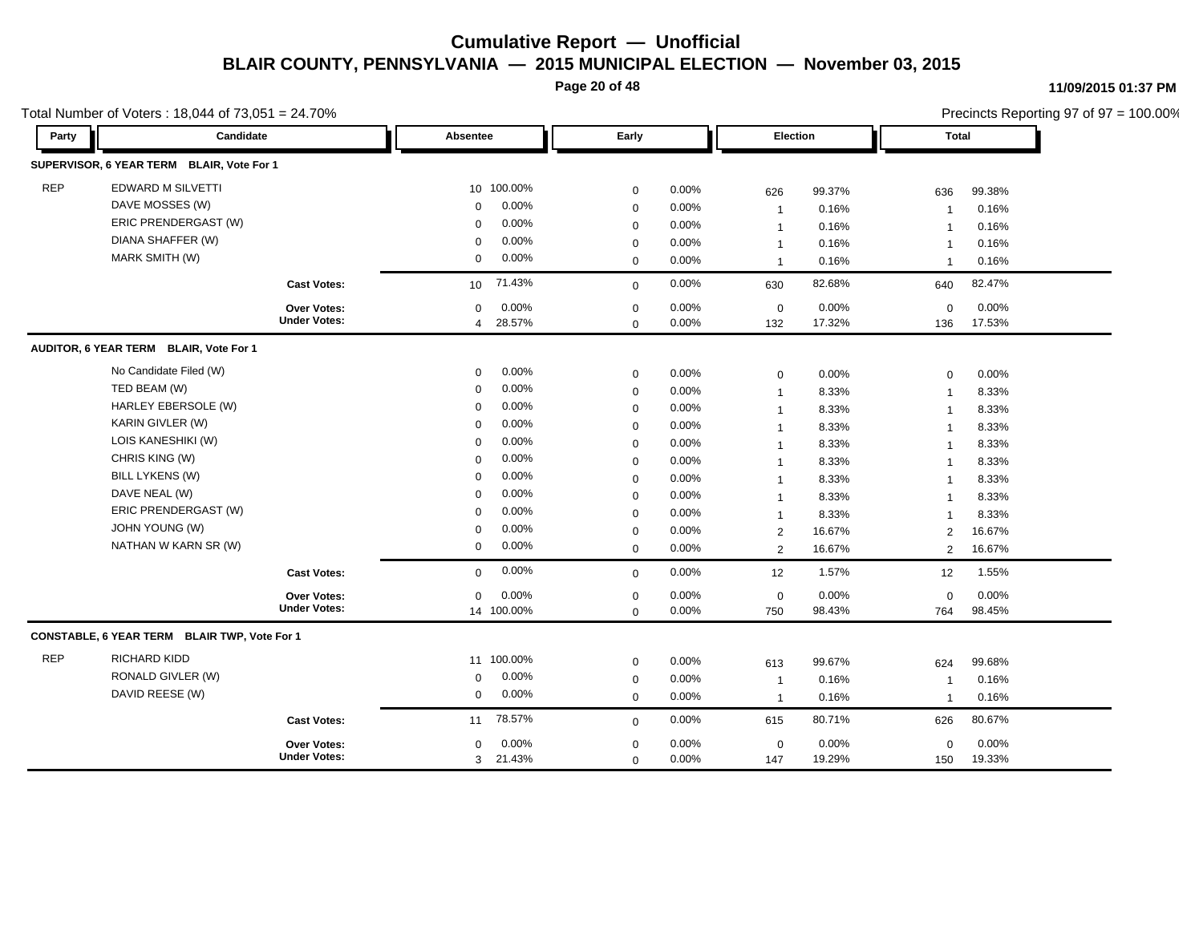**Page 20 of 48**

#### **11/09/2015 01:37 PM**

|            | Total Number of Voters: 18,044 of 73,051 = 24.70% |                     |                 |            |             |          |                 |        | Precincts Reporting 97 of 97 = 100.00% |        |
|------------|---------------------------------------------------|---------------------|-----------------|------------|-------------|----------|-----------------|--------|----------------------------------------|--------|
| Party      | Candidate                                         |                     | Absentee        |            | Early       |          | <b>Election</b> |        | Total                                  |        |
|            | SUPERVISOR, 6 YEAR TERM BLAIR, Vote For 1         |                     |                 |            |             |          |                 |        |                                        |        |
| <b>REP</b> | <b>EDWARD M SILVETTI</b>                          |                     |                 | 10 100.00% | $\mathbf 0$ | 0.00%    | 626             | 99.37% | 636                                    | 99.38% |
|            | DAVE MOSSES (W)                                   |                     | $\Omega$        | 0.00%      | $\mathbf 0$ | 0.00%    | $\mathbf{1}$    | 0.16%  | $\overline{1}$                         | 0.16%  |
|            | ERIC PRENDERGAST (W)                              |                     | $\Omega$        | 0.00%      | $\mathbf 0$ | 0.00%    | $\mathbf{1}$    | 0.16%  | -1                                     | 0.16%  |
|            | DIANA SHAFFER (W)                                 |                     | $\mathbf 0$     | 0.00%      | $\mathbf 0$ | 0.00%    | $\overline{1}$  | 0.16%  |                                        | 0.16%  |
|            | MARK SMITH (W)                                    |                     | $\mathbf 0$     | 0.00%      | $\mathbf 0$ | 0.00%    | $\overline{1}$  | 0.16%  | $\mathbf{1}$                           | 0.16%  |
|            |                                                   | <b>Cast Votes:</b>  | 10 <sup>1</sup> | 71.43%     | $\mathbf 0$ | 0.00%    | 630             | 82.68% | 640                                    | 82.47% |
|            |                                                   | <b>Over Votes:</b>  | $\mathbf 0$     | 0.00%      | $\mathbf 0$ | $0.00\%$ | $\mathsf 0$     | 0.00%  | $\mathbf 0$                            | 0.00%  |
|            |                                                   | <b>Under Votes:</b> | 4               | 28.57%     | $\mathbf 0$ | 0.00%    | 132             | 17.32% | 136                                    | 17.53% |
|            | AUDITOR, 6 YEAR TERM BLAIR, Vote For 1            |                     |                 |            |             |          |                 |        |                                        |        |
|            | No Candidate Filed (W)                            |                     | 0               | 0.00%      | $\mathbf 0$ | 0.00%    | $\mathbf 0$     | 0.00%  | $\mathbf 0$                            | 0.00%  |
|            | TED BEAM (W)                                      |                     | $\mathbf 0$     | 0.00%      | $\mathbf 0$ | 0.00%    | $\mathbf{1}$    | 8.33%  | $\overline{1}$                         | 8.33%  |
|            | HARLEY EBERSOLE (W)                               |                     | 0               | 0.00%      | $\mathbf 0$ | 0.00%    | $\mathbf{1}$    | 8.33%  | $\overline{1}$                         | 8.33%  |
|            | KARIN GIVLER (W)                                  |                     | $\Omega$        | 0.00%      | $\mathbf 0$ | 0.00%    | $\mathbf{1}$    | 8.33%  | $\overline{1}$                         | 8.33%  |
|            | LOIS KANESHIKI (W)                                |                     | $\Omega$        | 0.00%      | $\mathbf 0$ | 0.00%    | $\mathbf{1}$    | 8.33%  | $\overline{1}$                         | 8.33%  |
|            | CHRIS KING (W)                                    |                     | $\Omega$        | 0.00%      | $\mathbf 0$ | 0.00%    | $\mathbf{1}$    | 8.33%  | $\overline{1}$                         | 8.33%  |
|            | <b>BILL LYKENS (W)</b>                            |                     | $\Omega$        | 0.00%      | $\mathbf 0$ | 0.00%    | $\mathbf{1}$    | 8.33%  | $\mathbf{1}$                           | 8.33%  |
|            | DAVE NEAL (W)                                     |                     | $\Omega$        | 0.00%      | $\mathbf 0$ | 0.00%    | $\mathbf{1}$    | 8.33%  | $\overline{1}$                         | 8.33%  |
|            | ERIC PRENDERGAST (W)                              |                     | $\Omega$        | 0.00%      | $\mathbf 0$ | 0.00%    | $\overline{1}$  | 8.33%  | $\mathbf{1}$                           | 8.33%  |
|            | JOHN YOUNG (W)                                    |                     | $\Omega$        | 0.00%      | $\mathbf 0$ | 0.00%    | $\overline{2}$  | 16.67% | $\overline{2}$                         | 16.67% |
|            | NATHAN W KARN SR (W)                              |                     | 0               | 0.00%      | $\mathbf 0$ | 0.00%    | $\overline{2}$  | 16.67% | 2                                      | 16.67% |
|            |                                                   | <b>Cast Votes:</b>  | $\mathbf 0$     | 0.00%      | $\mathbf 0$ | 0.00%    | 12              | 1.57%  | 12                                     | 1.55%  |
|            |                                                   | Over Votes:         | 0               | 0.00%      | $\mathbf 0$ | 0.00%    | $\mathsf 0$     | 0.00%  | $\mathbf 0$                            | 0.00%  |
|            |                                                   | <b>Under Votes:</b> |                 | 14 100.00% | $\mathbf 0$ | 0.00%    | 750             | 98.43% | 764                                    | 98.45% |
|            | CONSTABLE, 6 YEAR TERM BLAIR TWP, Vote For 1      |                     |                 |            |             |          |                 |        |                                        |        |
| <b>REP</b> | RICHARD KIDD                                      |                     |                 | 11 100.00% | $\mathbf 0$ | 0.00%    | 613             | 99.67% | 624                                    | 99.68% |
|            | RONALD GIVLER (W)                                 |                     | 0               | 0.00%      | $\mathbf 0$ | 0.00%    | $\mathbf{1}$    | 0.16%  | $\mathbf 1$                            | 0.16%  |
|            | DAVID REESE (W)                                   |                     | 0               | 0.00%      | $\mathbf 0$ | 0.00%    | $\mathbf{1}$    | 0.16%  | $\overline{1}$                         | 0.16%  |
|            |                                                   | <b>Cast Votes:</b>  | 11              | 78.57%     | $\mathbf 0$ | 0.00%    | 615             | 80.71% | 626                                    | 80.67% |
|            |                                                   | <b>Over Votes:</b>  | $\mathbf 0$     | 0.00%      | $\mathbf 0$ | 0.00%    | $\mathbf 0$     | 0.00%  | $\mathbf 0$                            | 0.00%  |
|            |                                                   | <b>Under Votes:</b> | 3               | 21.43%     | $\mathbf 0$ | 0.00%    | 147             | 19.29% | 150                                    | 19.33% |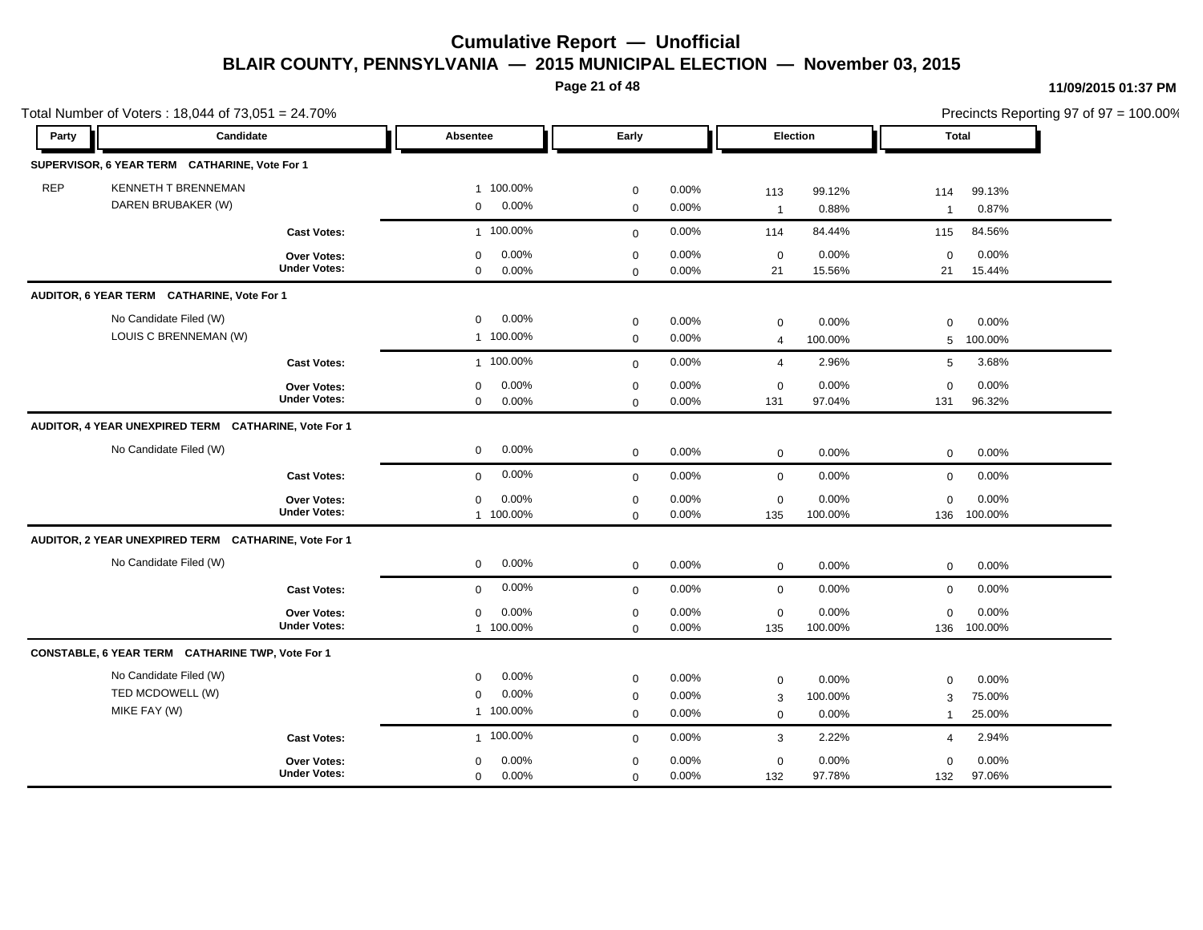**Page 21 of 48**

|            | Total Number of Voters: 18,044 of 73,051 = 24.70%    |                     |                      |              |          |                |          |                |          | Precincts Reporting 97 of 97 = 100.00% |
|------------|------------------------------------------------------|---------------------|----------------------|--------------|----------|----------------|----------|----------------|----------|----------------------------------------|
| Party      | Candidate                                            |                     | Absentee             | Early        |          |                | Election | Total          |          |                                        |
|            | SUPERVISOR, 6 YEAR TERM CATHARINE, Vote For 1        |                     |                      |              |          |                |          |                |          |                                        |
| <b>REP</b> | KENNETH T BRENNEMAN                                  |                     | 1 100.00%            | $\mathbf 0$  | 0.00%    | 113            | 99.12%   | 114            | 99.13%   |                                        |
|            | DAREN BRUBAKER (W)                                   |                     | 0.00%<br>$\mathbf 0$ | $\mathbf 0$  | 0.00%    | $\overline{1}$ | 0.88%    | $\overline{1}$ | 0.87%    |                                        |
|            |                                                      | <b>Cast Votes:</b>  | 1 100.00%            | $\mathbf 0$  | 0.00%    | 114            | 84.44%   | 115            | 84.56%   |                                        |
|            |                                                      | Over Votes:         | 0.00%<br>$\mathbf 0$ | $\pmb{0}$    | 0.00%    | $\mathbf 0$    | 0.00%    | $\mathbf 0$    | 0.00%    |                                        |
|            |                                                      | <b>Under Votes:</b> | 0.00%<br>$\mathbf 0$ | $\mathbf 0$  | $0.00\%$ | 21             | 15.56%   | 21             | 15.44%   |                                        |
|            | AUDITOR, 6 YEAR TERM CATHARINE, Vote For 1           |                     |                      |              |          |                |          |                |          |                                        |
|            | No Candidate Filed (W)                               |                     | 0.00%<br>$\mathbf 0$ | $\mathbf 0$  | 0.00%    | $\mathbf 0$    | 0.00%    | $\mathbf 0$    | 0.00%    |                                        |
|            | LOUIS C BRENNEMAN (W)                                |                     | 1 100.00%            | $\mathbf 0$  | 0.00%    | $\overline{4}$ | 100.00%  | 5              | 100.00%  |                                        |
|            |                                                      | <b>Cast Votes:</b>  | 1 100.00%            | $\mathbf 0$  | 0.00%    | $\overline{4}$ | 2.96%    | 5              | 3.68%    |                                        |
|            |                                                      | <b>Over Votes:</b>  | 0.00%<br>$\mathbf 0$ | $\pmb{0}$    | 0.00%    | $\mathbf 0$    | 0.00%    | $\mathbf 0$    | 0.00%    |                                        |
|            |                                                      | <b>Under Votes:</b> | 0.00%<br>$\mathbf 0$ | $\mathbf 0$  | 0.00%    | 131            | 97.04%   | 131            | 96.32%   |                                        |
|            | AUDITOR, 4 YEAR UNEXPIRED TERM CATHARINE, Vote For 1 |                     |                      |              |          |                |          |                |          |                                        |
|            | No Candidate Filed (W)                               |                     | 0.00%<br>$\mathbf 0$ | $\mathbf 0$  | 0.00%    | $\mathbf 0$    | 0.00%    | $\mathbf 0$    | 0.00%    |                                        |
|            |                                                      | <b>Cast Votes:</b>  | 0.00%<br>$\mathbf 0$ | $\mathbf{0}$ | 0.00%    | $\mathbf 0$    | 0.00%    | $\mathbf 0$    | 0.00%    |                                        |
|            |                                                      | Over Votes:         | 0.00%<br>$\mathbf 0$ | $\mathbf 0$  | 0.00%    | $\mathsf 0$    | 0.00%    | $\Omega$       | 0.00%    |                                        |
|            |                                                      | <b>Under Votes:</b> | 1 100.00%            | $\mathbf 0$  | 0.00%    | 135            | 100.00%  | 136            | 100.00%  |                                        |
|            | AUDITOR, 2 YEAR UNEXPIRED TERM CATHARINE, Vote For 1 |                     |                      |              |          |                |          |                |          |                                        |
|            | No Candidate Filed (W)                               |                     | 0.00%<br>$\mathbf 0$ | $\mathbf 0$  | 0.00%    | $\mathbf 0$    | 0.00%    | $\mathbf 0$    | 0.00%    |                                        |
|            |                                                      | <b>Cast Votes:</b>  | 0.00%<br>$\mathbf 0$ | $\mathbf 0$  | 0.00%    | $\mathbf 0$    | 0.00%    | $\mathbf 0$    | 0.00%    |                                        |
|            |                                                      | <b>Over Votes:</b>  | 0.00%<br>$\mathbf 0$ | $\mathbf 0$  | 0.00%    | $\mathbf 0$    | 0.00%    | $\Omega$       | $0.00\%$ |                                        |
|            |                                                      | <b>Under Votes:</b> | 1 100.00%            | $\mathbf 0$  | 0.00%    | 135            | 100.00%  | 136            | 100.00%  |                                        |
|            | CONSTABLE, 6 YEAR TERM CATHARINE TWP, Vote For 1     |                     |                      |              |          |                |          |                |          |                                        |
|            | No Candidate Filed (W)                               |                     | 0.00%<br>$\mathbf 0$ | $\mathbf 0$  | 0.00%    | $\mathsf 0$    | 0.00%    | $\mathbf 0$    | 0.00%    |                                        |
|            | TED MCDOWELL (W)                                     |                     | 0.00%<br>$\mathbf 0$ | $\pmb{0}$    | 0.00%    | 3              | 100.00%  | 3              | 75.00%   |                                        |
|            | MIKE FAY (W)                                         |                     | 1 100.00%            | $\mathbf 0$  | 0.00%    | $\mathbf 0$    | 0.00%    | $\mathbf{1}$   | 25.00%   |                                        |
|            |                                                      | <b>Cast Votes:</b>  | 1 100.00%            | $\mathbf 0$  | 0.00%    | $\mathbf{3}$   | 2.22%    | $\overline{4}$ | 2.94%    |                                        |
|            |                                                      | Over Votes:         | 0.00%<br>0           | $\mathbf 0$  | 0.00%    | $\mathbf 0$    | 0.00%    | 0              | 0.00%    |                                        |
|            |                                                      | <b>Under Votes:</b> | 0.00%<br>$\mathbf 0$ | $\mathbf 0$  | 0.00%    | 132            | 97.78%   | 132            | 97.06%   |                                        |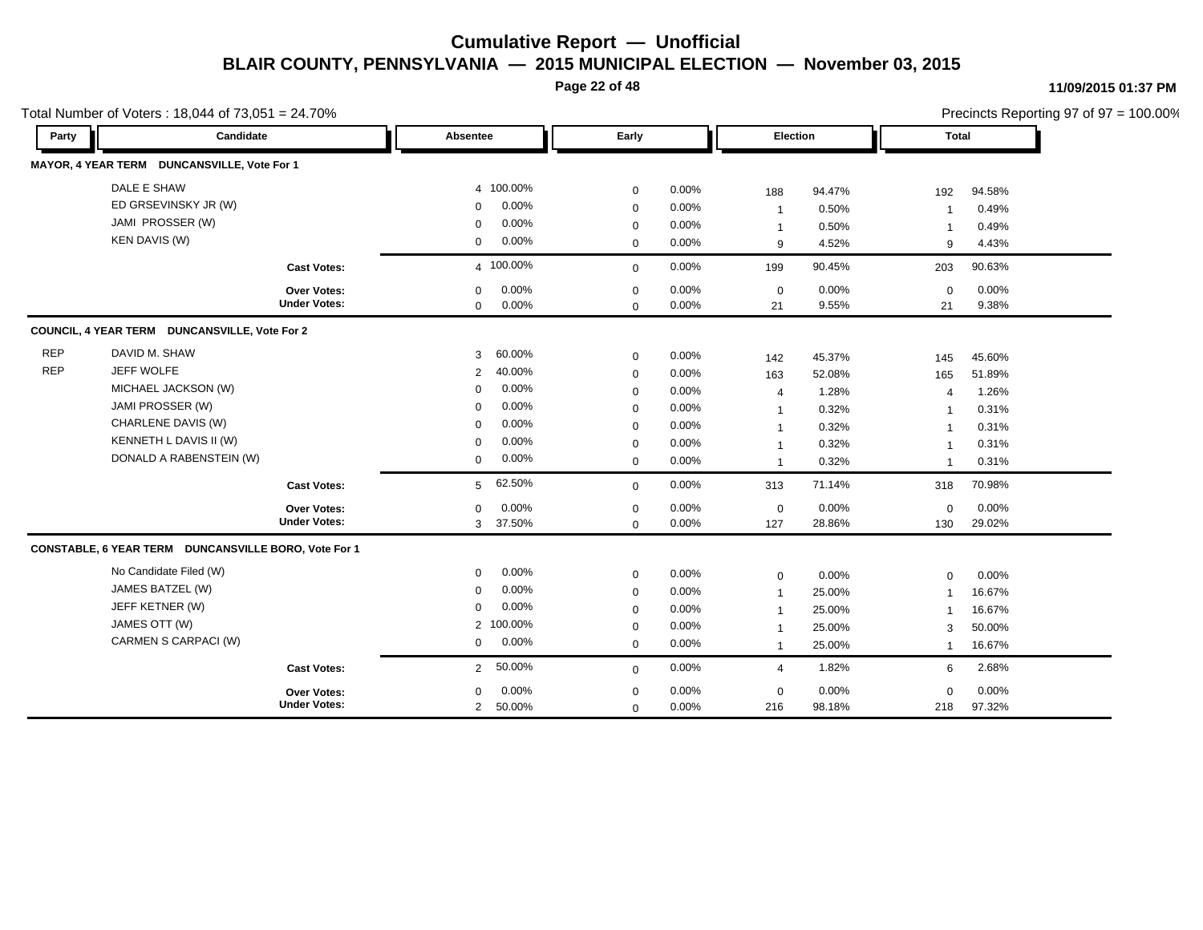**Page 22 of 48**

#### **11/09/2015 01:37 PM**

|            | Total Number of Voters: 18,044 of 73,051 = 24.70%    |                     |                          |             |          |                |        | Precincts Reporting 97 of 97 = 100.00% |        |
|------------|------------------------------------------------------|---------------------|--------------------------|-------------|----------|----------------|--------|----------------------------------------|--------|
| Party      | Candidate                                            |                     | Absentee                 | Early       |          | Election       |        | <b>Total</b>                           |        |
|            | MAYOR, 4 YEAR TERM DUNCANSVILLE, Vote For 1          |                     |                          |             |          |                |        |                                        |        |
|            | DALE E SHAW                                          |                     | 4 100.00%                | $\mathbf 0$ | 0.00%    | 188            | 94.47% | 192                                    | 94.58% |
|            | ED GRSEVINSKY JR (W)                                 |                     | 0.00%<br>$\mathbf 0$     | $\mathbf 0$ | 0.00%    | $\mathbf{1}$   | 0.50%  | -1                                     | 0.49%  |
|            | JAMI PROSSER (W)                                     |                     | 0.00%<br>$\mathbf 0$     | $\mathbf 0$ | $0.00\%$ | $\mathbf{1}$   | 0.50%  | -1                                     | 0.49%  |
|            | <b>KEN DAVIS (W)</b>                                 |                     | 0.00%<br>0               | $\mathbf 0$ | 0.00%    | 9              | 4.52%  | 9                                      | 4.43%  |
|            |                                                      | <b>Cast Votes:</b>  | 4 100.00%                | $\mathbf 0$ | 0.00%    | 199            | 90.45% | 203                                    | 90.63% |
|            |                                                      | <b>Over Votes:</b>  | 0.00%<br>0               | $\mathbf 0$ | 0.00%    | $\mathbf 0$    | 0.00%  | $\mathbf 0$                            | 0.00%  |
|            |                                                      | <b>Under Votes:</b> | 0.00%<br>$\mathbf 0$     | $\mathbf 0$ | 0.00%    | 21             | 9.55%  | 21                                     | 9.38%  |
|            | COUNCIL, 4 YEAR TERM DUNCANSVILLE, Vote For 2        |                     |                          |             |          |                |        |                                        |        |
| <b>REP</b> | DAVID M. SHAW                                        |                     | 60.00%<br>3              | $\mathbf 0$ | 0.00%    | 142            | 45.37% | 145                                    | 45.60% |
| <b>REP</b> | JEFF WOLFE                                           |                     | 40.00%<br>2              | $\mathbf 0$ | 0.00%    | 163            | 52.08% | 165                                    | 51.89% |
|            | MICHAEL JACKSON (W)                                  |                     | 0.00%<br>$\mathbf 0$     | $\mathbf 0$ | 0.00%    | 4              | 1.28%  | $\overline{4}$                         | 1.26%  |
|            | JAMI PROSSER (W)                                     |                     | 0.00%<br>$\Omega$        | $\mathbf 0$ | 0.00%    | $\mathbf{1}$   | 0.32%  | -1                                     | 0.31%  |
|            | CHARLENE DAVIS (W)                                   |                     | 0.00%<br>$\Omega$        | $\mathbf 0$ | 0.00%    | $\mathbf{1}$   | 0.32%  | $\overline{1}$                         | 0.31%  |
|            | KENNETH L DAVIS II (W)                               |                     | 0.00%<br>$\mathbf 0$     | $\mathbf 0$ | 0.00%    | $\mathbf{1}$   | 0.32%  | $\overline{\mathbf{1}}$                | 0.31%  |
|            | DONALD A RABENSTEIN (W)                              |                     | 0.00%<br>0               | $\mathbf 0$ | 0.00%    | $\mathbf{1}$   | 0.32%  | $\overline{\mathbf{1}}$                | 0.31%  |
|            |                                                      | <b>Cast Votes:</b>  | 62.50%<br>5              | $\mathbf 0$ | 0.00%    | 313            | 71.14% | 318                                    | 70.98% |
|            |                                                      | <b>Over Votes:</b>  | 0.00%<br>$\mathbf 0$     | $\mathbf 0$ | 0.00%    | $\mathbf 0$    | 0.00%  | $\mathbf 0$                            | 0.00%  |
|            |                                                      | <b>Under Votes:</b> | 37.50%<br>3              | $\mathbf 0$ | 0.00%    | 127            | 28.86% | 130                                    | 29.02% |
|            | CONSTABLE, 6 YEAR TERM DUNCANSVILLE BORO, Vote For 1 |                     |                          |             |          |                |        |                                        |        |
|            | No Candidate Filed (W)                               |                     | 0.00%<br>$\mathbf 0$     | $\mathbf 0$ | 0.00%    | $\mathbf 0$    | 0.00%  | $\Omega$                               | 0.00%  |
|            | JAMES BATZEL (W)                                     |                     | 0.00%<br>0               | $\mathbf 0$ | 0.00%    | $\mathbf{1}$   | 25.00% | $\overline{\mathbf{1}}$                | 16.67% |
|            | JEFF KETNER (W)                                      |                     | 0.00%<br>$\mathbf 0$     | $\mathbf 0$ | 0.00%    | $\mathbf{1}$   | 25.00% |                                        | 16.67% |
|            | JAMES OTT (W)                                        |                     | 2 100.00%                | $\mathbf 0$ | 0.00%    | $\mathbf{1}$   | 25.00% | 3                                      | 50.00% |
|            | CARMEN S CARPACI (W)                                 |                     | 0.00%<br>$\mathbf{0}$    | $\mathbf 0$ | 0.00%    | $\mathbf{1}$   | 25.00% | $\mathbf 1$                            | 16.67% |
|            |                                                      | <b>Cast Votes:</b>  | 50.00%<br>$\overline{2}$ | $\mathbf 0$ | 0.00%    | $\overline{4}$ | 1.82%  | 6                                      | 2.68%  |
|            |                                                      | <b>Over Votes:</b>  | 0.00%<br>$\mathbf 0$     | $\mathbf 0$ | 0.00%    | $\mathbf 0$    | 0.00%  | $\mathbf 0$                            | 0.00%  |
|            |                                                      | <b>Under Votes:</b> | 50.00%<br>$\overline{2}$ | $\mathbf 0$ | 0.00%    | 216            | 98.18% | 218                                    | 97.32% |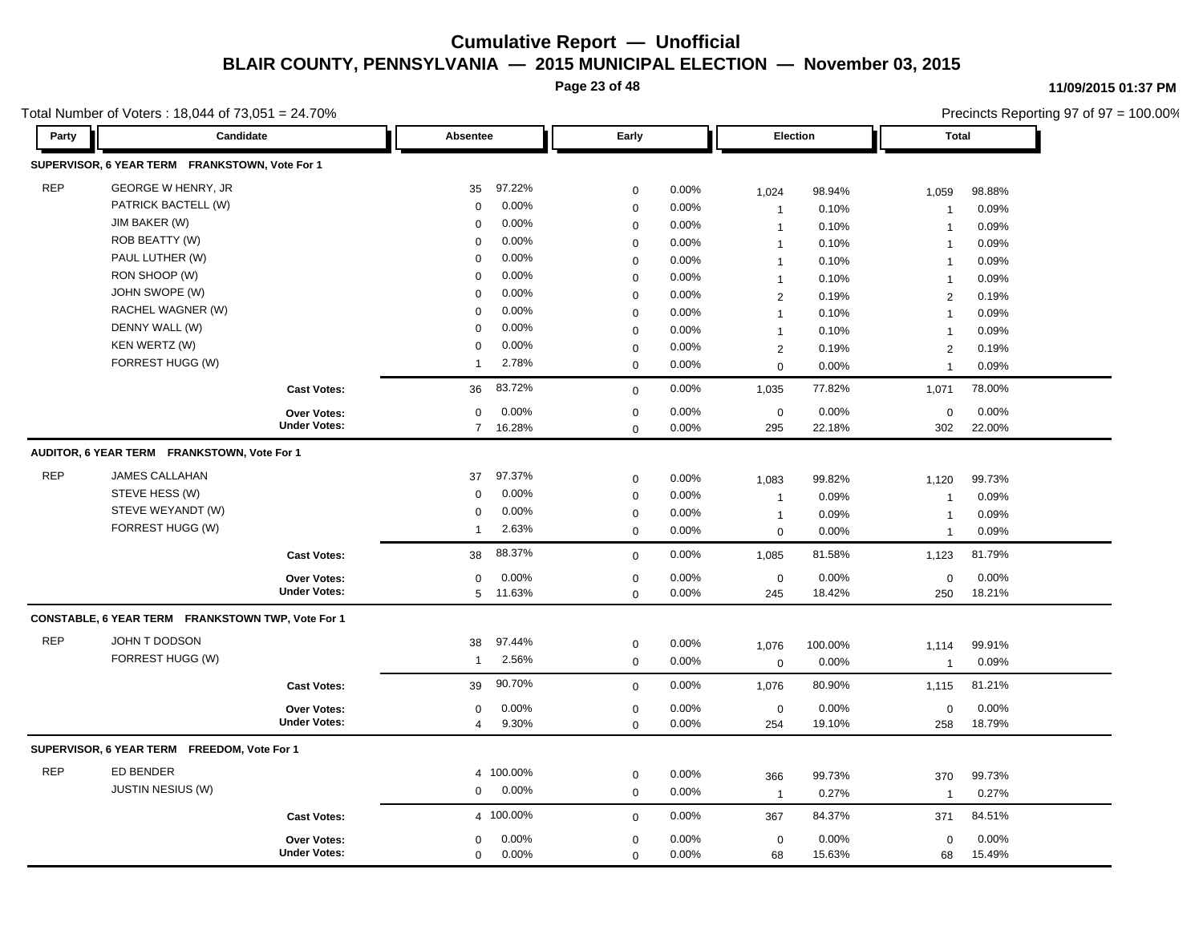**Page 23 of 48**

**11/09/2015 01:37 PM**

|            | Total Number of Voters: 18,044 of 73,051 = 24.70% |                                    |                |          |             |          |                     |                 |                       | Precincts Reporting 97 of 97 = 100.00% |
|------------|---------------------------------------------------|------------------------------------|----------------|----------|-------------|----------|---------------------|-----------------|-----------------------|----------------------------------------|
| Party      | Candidate                                         |                                    | Absentee       |          | Early       |          | Election            |                 | <b>Total</b>          |                                        |
|            | SUPERVISOR, 6 YEAR TERM FRANKSTOWN, Vote For 1    |                                    |                |          |             |          |                     |                 |                       |                                        |
| <b>REP</b> | <b>GEORGE W HENRY, JR</b>                         |                                    | 35             | 97.22%   | $\mathbf 0$ | 0.00%    | 1,024               | 98.94%          | 1,059                 | 98.88%                                 |
|            | PATRICK BACTELL (W)                               |                                    | 0              | 0.00%    | $\mathbf 0$ | 0.00%    | $\mathbf{1}$        | 0.10%           | $\overline{1}$        | 0.09%                                  |
|            | JIM BAKER (W)                                     |                                    | $\Omega$       | 0.00%    | $\mathbf 0$ | 0.00%    | $\mathbf{1}$        | 0.10%           | $\mathbf 1$           | 0.09%                                  |
|            | ROB BEATTY (W)                                    |                                    | $\mathbf 0$    | 0.00%    | $\mathbf 0$ | 0.00%    | $\mathbf{1}$        | 0.10%           | $\overline{1}$        | 0.09%                                  |
|            | PAUL LUTHER (W)                                   |                                    | $\Omega$       | 0.00%    | $\mathbf 0$ | 0.00%    | $\overline{1}$      | 0.10%           | $\overline{1}$        | 0.09%                                  |
|            | RON SHOOP (W)                                     |                                    | $\Omega$       | 0.00%    | $\mathbf 0$ | 0.00%    | $\mathbf{1}$        | 0.10%           | $\overline{1}$        | 0.09%                                  |
|            | JOHN SWOPE (W)                                    |                                    | $\Omega$       | 0.00%    | $\mathbf 0$ | 0.00%    | $\overline{2}$      | 0.19%           | 2                     | 0.19%                                  |
|            | RACHEL WAGNER (W)                                 |                                    | $\Omega$       | 0.00%    | $\mathbf 0$ | 0.00%    | $\mathbf{1}$        | 0.10%           | $\overline{1}$        | 0.09%                                  |
|            | DENNY WALL (W)                                    |                                    | $\Omega$       | 0.00%    | $\mathbf 0$ | 0.00%    | $\mathbf{1}$        | 0.10%           | $\mathbf 1$           | 0.09%                                  |
|            | KEN WERTZ (W)                                     |                                    | $\Omega$       | 0.00%    | $\mathbf 0$ | 0.00%    | $\overline{2}$      | 0.19%           | 2                     | 0.19%                                  |
|            | FORREST HUGG (W)                                  |                                    | $\overline{1}$ | 2.78%    | $\mathbf 0$ | 0.00%    | $\mathbf 0$         | 0.00%           | $\overline{1}$        | 0.09%                                  |
|            |                                                   | <b>Cast Votes:</b>                 | 36             | 83.72%   | $\mathbf 0$ | 0.00%    | 1,035               | 77.82%          | 1,071                 | 78.00%                                 |
|            |                                                   | <b>Over Votes:</b>                 | $\mathbf 0$    | 0.00%    | $\mathbf 0$ | 0.00%    | $\mathbf 0$         | 0.00%           | $\mathbf 0$           | 0.00%                                  |
|            |                                                   | <b>Under Votes:</b>                | $7^{\circ}$    | 16.28%   | $\mathbf 0$ | 0.00%    | 295                 | 22.18%          | 302                   | 22.00%                                 |
|            | AUDITOR, 6 YEAR TERM FRANKSTOWN, Vote For 1       |                                    |                |          |             |          |                     |                 |                       |                                        |
| <b>REP</b> | <b>JAMES CALLAHAN</b>                             |                                    | 37             | 97.37%   | $\mathbf 0$ | 0.00%    | 1,083               | 99.82%          | 1,120                 | 99.73%                                 |
|            | STEVE HESS (W)                                    |                                    | $\mathbf 0$    | 0.00%    | $\mathbf 0$ | 0.00%    | $\mathbf{1}$        | 0.09%           | $\overline{1}$        | 0.09%                                  |
|            | STEVE WEYANDT (W)                                 |                                    | $\mathbf 0$    | 0.00%    | $\mathbf 0$ | 0.00%    | $\mathbf{1}$        | 0.09%           | $\overline{1}$        | 0.09%                                  |
|            | FORREST HUGG (W)                                  |                                    | $\overline{1}$ | 2.63%    | $\mathbf 0$ | 0.00%    | $\mathbf 0$         | 0.00%           | $\overline{1}$        | 0.09%                                  |
|            |                                                   | <b>Cast Votes:</b>                 | 38             | 88.37%   | $\mathbf 0$ | 0.00%    | 1,085               | 81.58%          | 1,123                 | 81.79%                                 |
|            |                                                   | Over Votes:                        | $\Omega$       | 0.00%    | $\mathbf 0$ | 0.00%    | $\mathbf 0$         | 0.00%           | $\mathbf 0$           | 0.00%                                  |
|            |                                                   | <b>Under Votes:</b>                | 5              | 11.63%   | $\mathbf 0$ | 0.00%    | 245                 | 18.42%          | 250                   | 18.21%                                 |
|            | CONSTABLE, 6 YEAR TERM FRANKSTOWN TWP, Vote For 1 |                                    |                |          |             |          |                     |                 |                       |                                        |
| <b>REP</b> | JOHN T DODSON                                     |                                    | 38             | 97.44%   | $\mathbf 0$ | 0.00%    | 1,076               | 100.00%         | 1,114                 | 99.91%                                 |
|            | FORREST HUGG (W)                                  |                                    | $\mathbf{1}$   | 2.56%    | $\mathbf 0$ | 0.00%    | $\mathbf 0$         | 0.00%           | $\overline{1}$        | 0.09%                                  |
|            |                                                   | <b>Cast Votes:</b>                 | 39             | 90.70%   | $\mathbf 0$ | $0.00\%$ | 1,076               | 80.90%          | 1,115                 | 81.21%                                 |
|            |                                                   |                                    | 0              | $0.00\%$ | $\mathbf 0$ | 0.00%    | $\mathbf 0$         | 0.00%           | $\mathbf 0$           | 0.00%                                  |
|            |                                                   | Over Votes:<br><b>Under Votes:</b> | 4              | 9.30%    | $\Omega$    | 0.00%    | 254                 | 19.10%          | 258                   | 18.79%                                 |
|            | SUPERVISOR, 6 YEAR TERM FREEDOM, Vote For 1       |                                    |                |          |             |          |                     |                 |                       |                                        |
| <b>REP</b> | ED BENDER                                         |                                    | 4 100.00%      |          | $\mathbf 0$ | 0.00%    |                     |                 |                       |                                        |
|            | JUSTIN NESIUS (W)                                 |                                    | $\mathbf{0}$   | $0.00\%$ | $\mathbf 0$ | 0.00%    | 366<br>$\mathbf{1}$ | 99.73%<br>0.27% | 370<br>$\overline{1}$ | 99.73%<br>0.27%                        |
|            |                                                   |                                    |                |          |             |          |                     |                 |                       |                                        |
|            |                                                   | <b>Cast Votes:</b>                 | 4 100.00%      |          | $\mathbf 0$ | 0.00%    | 367                 | 84.37%          | 371                   | 84.51%                                 |
|            |                                                   | Over Votes:                        | 0              | 0.00%    | $\mathbf 0$ | 0.00%    | $\mathsf 0$         | 0.00%           | $\mathbf 0$           | 0.00%                                  |
|            |                                                   | <b>Under Votes:</b>                | $\mathbf 0$    | 0.00%    | $\mathbf 0$ | 0.00%    | 68                  | 15.63%          | 68                    | 15.49%                                 |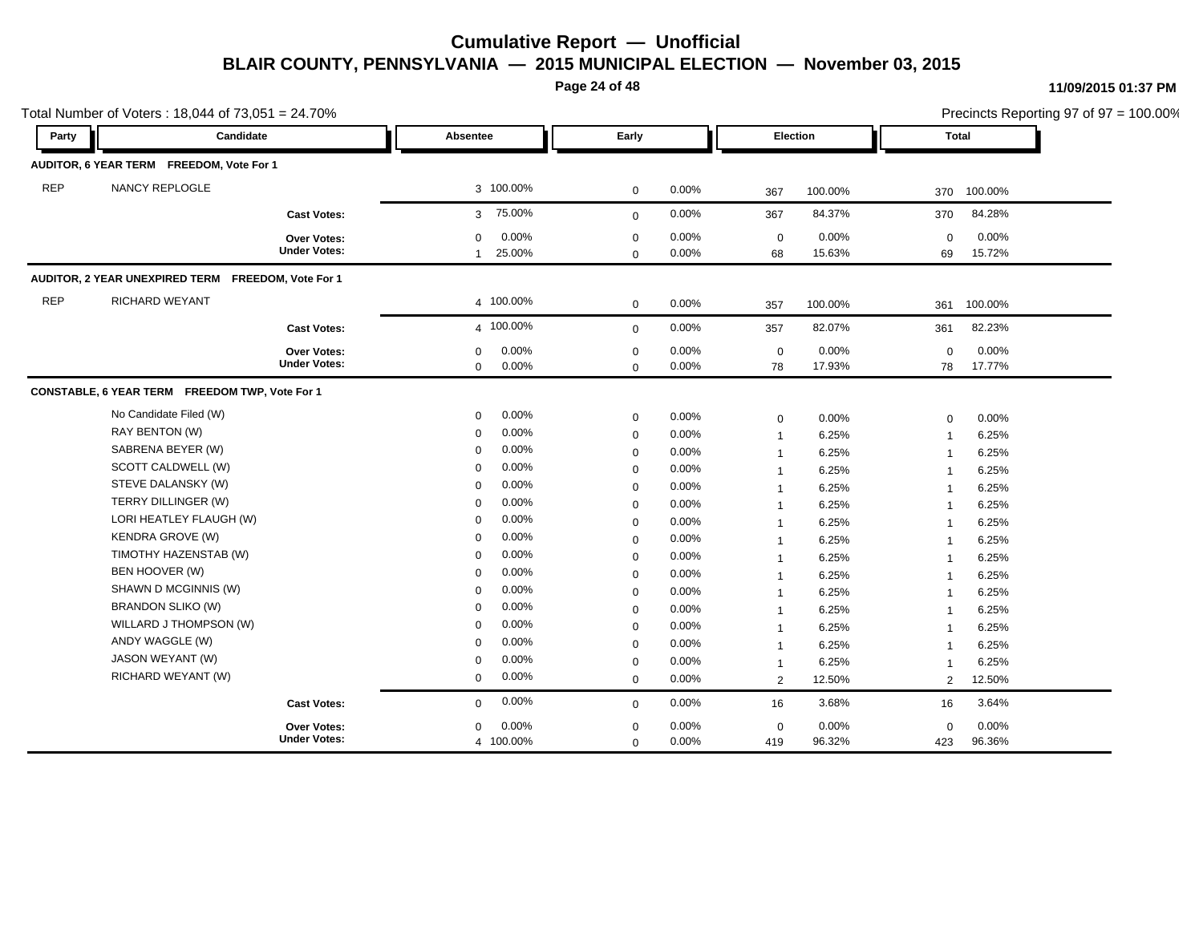**Page 24 of 48**

#### **11/09/2015 01:37 PM**

|            | Total Number of Voters: 18,044 of 73,051 = 24.70%  |                                    |                                                 |                            |                   |                         |                 |                   |                 | Precincts Reporting 97 of 97 = 100.00% |
|------------|----------------------------------------------------|------------------------------------|-------------------------------------------------|----------------------------|-------------------|-------------------------|-----------------|-------------------|-----------------|----------------------------------------|
| Party      | Candidate                                          |                                    | Absentee                                        | Early                      |                   |                         | Election        |                   | Total           |                                        |
|            | AUDITOR, 6 YEAR TERM FREEDOM, Vote For 1           |                                    |                                                 |                            |                   |                         |                 |                   |                 |                                        |
| <b>REP</b> | NANCY REPLOGLE                                     |                                    | 3 100.00%                                       | 0                          | 0.00%             | 367                     | 100.00%         | 370               | 100.00%         |                                        |
|            |                                                    | <b>Cast Votes:</b>                 | 75.00%<br>3 <sup>1</sup>                        | $\mathbf{0}$               | 0.00%             | 367                     | 84.37%          | 370               | 84.28%          |                                        |
|            |                                                    | Over Votes:<br><b>Under Votes:</b> | 0.00%<br>0<br>25.00%<br>$\mathbf{1}$            | $\mathbf 0$<br>$\mathbf 0$ | 0.00%<br>$0.00\%$ | $\mathbf 0$<br>68       | 0.00%<br>15.63% | $\Omega$<br>69    | 0.00%<br>15.72% |                                        |
|            | AUDITOR, 2 YEAR UNEXPIRED TERM FREEDOM, Vote For 1 |                                    |                                                 |                            |                   |                         |                 |                   |                 |                                        |
| <b>REP</b> | RICHARD WEYANT                                     |                                    | 4 100.00%                                       | $\mathbf 0$                | 0.00%             | 357                     | 100.00%         | 361               | 100.00%         |                                        |
|            |                                                    | <b>Cast Votes:</b>                 | 4 100.00%                                       | $\mathbf{0}$               | 0.00%             | 357                     | 82.07%          | 361               | 82.23%          |                                        |
|            |                                                    | Over Votes:<br><b>Under Votes:</b> | 0.00%<br>$\mathbf 0$<br>$\mathbf 0$<br>$0.00\%$ | $\mathbf 0$<br>$\mathbf 0$ | 0.00%<br>0.00%    | $\mathbf 0$<br>78       | 0.00%<br>17.93% | $\mathbf 0$<br>78 | 0.00%<br>17.77% |                                        |
|            | CONSTABLE, 6 YEAR TERM FREEDOM TWP, Vote For 1     |                                    |                                                 |                            |                   |                         |                 |                   |                 |                                        |
|            | No Candidate Filed (W)                             |                                    | 0.00%<br>$\mathbf 0$                            | 0                          | 0.00%             | 0                       | 0.00%           | $\mathbf 0$       | 0.00%           |                                        |
|            | RAY BENTON (W)                                     |                                    | 0.00%<br>0                                      | $\mathbf 0$                | 0.00%             | $\overline{1}$          | 6.25%           | $\overline{1}$    | 6.25%           |                                        |
|            | SABRENA BEYER (W)                                  |                                    | 0.00%<br>$\mathbf 0$                            | $\mathbf 0$                | 0.00%             | $\overline{1}$          | 6.25%           | $\overline{1}$    | 6.25%           |                                        |
|            | SCOTT CALDWELL (W)                                 |                                    | 0.00%<br>$\mathbf{0}$                           | 0                          | 0.00%             | $\overline{\mathbf{1}}$ | 6.25%           | $\overline{1}$    | 6.25%           |                                        |
|            | STEVE DALANSKY (W)                                 |                                    | 0.00%<br>0                                      | $\mathbf 0$                | 0.00%             | $\overline{\mathbf{1}}$ | 6.25%           | $\overline{1}$    | 6.25%           |                                        |
|            | TERRY DILLINGER (W)                                |                                    | 0.00%<br>$\mathbf{0}$                           | 0                          | 0.00%             | $\overline{\mathbf{1}}$ | 6.25%           | $\overline{1}$    | 6.25%           |                                        |
|            | LORI HEATLEY FLAUGH (W)                            |                                    | 0.00%<br>$\mathbf 0$                            | $\mathbf 0$                | 0.00%             | $\overline{\mathbf{1}}$ | 6.25%           | $\overline{1}$    | 6.25%           |                                        |
|            | <b>KENDRA GROVE (W)</b>                            |                                    | 0.00%<br>0                                      | $\mathbf 0$                | 0.00%             | $\overline{\mathbf{1}}$ | 6.25%           | $\overline{1}$    | 6.25%           |                                        |
|            | TIMOTHY HAZENSTAB (W)                              |                                    | 0.00%<br>$\mathbf 0$                            | $\mathbf 0$                | 0.00%             | $\overline{\mathbf{1}}$ | 6.25%           | $\overline{1}$    | 6.25%           |                                        |
|            | BEN HOOVER (W)                                     |                                    | 0.00%<br>$\mathbf 0$                            | $\mathbf 0$                | 0.00%             | $\overline{1}$          | 6.25%           | $\overline{1}$    | 6.25%           |                                        |
|            | SHAWN D MCGINNIS (W)                               |                                    | 0.00%<br>$\mathbf 0$                            | $\mathbf 0$                | $0.00\%$          | $\overline{\mathbf{1}}$ | 6.25%           | $\overline{1}$    | 6.25%           |                                        |
|            | <b>BRANDON SLIKO (W)</b>                           |                                    | 0.00%<br>0                                      | $\mathbf 0$                | 0.00%             | $\overline{1}$          | 6.25%           | $\mathbf{1}$      | 6.25%           |                                        |
|            | WILLARD J THOMPSON (W)                             |                                    | 0.00%<br>$\mathbf 0$                            | $\mathbf 0$                | 0.00%             | $\mathbf{1}$            | 6.25%           | $\mathbf{1}$      | 6.25%           |                                        |
|            | ANDY WAGGLE (W)                                    |                                    | 0.00%<br>0                                      | $\mathbf 0$                | 0.00%             | $\overline{1}$          | 6.25%           | $\overline{1}$    | 6.25%           |                                        |
|            | JASON WEYANT (W)                                   |                                    | 0.00%<br>0                                      | $\mathbf 0$                | 0.00%             | $\overline{1}$          | 6.25%           | $\mathbf{1}$      | 6.25%           |                                        |
|            | RICHARD WEYANT (W)                                 |                                    | 0.00%<br>$\mathbf 0$                            | $\mathbf 0$                | $0.00\%$          | 2                       | 12.50%          | 2                 | 12.50%          |                                        |
|            |                                                    | <b>Cast Votes:</b>                 | 0.00%<br>$\mathbf 0$                            | $\Omega$                   | 0.00%             | 16                      | 3.68%           | 16                | 3.64%           |                                        |
|            |                                                    | Over Votes:                        | 0.00%<br>0                                      | $\mathbf 0$                | 0.00%             | $\mathbf 0$             | $0.00\%$        | $\mathbf 0$       | 0.00%           |                                        |
|            |                                                    | <b>Under Votes:</b>                | 4 100.00%                                       | $\mathbf 0$                | 0.00%             | 419                     | 96.32%          | 423               | 96.36%          |                                        |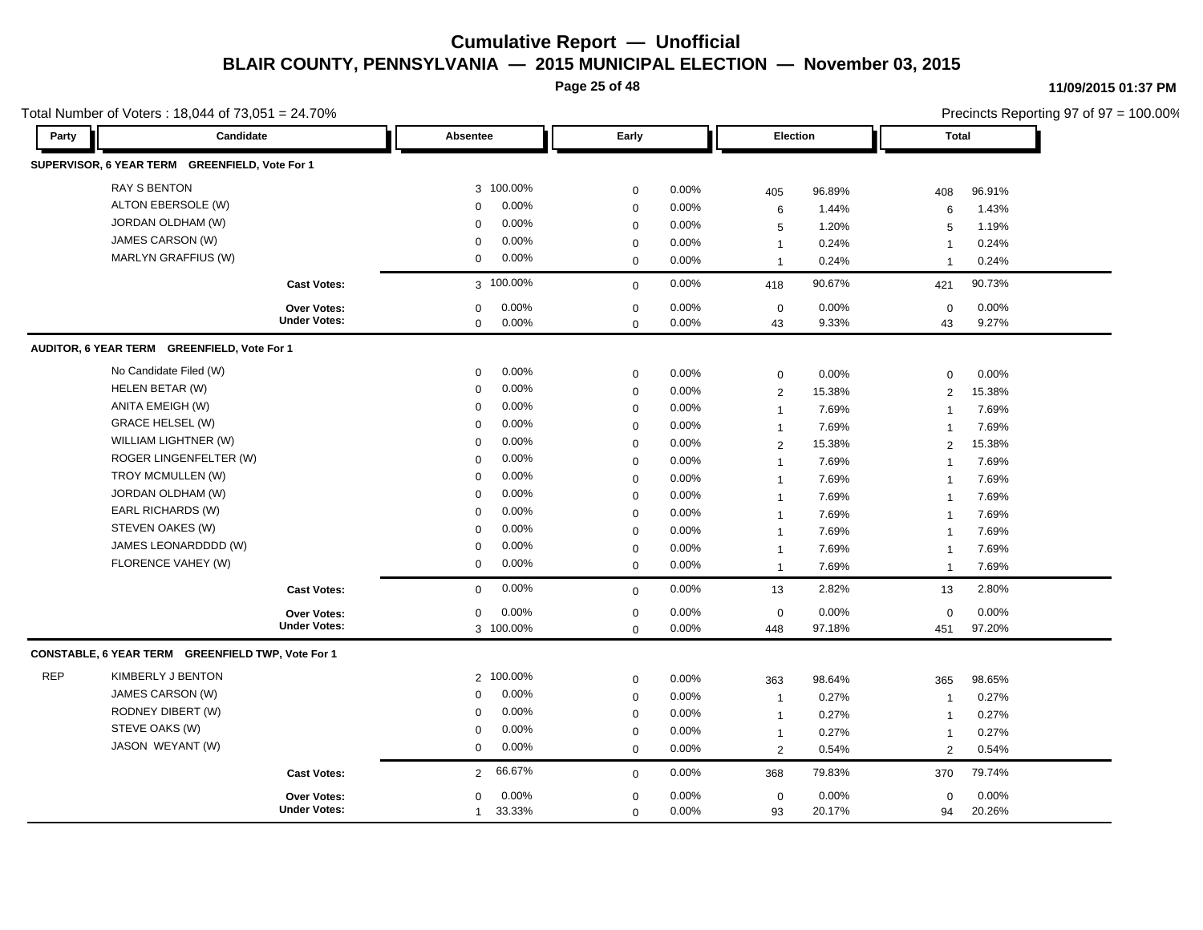**Page 25 of 48**

#### **11/09/2015 01:37 PM**

| Total Number of Voters: 18,044 of 73,051 = 24.70% |                                                   |                     |                          |             |          |                |        |                         | Precincts Reporting 97 of 97 = 100.00% |
|---------------------------------------------------|---------------------------------------------------|---------------------|--------------------------|-------------|----------|----------------|--------|-------------------------|----------------------------------------|
| Party                                             | Candidate                                         |                     | Absentee                 | Early       |          | Election       |        | <b>Total</b>            |                                        |
|                                                   | SUPERVISOR, 6 YEAR TERM GREENFIELD, Vote For 1    |                     |                          |             |          |                |        |                         |                                        |
|                                                   | <b>RAY S BENTON</b>                               |                     | 3 100.00%                | $\mathbf 0$ | 0.00%    | 405            | 96.89% | 408                     | 96.91%                                 |
|                                                   | ALTON EBERSOLE (W)                                |                     | 0.00%<br>$\mathbf 0$     | $\mathbf 0$ | 0.00%    | 6              | 1.44%  | 6                       | 1.43%                                  |
|                                                   | JORDAN OLDHAM (W)                                 |                     | 0.00%<br>$\mathbf 0$     | $\mathbf 0$ | 0.00%    | $\sqrt{5}$     | 1.20%  | 5                       | 1.19%                                  |
|                                                   | JAMES CARSON (W)                                  |                     | 0.00%<br>$\mathbf 0$     | $\mathbf 0$ | 0.00%    | $\mathbf{1}$   | 0.24%  | $\overline{1}$          | 0.24%                                  |
|                                                   | MARLYN GRAFFIUS (W)                               |                     | 0.00%<br>0               | $\mathbf 0$ | 0.00%    | $\mathbf{1}$   | 0.24%  | $\overline{1}$          | 0.24%                                  |
|                                                   |                                                   | <b>Cast Votes:</b>  | 3 100.00%                | $\mathbf 0$ | 0.00%    | 418            | 90.67% | 421                     | 90.73%                                 |
|                                                   |                                                   | Over Votes:         | 0.00%<br>$\mathbf 0$     | $\mathbf 0$ | 0.00%    | $\mathbf 0$    | 0.00%  | $\mathbf 0$             | 0.00%                                  |
|                                                   |                                                   | <b>Under Votes:</b> | 0.00%<br>0               | $\mathbf 0$ | 0.00%    | 43             | 9.33%  | 43                      | 9.27%                                  |
|                                                   | AUDITOR, 6 YEAR TERM GREENFIELD, Vote For 1       |                     |                          |             |          |                |        |                         |                                        |
|                                                   | No Candidate Filed (W)                            |                     | 0.00%<br>0               | $\mathbf 0$ | 0.00%    | $\mathbf 0$    | 0.00%  | $\mathbf 0$             | 0.00%                                  |
|                                                   | HELEN BETAR (W)                                   |                     | $0.00\%$<br>$\mathbf 0$  | $\mathbf 0$ | 0.00%    | $\overline{2}$ | 15.38% | $\overline{2}$          | 15.38%                                 |
|                                                   | ANITA EMEIGH (W)                                  |                     | 0.00%<br>$\mathbf 0$     | $\mathbf 0$ | 0.00%    | $\mathbf{1}$   | 7.69%  | $\overline{1}$          | 7.69%                                  |
|                                                   | <b>GRACE HELSEL (W)</b>                           |                     | 0.00%<br>$\mathbf 0$     | $\mathbf 0$ | 0.00%    | $\mathbf{1}$   | 7.69%  | $\overline{1}$          | 7.69%                                  |
|                                                   | WILLIAM LIGHTNER (W)                              |                     | 0.00%<br>$\mathbf 0$     | $\mathbf 0$ | 0.00%    | 2              | 15.38% | 2                       | 15.38%                                 |
|                                                   | ROGER LINGENFELTER (W)                            |                     | 0.00%<br>0               | $\mathbf 0$ | 0.00%    | $\mathbf{1}$   | 7.69%  | $\mathbf{1}$            | 7.69%                                  |
|                                                   | TROY MCMULLEN (W)                                 |                     | 0.00%<br>$\mathbf 0$     | $\mathbf 0$ | 0.00%    | $\mathbf{1}$   | 7.69%  | $\overline{1}$          | 7.69%                                  |
|                                                   | JORDAN OLDHAM (W)                                 |                     | 0.00%<br>$\mathbf 0$     | $\mathbf 0$ | 0.00%    | $\mathbf{1}$   | 7.69%  | $\mathbf{1}$            | 7.69%                                  |
|                                                   | EARL RICHARDS (W)                                 |                     | 0.00%<br>$\Omega$        | $\mathbf 0$ | $0.00\%$ | $\mathbf{1}$   | 7.69%  | $\overline{\mathbf{1}}$ | 7.69%                                  |
|                                                   | STEVEN OAKES (W)                                  |                     | 0.00%<br>$\mathbf 0$     | $\mathbf 0$ | 0.00%    | $\mathbf{1}$   | 7.69%  | $\overline{\mathbf{1}}$ | 7.69%                                  |
|                                                   | JAMES LEONARDDDD (W)                              |                     | 0.00%<br>$\mathbf 0$     | $\mathbf 0$ | 0.00%    | $\mathbf{1}$   | 7.69%  | $\overline{1}$          | 7.69%                                  |
|                                                   | FLORENCE VAHEY (W)                                |                     | $0.00\%$<br>0            | $\mathbf 0$ | 0.00%    | $\mathbf{1}$   | 7.69%  | $\overline{1}$          | 7.69%                                  |
|                                                   |                                                   | <b>Cast Votes:</b>  | 0.00%<br>$\mathbf 0$     | $\mathbf 0$ | 0.00%    | 13             | 2.82%  | 13                      | 2.80%                                  |
|                                                   |                                                   | <b>Over Votes:</b>  | 0.00%<br>0               | $\mathbf 0$ | 0.00%    | $\mathbf 0$    | 0.00%  | $\mathbf 0$             | 0.00%                                  |
|                                                   |                                                   | <b>Under Votes:</b> | 3 100.00%                | $\mathbf 0$ | 0.00%    | 448            | 97.18% | 451                     | 97.20%                                 |
|                                                   | CONSTABLE, 6 YEAR TERM GREENFIELD TWP, Vote For 1 |                     |                          |             |          |                |        |                         |                                        |
| <b>REP</b>                                        | KIMBERLY J BENTON                                 |                     | 2 100.00%                | $\mathbf 0$ | 0.00%    | 363            | 98.64% | 365                     | 98.65%                                 |
|                                                   | JAMES CARSON (W)                                  |                     | 0.00%<br>0               | $\mathbf 0$ | 0.00%    | $\mathbf{1}$   | 0.27%  | $\overline{1}$          | 0.27%                                  |
|                                                   | RODNEY DIBERT (W)                                 |                     | 0.00%<br>$\mathbf 0$     | $\mathbf 0$ | 0.00%    | $\mathbf{1}$   | 0.27%  | -1                      | 0.27%                                  |
|                                                   | STEVE OAKS (W)                                    |                     | 0.00%<br>0               | $\mathbf 0$ | 0.00%    | $\mathbf{1}$   | 0.27%  | $\mathbf{1}$            | 0.27%                                  |
|                                                   | JASON WEYANT (W)                                  |                     | 0.00%<br>0               | $\mathbf 0$ | 0.00%    | $\overline{2}$ | 0.54%  | $\overline{2}$          | 0.54%                                  |
|                                                   |                                                   | <b>Cast Votes:</b>  | 66.67%<br>$\overline{2}$ | $\mathbf 0$ | 0.00%    | 368            | 79.83% | 370                     | 79.74%                                 |
|                                                   |                                                   | Over Votes:         | 0.00%<br>0               | $\mathbf 0$ | 0.00%    | $\mathbf 0$    | 0.00%  | $\mathbf 0$             | 0.00%                                  |
|                                                   |                                                   | <b>Under Votes:</b> | 33.33%<br>$\mathbf{1}$   | $\mathbf 0$ | 0.00%    | 93             | 20.17% | 94                      | 20.26%                                 |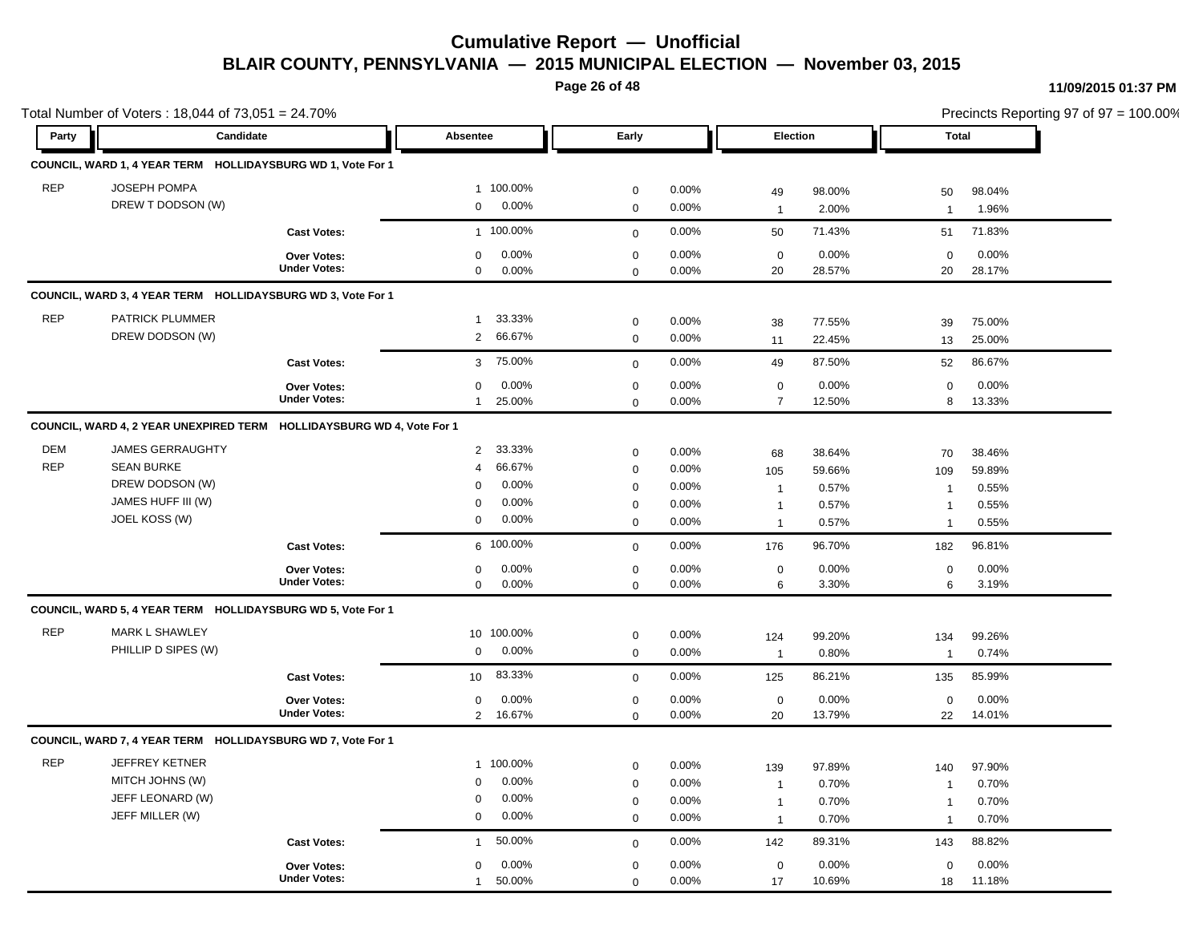**Page 26 of 48**

#### **11/09/2015 01:37 PM**

 $= 100.00\%$ 

|            | Total Number of Voters: 18,044 of 73,051 = 24.70%                     |                                    |                                               |                     |                |                   | Precincts Reporting 97 of 97 = 100.00% |                   |                 |
|------------|-----------------------------------------------------------------------|------------------------------------|-----------------------------------------------|---------------------|----------------|-------------------|----------------------------------------|-------------------|-----------------|
| Party      | Candidate                                                             |                                    | Absentee                                      | Early               |                | Election          |                                        | <b>Total</b>      |                 |
|            | COUNCIL, WARD 1, 4 YEAR TERM HOLLIDAYSBURG WD 1, Vote For 1           |                                    |                                               |                     |                |                   |                                        |                   |                 |
| <b>REP</b> | JOSEPH POMPA                                                          |                                    | 1 100.00%                                     | 0                   | 0.00%          | 49                | 98.00%                                 | 50                | 98.04%          |
|            | DREW T DODSON (W)                                                     |                                    | 0.00%<br>$\mathbf 0$                          | $\mathbf 0$         | 0.00%          | $\overline{1}$    | 2.00%                                  | $\mathbf{1}$      | 1.96%           |
|            |                                                                       | <b>Cast Votes:</b>                 | 1 100.00%                                     |                     | 0.00%          | 50                | 71.43%                                 | 51                | 71.83%          |
|            |                                                                       |                                    |                                               | $\mathbf 0$         |                |                   |                                        |                   |                 |
|            |                                                                       | Over Votes:<br><b>Under Votes:</b> | 0.00%<br>$\mathbf{0}$<br>0.00%<br>$\mathbf 0$ | 0                   | 0.00%<br>0.00% | $\mathsf 0$<br>20 | 0.00%<br>28.57%                        | $\mathbf 0$<br>20 | 0.00%<br>28.17% |
|            |                                                                       |                                    |                                               | $\mathbf 0$         |                |                   |                                        |                   |                 |
|            | COUNCIL, WARD 3, 4 YEAR TERM HOLLIDAYSBURG WD 3, Vote For 1           |                                    |                                               |                     |                |                   |                                        |                   |                 |
| <b>REP</b> | PATRICK PLUMMER                                                       |                                    | 33.33%<br>$\mathbf{1}$                        | 0                   | 0.00%          | 38                | 77.55%                                 | 39                | 75.00%          |
|            | DREW DODSON (W)                                                       |                                    | 66.67%<br>$\overline{2}$                      | 0                   | 0.00%          | 11                | 22.45%                                 | 13                | 25.00%          |
|            |                                                                       | <b>Cast Votes:</b>                 | 75.00%<br>3                                   | $\mathbf 0$         | 0.00%          | 49                | 87.50%                                 | 52                | 86.67%          |
|            |                                                                       | <b>Over Votes:</b>                 | 0.00%<br>$\mathbf 0$                          | $\mathsf{O}\xspace$ | 0.00%          | $\mathbf 0$       | 0.00%                                  | $\mathbf 0$       | 0.00%           |
|            |                                                                       | <b>Under Votes:</b>                | $\mathbf{1}$<br>25.00%                        | $\mathbf 0$         | 0.00%          | $\overline{7}$    | 12.50%                                 | 8                 | 13.33%          |
|            | COUNCIL, WARD 4, 2 YEAR UNEXPIRED TERM HOLLIDAYSBURG WD 4, Vote For 1 |                                    |                                               |                     |                |                   |                                        |                   |                 |
| <b>DEM</b> | <b>JAMES GERRAUGHTY</b>                                               |                                    | 33.33%<br>$\overline{2}$                      | 0                   | 0.00%          | 68                | 38.64%                                 | 70                | 38.46%          |
| <b>REP</b> | <b>SEAN BURKE</b>                                                     |                                    | 66.67%<br>$\overline{4}$                      | 0                   | 0.00%          | 105               | 59.66%                                 | 109               | 59.89%          |
|            | DREW DODSON (W)                                                       |                                    | 0.00%<br>$\Omega$                             | 0                   | 0.00%          | $\overline{1}$    | 0.57%                                  | $\overline{1}$    | 0.55%           |
|            | JAMES HUFF III (W)                                                    |                                    | 0.00%<br>$\Omega$                             | 0                   | 0.00%          | $\overline{1}$    | 0.57%                                  | $\overline{1}$    | 0.55%           |
|            | JOEL KOSS (W)                                                         |                                    | $0.00\%$<br>$\mathbf 0$                       | 0                   | 0.00%          | $\overline{1}$    | 0.57%                                  | $\overline{1}$    | 0.55%           |
|            |                                                                       | <b>Cast Votes:</b>                 | 6 100.00%                                     | $\mathbf 0$         | 0.00%          | 176               | 96.70%                                 | 182               | 96.81%          |
|            |                                                                       | Over Votes:                        | 0.00%<br>$\mathbf 0$                          | 0                   | 0.00%          | 0                 | 0.00%                                  | $\mathbf 0$       | 0.00%           |
|            |                                                                       | <b>Under Votes:</b>                | 0.00%<br>$\mathbf 0$                          | 0                   | 0.00%          | 6                 | 3.30%                                  | 6                 | 3.19%           |
|            | COUNCIL, WARD 5, 4 YEAR TERM HOLLIDAYSBURG WD 5, Vote For 1           |                                    |                                               |                     |                |                   |                                        |                   |                 |
| <b>REP</b> | <b>MARK L SHAWLEY</b>                                                 |                                    | 10 100.00%                                    | $\mathbf 0$         | $0.00\%$       | 124               | 99.20%                                 | 134               | 99.26%          |
|            | PHILLIP D SIPES (W)                                                   |                                    | 0.00%<br>$\mathbf 0$                          | $\mathbf 0$         | 0.00%          | $\overline{1}$    | 0.80%                                  | $\overline{1}$    | 0.74%           |
|            |                                                                       | <b>Cast Votes:</b>                 | 83.33%<br>10 <sup>1</sup>                     | $\mathbf{0}$        | 0.00%          | 125               | 86.21%                                 | 135               | 85.99%          |
|            |                                                                       | Over Votes:                        | 0.00%<br>$\mathbf 0$                          | $\mathbf 0$         | 0.00%          | $\mathbf 0$       | 0.00%                                  | $\mathbf 0$       | 0.00%           |
|            |                                                                       | <b>Under Votes:</b>                | 16.67%<br>$\overline{2}$                      | 0                   | 0.00%          | 20                | 13.79%                                 | 22                | 14.01%          |
|            | COUNCIL, WARD 7, 4 YEAR TERM HOLLIDAYSBURG WD 7, Vote For 1           |                                    |                                               |                     |                |                   |                                        |                   |                 |
| <b>REP</b> | <b>JEFFREY KETNER</b>                                                 |                                    | 1 100.00%                                     | 0                   | 0.00%          | 139               | 97.89%                                 | 140               | 97.90%          |
|            | MITCH JOHNS (W)                                                       |                                    | 0.00%<br>0                                    | 0                   | 0.00%          | $\overline{1}$    | 0.70%                                  | $\mathbf{1}$      | 0.70%           |
|            | JEFF LEONARD (W)                                                      |                                    | 0.00%<br>0                                    | 0                   | 0.00%          | $\mathbf{1}$      | 0.70%                                  | $\mathbf{1}$      | 0.70%           |
|            | JEFF MILLER (W)                                                       |                                    | 0.00%<br>$\mathbf 0$                          | 0                   | 0.00%          | $\overline{1}$    | 0.70%                                  | $\mathbf{1}$      | 0.70%           |
|            |                                                                       | <b>Cast Votes:</b>                 | 50.00%<br>$\mathbf{1}$                        | $\mathbf{0}$        | 0.00%          | 142               | 89.31%                                 | 143               | 88.82%          |
|            |                                                                       | <b>Over Votes:</b>                 | 0.00%<br>$\mathbf 0$                          | $\mathbf 0$         | 0.00%          | $\mathbf 0$       | 0.00%                                  | $\mathbf 0$       | 0.00%           |
|            |                                                                       | <b>Under Votes:</b>                | 50.00%<br>$\mathbf{1}$                        | $\mathbf 0$         | 0.00%          | 17                | 10.69%                                 | 18                | 11.18%          |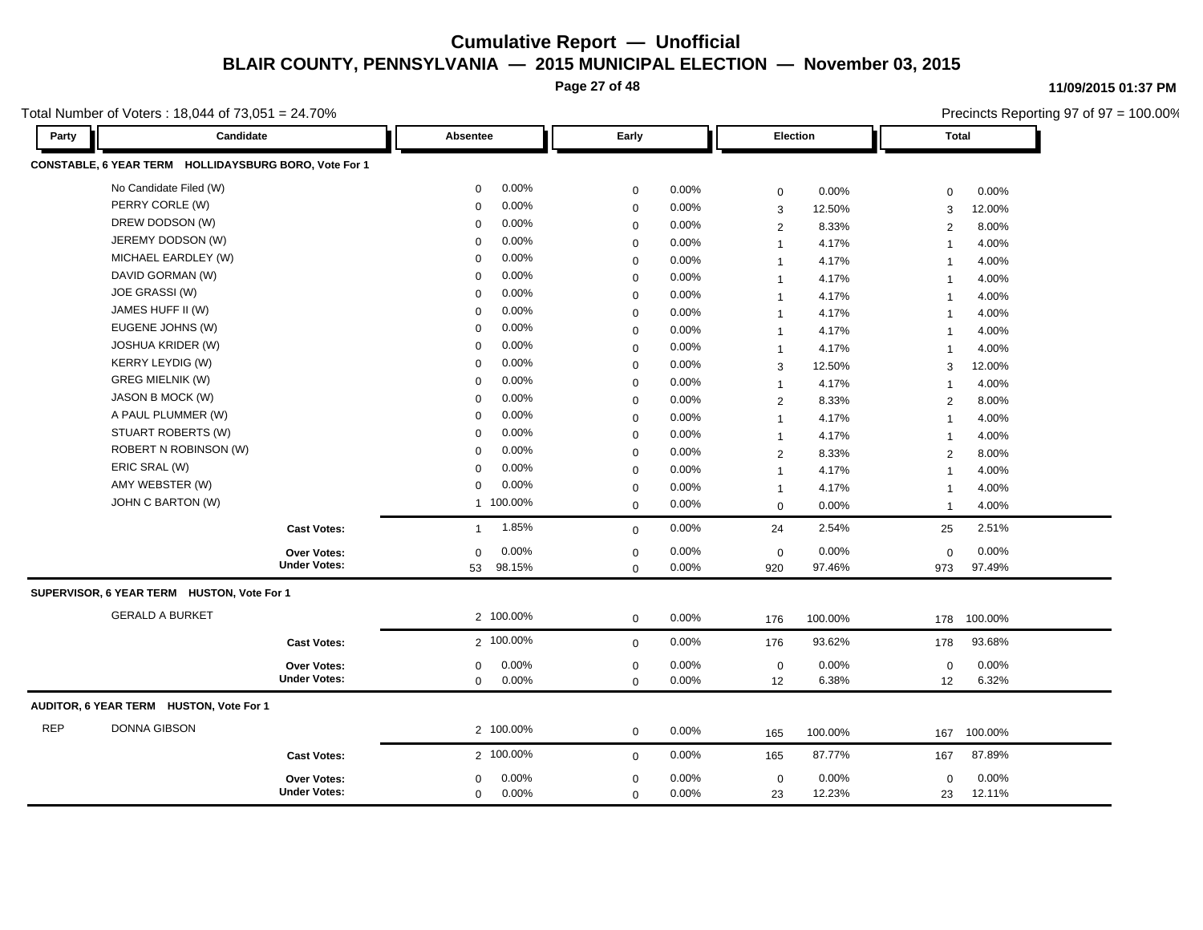**Page 27 of 48**

**11/09/2015 01:37 PM**

Total Number of Voters : 18,044 of 73,051 = 24.70%

|            | Total Number of Voters: 18,044 of 73,051 = 24.70%     |                         |                         |                         | Precincts Reporting 97 of 97 = 100.00% |  |
|------------|-------------------------------------------------------|-------------------------|-------------------------|-------------------------|----------------------------------------|--|
| Party      | Candidate                                             | Absentee                | Early                   | Election                | <b>Total</b>                           |  |
|            | CONSTABLE, 6 YEAR TERM HOLLIDAYSBURG BORO, Vote For 1 |                         |                         |                         |                                        |  |
|            | No Candidate Filed (W)                                | 0.00%<br>$\mathbf{0}$   | 0.00%<br>$\mathbf 0$    | 0.00%<br>$\mathbf 0$    | 0.00%<br>$\mathbf 0$                   |  |
|            | PERRY CORLE (W)                                       | 0.00%<br>0              | 0.00%<br>$\mathbf 0$    | 12.50%<br>3             | 12.00%<br>3                            |  |
|            | DREW DODSON (W)                                       | 0.00%<br>$\mathbf 0$    | $\mathbf 0$<br>0.00%    | 8.33%<br>2              | 8.00%<br>2                             |  |
|            | JEREMY DODSON (W)                                     | 0.00%<br>$\mathbf 0$    | 0.00%<br>$\mathbf 0$    | 4.17%<br>$\mathbf{1}$   | 4.00%<br>$\overline{1}$                |  |
|            | MICHAEL EARDLEY (W)                                   | 0.00%<br>$\Omega$       | 0.00%<br>$\mathbf 0$    | 4.17%<br>$\mathbf{1}$   | 4.00%<br>$\overline{\mathbf{1}}$       |  |
|            | DAVID GORMAN (W)                                      | $0.00\%$<br>$\mathbf 0$ | $\mathbf 0$<br>0.00%    | 4.17%<br>$\mathbf{1}$   | 4.00%<br>$\overline{1}$                |  |
|            | JOE GRASSI (W)                                        | 0.00%<br>$\mathbf 0$    | $\mathbf 0$<br>0.00%    | 4.17%<br>$\mathbf{1}$   | 4.00%<br>$\overline{1}$                |  |
|            | JAMES HUFF II (W)                                     | 0.00%<br>$\mathbf 0$    | 0.00%<br>$\mathbf 0$    | 4.17%<br>$\overline{1}$ | 4.00%<br>$\overline{1}$                |  |
|            | EUGENE JOHNS (W)                                      | 0.00%<br>$\mathbf 0$    | 0.00%<br>$\mathbf 0$    | 4.17%<br>$\mathbf{1}$   | 4.00%<br>$\overline{\mathbf{1}}$       |  |
|            | <b>JOSHUA KRIDER (W)</b>                              | 0.00%<br>0              | 0.00%<br>$\mathbf 0$    | 4.17%<br>$\mathbf{1}$   | 4.00%<br>-1                            |  |
|            | <b>KERRY LEYDIG (W)</b>                               | 0.00%<br>$\mathbf 0$    | 0.00%<br>$\mathbf 0$    | 12.50%<br>3             | 12.00%<br>3                            |  |
|            | <b>GREG MIELNIK (W)</b>                               | 0.00%<br>$\Omega$       | $\mathbf 0$<br>0.00%    | 4.17%<br>$\mathbf{1}$   | 4.00%<br>$\overline{1}$                |  |
|            | JASON B MOCK (W)                                      | 0.00%<br>$\Omega$       | 0.00%<br>$\mathbf 0$    | 2<br>8.33%              | 8.00%<br>2                             |  |
|            | A PAUL PLUMMER (W)                                    | 0.00%<br>$\mathbf 0$    | 0.00%<br>$\mathbf 0$    | 4.17%<br>$\mathbf{1}$   | 4.00%<br>$\overline{1}$                |  |
|            | STUART ROBERTS (W)                                    | 0.00%<br>$\mathbf 0$    | $\mathbf 0$<br>0.00%    | 4.17%<br>$\mathbf{1}$   | 4.00%<br>$\overline{1}$                |  |
|            | ROBERT N ROBINSON (W)                                 | 0.00%<br>0              | 0.00%<br>$\mathbf 0$    | 8.33%<br>$\overline{2}$ | 8.00%<br>$\overline{2}$                |  |
|            | ERIC SRAL (W)                                         | 0.00%<br>$\Omega$       | 0.00%<br>$\mathbf 0$    | 4.17%<br>$\mathbf{1}$   | 4.00%<br>$\overline{\mathbf{1}}$       |  |
|            | AMY WEBSTER (W)                                       | 0.00%<br>0              | $\mathbf 0$<br>0.00%    | 4.17%<br>$\mathbf{1}$   | 4.00%<br>-1                            |  |
|            | JOHN C BARTON (W)                                     | 1 100.00%               | $\mathbf 0$<br>0.00%    | 0.00%<br>$\mathbf 0$    | 4.00%<br>-1                            |  |
|            | <b>Cast Votes:</b>                                    | 1.85%<br>$\mathbf{1}$   | 0.00%<br>$\mathbf 0$    | 2.54%<br>24             | 2.51%<br>25                            |  |
|            | Over Votes:                                           | 0.00%<br>$\mathbf 0$    | $\mathbf 0$<br>0.00%    | 0.00%<br>$\mathbf 0$    | 0.00%<br>$\mathbf 0$                   |  |
|            | <b>Under Votes:</b>                                   | 98.15%<br>53            | 0.00%<br>$\mathbf 0$    | 97.46%<br>920           | 97.49%<br>973                          |  |
|            | SUPERVISOR, 6 YEAR TERM HUSTON, Vote For 1            |                         |                         |                         |                                        |  |
|            | <b>GERALD A BURKET</b>                                | 2 100.00%               | 0.00%<br>$\mathbf 0$    | 100.00%<br>176          | 100.00%<br>178                         |  |
|            | <b>Cast Votes:</b>                                    | 2 100.00%               | 0.00%<br>$\mathbf 0$    | 93.62%<br>176           | 93.68%<br>178                          |  |
|            | Over Votes:                                           | 0.00%<br>0              | 0.00%<br>0              | 0.00%<br>$\mathbf 0$    | 0.00%<br>0                             |  |
|            | <b>Under Votes:</b>                                   | 0.00%<br>0              | $0.00\%$<br>$\mathbf 0$ | 12<br>6.38%             | 6.32%<br>12                            |  |
|            | AUDITOR, 6 YEAR TERM HUSTON, Vote For 1               |                         |                         |                         |                                        |  |
| <b>REP</b> | <b>DONNA GIBSON</b>                                   | 2 100.00%               | 0.00%<br>0              | 100.00%<br>165          | 100.00%<br>167                         |  |
|            | <b>Cast Votes:</b>                                    | 2 100.00%               | 0.00%<br>$\mathbf 0$    | 87.77%<br>165           | 87.89%<br>167                          |  |
|            | Over Votes:                                           | 0.00%<br>0              | 0.00%<br>0              | 0.00%<br>$\mathbf 0$    | 0.00%<br>0                             |  |
|            | <b>Under Votes:</b>                                   | 0.00%<br>0              | 0.00%<br>$\mathbf 0$    | 23<br>12.23%            | 12.11%<br>23                           |  |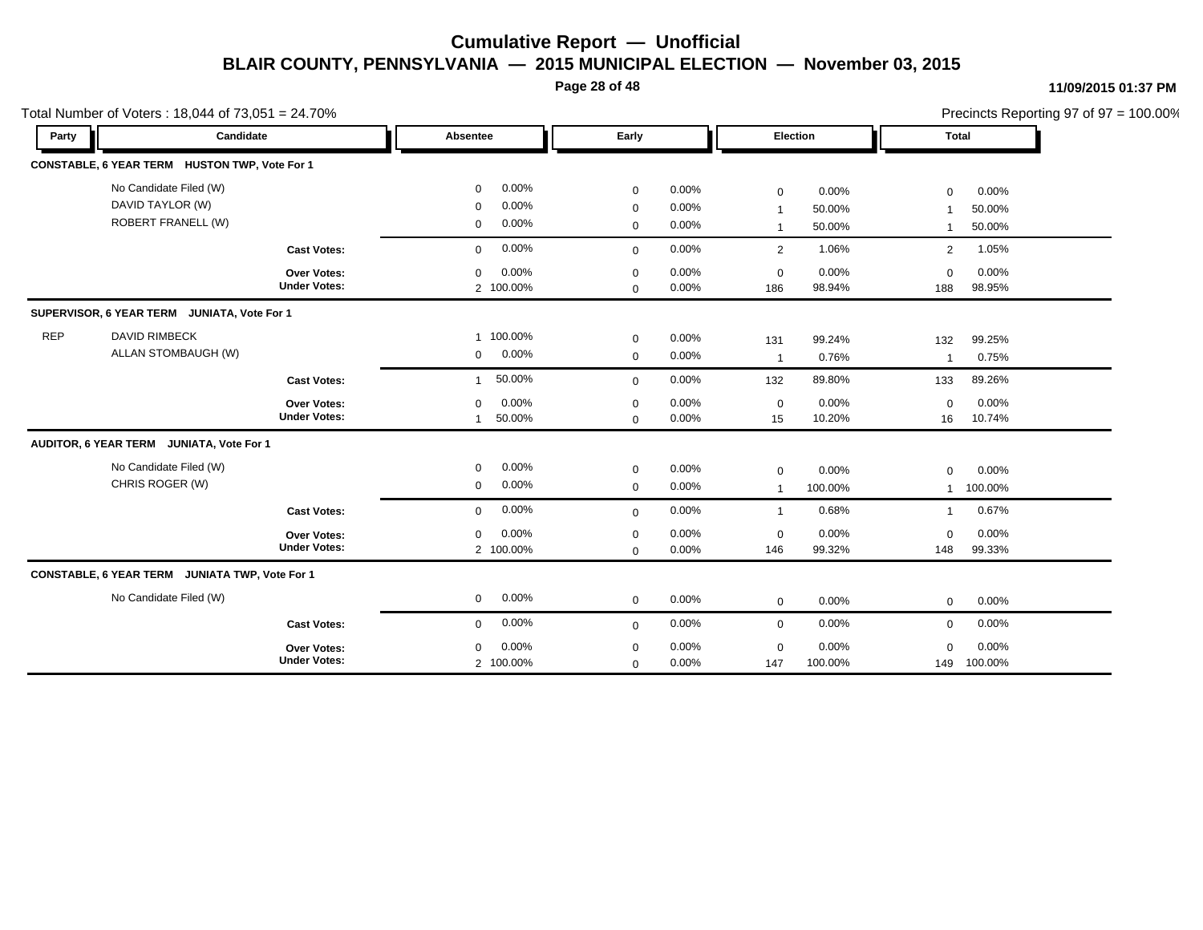**Page 28 of 48**

#### **11/09/2015 01:37 PM**

|            | Total Number of Voters: 18,044 of 73,051 = 24.70% |                     |                            |             |          |                         |                 |                | Precincts Reporting 97 of 97 = 100.00% |  |
|------------|---------------------------------------------------|---------------------|----------------------------|-------------|----------|-------------------------|-----------------|----------------|----------------------------------------|--|
| Party      | Candidate                                         |                     | Absentee                   | Early       |          |                         | <b>Election</b> | Total          |                                        |  |
|            | CONSTABLE, 6 YEAR TERM HUSTON TWP, Vote For 1     |                     |                            |             |          |                         |                 |                |                                        |  |
|            | No Candidate Filed (W)                            |                     | 0.00%<br>0                 | $\mathbf 0$ | $0.00\%$ | 0                       | 0.00%           | $\mathbf 0$    | 0.00%                                  |  |
|            | DAVID TAYLOR (W)                                  |                     | 0.00%<br>$\mathbf 0$       | 0           | 0.00%    | $\overline{\mathbf{1}}$ | 50.00%          | $\mathbf 1$    | 50.00%                                 |  |
|            | <b>ROBERT FRANELL (W)</b>                         |                     | $0.00\%$<br>$\mathbf 0$    | 0           | 0.00%    | 1                       | 50.00%          | $\mathbf{1}$   | 50.00%                                 |  |
|            |                                                   | <b>Cast Votes:</b>  | 0.00%<br>$\mathbf{0}$      | $\mathbf 0$ | 0.00%    | 2                       | 1.06%           | $\overline{2}$ | 1.05%                                  |  |
|            |                                                   | Over Votes:         | 0.00%<br>0                 | $\mathbf 0$ | $0.00\%$ | $\mathbf 0$             | 0.00%           | $\Omega$       | 0.00%                                  |  |
|            |                                                   | <b>Under Votes:</b> | 2 100.00%                  | $\mathbf 0$ | $0.00\%$ | 186                     | 98.94%          | 188            | 98.95%                                 |  |
|            | SUPERVISOR, 6 YEAR TERM JUNIATA, Vote For 1       |                     |                            |             |          |                         |                 |                |                                        |  |
| <b>REP</b> | <b>DAVID RIMBECK</b>                              |                     | 1 100.00%                  | $\mathbf 0$ | $0.00\%$ | 131                     | 99.24%          | 132            | 99.25%                                 |  |
|            | ALLAN STOMBAUGH (W)                               |                     | $0.00\%$<br>$\overline{0}$ | $\mathbf 0$ | 0.00%    | $\overline{1}$          | 0.76%           | $\overline{1}$ | 0.75%                                  |  |
|            |                                                   | <b>Cast Votes:</b>  | 50.00%<br>$\mathbf{1}$     | $\mathbf 0$ | 0.00%    | 132                     | 89.80%          | 133            | 89.26%                                 |  |
|            |                                                   | Over Votes:         | 0.00%<br>0                 | $\mathbf 0$ | 0.00%    | $\mathbf 0$             | 0.00%           | $\Omega$       | 0.00%                                  |  |
|            |                                                   | <b>Under Votes:</b> | 50.00%<br>$\overline{1}$   | $\mathbf 0$ | 0.00%    | 15                      | 10.20%          | 16             | 10.74%                                 |  |
|            | AUDITOR, 6 YEAR TERM JUNIATA, Vote For 1          |                     |                            |             |          |                         |                 |                |                                        |  |
|            | No Candidate Filed (W)                            |                     | 0.00%<br>$\mathbf{0}$      | $\mathbf 0$ | $0.00\%$ | $\mathbf 0$             | 0.00%           | $\mathbf 0$    | 0.00%                                  |  |
|            | CHRIS ROGER (W)                                   |                     | 0.00%<br>$\mathbf 0$       | $\mathbf 0$ | $0.00\%$ | $\overline{1}$          | 100.00%         | $\mathbf{1}$   | 100.00%                                |  |
|            |                                                   | <b>Cast Votes:</b>  | 0.00%<br>$\mathbf{0}$      | $\mathbf 0$ | 0.00%    | $\overline{1}$          | 0.68%           | $\mathbf{1}$   | 0.67%                                  |  |
|            |                                                   | <b>Over Votes:</b>  | 0.00%<br>$\mathbf 0$       | $\mathbf 0$ | 0.00%    | $\mathbf 0$             | 0.00%           | $\Omega$       | 0.00%                                  |  |
|            |                                                   | <b>Under Votes:</b> | 2 100.00%                  | $\mathbf 0$ | 0.00%    | 146                     | 99.32%          | 148            | 99.33%                                 |  |
|            | CONSTABLE, 6 YEAR TERM JUNIATA TWP, Vote For 1    |                     |                            |             |          |                         |                 |                |                                        |  |
|            | No Candidate Filed (W)                            |                     | 0.00%<br>$\overline{0}$    | $\mathbf 0$ | 0.00%    | $\mathbf 0$             | $0.00\%$        | $\mathbf 0$    | 0.00%                                  |  |
|            |                                                   | <b>Cast Votes:</b>  | $0.00\%$<br>$\mathbf{0}$   | $\mathbf 0$ | 0.00%    | $\mathbf 0$             | 0.00%           | $\mathbf 0$    | 0.00%                                  |  |
|            |                                                   | <b>Over Votes:</b>  | 0.00%<br>$\Omega$          | $\mathbf 0$ | 0.00%    | 0                       | 0.00%           | $\mathbf 0$    | 0.00%                                  |  |
|            |                                                   | <b>Under Votes:</b> | 2 100.00%                  | 0           | 0.00%    | 147                     | 100.00%         | 149            | 100.00%                                |  |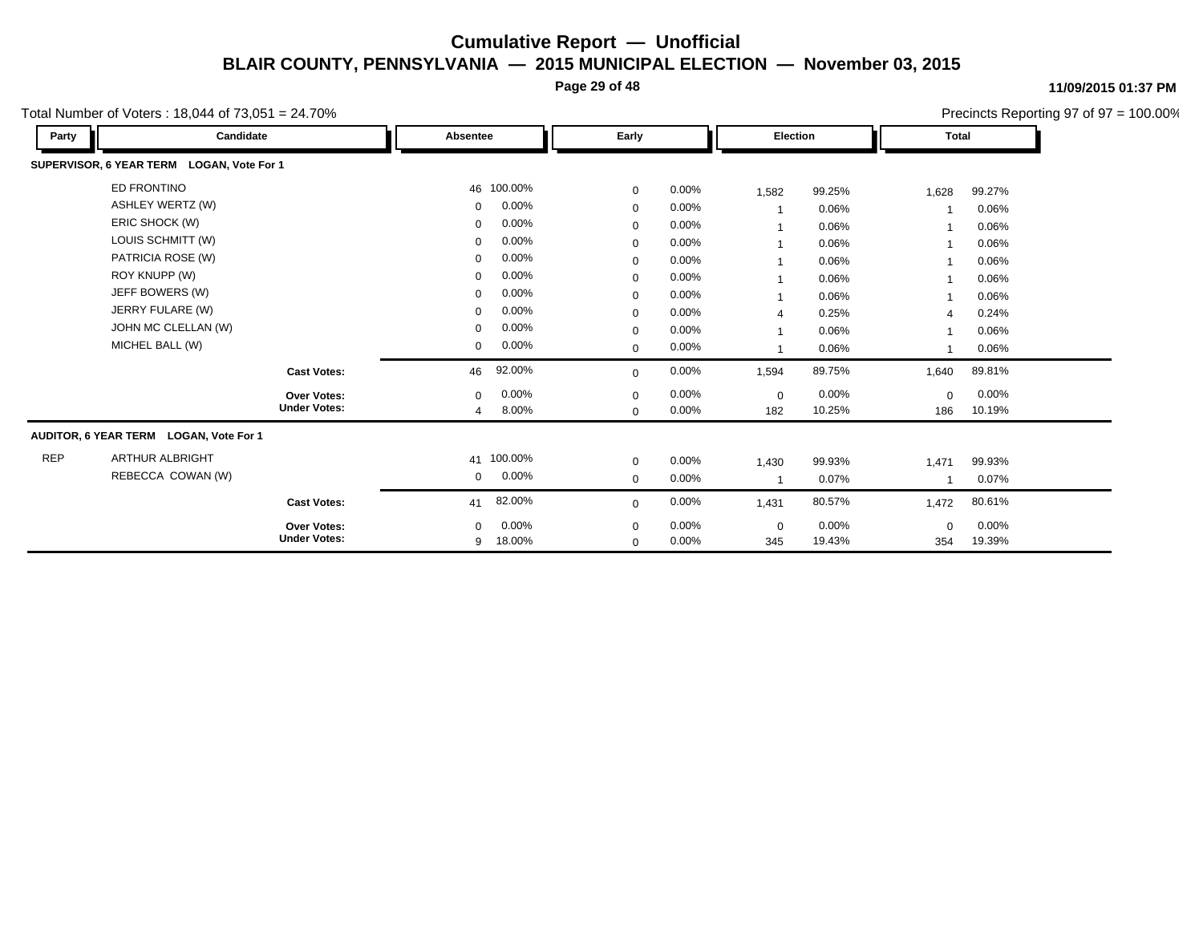**Page 29 of 48**

**11/09/2015 01:37 PM**

Precincts Reporting 97 of 97 = 100.00%

|            |                                           |                      |             |       |                |        |              |        |  |  |  | $\ldots$ |  |
|------------|-------------------------------------------|----------------------|-------------|-------|----------------|--------|--------------|--------|--|--|--|----------|--|
| Party      | Candidate                                 | Absentee             | Early       |       | Election       |        | <b>Total</b> |        |  |  |  |          |  |
|            | SUPERVISOR, 6 YEAR TERM LOGAN, Vote For 1 |                      |             |       |                |        |              |        |  |  |  |          |  |
|            | ED FRONTINO                               | 46 100.00%           | $\mathbf 0$ | 0.00% | 1,582          | 99.25% | 1,628        | 99.27% |  |  |  |          |  |
|            | <b>ASHLEY WERTZ (W)</b>                   | 0.00%<br>$\mathbf 0$ | $\mathbf 0$ | 0.00% |                | 0.06%  |              | 0.06%  |  |  |  |          |  |
|            | ERIC SHOCK (W)                            | 0.00%<br>$\mathbf 0$ | $\mathbf 0$ | 0.00% | $\mathbf{1}$   | 0.06%  |              | 0.06%  |  |  |  |          |  |
|            | LOUIS SCHMITT (W)                         | 0.00%<br>$\mathbf 0$ | $\mathbf 0$ | 0.00% |                | 0.06%  |              | 0.06%  |  |  |  |          |  |
|            | PATRICIA ROSE (W)                         | 0.00%<br>$\mathbf 0$ | $\mathbf 0$ | 0.00% |                | 0.06%  |              | 0.06%  |  |  |  |          |  |
|            | ROY KNUPP (W)                             | 0.00%<br>$\mathbf 0$ | 0           | 0.00% |                | 0.06%  |              | 0.06%  |  |  |  |          |  |
|            | JEFF BOWERS (W)                           | 0.00%<br>$\mathbf 0$ | $\mathbf 0$ | 0.00% | $\mathbf{1}$   | 0.06%  |              | 0.06%  |  |  |  |          |  |
|            | JERRY FULARE (W)                          | 0.00%<br>$\mathbf 0$ | $\mathbf 0$ | 0.00% | $\overline{4}$ | 0.25%  | 4            | 0.24%  |  |  |  |          |  |
|            | JOHN MC CLELLAN (W)                       | 0.00%<br>$\mathbf 0$ | $\mathbf 0$ | 0.00% |                | 0.06%  |              | 0.06%  |  |  |  |          |  |
|            | MICHEL BALL (W)                           | 0.00%<br>0           | $\mathbf 0$ | 0.00% |                | 0.06%  | -1           | 0.06%  |  |  |  |          |  |
|            | <b>Cast Votes:</b>                        | 92.00%<br>46         | $\mathbf 0$ | 0.00% | 1,594          | 89.75% | 1,640        | 89.81% |  |  |  |          |  |
|            | Over Votes:                               | 0.00%<br>$\mathbf 0$ | $\mathbf 0$ | 0.00% | $\mathbf 0$    | 0.00%  | $\mathbf 0$  | 0.00%  |  |  |  |          |  |
|            | <b>Under Votes:</b>                       | 8.00%<br>4           | $\mathbf 0$ | 0.00% | 182            | 10.25% | 186          | 10.19% |  |  |  |          |  |
|            | AUDITOR, 6 YEAR TERM LOGAN, Vote For 1    |                      |             |       |                |        |              |        |  |  |  |          |  |
| <b>REP</b> | ARTHUR ALBRIGHT                           | 41 100.00%           | $\mathbf 0$ | 0.00% | 1,430          | 99.93% | 1,471        | 99.93% |  |  |  |          |  |
|            | REBECCA COWAN (W)                         | 0.00%<br>0           | $\mathbf 0$ | 0.00% | $\overline{1}$ | 0.07%  | 1            | 0.07%  |  |  |  |          |  |
|            | <b>Cast Votes:</b>                        | 82.00%<br>41         | $\mathbf 0$ | 0.00% | 1,431          | 80.57% | 1,472        | 80.61% |  |  |  |          |  |
|            | <b>Over Votes:</b>                        | 0.00%<br>$\Omega$    | $\mathbf 0$ | 0.00% | $\mathbf 0$    | 0.00%  | $\Omega$     | 0.00%  |  |  |  |          |  |
|            | <b>Under Votes:</b>                       | 18.00%<br>9          | $\mathbf 0$ | 0.00% | 345            | 19.43% | 354          | 19.39% |  |  |  |          |  |

Total Number of Voters : 18,044 of 73,051 = 24.70%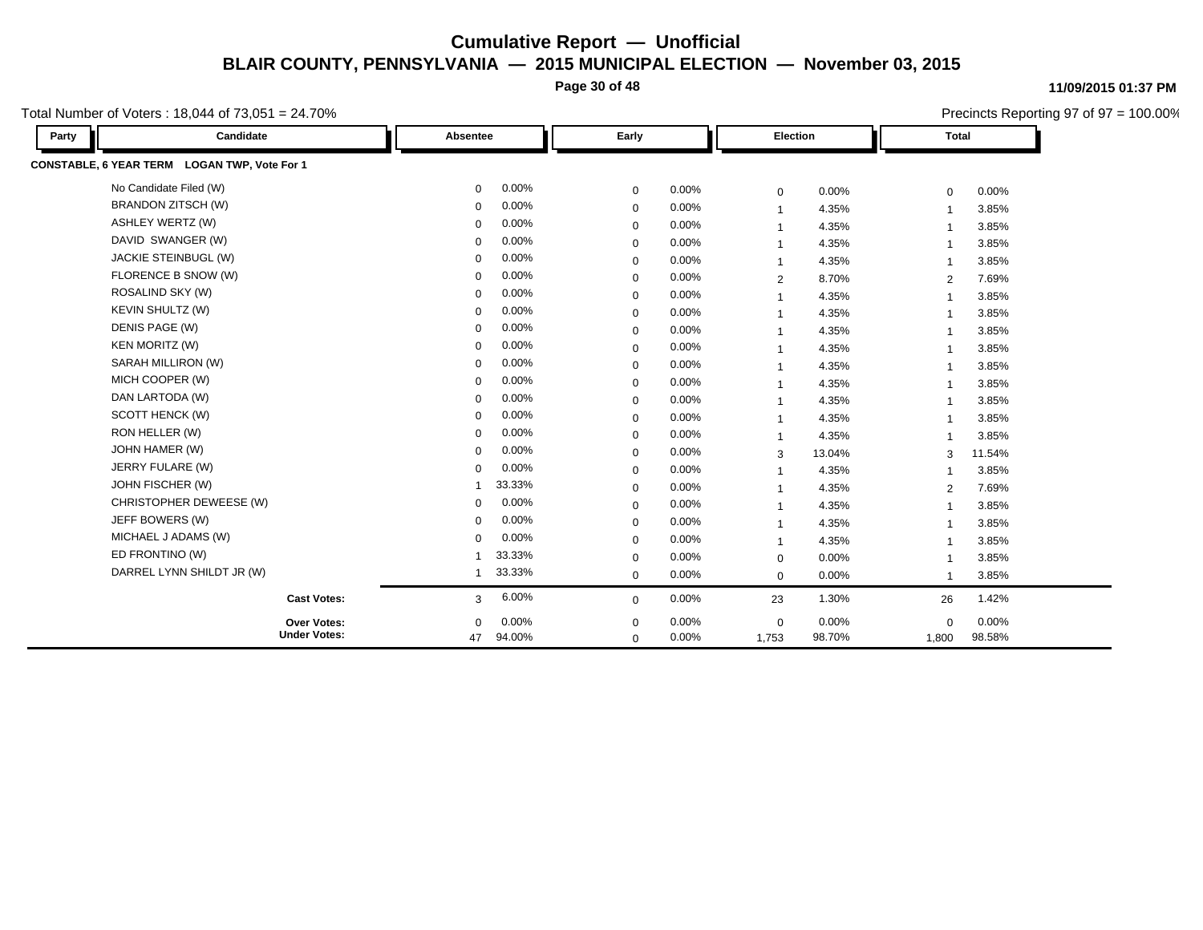**Page 30 of 48**

Total Number of Voters : 18,044 of 73,051 = 24.70%

**Party Candidate Absentee Early Election Total CONSTABLE, 6 YEAR TERM LOGAN TWP, Vote For 1** No Candidate Filed (W) 0 0.00% 0 0.00% 0 0.00% 0 0.00% BRANDON ZITSCH (W) 0 0.00% 0 0.00% 1 4.35% 1 3.85% ASHLEY WERTZ (W) 0 0.00% 0 0.00% 1 4.35% 1 3.85% DAVID SWANGER (W) 0 0.00% 0 0.00% 1 4.35% 1 3.85% JACKIE STEINBUGL (W) 0 0.00% 0 0.00% 1 4.35% 1 3.85% FLORENCE B SNOW (W) 0 0.00% 0 0.00% 2 8.70% 2 7.69% ROSALIND SKY (W) 0 0.00% 0 0.00% 1 4.35% 1 3.85% KEVIN SHULTZ (W) 0 0.00% 0 0.00% 1 4.35% 1 3.85% DENIS PAGE (W) 0 0.00% 0 0.00% 1 4.35% 1 3.85% KEN MORITZ (W) 0 0.00% 0 0.00% 1 4.35% 1 3.85% SARAH MILLIRON (W) 0 0.00% 0 0.00% 1 4.35% 1 3.85% MICH COOPER (W) 0 0.00% 0 0.00% 1 4.35% 1 3.85% 1 DAN LARTODA (W) 0 0.00% 0 0.00% 1 4.35% 1 3.85% SCOTT HENCK (W) 0 0.00% 0 0.00% 1 4.35% 1 3.85% RON HELLER (W) 0 0.00% 0 0.00% 1 4.35% 1 3.85% JOHN HAMER (W) 0 0.00% 0 0.00% 3 13.04% 3 11.54% JERRY FULARE (W) 0 0.00% 0 0.00% 1 4.35% 1 3.85% JOHN FISCHER (W) 1 33.33% 0 0.00% 1 4.35% 2 7.69% CHRISTOPHER DEWEESE (W) 0 0.00% 0 0.00% 1 4.35% 1 3.85% JEFF BOWERS (W) 0 0.00% 0 0.00% 1 4.35% 1 3.85% MICHAEL J ADAMS (W) 0 0.00% 0 0.00% 1 4.35% 1 3.85% ED FRONTINO (W) 1 33.33% 0 0.00% 0 0.00% 1 3.85% DARREL LYNN SHILDT JR (W) 1 33.33% 0 0.00% 0 0.00% 1 3.85% **Cast Votes:** 3 6.00% 0 0.00% 23 1.30% 26 1.42% 1,800 98.58% 98.70% 0 0.00% 1,753 0.00% 0 0.00% **Under Votes: Over Votes:** 94.00% 47  $0.00\%$  0.00% 0.00% 0.00% 0.00% 0.00%  $0\quad 0.00\%$  $0\qquad 0.00\%$  $\Omega$ 

#### **11/09/2015 01:37 PM**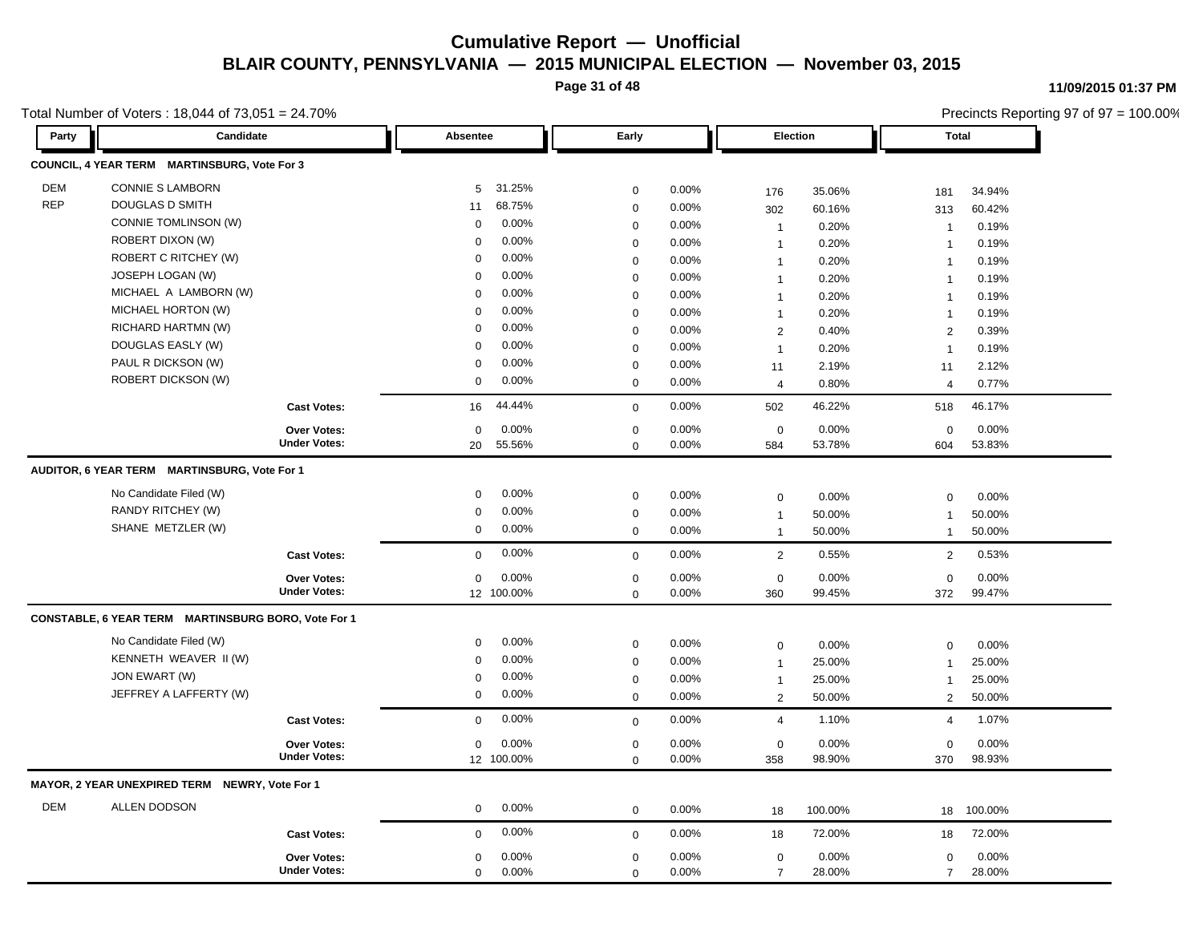**Page 31 of 48**

**11/09/2015 01:37 PM**

|            | Total Number of Voters: 18,044 of 73,051 = 24.70%   |                                           |             |                     |                            |                |                     |         |                    | Precincts Reporting 97 of 97 = 100.00% |
|------------|-----------------------------------------------------|-------------------------------------------|-------------|---------------------|----------------------------|----------------|---------------------|---------|--------------------|----------------------------------------|
| Party      | <b>Candidate</b>                                    |                                           | Absentee    |                     | Early                      |                | Election            |         | <b>Total</b>       |                                        |
|            | COUNCIL, 4 YEAR TERM MARTINSBURG, Vote For 3        |                                           |             |                     |                            |                |                     |         |                    |                                        |
| <b>DEM</b> | <b>CONNIE S LAMBORN</b>                             |                                           | 5           | 31.25%              | $\mathbf 0$                | $0.00\%$       | 176                 | 35.06%  | 181                | 34.94%                                 |
| <b>REP</b> | DOUGLAS D SMITH                                     |                                           | 11          | 68.75%              | $\mathbf 0$                | 0.00%          | 302                 | 60.16%  | 313                | 60.42%                                 |
|            | CONNIE TOMLINSON (W)                                |                                           | $\Omega$    | 0.00%               | $\mathbf 0$                | 0.00%          | $\mathbf{1}$        | 0.20%   | $\overline{1}$     | 0.19%                                  |
|            | ROBERT DIXON (W)                                    |                                           | $\Omega$    | 0.00%               | $\mathbf 0$                | 0.00%          | $\overline{1}$      | 0.20%   | $\overline{1}$     | 0.19%                                  |
|            | ROBERT C RITCHEY (W)                                |                                           | $\Omega$    | 0.00%               | $\mathbf 0$                | 0.00%          | $\mathbf{1}$        | 0.20%   | $\overline{1}$     | 0.19%                                  |
|            | JOSEPH LOGAN (W)                                    |                                           | $\Omega$    | 0.00%               | $\mathbf 0$                | 0.00%          | $\mathbf{1}$        | 0.20%   | $\mathbf{1}$       | 0.19%                                  |
|            | MICHAEL A LAMBORN (W)                               |                                           | $\Omega$    | 0.00%               | $\mathbf 0$                | 0.00%          | $\mathbf{1}$        | 0.20%   | $\overline{1}$     | 0.19%                                  |
|            | MICHAEL HORTON (W)                                  |                                           | $\Omega$    | 0.00%               | $\mathbf 0$                | 0.00%          | $\mathbf{1}$        | 0.20%   | $\overline{1}$     | 0.19%                                  |
|            | RICHARD HARTMN (W)                                  |                                           | $\Omega$    | 0.00%               | $\mathbf 0$                | 0.00%          | 2                   | 0.40%   | $\overline{2}$     | 0.39%                                  |
|            | DOUGLAS EASLY (W)                                   |                                           | $\Omega$    | 0.00%               | $\mathbf 0$                | 0.00%          | $\mathbf{1}$        | 0.20%   | $\overline{1}$     | 0.19%                                  |
|            | PAUL R DICKSON (W)                                  |                                           | $\Omega$    | 0.00%               | $\mathbf 0$                | 0.00%          | 11                  | 2.19%   | 11                 | 2.12%                                  |
|            | <b>ROBERT DICKSON (W)</b>                           |                                           | $\mathbf 0$ | 0.00%               | $\mathbf 0$                | 0.00%          | $\overline{4}$      | 0.80%   | $\overline{4}$     | 0.77%                                  |
|            |                                                     | <b>Cast Votes:</b>                        | 16          | 44.44%              | $\mathbf 0$                | 0.00%          | 502                 | 46.22%  | 518                | 46.17%                                 |
|            |                                                     | Over Votes:                               | $\mathbf 0$ | 0.00%               | $\mathbf 0$                | 0.00%          | $\mathbf 0$         | 0.00%   | $\mathbf 0$        | 0.00%                                  |
|            |                                                     | <b>Under Votes:</b>                       | 20          | 55.56%              | $\Omega$                   | $0.00\%$       | 584                 | 53.78%  | 604                | 53.83%                                 |
|            | AUDITOR, 6 YEAR TERM MARTINSBURG, Vote For 1        |                                           |             |                     |                            |                |                     |         |                    |                                        |
|            | No Candidate Filed (W)                              |                                           | 0           | 0.00%               | $\mathbf 0$                | 0.00%          | $\mathsf{O}\xspace$ | 0.00%   | $\mathbf 0$        | 0.00%                                  |
|            | RANDY RITCHEY (W)                                   |                                           | 0           | 0.00%               | $\mathbf 0$                | 0.00%          | $\mathbf{1}$        | 50.00%  | $\overline{1}$     | 50.00%                                 |
|            | SHANE METZLER (W)                                   |                                           | $\mathbf 0$ | 0.00%               | $\mathbf 0$                | 0.00%          | $\mathbf{1}$        | 50.00%  | $\overline{1}$     | 50.00%                                 |
|            |                                                     | <b>Cast Votes:</b>                        | $\Omega$    | 0.00%               | $\mathbf 0$                | 0.00%          | $\overline{2}$      | 0.55%   | 2                  | 0.53%                                  |
|            |                                                     | <b>Over Votes:</b>                        | $\mathbf 0$ | 0.00%               | $\mathbf 0$                | 0.00%          | $\mathbf 0$         | 0.00%   | $\mathbf 0$        | 0.00%                                  |
|            |                                                     | <b>Under Votes:</b>                       |             | 12 100.00%          | $\mathbf 0$                | 0.00%          | 360                 | 99.45%  | 372                | 99.47%                                 |
|            | CONSTABLE, 6 YEAR TERM MARTINSBURG BORO, Vote For 1 |                                           |             |                     |                            |                |                     |         |                    |                                        |
|            | No Candidate Filed (W)                              |                                           | 0           | 0.00%               | $\mathbf 0$                | 0.00%          | $\mathsf 0$         | 0.00%   | $\mathbf 0$        | 0.00%                                  |
|            | KENNETH WEAVER II (W)                               |                                           | 0           | 0.00%               | $\mathbf 0$                | 0.00%          | $\mathbf{1}$        | 25.00%  |                    | 25.00%                                 |
|            | JON EWART (W)                                       |                                           | $\Omega$    | 0.00%               | $\mathbf 0$                | 0.00%          | $\mathbf{1}$        | 25.00%  | $\overline{1}$     | 25.00%                                 |
|            | JEFFREY A LAFFERTY (W)                              |                                           | $\mathbf 0$ | 0.00%               | $\mathbf 0$                | 0.00%          | $\overline{2}$      | 50.00%  | $\overline{2}$     | 50.00%                                 |
|            |                                                     | <b>Cast Votes:</b>                        | $\Omega$    | 0.00%               | $\mathbf 0$                | 0.00%          | 4                   | 1.10%   | $\overline{4}$     | 1.07%                                  |
|            |                                                     |                                           |             |                     |                            |                |                     | 0.00%   |                    | 0.00%                                  |
|            |                                                     | <b>Over Votes:</b><br><b>Under Votes:</b> | $\mathbf 0$ | 0.00%<br>12 100.00% | $\mathbf 0$<br>$\mathbf 0$ | 0.00%<br>0.00% | $\mathbf 0$<br>358  | 98.90%  | $\mathbf 0$<br>370 | 98.93%                                 |
|            | MAYOR, 2 YEAR UNEXPIRED TERM NEWRY, Vote For 1      |                                           |             |                     |                            |                |                     |         |                    |                                        |
| DEM        | ALLEN DODSON                                        |                                           | $\mathbf 0$ | 0.00%               | $\mathbf 0$                | 0.00%          |                     |         |                    |                                        |
|            |                                                     |                                           |             |                     |                            |                | 18                  | 100.00% | 18                 | 100.00%                                |
|            |                                                     | <b>Cast Votes:</b>                        | $\mathbf 0$ | 0.00%               | $\mathbf 0$                | 0.00%          | 18                  | 72.00%  | 18                 | 72.00%                                 |
|            |                                                     | <b>Over Votes:</b>                        | $\mathbf 0$ | 0.00%               | $\mathbf 0$                | 0.00%          | $\mathsf{O}\xspace$ | 0.00%   | $\mathbf 0$        | 0.00%                                  |
|            |                                                     | <b>Under Votes:</b>                       | $\mathbf 0$ | 0.00%               | $\mathbf 0$                | 0.00%          | $\overline{7}$      | 28.00%  | $\overline{7}$     | 28.00%                                 |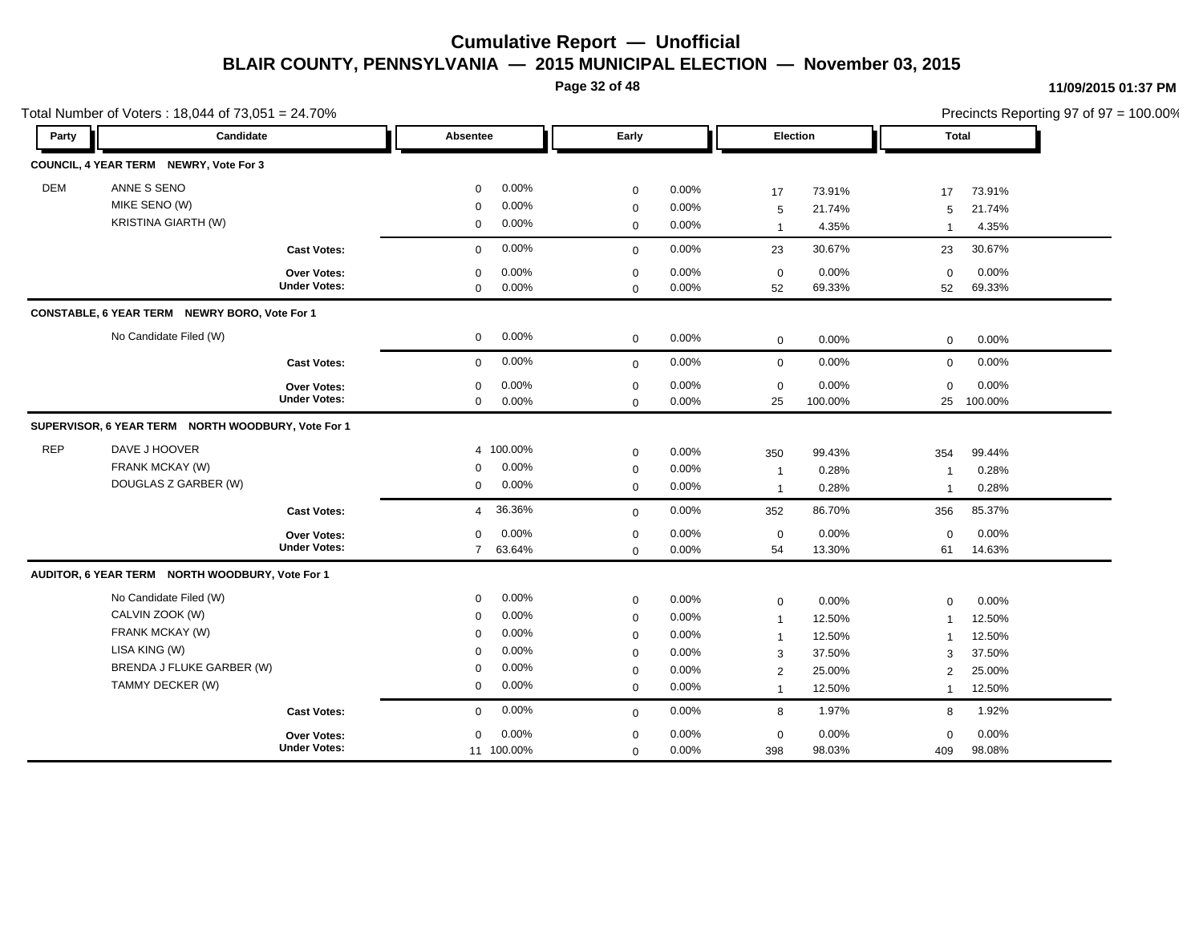**Page 32 of 48**

|            | Total Number of Voters: 18,044 of 73,051 = 24.70%  |                     |                          |             |       |                |         |                         | Precincts Reporting 97 of 97 = 100.00% |
|------------|----------------------------------------------------|---------------------|--------------------------|-------------|-------|----------------|---------|-------------------------|----------------------------------------|
| Party      | Candidate                                          |                     | Absentee                 | Early       |       | Election       |         | <b>Total</b>            |                                        |
|            | COUNCIL, 4 YEAR TERM NEWRY, Vote For 3             |                     |                          |             |       |                |         |                         |                                        |
| <b>DEM</b> | ANNE S SENO                                        |                     | 0.00%<br>$\Omega$        | $\mathbf 0$ | 0.00% | 17             | 73.91%  | 17                      | 73.91%                                 |
|            | MIKE SENO (W)                                      |                     | 0.00%<br>$\mathbf 0$     | $\mathbf 0$ | 0.00% | 5              | 21.74%  | 5                       | 21.74%                                 |
|            | <b>KRISTINA GIARTH (W)</b>                         |                     | 0.00%<br>$\mathbf 0$     | $\mathbf 0$ | 0.00% | $\overline{1}$ | 4.35%   | $\overline{1}$          | 4.35%                                  |
|            |                                                    | <b>Cast Votes:</b>  | 0.00%<br>$\Omega$        | $\mathbf 0$ | 0.00% | 23             | 30.67%  | 23                      | 30.67%                                 |
|            |                                                    | <b>Over Votes:</b>  | 0.00%<br>$\Omega$        | $\mathbf 0$ | 0.00% | $\mathbf 0$    | 0.00%   | $\mathbf 0$             | 0.00%                                  |
|            |                                                    | <b>Under Votes:</b> | 0.00%<br>$\mathbf 0$     | $\mathbf 0$ | 0.00% | 52             | 69.33%  | 52                      | 69.33%                                 |
|            | CONSTABLE, 6 YEAR TERM NEWRY BORO, Vote For 1      |                     |                          |             |       |                |         |                         |                                        |
|            | No Candidate Filed (W)                             |                     | 0.00%<br>$\mathbf 0$     | $\mathbf 0$ | 0.00% | $\mathbf 0$    | 0.00%   | $\mathbf 0$             | 0.00%                                  |
|            |                                                    | <b>Cast Votes:</b>  | 0.00%<br>$\Omega$        | $\mathbf 0$ | 0.00% | $\mathbf 0$    | 0.00%   | $\mathbf 0$             | 0.00%                                  |
|            |                                                    | Over Votes:         | 0.00%<br>$\mathbf 0$     | $\mathbf 0$ | 0.00% | $\mathbf 0$    | 0.00%   | 0                       | 0.00%                                  |
|            |                                                    | <b>Under Votes:</b> | 0.00%<br>$\mathbf 0$     | $\mathbf 0$ | 0.00% | 25             | 100.00% |                         | 25 100.00%                             |
|            | SUPERVISOR, 6 YEAR TERM NORTH WOODBURY, Vote For 1 |                     |                          |             |       |                |         |                         |                                        |
| <b>REP</b> | DAVE J HOOVER                                      |                     | 4 100.00%                | $\mathbf 0$ | 0.00% | 350            | 99.43%  | 354                     | 99.44%                                 |
|            | FRANK MCKAY (W)                                    |                     | 0.00%<br>$\mathbf 0$     | $\mathbf 0$ | 0.00% | $\overline{1}$ | 0.28%   | -1                      | 0.28%                                  |
|            | DOUGLAS Z GARBER (W)                               |                     | 0.00%<br>$\mathbf 0$     | $\mathbf 0$ | 0.00% | $\overline{1}$ | 0.28%   | -1                      | 0.28%                                  |
|            |                                                    | <b>Cast Votes:</b>  | 36.36%<br>$\overline{4}$ | $\mathbf 0$ | 0.00% | 352            | 86.70%  | 356                     | 85.37%                                 |
|            |                                                    | <b>Over Votes:</b>  | 0.00%<br>$\mathbf 0$     | $\mathbf 0$ | 0.00% | $\mathbf 0$    | 0.00%   | $\mathbf 0$             | 0.00%                                  |
|            |                                                    | <b>Under Votes:</b> | 63.64%<br>$7^{\circ}$    | $\mathbf 0$ | 0.00% | 54             | 13.30%  | 61                      | 14.63%                                 |
|            | AUDITOR, 6 YEAR TERM NORTH WOODBURY, Vote For 1    |                     |                          |             |       |                |         |                         |                                        |
|            | No Candidate Filed (W)                             |                     | 0.00%<br>$\mathbf 0$     | $\mathbf 0$ | 0.00% | $\mathbf 0$    | 0.00%   | $\mathbf 0$             | 0.00%                                  |
|            | CALVIN ZOOK (W)                                    |                     | 0.00%<br>$\mathbf 0$     | $\mathbf 0$ | 0.00% | $\overline{1}$ | 12.50%  | $\overline{\mathbf{1}}$ | 12.50%                                 |
|            | FRANK MCKAY (W)                                    |                     | 0.00%<br>$\Omega$        | $\mathbf 0$ | 0.00% | $\mathbf{1}$   | 12.50%  | -1                      | 12.50%                                 |
|            | LISA KING (W)                                      |                     | 0.00%<br>$\mathbf 0$     | $\mathbf 0$ | 0.00% | 3              | 37.50%  | 3                       | 37.50%                                 |
|            | BRENDA J FLUKE GARBER (W)                          |                     | 0.00%<br>$\mathbf 0$     | $\mathbf 0$ | 0.00% | 2              | 25.00%  | $\overline{2}$          | 25.00%                                 |
|            | TAMMY DECKER (W)                                   |                     | 0.00%<br>$\mathbf 0$     | $\mathbf 0$ | 0.00% | $\overline{1}$ | 12.50%  | $\mathbf{1}$            | 12.50%                                 |
|            |                                                    | <b>Cast Votes:</b>  | 0.00%<br>$\mathbf 0$     | $\mathbf 0$ | 0.00% | 8              | 1.97%   | 8                       | 1.92%                                  |
|            |                                                    | <b>Over Votes:</b>  | 0.00%<br>$\mathbf 0$     | $\mathbf 0$ | 0.00% | $\mathbf 0$    | 0.00%   | 0                       | 0.00%                                  |
|            |                                                    | <b>Under Votes:</b> | 11 100.00%               | $\mathbf 0$ | 0.00% | 398            | 98.03%  | 409                     | 98.08%                                 |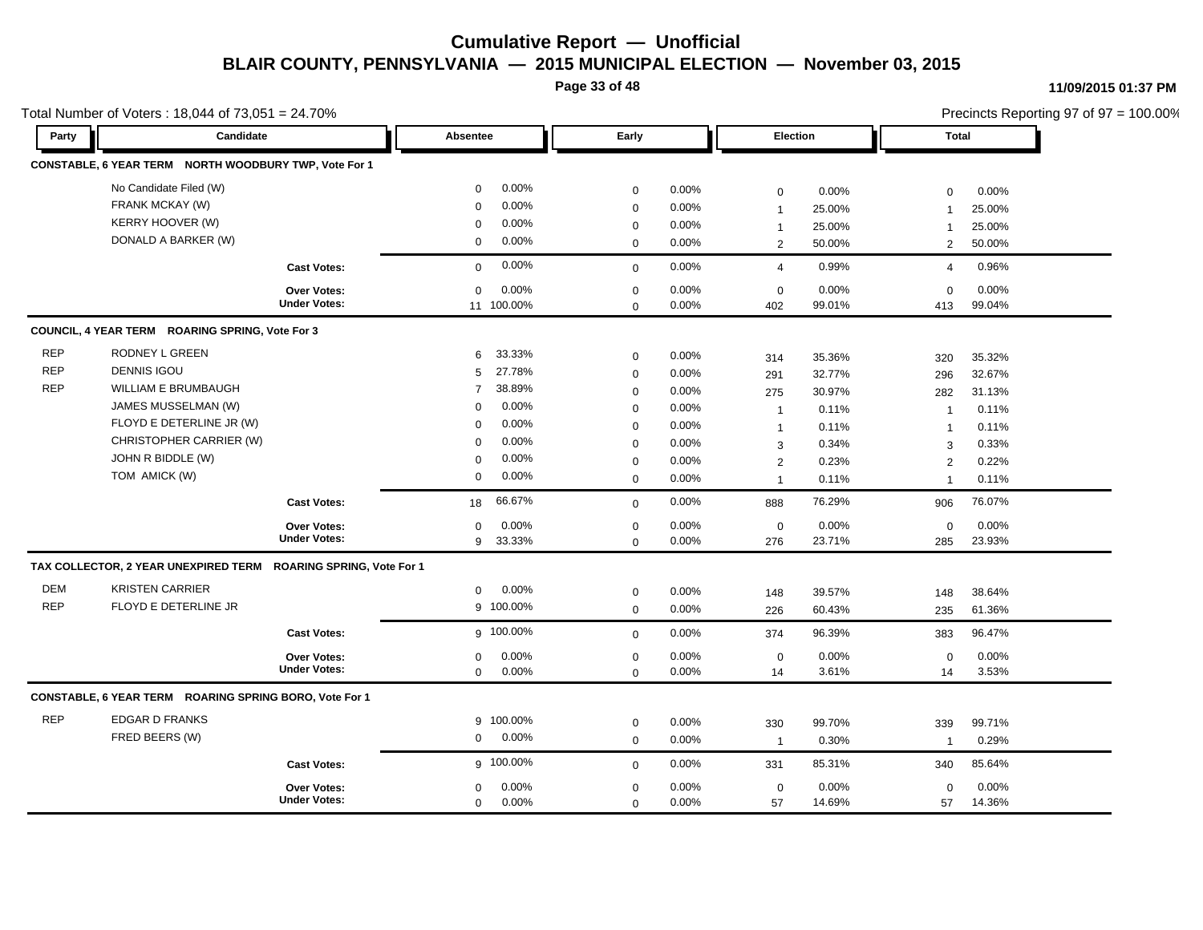**Page 33 of 48**

#### **11/09/2015 01:37 PM**

|            | Total Number of Voters: 18,044 of 73,051 = 24.70%               |                     |                         |             |          |                |        |                | Precincts Reporting 97 of 97 = 100.00% |  |
|------------|-----------------------------------------------------------------|---------------------|-------------------------|-------------|----------|----------------|--------|----------------|----------------------------------------|--|
| Party      | Candidate                                                       |                     | Absentee                | Early       |          | Election       |        | <b>Total</b>   |                                        |  |
|            | CONSTABLE, 6 YEAR TERM NORTH WOODBURY TWP, Vote For 1           |                     |                         |             |          |                |        |                |                                        |  |
|            | No Candidate Filed (W)                                          |                     | $0.00\%$<br>$\mathbf 0$ | 0           | 0.00%    | 0              | 0.00%  | $\mathbf 0$    | 0.00%                                  |  |
|            | FRANK MCKAY (W)                                                 |                     | 0.00%<br>$\Omega$       | 0           | 0.00%    | $\overline{1}$ | 25.00% | $\overline{1}$ | 25.00%                                 |  |
|            | <b>KERRY HOOVER (W)</b>                                         |                     | 0.00%<br>$\Omega$       | $\mathbf 0$ | 0.00%    | $\mathbf{1}$   | 25.00% | $\mathbf 1$    | 25.00%                                 |  |
|            | DONALD A BARKER (W)                                             |                     | $0.00\%$<br>$\mathbf 0$ | $\mathbf 0$ | 0.00%    | $\overline{2}$ | 50.00% | 2              | 50.00%                                 |  |
|            |                                                                 | <b>Cast Votes:</b>  | 0.00%<br>$\mathbf 0$    | $\mathbf 0$ | $0.00\%$ | $\overline{4}$ | 0.99%  | $\overline{4}$ | 0.96%                                  |  |
|            |                                                                 | Over Votes:         | 0.00%<br>$\mathbf 0$    | $\mathbf 0$ | 0.00%    | $\mathsf 0$    | 0.00%  | $\mathbf 0$    | 0.00%                                  |  |
|            |                                                                 | <b>Under Votes:</b> | 11 100.00%              | $\mathbf 0$ | $0.00\%$ | 402            | 99.01% | 413            | 99.04%                                 |  |
|            | COUNCIL, 4 YEAR TERM ROARING SPRING, Vote For 3                 |                     |                         |             |          |                |        |                |                                        |  |
| <b>REP</b> | RODNEY L GREEN                                                  |                     | 33.33%<br>6             | $\mathbf 0$ | 0.00%    | 314            | 35.36% | 320            | 35.32%                                 |  |
| <b>REP</b> | <b>DENNIS IGOU</b>                                              |                     | 27.78%<br>5             | $\mathbf 0$ | 0.00%    | 291            | 32.77% | 296            | 32.67%                                 |  |
| <b>REP</b> | WILLIAM E BRUMBAUGH                                             |                     | 38.89%<br>7             | $\mathbf 0$ | 0.00%    | 275            | 30.97% | 282            | 31.13%                                 |  |
|            | JAMES MUSSELMAN (W)                                             |                     | 0.00%<br>0              | 0           | 0.00%    | $\overline{1}$ | 0.11%  | $\overline{1}$ | 0.11%                                  |  |
|            | FLOYD E DETERLINE JR (W)                                        |                     | 0.00%<br>$\mathbf 0$    | $\mathbf 0$ | 0.00%    | $\mathbf{1}$   | 0.11%  | $\mathbf 1$    | 0.11%                                  |  |
|            | CHRISTOPHER CARRIER (W)                                         |                     | 0.00%<br>$\Omega$       | 0           | 0.00%    | 3              | 0.34%  | 3              | 0.33%                                  |  |
|            | JOHN R BIDDLE (W)                                               |                     | 0.00%<br>$\mathbf 0$    | $\mathbf 0$ | 0.00%    | $\overline{2}$ | 0.23%  | 2              | 0.22%                                  |  |
|            | TOM AMICK (W)                                                   |                     | $0.00\%$<br>$\mathbf 0$ | $\mathbf 0$ | 0.00%    | $\overline{1}$ | 0.11%  | $\overline{1}$ | 0.11%                                  |  |
|            |                                                                 | <b>Cast Votes:</b>  | 66.67%<br>18            | $\mathbf 0$ | 0.00%    | 888            | 76.29% | 906            | 76.07%                                 |  |
|            |                                                                 | Over Votes:         | 0.00%<br>$\mathbf 0$    | 0           | 0.00%    | $\mathsf 0$    | 0.00%  | $\mathbf 0$    | 0.00%                                  |  |
|            |                                                                 | <b>Under Votes:</b> | 33.33%<br>9             | $\mathbf 0$ | 0.00%    | 276            | 23.71% | 285            | 23.93%                                 |  |
|            | TAX COLLECTOR, 2 YEAR UNEXPIRED TERM ROARING SPRING, Vote For 1 |                     |                         |             |          |                |        |                |                                        |  |
| <b>DEM</b> | <b>KRISTEN CARRIER</b>                                          |                     | 0.00%<br>$\mathbf 0$    | $\mathsf 0$ | 0.00%    | 148            | 39.57% | 148            | 38.64%                                 |  |
| <b>REP</b> | FLOYD E DETERLINE JR                                            |                     | 9 100.00%               | $\mathbf 0$ | 0.00%    | 226            | 60.43% | 235            | 61.36%                                 |  |
|            |                                                                 | <b>Cast Votes:</b>  | g 100.00%               | $\mathbf 0$ | 0.00%    | 374            | 96.39% | 383            | 96.47%                                 |  |
|            |                                                                 | <b>Over Votes:</b>  | 0.00%<br>$\mathbf 0$    | 0           | 0.00%    | 0              | 0.00%  | $\mathbf 0$    | 0.00%                                  |  |
|            |                                                                 | <b>Under Votes:</b> | $0.00\%$<br>$\mathbf 0$ | $\mathbf 0$ | 0.00%    | 14             | 3.61%  | 14             | 3.53%                                  |  |
|            | CONSTABLE, 6 YEAR TERM ROARING SPRING BORO, Vote For 1          |                     |                         |             |          |                |        |                |                                        |  |
| <b>REP</b> | <b>EDGAR D FRANKS</b>                                           |                     | 9 100.00%               | $\mathbf 0$ | 0.00%    | 330            | 99.70% | 339            | 99.71%                                 |  |
|            | FRED BEERS (W)                                                  |                     | 0.00%<br>$\mathbf 0$    | $\mathbf 0$ | 0.00%    | $\overline{1}$ | 0.30%  | $\overline{1}$ | 0.29%                                  |  |
|            |                                                                 | <b>Cast Votes:</b>  | g 100.00%               | $\mathbf 0$ | 0.00%    | 331            | 85.31% | 340            | 85.64%                                 |  |
|            |                                                                 | <b>Over Votes:</b>  | 0.00%<br>$\mathbf 0$    | 0           | 0.00%    | $\mathsf 0$    | 0.00%  | $\mathbf 0$    | 0.00%                                  |  |
|            |                                                                 | <b>Under Votes:</b> | $0.00\%$<br>0           | $\mathbf 0$ | 0.00%    | 57             | 14.69% | 57             | 14.36%                                 |  |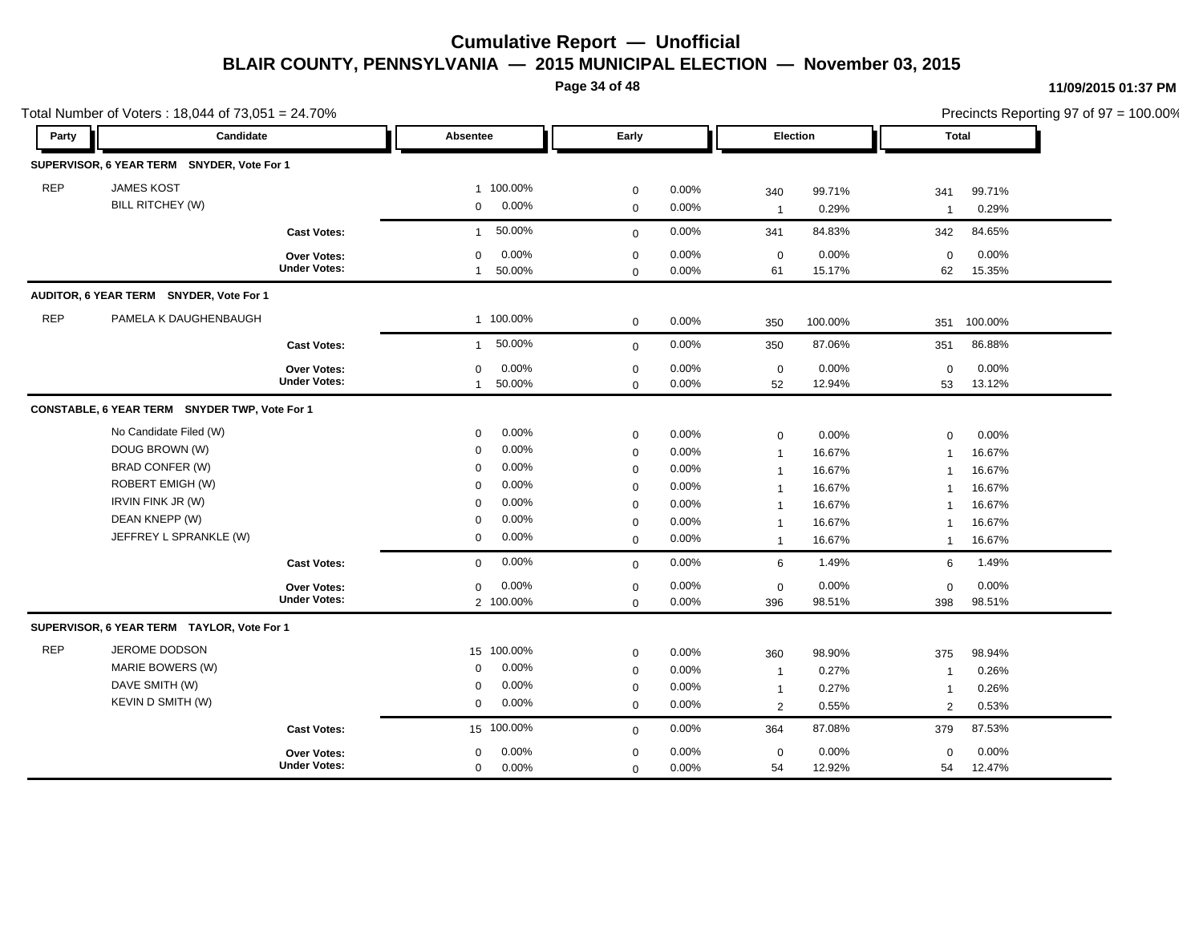**Page 34 of 48**

|            | Total Number of Voters: 18,044 of 73,051 = 24.70% |                     |                          |              |          |                |          |                | Precincts Reporting 97 of 97 = 100.00% |  |
|------------|---------------------------------------------------|---------------------|--------------------------|--------------|----------|----------------|----------|----------------|----------------------------------------|--|
| Party      | Candidate                                         |                     | <b>Absentee</b>          | Early        |          |                | Election | Total          |                                        |  |
|            | SUPERVISOR, 6 YEAR TERM SNYDER, Vote For 1        |                     |                          |              |          |                |          |                |                                        |  |
| <b>REP</b> | <b>JAMES KOST</b>                                 |                     | 1 100.00%                | $\mathbf 0$  | $0.00\%$ | 340            | 99.71%   | 341            | 99.71%                                 |  |
|            | <b>BILL RITCHEY (W)</b>                           |                     | 0.00%<br>$\mathbf{0}$    | $\mathbf 0$  | 0.00%    | $\overline{1}$ | 0.29%    | $\mathbf{1}$   | 0.29%                                  |  |
|            |                                                   | <b>Cast Votes:</b>  | 50.00%<br>$\overline{1}$ | $\mathbf 0$  | 0.00%    | 341            | 84.83%   | 342            | 84.65%                                 |  |
|            |                                                   | Over Votes:         | 0.00%<br>$\mathbf 0$     | $\mathbf 0$  | 0.00%    | $\mathbf 0$    | 0.00%    | $\mathbf 0$    | 0.00%                                  |  |
|            |                                                   | <b>Under Votes:</b> | 50.00%<br>$\overline{1}$ | $\mathbf 0$  | 0.00%    | 61             | 15.17%   | 62             | 15.35%                                 |  |
|            | AUDITOR, 6 YEAR TERM SNYDER, Vote For 1           |                     |                          |              |          |                |          |                |                                        |  |
| <b>REP</b> | PAMELA K DAUGHENBAUGH                             |                     | 1 100.00%                | $\mathbf 0$  | 0.00%    | 350            | 100.00%  | 351            | 100.00%                                |  |
|            |                                                   | <b>Cast Votes:</b>  | 50.00%<br>$\mathbf{1}$   | $\mathbf 0$  | 0.00%    | 350            | 87.06%   | 351            | 86.88%                                 |  |
|            |                                                   | Over Votes:         | 0.00%<br>$\mathbf 0$     | $\mathbf 0$  | 0.00%    | $\mathbf 0$    | 0.00%    | $\mathbf 0$    | 0.00%                                  |  |
|            |                                                   | <b>Under Votes:</b> | 50.00%<br>$\mathbf{1}$   | $\mathbf 0$  | 0.00%    | 52             | 12.94%   | 53             | 13.12%                                 |  |
|            | CONSTABLE, 6 YEAR TERM SNYDER TWP, Vote For 1     |                     |                          |              |          |                |          |                |                                        |  |
|            | No Candidate Filed (W)                            |                     | 0.00%<br>$\mathbf 0$     | $\mathbf 0$  | 0.00%    | 0              | 0.00%    | $\mathbf 0$    | 0.00%                                  |  |
|            | DOUG BROWN (W)                                    |                     | 0.00%<br>$\mathbf 0$     | $\mathbf 0$  | 0.00%    | $\mathbf{1}$   | 16.67%   |                | 16.67%                                 |  |
|            | <b>BRAD CONFER (W)</b>                            |                     | 0.00%<br>$\mathbf 0$     | $\mathbf 0$  | 0.00%    | $\mathbf{1}$   | 16.67%   |                | 16.67%                                 |  |
|            | <b>ROBERT EMIGH (W)</b>                           |                     | 0.00%<br>$\mathbf 0$     | $\mathbf 0$  | 0.00%    | $\overline{1}$ | 16.67%   |                | 16.67%                                 |  |
|            | IRVIN FINK JR (W)                                 |                     | 0.00%<br>$\mathbf 0$     | $\mathbf 0$  | 0.00%    | 1              | 16.67%   |                | 16.67%                                 |  |
|            | DEAN KNEPP (W)                                    |                     | 0.00%<br>$\Omega$        | $\mathbf 0$  | 0.00%    | $\mathbf{1}$   | 16.67%   | -1             | 16.67%                                 |  |
|            | JEFFREY L SPRANKLE (W)                            |                     | 0.00%<br>$\mathbf 0$     | $\mathbf 0$  | $0.00\%$ | $\overline{1}$ | 16.67%   | $\mathbf{1}$   | 16.67%                                 |  |
|            |                                                   | <b>Cast Votes:</b>  | 0.00%<br>$\mathbf 0$     | $\mathbf 0$  | 0.00%    | 6              | 1.49%    | 6              | 1.49%                                  |  |
|            |                                                   | Over Votes:         | 0.00%<br>$\mathbf 0$     | $\mathbf 0$  | 0.00%    | $\mathbf 0$    | 0.00%    | $\mathbf 0$    | 0.00%                                  |  |
|            |                                                   | <b>Under Votes:</b> | 2 100.00%                | $\mathbf 0$  | 0.00%    | 396            | 98.51%   | 398            | 98.51%                                 |  |
|            | SUPERVISOR, 6 YEAR TERM TAYLOR, Vote For 1        |                     |                          |              |          |                |          |                |                                        |  |
| <b>REP</b> | JEROME DODSON                                     |                     | 15 100.00%               | $\mathbf 0$  | 0.00%    | 360            | 98.90%   | 375            | 98.94%                                 |  |
|            | MARIE BOWERS (W)                                  |                     | 0.00%<br>$\mathbf 0$     | 0            | 0.00%    | $\overline{1}$ | 0.27%    | $\overline{1}$ | 0.26%                                  |  |
|            | DAVE SMITH (W)                                    |                     | 0.00%<br>$\mathbf 0$     | 0            | $0.00\%$ | $\overline{1}$ | 0.27%    | -1             | 0.26%                                  |  |
|            | KEVIN D SMITH (W)                                 |                     | 0.00%<br>$\mathbf 0$     | $\mathbf 0$  | 0.00%    | $\overline{c}$ | 0.55%    | 2              | 0.53%                                  |  |
|            |                                                   | <b>Cast Votes:</b>  | 15 100.00%               | $\mathbf{0}$ | 0.00%    | 364            | 87.08%   | 379            | 87.53%                                 |  |
|            |                                                   | <b>Over Votes:</b>  | 0.00%<br>$\mathbf 0$     | $\mathbf 0$  | 0.00%    | $\mathbf 0$    | 0.00%    | $\mathbf 0$    | 0.00%                                  |  |
|            |                                                   | <b>Under Votes:</b> | 0.00%<br>$\mathbf 0$     | 0            | 0.00%    | 54             | 12.92%   | 54             | 12.47%                                 |  |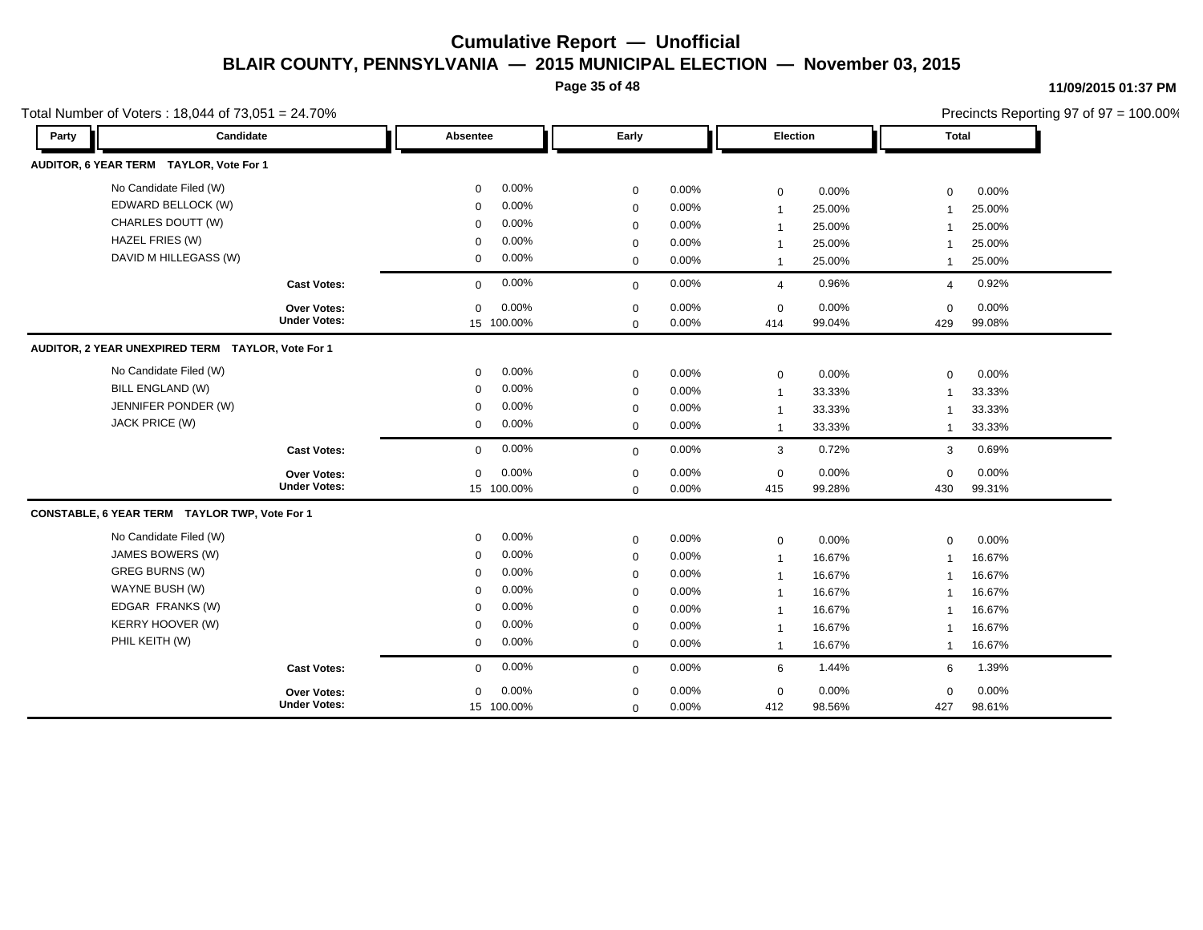**Page 35 of 48**

#### **11/09/2015 01:37 PM**

|                                         | Total Number of Voters: 18,044 of 73,051 = 24.70% |             |            |             |          |                |        |                | Precincts Reporting 97 of 97 = 100.00% |
|-----------------------------------------|---------------------------------------------------|-------------|------------|-------------|----------|----------------|--------|----------------|----------------------------------------|
| Party                                   | Candidate                                         | Absentee    |            | Early       |          | Election       |        | <b>Total</b>   |                                        |
| AUDITOR, 6 YEAR TERM TAYLOR, Vote For 1 |                                                   |             |            |             |          |                |        |                |                                        |
| No Candidate Filed (W)                  |                                                   | $\mathbf 0$ | 0.00%      | $\mathbf 0$ | 0.00%    | $\mathbf 0$    | 0.00%  | $\mathbf 0$    | 0.00%                                  |
| EDWARD BELLOCK (W)                      |                                                   | $\mathbf 0$ | 0.00%      | $\mathbf 0$ | 0.00%    | $\mathbf{1}$   | 25.00% | $\overline{1}$ | 25.00%                                 |
| CHARLES DOUTT (W)                       |                                                   | $\mathbf 0$ | 0.00%      | $\mathbf 0$ | 0.00%    | $\overline{1}$ | 25.00% |                | 25.00%                                 |
| HAZEL FRIES (W)                         |                                                   | $\Omega$    | 0.00%      | $\mathbf 0$ | 0.00%    | -1             | 25.00% |                | 25.00%                                 |
| DAVID M HILLEGASS (W)                   |                                                   | 0           | 0.00%      | $\mathbf 0$ | 0.00%    | $\mathbf 1$    | 25.00% | $\mathbf{1}$   | 25.00%                                 |
|                                         | <b>Cast Votes:</b>                                | $\mathbf 0$ | 0.00%      | $\mathbf 0$ | 0.00%    | 4              | 0.96%  | $\overline{4}$ | 0.92%                                  |
|                                         | <b>Over Votes:</b>                                | $\mathbf 0$ | 0.00%      | $\mathbf 0$ | 0.00%    | $\mathbf 0$    | 0.00%  | $\mathbf 0$    | 0.00%                                  |
|                                         | <b>Under Votes:</b>                               |             | 15 100.00% | $\mathbf 0$ | 0.00%    | 414            | 99.04% | 429            | 99.08%                                 |
|                                         | AUDITOR, 2 YEAR UNEXPIRED TERM TAYLOR, Vote For 1 |             |            |             |          |                |        |                |                                        |
| No Candidate Filed (W)                  |                                                   | 0           | 0.00%      | $\mathbf 0$ | 0.00%    | $\mathbf 0$    | 0.00%  | $\Omega$       | 0.00%                                  |
| <b>BILL ENGLAND (W)</b>                 |                                                   | $\mathbf 0$ | 0.00%      | $\mathbf 0$ | 0.00%    | $\mathbf{1}$   | 33.33% |                | 33.33%                                 |
| JENNIFER PONDER (W)                     |                                                   | $\mathbf 0$ | 0.00%      | $\mathbf 0$ | 0.00%    | $\overline{1}$ | 33.33% |                | 33.33%                                 |
| JACK PRICE (W)                          |                                                   | $\mathbf 0$ | 0.00%      | $\mathbf 0$ | 0.00%    | $\mathbf{1}$   | 33.33% | -1             | 33.33%                                 |
|                                         | <b>Cast Votes:</b>                                | $\mathbf 0$ | 0.00%      | $\mathbf 0$ | 0.00%    | 3              | 0.72%  | 3              | 0.69%                                  |
|                                         | <b>Over Votes:</b>                                | $\mathbf 0$ | 0.00%      | $\mathbf 0$ | $0.00\%$ | $\mathbf 0$    | 0.00%  | $\Omega$       | 0.00%                                  |
|                                         | <b>Under Votes:</b>                               |             | 15 100.00% | $\mathbf 0$ | 0.00%    | 415            | 99.28% | 430            | 99.31%                                 |
|                                         | CONSTABLE, 6 YEAR TERM TAYLOR TWP, Vote For 1     |             |            |             |          |                |        |                |                                        |
| No Candidate Filed (W)                  |                                                   | $\mathbf 0$ | 0.00%      | $\mathbf 0$ | 0.00%    | $\mathbf 0$    | 0.00%  | $\mathbf 0$    | 0.00%                                  |
| JAMES BOWERS (W)                        |                                                   | 0           | 0.00%      | $\mathbf 0$ | 0.00%    | $\mathbf{1}$   | 16.67% | -1             | 16.67%                                 |
| <b>GREG BURNS (W)</b>                   |                                                   | $\Omega$    | 0.00%      | $\mathbf 0$ | 0.00%    | $\mathbf{1}$   | 16.67% | -1             | 16.67%                                 |
| WAYNE BUSH (W)                          |                                                   | $\mathbf 0$ | 0.00%      | $\mathbf 0$ | 0.00%    | $\mathbf{1}$   | 16.67% |                | 16.67%                                 |
| EDGAR FRANKS (W)                        |                                                   | $\Omega$    | 0.00%      | $\mathbf 0$ | 0.00%    | $\overline{1}$ | 16.67% |                | 16.67%                                 |
| KERRY HOOVER (W)                        |                                                   | $\Omega$    | 0.00%      | $\mathbf 0$ | 0.00%    | $\mathbf{1}$   | 16.67% |                | 16.67%                                 |
| PHIL KEITH (W)                          |                                                   | $\mathbf 0$ | 0.00%      | $\mathbf 0$ | 0.00%    | $\mathbf{1}$   | 16.67% | $\mathbf{1}$   | 16.67%                                 |
|                                         | <b>Cast Votes:</b>                                | $\mathbf 0$ | 0.00%      | $\mathbf 0$ | 0.00%    | 6              | 1.44%  | 6              | 1.39%                                  |
|                                         | Over Votes:                                       | $\mathbf 0$ | 0.00%      | $\mathbf 0$ | 0.00%    | $\mathbf 0$    | 0.00%  | $\mathbf 0$    | 0.00%                                  |
|                                         | <b>Under Votes:</b>                               |             | 15 100.00% | $\mathbf 0$ | 0.00%    | 412            | 98.56% | 427            | 98.61%                                 |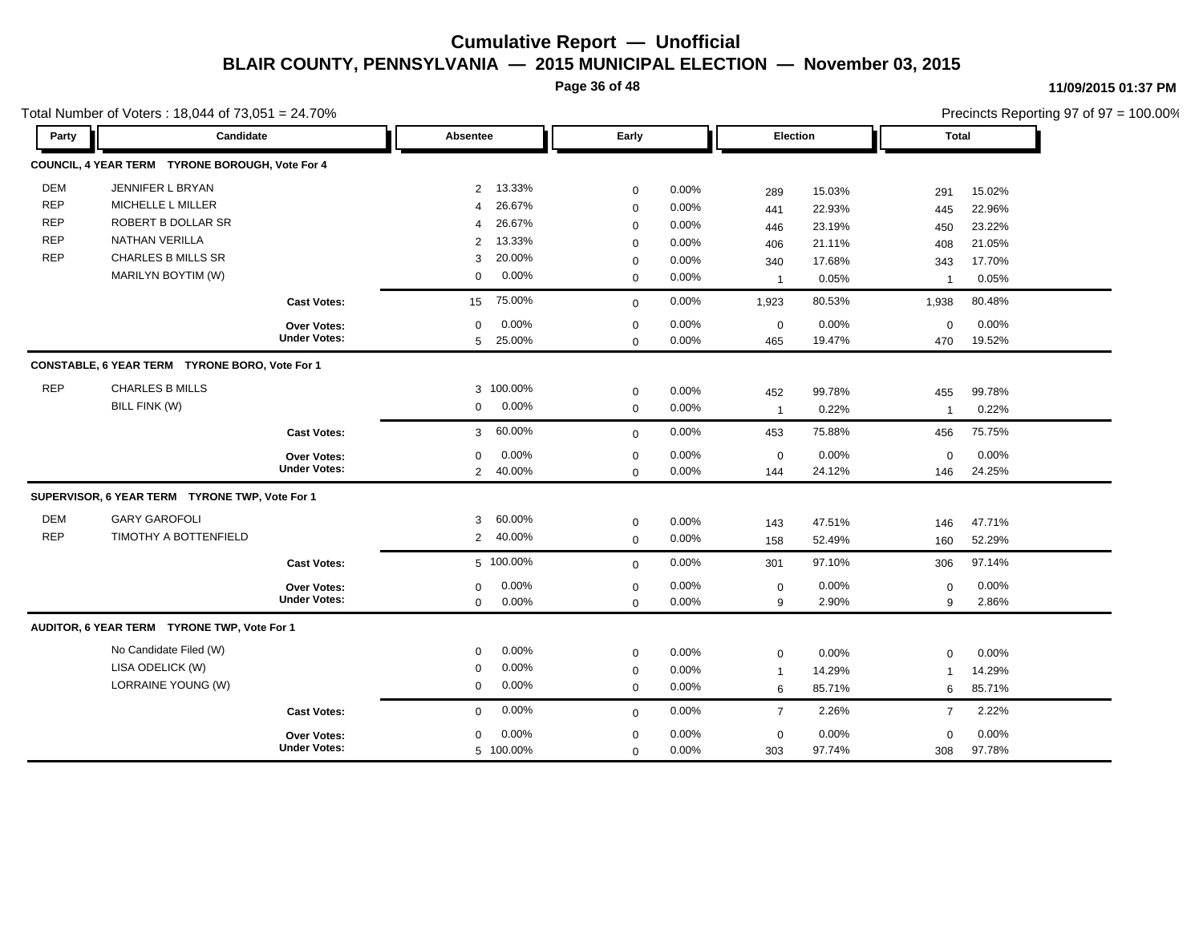**Page 36 of 48**

|            | Total Number of Voters: 18,044 of 73,051 = 24.70% |                     |                |           |             |       |                |        |                |        | Precincts Reporting 97 of 97 = 100.00% |
|------------|---------------------------------------------------|---------------------|----------------|-----------|-------------|-------|----------------|--------|----------------|--------|----------------------------------------|
| Party      | Candidate                                         |                     | Absentee       |           | Early       |       | Election       |        | Total          |        |                                        |
|            | COUNCIL, 4 YEAR TERM TYRONE BOROUGH, Vote For 4   |                     |                |           |             |       |                |        |                |        |                                        |
| <b>DEM</b> | JENNIFER L BRYAN                                  |                     | $\overline{2}$ | 13.33%    | $\mathbf 0$ | 0.00% | 289            | 15.03% | 291            | 15.02% |                                        |
| <b>REP</b> | MICHELLE L MILLER                                 |                     | 4              | 26.67%    | $\mathbf 0$ | 0.00% | 441            | 22.93% | 445            | 22.96% |                                        |
| <b>REP</b> | ROBERT B DOLLAR SR                                |                     | 4              | 26.67%    | $\mathbf 0$ | 0.00% | 446            | 23.19% | 450            | 23.22% |                                        |
| <b>REP</b> | <b>NATHAN VERILLA</b>                             |                     | 2              | 13.33%    | $\mathbf 0$ | 0.00% | 406            | 21.11% | 408            | 21.05% |                                        |
| <b>REP</b> | <b>CHARLES B MILLS SR</b>                         |                     | 3              | 20.00%    | $\mathbf 0$ | 0.00% | 340            | 17.68% | 343            | 17.70% |                                        |
|            | MARILYN BOYTIM (W)                                |                     | $\mathbf 0$    | 0.00%     | $\mathbf 0$ | 0.00% | $\overline{1}$ | 0.05%  | $\mathbf 1$    | 0.05%  |                                        |
|            |                                                   | <b>Cast Votes:</b>  | 15             | 75.00%    | $\mathbf 0$ | 0.00% | 1,923          | 80.53% | 1,938          | 80.48% |                                        |
|            |                                                   | Over Votes:         | $\mathbf 0$    | 0.00%     | $\mathbf 0$ | 0.00% | $\pmb{0}$      | 0.00%  | $\mathbf 0$    | 0.00%  |                                        |
|            |                                                   | <b>Under Votes:</b> | 5              | 25.00%    | $\mathbf 0$ | 0.00% | 465            | 19.47% | 470            | 19.52% |                                        |
|            | CONSTABLE, 6 YEAR TERM TYRONE BORO, Vote For 1    |                     |                |           |             |       |                |        |                |        |                                        |
| <b>REP</b> | <b>CHARLES B MILLS</b>                            |                     |                | 3 100.00% | $\mathbf 0$ | 0.00% | 452            | 99.78% | 455            | 99.78% |                                        |
|            | BILL FINK (W)                                     |                     | $\mathbf 0$    | 0.00%     | $\mathbf 0$ | 0.00% | $\mathbf{1}$   | 0.22%  | $\overline{1}$ | 0.22%  |                                        |
|            |                                                   | <b>Cast Votes:</b>  | 3              | 60.00%    | $\mathbf 0$ | 0.00% | 453            | 75.88% | 456            | 75.75% |                                        |
|            |                                                   | Over Votes:         | 0              | 0.00%     | $\mathbf 0$ | 0.00% | $\mathbf 0$    | 0.00%  | $\mathbf 0$    | 0.00%  |                                        |
|            |                                                   | <b>Under Votes:</b> | $\overline{2}$ | 40.00%    | $\mathbf 0$ | 0.00% | 144            | 24.12% | 146            | 24.25% |                                        |
|            | SUPERVISOR, 6 YEAR TERM TYRONE TWP, Vote For 1    |                     |                |           |             |       |                |        |                |        |                                        |
| <b>DEM</b> | <b>GARY GAROFOLI</b>                              |                     | 3              | 60.00%    | $\mathbf 0$ | 0.00% | 143            | 47.51% | 146            | 47.71% |                                        |
| <b>REP</b> | TIMOTHY A BOTTENFIELD                             |                     | $\overline{2}$ | 40.00%    | $\mathbf 0$ | 0.00% | 158            | 52.49% | 160            | 52.29% |                                        |
|            |                                                   | <b>Cast Votes:</b>  |                | 5 100.00% | $\mathbf 0$ | 0.00% | 301            | 97.10% | 306            | 97.14% |                                        |
|            |                                                   | Over Votes:         | 0              | 0.00%     | $\mathbf 0$ | 0.00% | $\pmb{0}$      | 0.00%  | $\pmb{0}$      | 0.00%  |                                        |
|            |                                                   | <b>Under Votes:</b> | 0              | 0.00%     | $\mathbf 0$ | 0.00% | 9              | 2.90%  | 9              | 2.86%  |                                        |
|            | AUDITOR, 6 YEAR TERM TYRONE TWP, Vote For 1       |                     |                |           |             |       |                |        |                |        |                                        |
|            | No Candidate Filed (W)                            |                     | 0              | 0.00%     | $\mathbf 0$ | 0.00% | $\mathbf 0$    | 0.00%  | $\mathbf 0$    | 0.00%  |                                        |
|            | LISA ODELICK (W)                                  |                     | $\mathbf 0$    | 0.00%     | $\mathbf 0$ | 0.00% | $\mathbf{1}$   | 14.29% | $\mathbf 1$    | 14.29% |                                        |
|            | LORRAINE YOUNG (W)                                |                     | $\mathbf 0$    | 0.00%     | $\mathbf 0$ | 0.00% | 6              | 85.71% | 6              | 85.71% |                                        |
|            |                                                   | <b>Cast Votes:</b>  | $\mathbf 0$    | 0.00%     | $\mathbf 0$ | 0.00% | $\overline{7}$ | 2.26%  | $\overline{7}$ | 2.22%  |                                        |
|            |                                                   | <b>Over Votes:</b>  | $\mathbf 0$    | $0.00\%$  | 0           | 0.00% | $\mathbf 0$    | 0.00%  | 0              | 0.00%  |                                        |
|            |                                                   | <b>Under Votes:</b> |                | 5 100.00% | $\mathbf 0$ | 0.00% | 303            | 97.74% | 308            | 97.78% |                                        |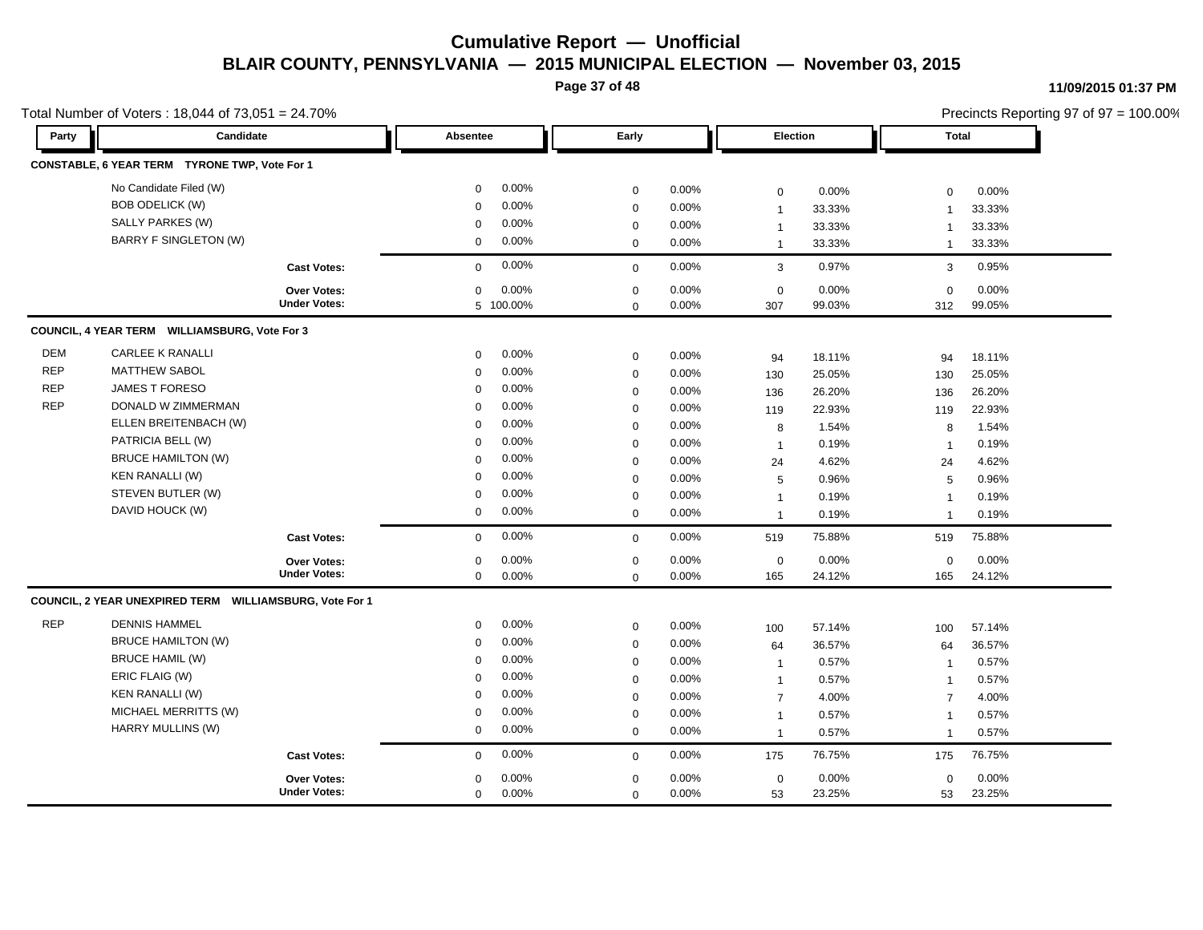**Page 37 of 48**

|            | Total Number of Voters: 18,044 of 73,051 = 24.70%       |                     |                      |             |       |                |        |                         | Precincts Reporting 97 of 97 = 100.00% |  |
|------------|---------------------------------------------------------|---------------------|----------------------|-------------|-------|----------------|--------|-------------------------|----------------------------------------|--|
| Party      | Candidate                                               |                     | <b>Absentee</b>      | Early       |       | Election       |        | Total                   |                                        |  |
|            | CONSTABLE, 6 YEAR TERM TYRONE TWP, Vote For 1           |                     |                      |             |       |                |        |                         |                                        |  |
|            | No Candidate Filed (W)                                  |                     | 0.00%<br>$\mathbf 0$ | $\mathbf 0$ | 0.00% | $\mathbf 0$    | 0.00%  | $\mathbf 0$             | 0.00%                                  |  |
|            | <b>BOB ODELICK (W)</b>                                  |                     | 0.00%<br>$\mathbf 0$ | $\mathbf 0$ | 0.00% | $\mathbf{1}$   | 33.33% | -1                      | 33.33%                                 |  |
|            | SALLY PARKES (W)                                        |                     | 0.00%<br>$\mathbf 0$ | $\mathbf 0$ | 0.00% | $\mathbf 1$    | 33.33% | -1                      | 33.33%                                 |  |
|            | <b>BARRY F SINGLETON (W)</b>                            |                     | 0.00%<br>$\mathbf 0$ | $\mathbf 0$ | 0.00% | $\mathbf{1}$   | 33.33% | $\mathbf{1}$            | 33.33%                                 |  |
|            |                                                         | <b>Cast Votes:</b>  | 0.00%<br>$\mathbf 0$ | $\mathbf 0$ | 0.00% | $\mathbf{3}$   | 0.97%  | 3                       | 0.95%                                  |  |
|            |                                                         | Over Votes:         | 0.00%<br>$\mathbf 0$ | $\mathbf 0$ | 0.00% | $\mathbf 0$    | 0.00%  | $\mathbf 0$             | 0.00%                                  |  |
|            |                                                         | <b>Under Votes:</b> | 5 100.00%            | $\mathbf 0$ | 0.00% | 307            | 99.03% | 312                     | 99.05%                                 |  |
|            | COUNCIL, 4 YEAR TERM WILLIAMSBURG, Vote For 3           |                     |                      |             |       |                |        |                         |                                        |  |
| <b>DEM</b> | <b>CARLEE K RANALLI</b>                                 |                     | 0.00%<br>$\mathbf 0$ | $\mathbf 0$ | 0.00% | 94             | 18.11% | 94                      | 18.11%                                 |  |
| <b>REP</b> | <b>MATTHEW SABOL</b>                                    |                     | 0.00%<br>$\mathbf 0$ | $\mathbf 0$ | 0.00% | 130            | 25.05% | 130                     | 25.05%                                 |  |
| <b>REP</b> | <b>JAMES T FORESO</b>                                   |                     | 0.00%<br>$\Omega$    | $\mathbf 0$ | 0.00% | 136            | 26.20% | 136                     | 26.20%                                 |  |
| <b>REP</b> | DONALD W ZIMMERMAN                                      |                     | 0.00%<br>$\mathbf 0$ | $\mathbf 0$ | 0.00% | 119            | 22.93% | 119                     | 22.93%                                 |  |
|            | ELLEN BREITENBACH (W)                                   |                     | 0.00%<br>$\Omega$    | $\pmb{0}$   | 0.00% | 8              | 1.54%  | 8                       | 1.54%                                  |  |
|            | PATRICIA BELL (W)                                       |                     | 0.00%<br>$\mathbf 0$ | $\mathbf 0$ | 0.00% | $\overline{1}$ | 0.19%  | $\overline{\mathbf{1}}$ | 0.19%                                  |  |
|            | <b>BRUCE HAMILTON (W)</b>                               |                     | 0.00%<br>$\mathbf 0$ | $\mathbf 0$ | 0.00% | 24             | 4.62%  | 24                      | 4.62%                                  |  |
|            | <b>KEN RANALLI (W)</b>                                  |                     | 0.00%<br>$\mathbf 0$ | $\mathbf 0$ | 0.00% | 5              | 0.96%  | 5                       | 0.96%                                  |  |
|            | STEVEN BUTLER (W)                                       |                     | 0.00%<br>$\mathbf 0$ | $\mathbf 0$ | 0.00% | $\mathbf{1}$   | 0.19%  | $\overline{\mathbf{1}}$ | 0.19%                                  |  |
|            | DAVID HOUCK (W)                                         |                     | 0.00%<br>$\mathbf 0$ | $\mathbf 0$ | 0.00% | $\mathbf{1}$   | 0.19%  | 1                       | 0.19%                                  |  |
|            |                                                         | <b>Cast Votes:</b>  | 0.00%<br>$\mathbf 0$ | $\mathbf 0$ | 0.00% | 519            | 75.88% | 519                     | 75.88%                                 |  |
|            |                                                         | Over Votes:         | 0.00%<br>$\mathbf 0$ | $\mathbf 0$ | 0.00% | $\mathbf 0$    | 0.00%  | $\mathbf 0$             | 0.00%                                  |  |
|            |                                                         | <b>Under Votes:</b> | $\mathbf 0$<br>0.00% | $\mathbf 0$ | 0.00% | 165            | 24.12% | 165                     | 24.12%                                 |  |
|            | COUNCIL, 2 YEAR UNEXPIRED TERM WILLIAMSBURG, Vote For 1 |                     |                      |             |       |                |        |                         |                                        |  |
| <b>REP</b> | <b>DENNIS HAMMEL</b>                                    |                     | 0.00%<br>$\mathbf 0$ | $\mathbf 0$ | 0.00% | 100            | 57.14% | 100                     | 57.14%                                 |  |
|            | <b>BRUCE HAMILTON (W)</b>                               |                     | 0.00%<br>$\mathbf 0$ | $\mathbf 0$ | 0.00% | 64             | 36.57% | 64                      | 36.57%                                 |  |
|            | <b>BRUCE HAMIL (W)</b>                                  |                     | 0.00%<br>$\Omega$    | $\mathbf 0$ | 0.00% | $\overline{1}$ | 0.57%  | $\mathbf{1}$            | 0.57%                                  |  |
|            | ERIC FLAIG (W)                                          |                     | 0.00%<br>$\Omega$    | $\mathbf 0$ | 0.00% | $\overline{1}$ | 0.57%  | $\overline{1}$          | 0.57%                                  |  |
|            | <b>KEN RANALLI (W)</b>                                  |                     | 0.00%<br>$\mathbf 0$ | $\mathbf 0$ | 0.00% | $\overline{7}$ | 4.00%  | $\overline{7}$          | 4.00%                                  |  |
|            | MICHAEL MERRITTS (W)                                    |                     | 0.00%<br>$\mathbf 0$ | $\pmb{0}$   | 0.00% | $\mathbf{1}$   | 0.57%  | $\overline{1}$          | 0.57%                                  |  |
|            | HARRY MULLINS (W)                                       |                     | 0.00%<br>$\mathbf 0$ | $\mathbf 0$ | 0.00% | $\overline{1}$ | 0.57%  | $\mathbf{1}$            | 0.57%                                  |  |
|            |                                                         | <b>Cast Votes:</b>  | 0.00%<br>$\mathbf 0$ | $\mathbf 0$ | 0.00% | 175            | 76.75% | 175                     | 76.75%                                 |  |
|            |                                                         | <b>Over Votes:</b>  | 0.00%<br>0           | $\mathbf 0$ | 0.00% | $\mathbf 0$    | 0.00%  | $\mathbf 0$             | 0.00%                                  |  |
|            |                                                         | <b>Under Votes:</b> | 0.00%<br>$\mathbf 0$ | $\mathbf 0$ | 0.00% | 53             | 23.25% | 53                      | 23.25%                                 |  |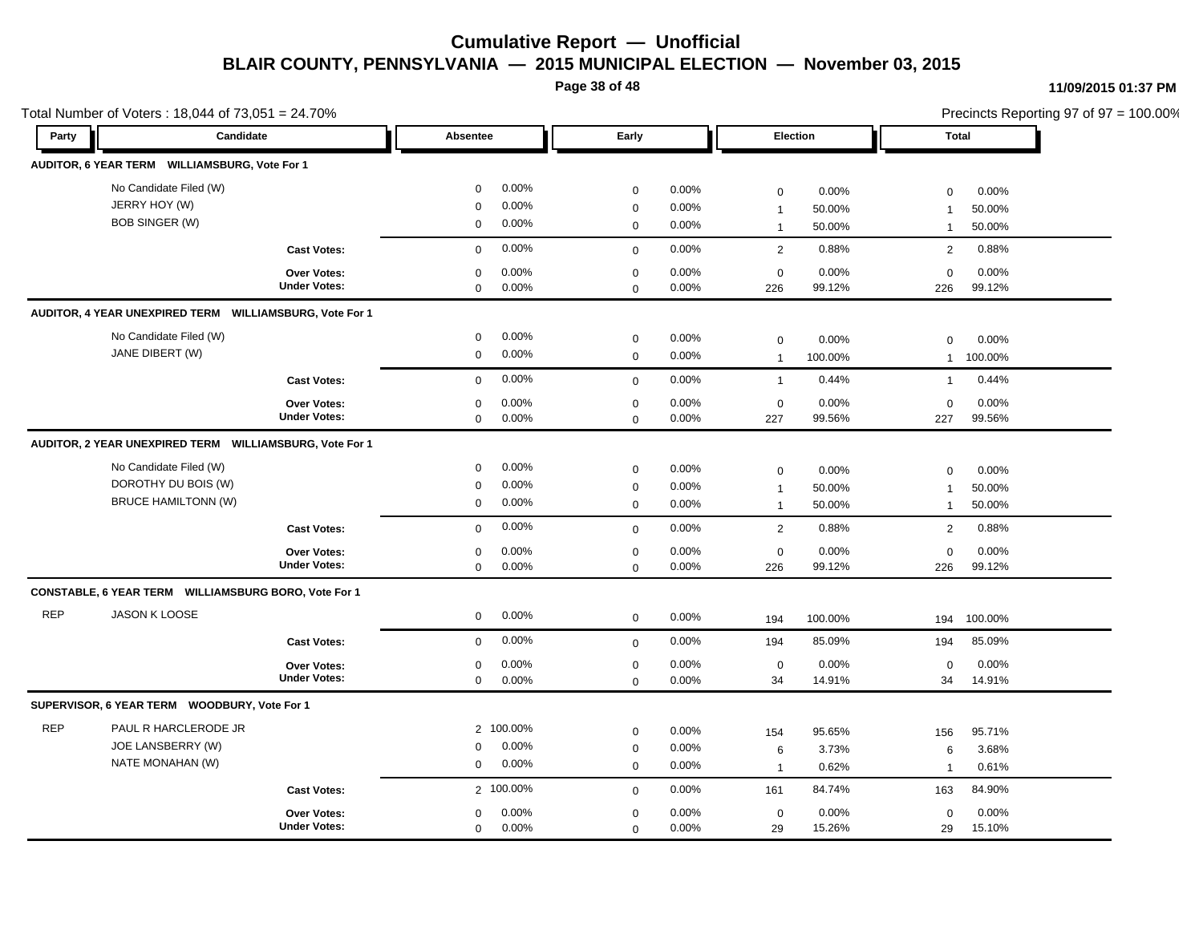**Page 38 of 48**

#### **11/09/2015 01:37 PM**

|            | Total Number of Voters: 18,044 of 73,051 = 24.70%                           |                                           |                                           |                             |                                           |                            |                                               |                           |                                  |                           | Precincts Reporting 97 of 97 = 100.00% |
|------------|-----------------------------------------------------------------------------|-------------------------------------------|-------------------------------------------|-----------------------------|-------------------------------------------|----------------------------|-----------------------------------------------|---------------------------|----------------------------------|---------------------------|----------------------------------------|
| Party      | Candidate                                                                   |                                           | Absentee                                  |                             | Early                                     |                            | Election                                      |                           | <b>Total</b>                     |                           |                                        |
|            | AUDITOR, 6 YEAR TERM WILLIAMSBURG, Vote For 1                               |                                           |                                           |                             |                                           |                            |                                               |                           |                                  |                           |                                        |
|            | No Candidate Filed (W)<br>JERRY HOY (W)<br><b>BOB SINGER (W)</b>            |                                           | $\mathbf 0$<br>$\mathbf 0$<br>$\mathbf 0$ | 0.00%<br>0.00%<br>0.00%     | $\mathbf 0$<br>$\mathbf 0$<br>$\mathbf 0$ | 0.00%<br>0.00%<br>$0.00\%$ | $\mathbf 0$<br>$\mathbf{1}$<br>$\overline{1}$ | 0.00%<br>50.00%<br>50.00% | $\mathbf 0$<br>$\mathbf{1}$      | 0.00%<br>50.00%<br>50.00% |                                        |
|            |                                                                             | <b>Cast Votes:</b>                        | $\mathbf 0$                               | 0.00%                       | $\mathbf 0$                               | 0.00%                      | 2                                             | 0.88%                     | $\mathbf{2}$                     | 0.88%                     |                                        |
|            |                                                                             | Over Votes:<br><b>Under Votes:</b>        | $\mathbf 0$<br>$\mathbf 0$                | 0.00%<br>0.00%              | $\mathbf 0$<br>$\mathbf 0$                | 0.00%<br>0.00%             | $\mathbf 0$<br>226                            | 0.00%<br>99.12%           | $\mathbf 0$<br>226               | 0.00%<br>99.12%           |                                        |
|            | AUDITOR, 4 YEAR UNEXPIRED TERM WILLIAMSBURG, Vote For 1                     |                                           |                                           |                             |                                           |                            |                                               |                           |                                  |                           |                                        |
|            | No Candidate Filed (W)<br>JANE DIBERT (W)                                   |                                           | $\mathbf 0$<br>$\mathbf 0$                | 0.00%<br>0.00%              | $\mathbf 0$<br>$\mathbf 0$                | 0.00%<br>0.00%             | $\mathbf 0$<br>$\overline{1}$                 | 0.00%<br>100.00%          | $\Omega$<br>$\mathbf{1}$         | 0.00%<br>100.00%          |                                        |
|            |                                                                             | <b>Cast Votes:</b>                        | $\mathbf{0}$                              | 0.00%                       | $\mathbf 0$                               | 0.00%                      | $\overline{1}$                                | 0.44%                     | $\mathbf{1}$                     | 0.44%                     |                                        |
|            |                                                                             | Over Votes:<br><b>Under Votes:</b>        | $\mathbf 0$<br>$\mathbf 0$                | 0.00%<br>0.00%              | $\mathbf 0$<br>$\mathbf 0$                | 0.00%<br>0.00%             | $\mathbf 0$<br>227                            | 0.00%<br>99.56%           | $\mathbf 0$<br>227               | 0.00%<br>99.56%           |                                        |
|            | AUDITOR, 2 YEAR UNEXPIRED TERM WILLIAMSBURG, Vote For 1                     |                                           |                                           |                             |                                           |                            |                                               |                           |                                  |                           |                                        |
|            | No Candidate Filed (W)<br>DOROTHY DU BOIS (W)<br><b>BRUCE HAMILTONN (W)</b> |                                           | $\mathbf 0$<br>$\mathbf 0$<br>$\mathbf 0$ | 0.00%<br>0.00%<br>0.00%     | $\mathbf 0$<br>$\mathbf 0$<br>$\mathbf 0$ | 0.00%<br>$0.00\%$<br>0.00% | $\mathbf 0$<br>$\overline{1}$<br>$\mathbf{1}$ | 0.00%<br>50.00%<br>50.00% | $\mathbf 0$<br>1<br>$\mathbf{1}$ | 0.00%<br>50.00%<br>50.00% |                                        |
|            |                                                                             | <b>Cast Votes:</b>                        | $\mathbf{0}$                              | 0.00%                       | $\mathbf 0$                               | 0.00%                      | $\overline{2}$                                | 0.88%                     | $\mathbf{2}$                     | 0.88%                     |                                        |
|            |                                                                             | <b>Over Votes:</b><br><b>Under Votes:</b> | $\mathbf 0$<br>$\mathbf 0$                | 0.00%<br>0.00%              | $\mathbf 0$<br>$\mathbf{0}$               | 0.00%<br>0.00%             | $\mathbf 0$<br>226                            | 0.00%<br>99.12%           | $\mathbf 0$<br>226               | 0.00%<br>99.12%           |                                        |
|            | CONSTABLE, 6 YEAR TERM WILLIAMSBURG BORO, Vote For 1                        |                                           |                                           |                             |                                           |                            |                                               |                           |                                  |                           |                                        |
| <b>REP</b> | JASON K LOOSE                                                               |                                           | $\mathbf 0$                               | 0.00%                       | $\mathbf 0$                               | 0.00%                      | 194                                           | 100.00%                   | 194                              | 100.00%                   |                                        |
|            |                                                                             | <b>Cast Votes:</b>                        | $\mathbf 0$                               | 0.00%                       | $\mathbf 0$                               | 0.00%                      | 194                                           | 85.09%                    | 194                              | 85.09%                    |                                        |
|            |                                                                             | Over Votes:<br><b>Under Votes:</b>        | 0<br>$\mathbf{0}$                         | 0.00%<br>0.00%              | $\mathbf 0$<br>$\Omega$                   | 0.00%<br>0.00%             | 0<br>34                                       | 0.00%<br>14.91%           | 0<br>34                          | 0.00%<br>14.91%           |                                        |
|            | SUPERVISOR, 6 YEAR TERM WOODBURY, Vote For 1                                |                                           |                                           |                             |                                           |                            |                                               |                           |                                  |                           |                                        |
| <b>REP</b> | PAUL R HARCLERODE JR<br>JOE LANSBERRY (W)<br>NATE MONAHAN (W)               |                                           | $\mathbf 0$<br>$\mathbf 0$                | 2 100.00%<br>0.00%<br>0.00% | $\mathbf 0$<br>$\mathbf 0$<br>$\mathbf 0$ | 0.00%<br>0.00%<br>0.00%    | 154<br>6<br>$\overline{1}$                    | 95.65%<br>3.73%<br>0.62%  | 156<br>6<br>-1                   | 95.71%<br>3.68%<br>0.61%  |                                        |
|            |                                                                             | <b>Cast Votes:</b>                        |                                           | 2 100.00%                   | $\mathbf 0$                               | 0.00%                      | 161                                           | 84.74%                    | 163                              | 84.90%                    |                                        |
|            |                                                                             | Over Votes:<br><b>Under Votes:</b>        | $\mathbf 0$<br>$\mathbf 0$                | 0.00%<br>0.00%              | $\mathbf 0$<br>$\mathbf 0$                | 0.00%<br>0.00%             | $\mathbf 0$<br>29                             | 0.00%<br>15.26%           | $\mathbf 0$<br>29                | 0.00%<br>15.10%           |                                        |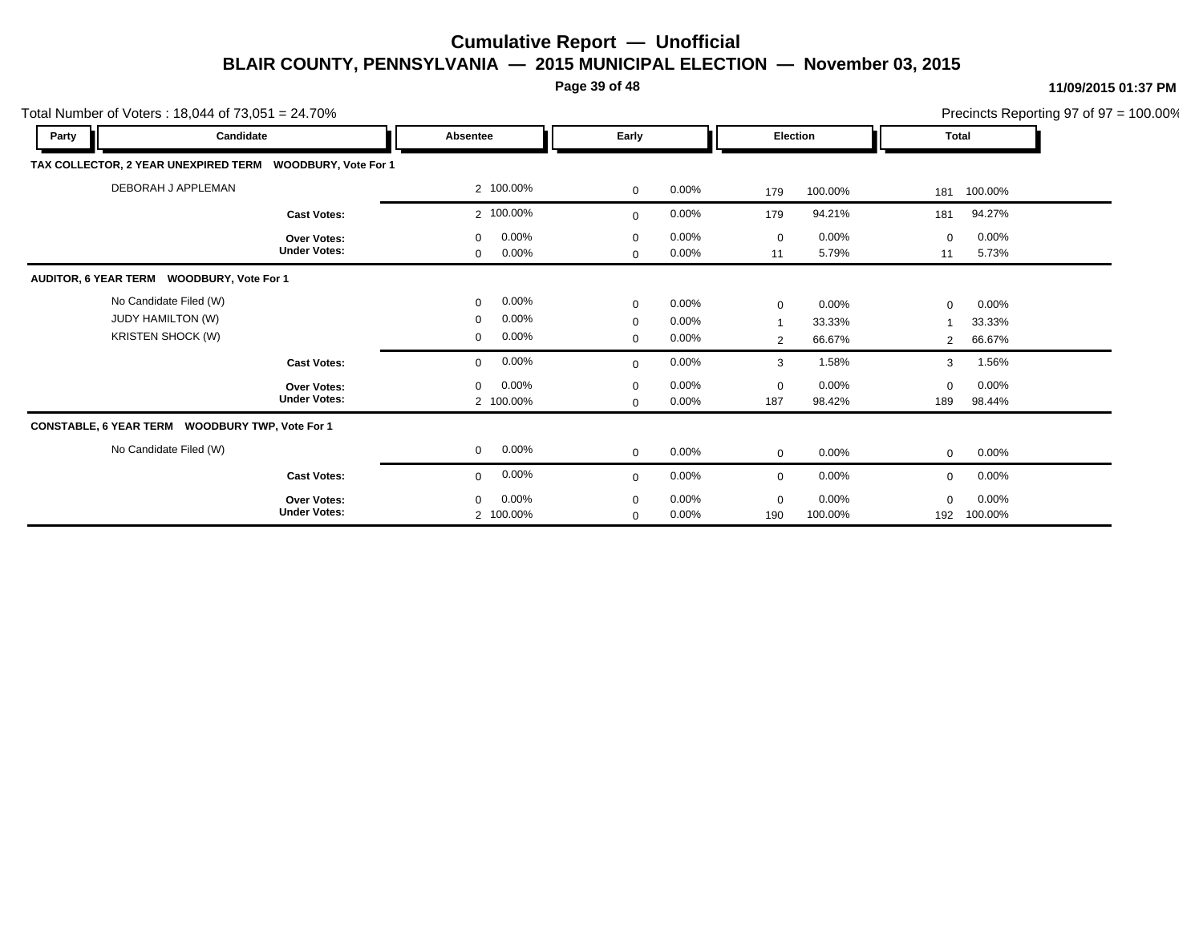**Page 39 of 48**

|                                                 | Precincts Reporting 97 of 97 = 100.00%<br>Total Number of Voters: $18,044$ of $73,051 = 24.70\%$<br>Party<br>Candidate<br>Early<br><b>Election</b><br>Total<br>Absentee<br>TAX COLLECTOR, 2 YEAR UNEXPIRED TERM<br><b>WOODBURY, Vote For 1</b><br>DEBORAH J APPLEMAN<br>2 100.00%<br>$\mathbf 0$<br>$0.00\%$<br>100.00%<br>100.00%<br>179<br>181<br>2 100.00%<br>94.21%<br>94.27%<br>0.00%<br>179<br><b>Cast Votes:</b><br>181<br>$\mathbf 0$<br>$0.00\%$<br>0.00%<br>$0.00\%$<br>0.00%<br>$\mathbf 0$<br>$\mathbf 0$<br>$\mathbf 0$<br>$\mathbf 0$<br><b>Over Votes:</b><br><b>Under Votes:</b><br>0.00%<br>5.73%<br>11<br>5.79%<br>$0.00\%$<br>0<br>11<br>$\mathbf{0}$<br>AUDITOR, 6 YEAR TERM WOODBURY, Vote For 1<br>No Candidate Filed (W)<br>0.00%<br>0<br>0.00%<br>$\mathbf 0$<br>0.00%<br>0.00%<br>$\mathbf 0$<br>$\mathbf 0$<br><b>JUDY HAMILTON (W)</b><br>0.00%<br>$\mathbf 0$<br>0.00%<br>$\mathbf 0$<br>33.33%<br>33.33%<br>$\overline{1}$<br><b>KRISTEN SHOCK (W)</b><br>0.00%<br>0<br>$\mathbf 0$<br>0.00%<br>66.67%<br>66.67%<br>2<br>$\overline{2}$<br>0.00%<br>1.58%<br>0.00%<br>1.56%<br><b>Cast Votes:</b><br>$\mathbf{0}$<br>3<br>3<br>$\mathbf 0$ |                                      |                            |                |                    |                     |                 |                  |  |
|-------------------------------------------------|-------------------------------------------------------------------------------------------------------------------------------------------------------------------------------------------------------------------------------------------------------------------------------------------------------------------------------------------------------------------------------------------------------------------------------------------------------------------------------------------------------------------------------------------------------------------------------------------------------------------------------------------------------------------------------------------------------------------------------------------------------------------------------------------------------------------------------------------------------------------------------------------------------------------------------------------------------------------------------------------------------------------------------------------------------------------------------------------------------------------------------------------------------------------------|--------------------------------------|----------------------------|----------------|--------------------|---------------------|-----------------|------------------|--|
|                                                 |                                                                                                                                                                                                                                                                                                                                                                                                                                                                                                                                                                                                                                                                                                                                                                                                                                                                                                                                                                                                                                                                                                                                                                         |                                      |                            |                |                    |                     |                 |                  |  |
|                                                 |                                                                                                                                                                                                                                                                                                                                                                                                                                                                                                                                                                                                                                                                                                                                                                                                                                                                                                                                                                                                                                                                                                                                                                         |                                      |                            |                |                    |                     |                 |                  |  |
|                                                 |                                                                                                                                                                                                                                                                                                                                                                                                                                                                                                                                                                                                                                                                                                                                                                                                                                                                                                                                                                                                                                                                                                                                                                         |                                      |                            |                |                    |                     |                 |                  |  |
|                                                 |                                                                                                                                                                                                                                                                                                                                                                                                                                                                                                                                                                                                                                                                                                                                                                                                                                                                                                                                                                                                                                                                                                                                                                         |                                      |                            |                |                    |                     |                 |                  |  |
|                                                 |                                                                                                                                                                                                                                                                                                                                                                                                                                                                                                                                                                                                                                                                                                                                                                                                                                                                                                                                                                                                                                                                                                                                                                         |                                      |                            |                |                    |                     |                 |                  |  |
|                                                 |                                                                                                                                                                                                                                                                                                                                                                                                                                                                                                                                                                                                                                                                                                                                                                                                                                                                                                                                                                                                                                                                                                                                                                         |                                      |                            |                |                    |                     |                 |                  |  |
|                                                 |                                                                                                                                                                                                                                                                                                                                                                                                                                                                                                                                                                                                                                                                                                                                                                                                                                                                                                                                                                                                                                                                                                                                                                         |                                      |                            |                |                    |                     |                 |                  |  |
|                                                 |                                                                                                                                                                                                                                                                                                                                                                                                                                                                                                                                                                                                                                                                                                                                                                                                                                                                                                                                                                                                                                                                                                                                                                         |                                      |                            |                |                    |                     |                 |                  |  |
|                                                 | <b>Over Votes:</b><br><b>Under Votes:</b>                                                                                                                                                                                                                                                                                                                                                                                                                                                                                                                                                                                                                                                                                                                                                                                                                                                                                                                                                                                                                                                                                                                               | $0.00\%$<br>$\mathbf 0$<br>2 100.00% | $\mathbf 0$<br>$\mathbf 0$ | 0.00%<br>0.00% | $\mathbf 0$<br>187 | $0.00\%$<br>98.42%  | $\Omega$<br>189 | 0.00%<br>98.44%  |  |
| CONSTABLE, 6 YEAR TERM WOODBURY TWP, Vote For 1 |                                                                                                                                                                                                                                                                                                                                                                                                                                                                                                                                                                                                                                                                                                                                                                                                                                                                                                                                                                                                                                                                                                                                                                         |                                      |                            |                |                    |                     |                 |                  |  |
| No Candidate Filed (W)                          |                                                                                                                                                                                                                                                                                                                                                                                                                                                                                                                                                                                                                                                                                                                                                                                                                                                                                                                                                                                                                                                                                                                                                                         | $0.00\%$<br>$\mathbf{0}$             | $\mathbf 0$                | $0.00\%$       | $\mathbf 0$        | $0.00\%$            | $\mathbf 0$     | 0.00%            |  |
|                                                 | <b>Cast Votes:</b>                                                                                                                                                                                                                                                                                                                                                                                                                                                                                                                                                                                                                                                                                                                                                                                                                                                                                                                                                                                                                                                                                                                                                      | 0.00%<br>0                           | $\mathbf{0}$               | 0.00%          | $\mathbf 0$        | 0.00%               | 0               | 0.00%            |  |
|                                                 | <b>Over Votes:</b><br><b>Under Votes:</b>                                                                                                                                                                                                                                                                                                                                                                                                                                                                                                                                                                                                                                                                                                                                                                                                                                                                                                                                                                                                                                                                                                                               | $0.00\%$<br>0<br>2 100.00%           | $\mathbf 0$<br>$\mathbf 0$ | 0.00%<br>0.00% | $\mathbf 0$<br>190 | $0.00\%$<br>100.00% | $\Omega$<br>192 | 0.00%<br>100.00% |  |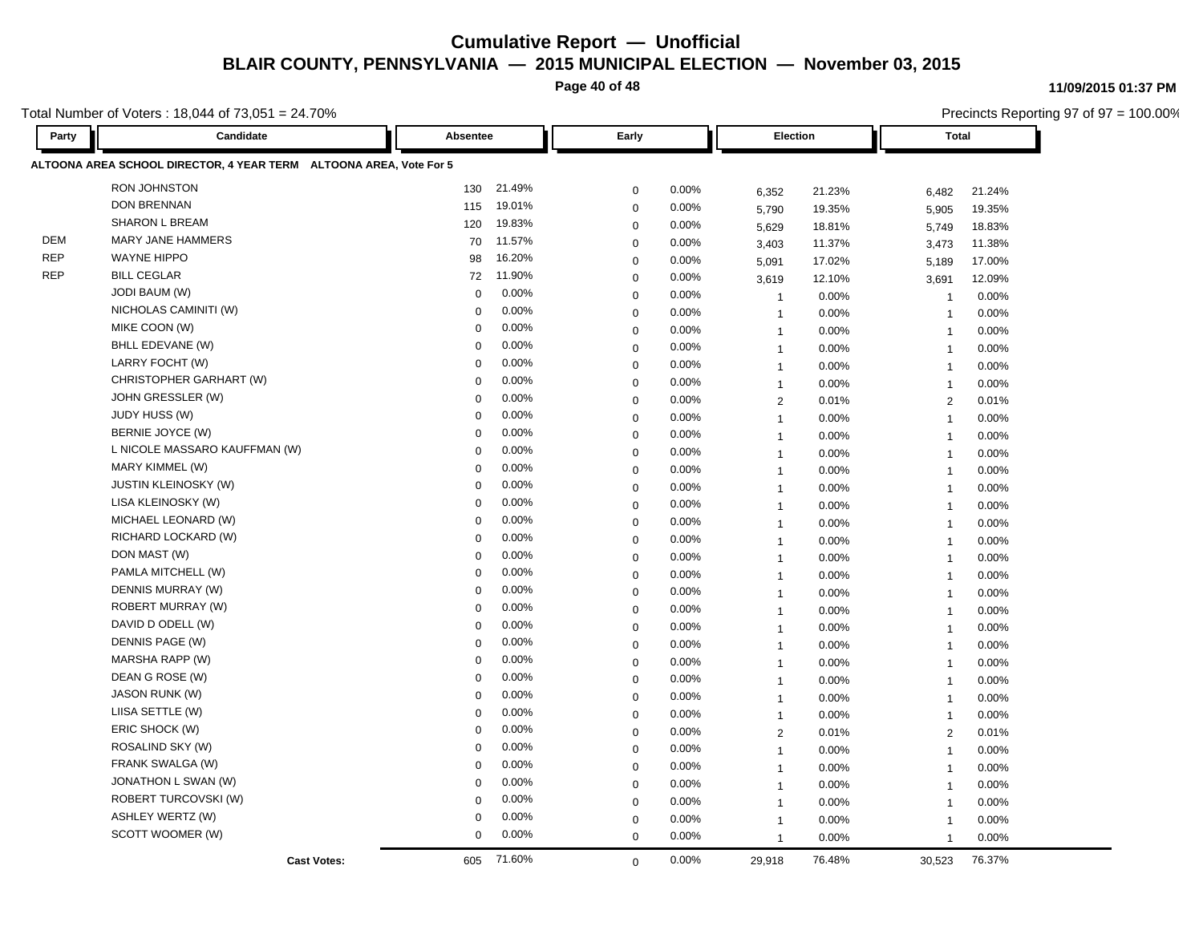**Page 40 of 48**

**11/09/2015 01:37 PM**

Precincts Reporting 97 of 97 = 100.00%

Total Number of Voters : 18,044 of 73,051 = 24.70%

| Party      | Candidate                                                          | Absentee    |          | Early       |       |                | <b>Election</b> | <b>Total</b>            |        |
|------------|--------------------------------------------------------------------|-------------|----------|-------------|-------|----------------|-----------------|-------------------------|--------|
|            | ALTOONA AREA SCHOOL DIRECTOR, 4 YEAR TERM ALTOONA AREA, Vote For 5 |             |          |             |       |                |                 |                         |        |
|            | <b>RON JOHNSTON</b>                                                | 130         | 21.49%   | $\mathbf 0$ | 0.00% | 6,352          | 21.23%          | 6,482                   | 21.24% |
|            | <b>DON BRENNAN</b>                                                 | 115         | 19.01%   | $\mathbf 0$ | 0.00% | 5.790          | 19.35%          | 5,905                   | 19.35% |
|            | <b>SHARON L BREAM</b>                                              | 120         | 19.83%   | 0           | 0.00% | 5,629          | 18.81%          | 5,749                   | 18.83% |
| <b>DEM</b> | <b>MARY JANE HAMMERS</b>                                           | 70          | 11.57%   | $\mathbf 0$ | 0.00% | 3,403          | 11.37%          | 3,473                   | 11.38% |
| <b>REP</b> | <b>WAYNE HIPPO</b>                                                 | 98          | 16.20%   | $\mathbf 0$ | 0.00% | 5,091          | 17.02%          | 5,189                   | 17.00% |
| <b>REP</b> | <b>BILL CEGLAR</b>                                                 | 72          | 11.90%   | $\mathbf 0$ | 0.00% | 3.619          | 12.10%          | 3,691                   | 12.09% |
|            | <b>JODI BAUM (W)</b>                                               | $\mathbf 0$ | 0.00%    | $\mathbf 0$ | 0.00% | $\overline{1}$ | 0.00%           | $\overline{\mathbf{1}}$ | 0.00%  |
|            | NICHOLAS CAMINITI (W)                                              | $\Omega$    | $0.00\%$ | $\mathbf 0$ | 0.00% | $\overline{1}$ | 0.00%           | $\overline{1}$          | 0.00%  |
|            | MIKE COON (W)                                                      | $\mathbf 0$ | 0.00%    | $\mathbf 0$ | 0.00% | $\mathbf{1}$   | 0.00%           | $\overline{1}$          | 0.00%  |
|            | BHLL EDEVANE (W)                                                   | $\mathbf 0$ | 0.00%    | $\mathbf 0$ | 0.00% | $\overline{1}$ | 0.00%           | $\overline{1}$          | 0.00%  |
|            | LARRY FOCHT (W)                                                    | $\Omega$    | $0.00\%$ | $\mathbf 0$ | 0.00% | $\mathbf{1}$   | 0.00%           | $\overline{1}$          | 0.00%  |
|            | CHRISTOPHER GARHART (W)                                            | $\mathbf 0$ | 0.00%    | $\mathbf 0$ | 0.00% | $\overline{1}$ | 0.00%           | $\overline{1}$          | 0.00%  |
|            | JOHN GRESSLER (W)                                                  | $\mathbf 0$ | 0.00%    | $\mathbf 0$ | 0.00% | $\overline{2}$ | 0.01%           | 2                       | 0.01%  |
|            | JUDY HUSS (W)                                                      | $\Omega$    | 0.00%    | $\mathbf 0$ | 0.00% | $\overline{1}$ | 0.00%           | $\overline{1}$          | 0.00%  |
|            | BERNIE JOYCE (W)                                                   | 0           | 0.00%    | $\mathbf 0$ | 0.00% | $\mathbf{1}$   | 0.00%           | $\overline{1}$          | 0.00%  |
|            | L NICOLE MASSARO KAUFFMAN (W)                                      | $\Omega$    | 0.00%    | $\mathbf 0$ | 0.00% | $\overline{1}$ | 0.00%           | $\overline{1}$          | 0.00%  |
|            | MARY KIMMEL (W)                                                    | $\Omega$    | 0.00%    | $\mathbf 0$ | 0.00% | $\overline{1}$ | 0.00%           | $\overline{1}$          | 0.00%  |
|            | <b>JUSTIN KLEINOSKY (W)</b>                                        | 0           | 0.00%    | $\mathbf 0$ | 0.00% | $\overline{1}$ | 0.00%           | $\overline{1}$          | 0.00%  |
|            | LISA KLEINOSKY (W)                                                 | $\mathbf 0$ | 0.00%    | 0           | 0.00% | $\mathbf{1}$   | 0.00%           | $\overline{1}$          | 0.00%  |
|            | MICHAEL LEONARD (W)                                                | $\Omega$    | 0.00%    | $\mathbf 0$ | 0.00% | $\overline{1}$ | 0.00%           | $\overline{1}$          | 0.00%  |
|            | RICHARD LOCKARD (W)                                                | $\Omega$    | 0.00%    | $\mathbf 0$ | 0.00% | $\overline{1}$ | 0.00%           | $\overline{1}$          | 0.00%  |
|            | DON MAST (W)                                                       | 0           | 0.00%    | $\mathbf 0$ | 0.00% | $\overline{1}$ | 0.00%           | $\overline{1}$          | 0.00%  |
|            | PAMLA MITCHELL (W)                                                 | $\Omega$    | 0.00%    | $\mathbf 0$ | 0.00% | $\overline{1}$ | 0.00%           | $\overline{1}$          | 0.00%  |
|            | DENNIS MURRAY (W)                                                  | $\mathbf 0$ | $0.00\%$ | $\mathbf 0$ | 0.00% | $\overline{1}$ | 0.00%           | $\overline{1}$          | 0.00%  |
|            | ROBERT MURRAY (W)                                                  | $\mathbf 0$ | 0.00%    | $\mathbf 0$ | 0.00% | $\mathbf{1}$   | 0.00%           | $\overline{1}$          | 0.00%  |
|            | DAVID D ODELL (W)                                                  | $\mathbf 0$ | 0.00%    | $\mathbf 0$ | 0.00% | $\overline{1}$ | 0.00%           | $\overline{1}$          | 0.00%  |
|            | DENNIS PAGE (W)                                                    | 0           | $0.00\%$ | $\mathbf 0$ | 0.00% | $\mathbf{1}$   | 0.00%           | $\overline{1}$          | 0.00%  |
|            | MARSHA RAPP (W)                                                    | $\mathbf 0$ | 0.00%    | $\mathbf 0$ | 0.00% | $\overline{1}$ | 0.00%           | $\overline{1}$          | 0.00%  |
|            | DEAN G ROSE (W)                                                    | $\mathbf 0$ | 0.00%    | $\mathbf 0$ | 0.00% | $\mathbf{1}$   | 0.00%           | $\overline{1}$          | 0.00%  |
|            | <b>JASON RUNK (W)</b>                                              | 0           | 0.00%    | $\mathbf 0$ | 0.00% | $\overline{1}$ | 0.00%           | $\overline{1}$          | 0.00%  |
|            | LIISA SETTLE (W)                                                   | $\mathbf 0$ | 0.00%    | $\mathbf 0$ | 0.00% | $\overline{1}$ | 0.00%           | $\overline{1}$          | 0.00%  |
|            | ERIC SHOCK (W)                                                     | $\Omega$    | 0.00%    | $\mathbf 0$ | 0.00% | $\overline{2}$ | 0.01%           | 2                       | 0.01%  |
|            | ROSALIND SKY (W)                                                   | $\mathbf 0$ | 0.00%    | $\mathbf 0$ | 0.00% | $\overline{1}$ | 0.00%           | $\overline{1}$          | 0.00%  |
|            | FRANK SWALGA (W)                                                   | 0           | 0.00%    | $\mathbf 0$ | 0.00% | $\overline{1}$ | 0.00%           | $\overline{1}$          | 0.00%  |
|            | JONATHON L SWAN (W)                                                | $\Omega$    | 0.00%    | 0           | 0.00% | $\mathbf{1}$   | 0.00%           | $\overline{1}$          | 0.00%  |
|            | ROBERT TURCOVSKI (W)                                               | 0           | 0.00%    | $\mathbf 0$ | 0.00% | $\overline{1}$ | 0.00%           | $\overline{1}$          | 0.00%  |
|            | <b>ASHLEY WERTZ (W)</b>                                            | 0           | 0.00%    | $\mathbf 0$ | 0.00% | $\mathbf{1}$   | 0.00%           | $\overline{1}$          | 0.00%  |
|            | SCOTT WOOMER (W)                                                   | $\mathbf 0$ | 0.00%    | $\mathbf 0$ | 0.00% | $\overline{1}$ | 0.00%           | $\overline{1}$          | 0.00%  |
|            | <b>Cast Votes:</b>                                                 | 605         | 71.60%   | $\Omega$    | 0.00% | 29,918         | 76.48%          | 30,523                  | 76.37% |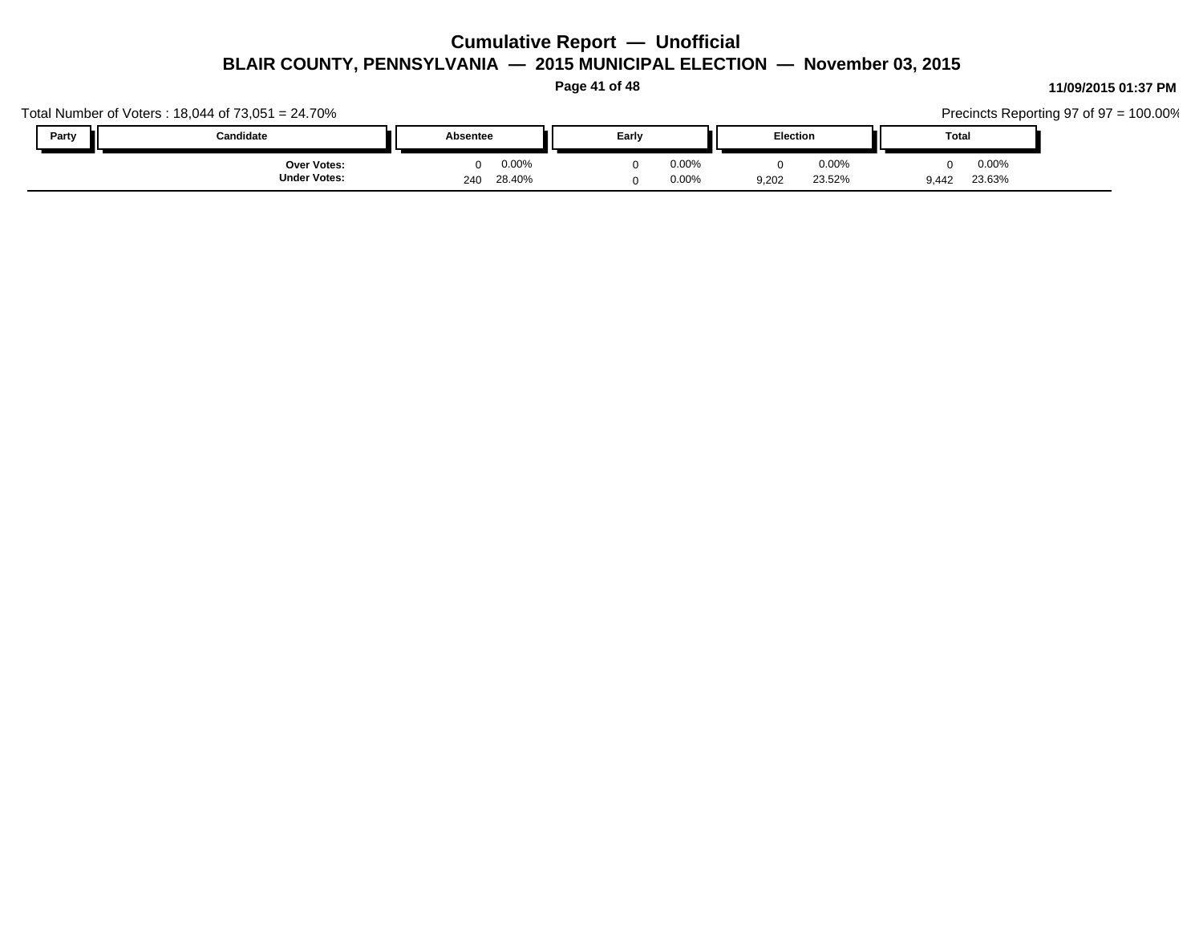**Page 41 of 48**

#### Total Number of Voters : 18,044 of 73,051 = 24.70% Precincts Reporting 97 of 97 = 100.00% **Party Candidate Absentee Early Election Total** 9,442 23.63% 23.52% 0 0.00% 9,202 0.00% 0 0.00% **Under Votes: Over Votes:** 28.40% 240  $0.00\%$  0.00% 0.00% 0.00% 0.00% 0.00% 0 0.00% 0 0.00% 0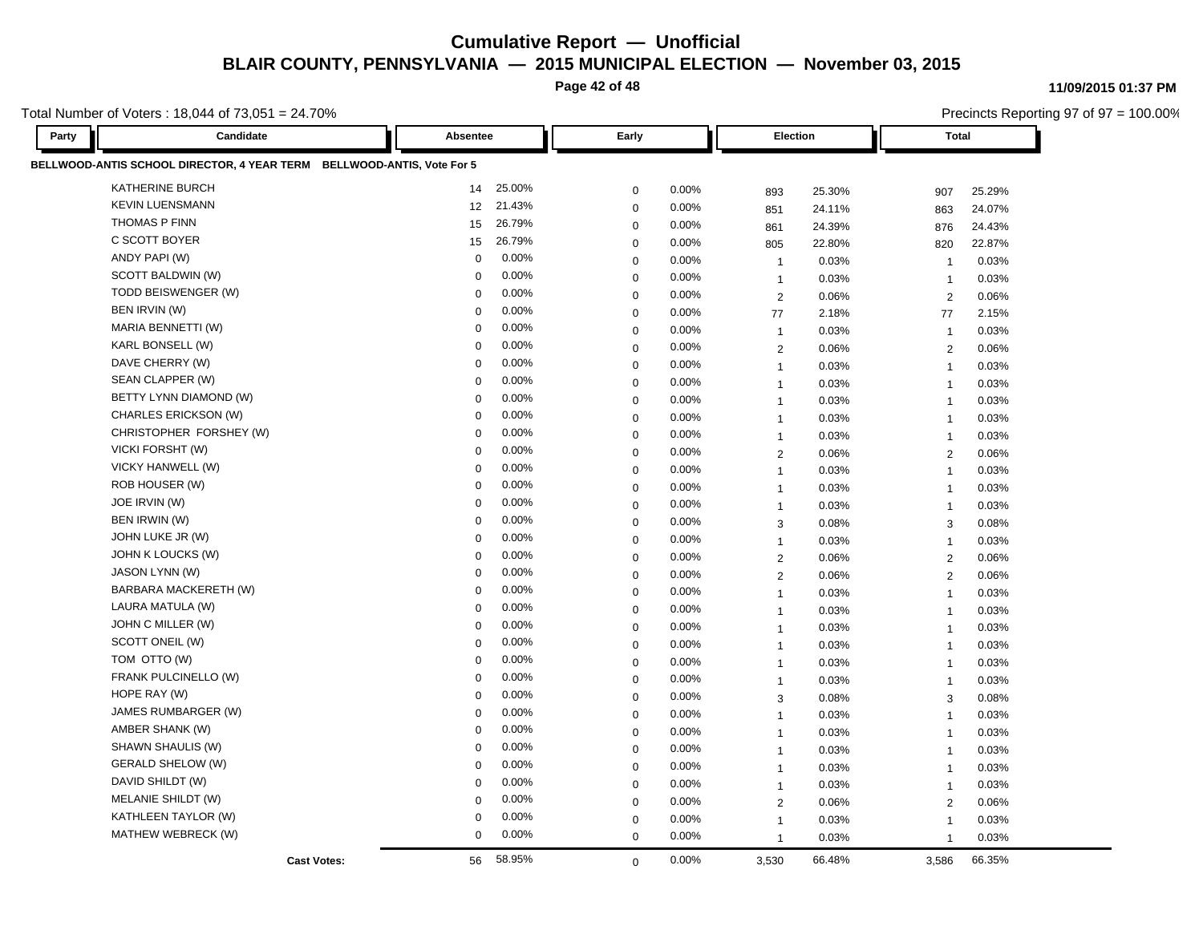**Page 42 of 48**

Precincts Reporting 97 of 97 = 100.00%

**11/09/2015 01:37 PM**

Total Number of Voters : 18,044 of 73,051 = 24.70%

| Party | Candidate                                                              | Absentee    |          | Early       |       |                | Election | <b>Total</b>   |        |
|-------|------------------------------------------------------------------------|-------------|----------|-------------|-------|----------------|----------|----------------|--------|
|       | BELLWOOD-ANTIS SCHOOL DIRECTOR, 4 YEAR TERM BELLWOOD-ANTIS, Vote For 5 |             |          |             |       |                |          |                |        |
|       | KATHERINE BURCH                                                        | 14          | 25.00%   | $\mathbf 0$ | 0.00% | 893            | 25.30%   | 907            | 25.29% |
|       | <b>KEVIN LUENSMANN</b>                                                 | 12          | 21.43%   | $\mathbf 0$ | 0.00% | 851            | 24.11%   | 863            | 24.07% |
|       | <b>THOMAS P FINN</b>                                                   | 15          | 26.79%   | $\mathbf 0$ | 0.00% | 861            | 24.39%   | 876            | 24.43% |
|       | C SCOTT BOYER                                                          | 15          | 26.79%   | $\mathbf 0$ | 0.00% | 805            | 22.80%   | 820            | 22.87% |
|       | ANDY PAPI (W)                                                          | $\mathbf 0$ | 0.00%    | $\mathbf 0$ | 0.00% | $\overline{1}$ | 0.03%    | $\overline{1}$ | 0.03%  |
|       | SCOTT BALDWIN (W)                                                      | $\mathbf 0$ | 0.00%    | $\mathbf 0$ | 0.00% | $\overline{1}$ | 0.03%    | $\overline{1}$ | 0.03%  |
|       | TODD BEISWENGER (W)                                                    | $\Omega$    | 0.00%    | $\mathbf 0$ | 0.00% | 2              | 0.06%    | 2              | 0.06%  |
|       | BEN IRVIN (W)                                                          | $\Omega$    | 0.00%    | $\mathbf 0$ | 0.00% | 77             | 2.18%    | 77             | 2.15%  |
|       | MARIA BENNETTI (W)                                                     | $\mathbf 0$ | 0.00%    | $\mathbf 0$ | 0.00% | $\overline{1}$ | 0.03%    | $\overline{1}$ | 0.03%  |
|       | KARL BONSELL (W)                                                       | $\Omega$    | 0.00%    | $\mathbf 0$ | 0.00% | 2              | 0.06%    | 2              | 0.06%  |
|       | DAVE CHERRY (W)                                                        | $\Omega$    | 0.00%    | $\mathbf 0$ | 0.00% | $\mathbf{1}$   | 0.03%    | $\overline{1}$ | 0.03%  |
|       | SEAN CLAPPER (W)                                                       | $\mathbf 0$ | 0.00%    | $\mathbf 0$ | 0.00% | $\overline{1}$ | 0.03%    | $\overline{1}$ | 0.03%  |
|       | BETTY LYNN DIAMOND (W)                                                 | $\mathbf 0$ | 0.00%    | $\mathbf 0$ | 0.00% | $\mathbf{1}$   | 0.03%    | $\overline{1}$ | 0.03%  |
|       | CHARLES ERICKSON (W)                                                   | $\Omega$    | 0.00%    | $\mathbf 0$ | 0.00% | $\overline{1}$ | 0.03%    | $\overline{1}$ | 0.03%  |
|       | CHRISTOPHER FORSHEY (W)                                                | $\mathbf 0$ | 0.00%    | $\mathbf 0$ | 0.00% | $\mathbf{1}$   | 0.03%    | $\overline{1}$ | 0.03%  |
|       | VICKI FORSHT (W)                                                       | $\mathbf 0$ | 0.00%    | $\mathbf 0$ | 0.00% | $\overline{2}$ | 0.06%    | $\overline{2}$ | 0.06%  |
|       | VICKY HANWELL (W)                                                      | $\mathbf 0$ | 0.00%    | $\mathbf 0$ | 0.00% | $\mathbf{1}$   | 0.03%    | $\overline{1}$ | 0.03%  |
|       | ROB HOUSER (W)                                                         | $\mathbf 0$ | 0.00%    | $\mathbf 0$ | 0.00% | $\overline{1}$ | 0.03%    | $\overline{1}$ | 0.03%  |
|       | JOE IRVIN (W)                                                          | $\Omega$    | $0.00\%$ | $\mathbf 0$ | 0.00% | $\overline{1}$ | 0.03%    | $\overline{1}$ | 0.03%  |
|       | BEN IRWIN (W)                                                          | $\Omega$    | 0.00%    | $\mathbf 0$ | 0.00% | 3              | 0.08%    | 3              | 0.08%  |
|       | JOHN LUKE JR (W)                                                       | $\mathbf 0$ | 0.00%    | $\mathbf 0$ | 0.00% | $\mathbf{1}$   | 0.03%    | $\overline{1}$ | 0.03%  |
|       | JOHN K LOUCKS (W)                                                      | $\mathbf 0$ | 0.00%    | $\mathbf 0$ | 0.00% | 2              | 0.06%    | 2              | 0.06%  |
|       | JASON LYNN (W)                                                         | $\Omega$    | $0.00\%$ | $\mathbf 0$ | 0.00% | $\overline{2}$ | 0.06%    | 2              | 0.06%  |
|       | BARBARA MACKERETH (W)                                                  | $\mathbf 0$ | 0.00%    | $\mathbf 0$ | 0.00% | $\overline{1}$ | 0.03%    | $\overline{1}$ | 0.03%  |
|       | LAURA MATULA (W)                                                       | $\mathbf 0$ | 0.00%    | $\mathbf 0$ | 0.00% | $\mathbf{1}$   | 0.03%    | $\overline{1}$ | 0.03%  |
|       | JOHN C MILLER (W)                                                      | $\mathbf 0$ | 0.00%    | $\mathbf 0$ | 0.00% | $\overline{1}$ | 0.03%    | $\overline{1}$ | 0.03%  |
|       | SCOTT ONEIL (W)                                                        | 0           | 0.00%    | $\mathbf 0$ | 0.00% | $\mathbf{1}$   | 0.03%    | $\overline{1}$ | 0.03%  |
|       | TOM OTTO (W)                                                           | $\mathbf 0$ | 0.00%    | $\mathbf 0$ | 0.00% | $\mathbf{1}$   | 0.03%    | $\overline{1}$ | 0.03%  |
|       | FRANK PULCINELLO (W)                                                   | $\mathbf 0$ | 0.00%    | $\mathbf 0$ | 0.00% | $\mathbf{1}$   | 0.03%    | $\overline{1}$ | 0.03%  |
|       | HOPE RAY (W)                                                           | $\mathbf 0$ | 0.00%    | $\mathbf 0$ | 0.00% | 3              | 0.08%    | 3              | 0.08%  |
|       | JAMES RUMBARGER (W)                                                    | 0           | 0.00%    | $\mathbf 0$ | 0.00% | $\mathbf{1}$   | 0.03%    | $\overline{1}$ | 0.03%  |
|       | AMBER SHANK (W)                                                        | $\mathbf 0$ | 0.00%    | $\mathbf 0$ | 0.00% | $\mathbf{1}$   | 0.03%    | $\overline{1}$ | 0.03%  |
|       | SHAWN SHAULIS (W)                                                      | 0           | 0.00%    | $\mathbf 0$ | 0.00% | $\mathbf{1}$   | 0.03%    | $\overline{1}$ | 0.03%  |
|       | <b>GERALD SHELOW (W)</b>                                               | $\Omega$    | 0.00%    | $\mathbf 0$ | 0.00% | $\overline{1}$ | 0.03%    | $\overline{1}$ | 0.03%  |
|       | DAVID SHILDT (W)                                                       | 0           | 0.00%    | $\mathbf 0$ | 0.00% | $\mathbf{1}$   | 0.03%    | $\overline{1}$ | 0.03%  |
|       | MELANIE SHILDT (W)                                                     | 0           | 0.00%    | $\mathbf 0$ | 0.00% | $\overline{2}$ | 0.06%    | 2              | 0.06%  |
|       | KATHLEEN TAYLOR (W)                                                    | $\mathbf 0$ | 0.00%    | $\mathbf 0$ | 0.00% | $\mathbf{1}$   | 0.03%    | $\overline{1}$ | 0.03%  |
|       | MATHEW WEBRECK (W)                                                     | $\mathbf 0$ | 0.00%    | $\mathbf 0$ | 0.00% | $\overline{1}$ | 0.03%    | $\overline{1}$ | 0.03%  |
|       | <b>Cast Votes:</b>                                                     | 56          | 58.95%   | $\mathbf 0$ | 0.00% | 3,530          | 66.48%   | 3,586          | 66.35% |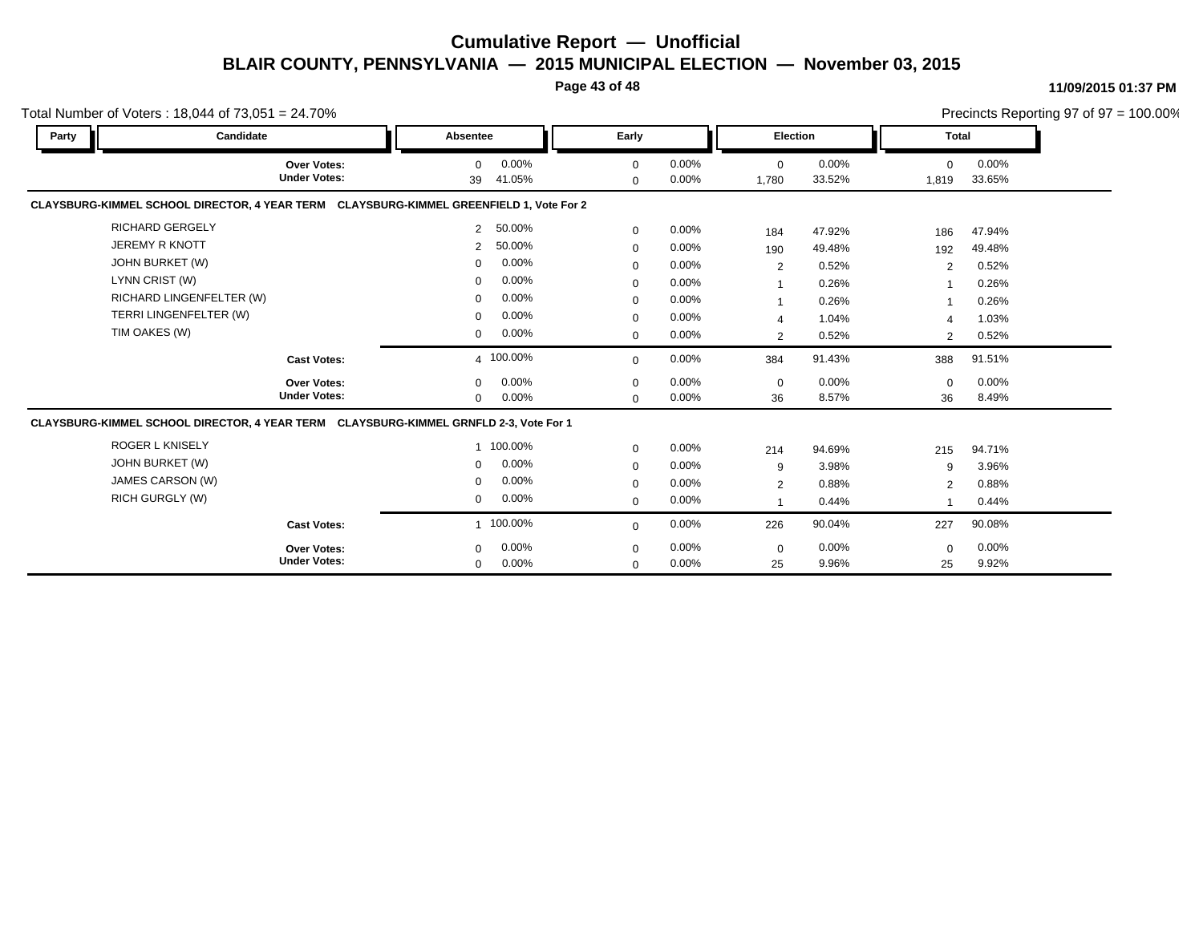#### **Page 43 of 48**

#### **11/09/2015 01:37 PM**

|       | Total Number of Voters: $18,044$ of $73,051 = 24.70\%$                                  |                |                 |                         |                |                      |                 |                   |                 | Precincts Reporting 97 of 97 = 100.00% |
|-------|-----------------------------------------------------------------------------------------|----------------|-----------------|-------------------------|----------------|----------------------|-----------------|-------------------|-----------------|----------------------------------------|
| Party | Candidate                                                                               | Absentee       |                 | Early                   |                | Election             |                 | <b>Total</b>      |                 |                                        |
|       | Over Votes:<br><b>Under Votes:</b>                                                      | $\Omega$<br>39 | 0.00%<br>41.05% | $\mathbf 0$<br>$\Omega$ | 0.00%<br>0.00% | $\mathbf 0$<br>1,780 | 0.00%<br>33.52% | $\Omega$<br>1,819 | 0.00%<br>33.65% |                                        |
|       | CLAYSBURG-KIMMEL SCHOOL DIRECTOR, 4 YEAR TERM CLAYSBURG-KIMMEL GREENFIELD 1, Vote For 2 |                |                 |                         |                |                      |                 |                   |                 |                                        |
|       | <b>RICHARD GERGELY</b>                                                                  | $\overline{2}$ | 50.00%          | $\mathbf 0$             | 0.00%          | 184                  | 47.92%          | 186               | 47.94%          |                                        |
|       | <b>JEREMY R KNOTT</b>                                                                   | $\overline{2}$ | 50.00%          | $\mathbf 0$             | 0.00%          | 190                  | 49.48%          | 192               | 49.48%          |                                        |
|       | JOHN BURKET (W)                                                                         | $\Omega$       | 0.00%           | $\mathbf 0$             | 0.00%          | $\overline{2}$       | 0.52%           | $\overline{2}$    | 0.52%           |                                        |
|       | LYNN CRIST (W)                                                                          | $\mathbf 0$    | 0.00%           | $\mathbf 0$             | 0.00%          | $\mathbf{1}$         | 0.26%           |                   | 0.26%           |                                        |
|       | RICHARD LINGENFELTER (W)                                                                | $\mathbf 0$    | 0.00%           | $\Omega$                | $0.00\%$       | -1                   | 0.26%           |                   | 0.26%           |                                        |
|       | TERRI LINGENFELTER (W)                                                                  | $\mathbf 0$    | 0.00%           | $\Omega$                | 0.00%          | $\overline{4}$       | 1.04%           | Δ                 | 1.03%           |                                        |
|       | TIM OAKES (W)                                                                           | $\mathbf 0$    | 0.00%           | $\mathbf 0$             | 0.00%          | $\overline{2}$       | 0.52%           | 2                 | 0.52%           |                                        |
|       | <b>Cast Votes:</b>                                                                      |                | 4 100.00%       | $\Omega$                | 0.00%          | 384                  | 91.43%          | 388               | 91.51%          |                                        |
|       | Over Votes:                                                                             | $\mathbf 0$    | 0.00%           | $\mathbf 0$             | 0.00%          | $\mathbf 0$          | $0.00\%$        | $\mathbf 0$       | 0.00%           |                                        |
|       | <b>Under Votes:</b>                                                                     | $\mathbf 0$    | 0.00%           | $\Omega$                | 0.00%          | 36                   | 8.57%           | 36                | 8.49%           |                                        |
|       | CLAYSBURG-KIMMEL SCHOOL DIRECTOR, 4 YEAR TERM CLAYSBURG-KIMMEL GRNFLD 2-3, Vote For 1   |                |                 |                         |                |                      |                 |                   |                 |                                        |
|       | <b>ROGER L KNISELY</b>                                                                  |                | 1 100.00%       | $\mathbf 0$             | 0.00%          | 214                  | 94.69%          | 215               | 94.71%          |                                        |
|       | JOHN BURKET (W)                                                                         | $\Omega$       | 0.00%           | $\mathbf 0$             | 0.00%          | 9                    | 3.98%           | 9                 | 3.96%           |                                        |
|       | JAMES CARSON (W)                                                                        | $\mathbf 0$    | 0.00%           | $\mathbf 0$             | 0.00%          | 2                    | 0.88%           | $\overline{2}$    | 0.88%           |                                        |
|       | <b>RICH GURGLY (W)</b>                                                                  | 0              | 0.00%           | $\mathbf 0$             | 0.00%          |                      | 0.44%           |                   | 0.44%           |                                        |
|       | <b>Cast Votes:</b>                                                                      |                | 1 100.00%       | $\mathbf 0$             | 0.00%          | 226                  | 90.04%          | 227               | 90.08%          |                                        |
|       | <b>Over Votes:</b>                                                                      | $\mathbf 0$    | 0.00%           | 0                       | 0.00%          | $\mathbf 0$          | 0.00%           | $\mathbf 0$       | 0.00%           |                                        |
|       | <b>Under Votes:</b>                                                                     | $\mathbf 0$    | 0.00%           | $\mathbf 0$             | 0.00%          | 25                   | 9.96%           | 25                | 9.92%           |                                        |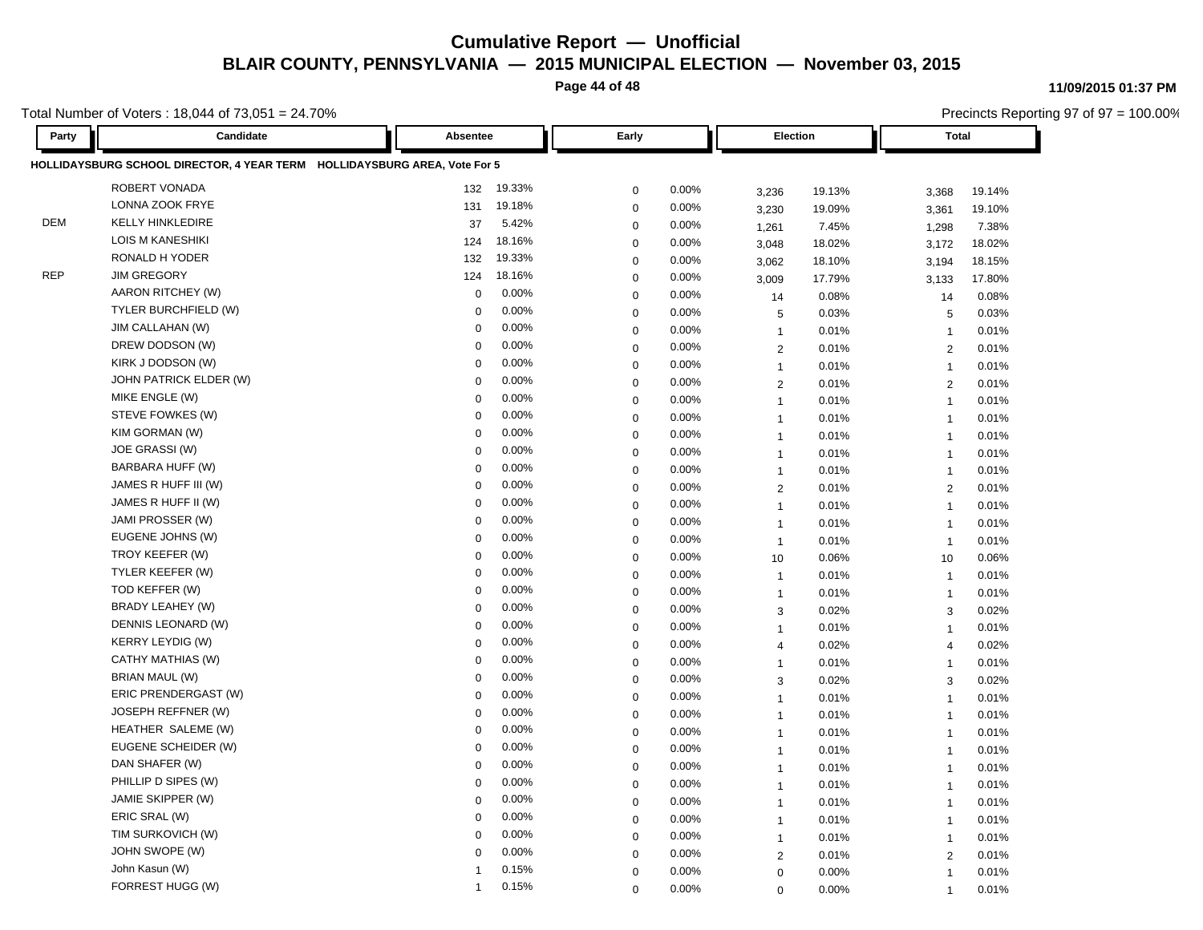**Page 44 of 48**

Total Number of Voters : 18,044 of 73,051 = 24.70%

Precincts Reporting 97 of 97 = 100.00%

| Party      | Candidate                                                                 | Absentee     |        | Early       |       | Election       |        |                         | <b>Total</b> |  |
|------------|---------------------------------------------------------------------------|--------------|--------|-------------|-------|----------------|--------|-------------------------|--------------|--|
|            | HOLLIDAYSBURG SCHOOL DIRECTOR, 4 YEAR TERM HOLLIDAYSBURG AREA, Vote For 5 |              |        |             |       |                |        |                         |              |  |
|            | ROBERT VONADA                                                             | 132          | 19.33% | $\mathbf 0$ | 0.00% | 3,236          | 19.13% | 3,368                   | 19.14%       |  |
|            | LONNA ZOOK FRYE                                                           | 131          | 19.18% | $\mathbf 0$ | 0.00% | 3,230          | 19.09% | 3,361                   | 19.10%       |  |
| <b>DEM</b> | <b>KELLY HINKLEDIRE</b>                                                   | 37           | 5.42%  | $\mathbf 0$ | 0.00% | 1,261          | 7.45%  | 1,298                   | 7.38%        |  |
|            | <b>LOIS M KANESHIKI</b>                                                   | 124          | 18.16% | $\mathbf 0$ | 0.00% | 3,048          | 18.02% | 3,172                   | 18.02%       |  |
|            | RONALD H YODER                                                            | 132          | 19.33% | $\mathbf 0$ | 0.00% | 3,062          | 18.10% | 3,194                   | 18.15%       |  |
| <b>REP</b> | <b>JIM GREGORY</b>                                                        | 124          | 18.16% | $\mathbf 0$ | 0.00% | 3,009          | 17.79% | 3,133                   | 17.80%       |  |
|            | AARON RITCHEY (W)                                                         | $\mathbf 0$  | 0.00%  | $\mathbf 0$ | 0.00% | 14             | 0.08%  | 14                      | 0.08%        |  |
|            | TYLER BURCHFIELD (W)                                                      | $\mathbf 0$  | 0.00%  | $\mathbf 0$ | 0.00% | 5              | 0.03%  | 5                       | 0.03%        |  |
|            | JIM CALLAHAN (W)                                                          | 0            | 0.00%  | $\mathbf 0$ | 0.00% | $\overline{1}$ | 0.01%  | $\overline{1}$          | 0.01%        |  |
|            | DREW DODSON (W)                                                           | 0            | 0.00%  | $\mathbf 0$ | 0.00% | $\overline{2}$ | 0.01%  | $\overline{2}$          | 0.01%        |  |
|            | KIRK J DODSON (W)                                                         | $\Omega$     | 0.00%  | $\mathbf 0$ | 0.00% | $\overline{1}$ | 0.01%  | $\overline{1}$          | 0.01%        |  |
|            | JOHN PATRICK ELDER (W)                                                    | $\mathbf 0$  | 0.00%  | $\mathbf 0$ | 0.00% | $\overline{2}$ | 0.01%  | 2                       | 0.01%        |  |
|            | MIKE ENGLE (W)                                                            | $\mathbf 0$  | 0.00%  | $\mathbf 0$ | 0.00% | $\overline{1}$ | 0.01%  | $\overline{1}$          | 0.01%        |  |
|            | STEVE FOWKES (W)                                                          | $\Omega$     | 0.00%  | $\mathbf 0$ | 0.00% | $\overline{1}$ | 0.01%  | $\overline{1}$          | 0.01%        |  |
|            | KIM GORMAN (W)                                                            | 0            | 0.00%  | $\mathbf 0$ | 0.00% | $\overline{1}$ | 0.01%  | $\overline{1}$          | 0.01%        |  |
|            | JOE GRASSI (W)                                                            | $\mathbf 0$  | 0.00%  | $\mathbf 0$ | 0.00% | $\mathbf{1}$   | 0.01%  | $\overline{1}$          | 0.01%        |  |
|            | BARBARA HUFF (W)                                                          | $\mathbf 0$  | 0.00%  | $\mathbf 0$ | 0.00% | $\mathbf{1}$   | 0.01%  | $\overline{1}$          | 0.01%        |  |
|            | JAMES R HUFF III (W)                                                      | $\mathbf 0$  | 0.00%  | $\mathbf 0$ | 0.00% | $\overline{2}$ | 0.01%  | 2                       | 0.01%        |  |
|            | JAMES R HUFF II (W)                                                       | 0            | 0.00%  | $\mathbf 0$ | 0.00% | $\mathbf{1}$   | 0.01%  | $\overline{1}$          | 0.01%        |  |
|            | JAMI PROSSER (W)                                                          | $\mathbf 0$  | 0.00%  | $\mathbf 0$ | 0.00% | $\overline{1}$ | 0.01%  | $\overline{1}$          | 0.01%        |  |
|            | EUGENE JOHNS (W)                                                          | $\mathbf 0$  | 0.00%  | $\mathbf 0$ | 0.00% | $\overline{1}$ | 0.01%  | $\overline{1}$          | 0.01%        |  |
|            | TROY KEEFER (W)                                                           | $\mathbf 0$  | 0.00%  | $\mathbf 0$ | 0.00% | 10             | 0.06%  | 10                      | 0.06%        |  |
|            | TYLER KEEFER (W)                                                          | $\mathbf 0$  | 0.00%  | $\mathbf 0$ | 0.00% | $\overline{1}$ | 0.01%  | $\overline{1}$          | 0.01%        |  |
|            | TOD KEFFER (W)                                                            | $\mathbf 0$  | 0.00%  | $\mathbf 0$ | 0.00% | $\overline{1}$ | 0.01%  | $\overline{1}$          | 0.01%        |  |
|            | BRADY LEAHEY (W)                                                          | $\mathbf 0$  | 0.00%  | $\mathbf 0$ | 0.00% | 3              | 0.02%  | 3                       | 0.02%        |  |
|            | DENNIS LEONARD (W)                                                        | $\Omega$     | 0.00%  | $\pmb{0}$   | 0.00% | $\mathbf{1}$   | 0.01%  | $\overline{1}$          | 0.01%        |  |
|            | <b>KERRY LEYDIG (W)</b>                                                   | 0            | 0.00%  | $\mathbf 0$ | 0.00% | $\overline{4}$ | 0.02%  | $\overline{4}$          | 0.02%        |  |
|            | CATHY MATHIAS (W)                                                         | 0            | 0.00%  | $\mathbf 0$ | 0.00% | $\overline{1}$ | 0.01%  | $\overline{1}$          | 0.01%        |  |
|            | <b>BRIAN MAUL (W)</b>                                                     | $\Omega$     | 0.00%  | $\mathbf 0$ | 0.00% | 3              | 0.02%  | 3                       | 0.02%        |  |
|            | ERIC PRENDERGAST (W)                                                      | $\mathbf 0$  | 0.00%  | $\pmb{0}$   | 0.00% | $\overline{1}$ | 0.01%  | $\overline{1}$          | 0.01%        |  |
|            | <b>JOSEPH REFFNER (W)</b>                                                 | 0            | 0.00%  | $\mathbf 0$ | 0.00% | $\mathbf{1}$   | 0.01%  | $\overline{1}$          | 0.01%        |  |
|            | HEATHER SALEME (W)                                                        | $\mathbf 0$  | 0.00%  | $\mathbf 0$ | 0.00% | $\overline{1}$ | 0.01%  | $\overline{1}$          | 0.01%        |  |
|            | EUGENE SCHEIDER (W)                                                       | $\mathbf 0$  | 0.00%  | $\mathbf 0$ | 0.00% | $\overline{1}$ | 0.01%  | $\overline{1}$          | 0.01%        |  |
|            | DAN SHAFER (W)                                                            | $\mathbf 0$  | 0.00%  | $\mathbf 0$ | 0.00% | $\overline{1}$ | 0.01%  | $\overline{1}$          | 0.01%        |  |
|            | PHILLIP D SIPES (W)                                                       | 0            | 0.00%  | $\mathbf 0$ | 0.00% | $\mathbf{1}$   | 0.01%  | $\overline{1}$          | 0.01%        |  |
|            | JAMIE SKIPPER (W)                                                         | $\Omega$     | 0.00%  | $\mathbf 0$ | 0.00% | $\overline{1}$ | 0.01%  | $\overline{\mathbf{1}}$ | 0.01%        |  |
|            | ERIC SRAL (W)                                                             | $\Omega$     | 0.00%  | $\mathbf 0$ | 0.00% | $\overline{1}$ | 0.01%  | $\overline{1}$          | 0.01%        |  |
|            | TIM SURKOVICH (W)                                                         | $\mathbf 0$  | 0.00%  | $\mathbf 0$ | 0.00% | $\mathbf{1}$   | 0.01%  | $\overline{1}$          | 0.01%        |  |
|            | JOHN SWOPE (W)                                                            | $\Omega$     | 0.00%  | $\mathbf 0$ | 0.00% | $\overline{2}$ | 0.01%  | $\sqrt{2}$              | 0.01%        |  |
|            | John Kasun (W)                                                            |              | 0.15%  | $\mathbf 0$ | 0.00% | $\mathbf 0$    | 0.00%  | $\overline{1}$          | 0.01%        |  |
|            | FORREST HUGG (W)                                                          | $\mathbf{1}$ | 0.15%  | $\Omega$    | 0.00% | $\mathbf 0$    | 0.00%  | $\overline{1}$          | 0.01%        |  |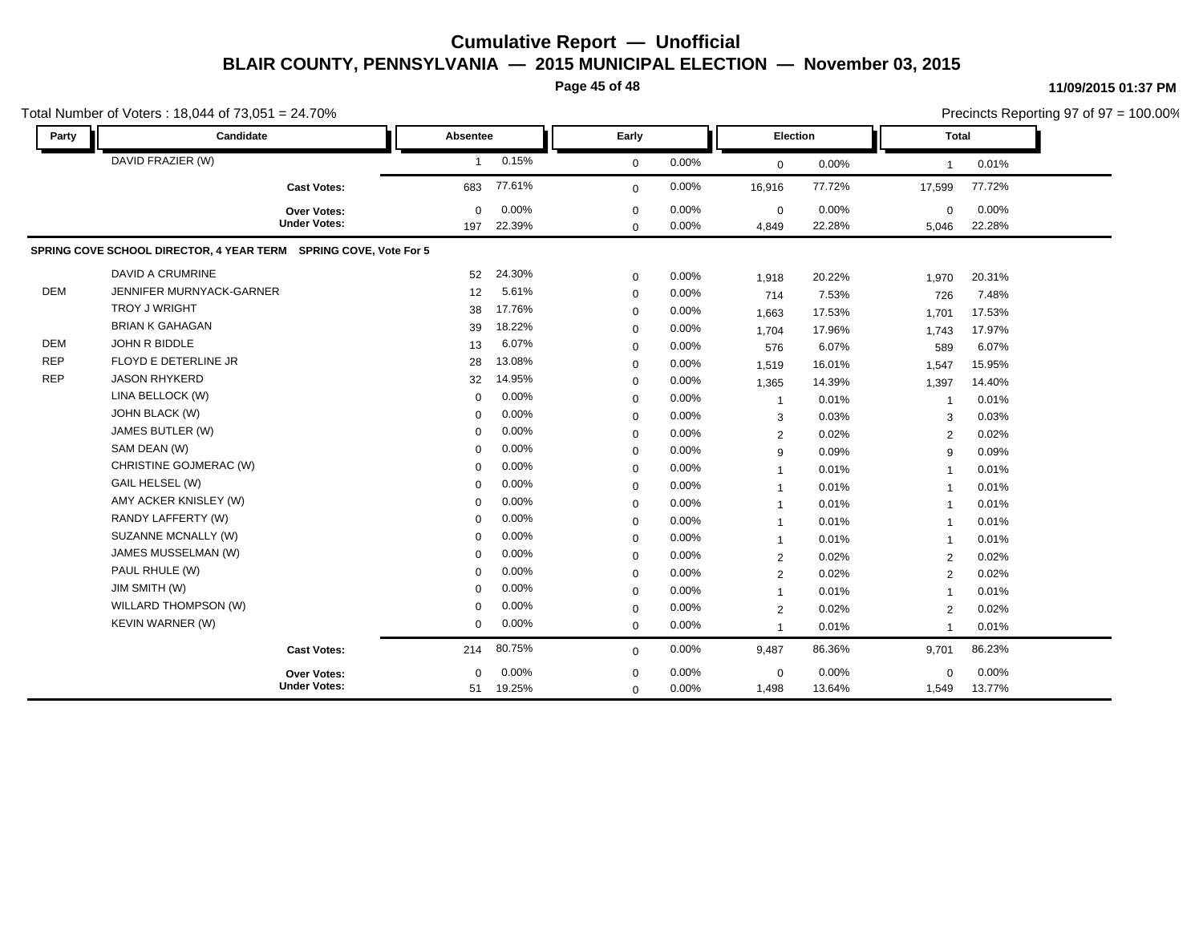**Page 45 of 48**

| Party      | Candidate                                                        | Absentee        |                 | Early                   |                | Election             |                 | <b>Total</b>            |                 |
|------------|------------------------------------------------------------------|-----------------|-----------------|-------------------------|----------------|----------------------|-----------------|-------------------------|-----------------|
|            | DAVID FRAZIER (W)                                                | $\mathbf{1}$    | 0.15%           | $\mathbf 0$             | 0.00%          | $\mathbf 0$          | 0.00%           | $\overline{\mathbf{1}}$ | 0.01%           |
|            | <b>Cast Votes:</b>                                               | 683             | 77.61%          | $\mathbf 0$             | 0.00%          | 16,916               | 77.72%          | 17,599                  | 77.72%          |
|            | Over Votes:<br><b>Under Votes:</b>                               | $\Omega$<br>197 | 0.00%<br>22.39% | $\Omega$<br>$\mathbf 0$ | 0.00%<br>0.00% | $\mathbf 0$<br>4,849 | 0.00%<br>22.28% | $\mathbf 0$<br>5,046    | 0.00%<br>22.28% |
|            | SPRING COVE SCHOOL DIRECTOR, 4 YEAR TERM SPRING COVE, Vote For 5 |                 |                 |                         |                |                      |                 |                         |                 |
|            | DAVID A CRUMRINE                                                 | 52              | 24.30%          | $\mathbf 0$             | 0.00%          | 1,918                | 20.22%          | 1,970                   | 20.31%          |
| <b>DEM</b> | JENNIFER MURNYACK-GARNER                                         | 12 <sup>2</sup> | 5.61%           | $\mathbf 0$             | 0.00%          | 714                  | 7.53%           | 726                     | 7.48%           |
|            | <b>TROY J WRIGHT</b>                                             | 38              | 17.76%          | $\mathbf 0$             | 0.00%          | 1,663                | 17.53%          | 1,701                   | 17.53%          |
|            | <b>BRIAN K GAHAGAN</b>                                           | 39              | 18.22%          | $\mathbf 0$             | 0.00%          | 1,704                | 17.96%          | 1,743                   | 17.97%          |
| <b>DEM</b> | JOHN R BIDDLE                                                    | 13              | 6.07%           | $\mathbf 0$             | 0.00%          | 576                  | 6.07%           | 589                     | 6.07%           |
| <b>REP</b> | FLOYD E DETERLINE JR                                             | 28              | 13.08%          | $\mathbf 0$             | 0.00%          | 1,519                | 16.01%          | 1,547                   | 15.95%          |
| <b>REP</b> | <b>JASON RHYKERD</b>                                             | 32              | 14.95%          | $\mathbf 0$             | 0.00%          | 1,365                | 14.39%          | 1,397                   | 14.40%          |
|            | LINA BELLOCK (W)                                                 | $\Omega$        | 0.00%           | $\mathbf 0$             | 0.00%          | $\mathbf{1}$         | 0.01%           | -1                      | 0.01%           |
|            | JOHN BLACK (W)                                                   | $\mathbf 0$     | 0.00%           | $\mathbf 0$             | 0.00%          | 3                    | 0.03%           | 3                       | 0.03%           |
|            | JAMES BUTLER (W)                                                 | $\Omega$        | 0.00%           | $\mathbf 0$             | 0.00%          | 2                    | 0.02%           | 2                       | 0.02%           |
|            | SAM DEAN (W)                                                     | $\Omega$        | 0.00%           | $\mathbf 0$             | 0.00%          | 9                    | 0.09%           | 9                       | 0.09%           |
|            | CHRISTINE GOJMERAC (W)                                           | $\Omega$        | 0.00%           | $\mathbf 0$             | 0.00%          | $\overline{1}$       | 0.01%           | $\overline{1}$          | 0.01%           |
|            | GAIL HELSEL (W)                                                  | $\Omega$        | 0.00%           | $\mathbf 0$             | 0.00%          | $\mathbf{1}$         | 0.01%           | $\overline{1}$          | 0.01%           |
|            | AMY ACKER KNISLEY (W)                                            | $\Omega$        | 0.00%           | $\mathbf 0$             | 0.00%          | $\overline{1}$       | 0.01%           | -1                      | 0.01%           |
|            | RANDY LAFFERTY (W)                                               | $\Omega$        | 0.00%           | $\mathbf 0$             | 0.00%          | $\overline{1}$       | 0.01%           | $\mathbf 1$             | 0.01%           |
|            | SUZANNE MCNALLY (W)                                              | $\Omega$        | 0.00%           | $\mathbf 0$             | 0.00%          | $\mathbf{1}$         | 0.01%           | $\overline{1}$          | 0.01%           |
|            | JAMES MUSSELMAN (W)                                              | $\Omega$        | 0.00%           | $\mathbf 0$             | 0.00%          | 2                    | 0.02%           | $\overline{2}$          | 0.02%           |
|            | PAUL RHULE (W)                                                   | $\Omega$        | 0.00%           | $\mathbf 0$             | 0.00%          | 2                    | 0.02%           | 2                       | 0.02%           |
|            | JIM SMITH (W)                                                    | $\Omega$        | 0.00%           | $\mathbf 0$             | 0.00%          | $\mathbf{1}$         | 0.01%           | $\overline{1}$          | 0.01%           |
|            | WILLARD THOMPSON (W)                                             | $\Omega$        | 0.00%           | $\mathbf 0$             | 0.00%          | $\overline{2}$       | 0.02%           | $\overline{2}$          | 0.02%           |
|            | KEVIN WARNER (W)                                                 | $\Omega$        | 0.00%           | $\mathbf 0$             | 0.00%          | 1                    | 0.01%           | -1                      | 0.01%           |
|            | <b>Cast Votes:</b>                                               | 214             | 80.75%          | $\Omega$                | 0.00%          | 9,487                | 86.36%          | 9,701                   | 86.23%          |
|            | <b>Over Votes:</b>                                               | $\Omega$        | 0.00%           | $\mathbf 0$             | 0.00%          | $\mathbf 0$          | 0.00%           | $\mathbf 0$             | 0.00%           |
|            | <b>Under Votes:</b>                                              | 51              | 19.25%          | $\mathbf 0$             | 0.00%          | 1,498                | 13.64%          | 1,549                   | 13.77%          |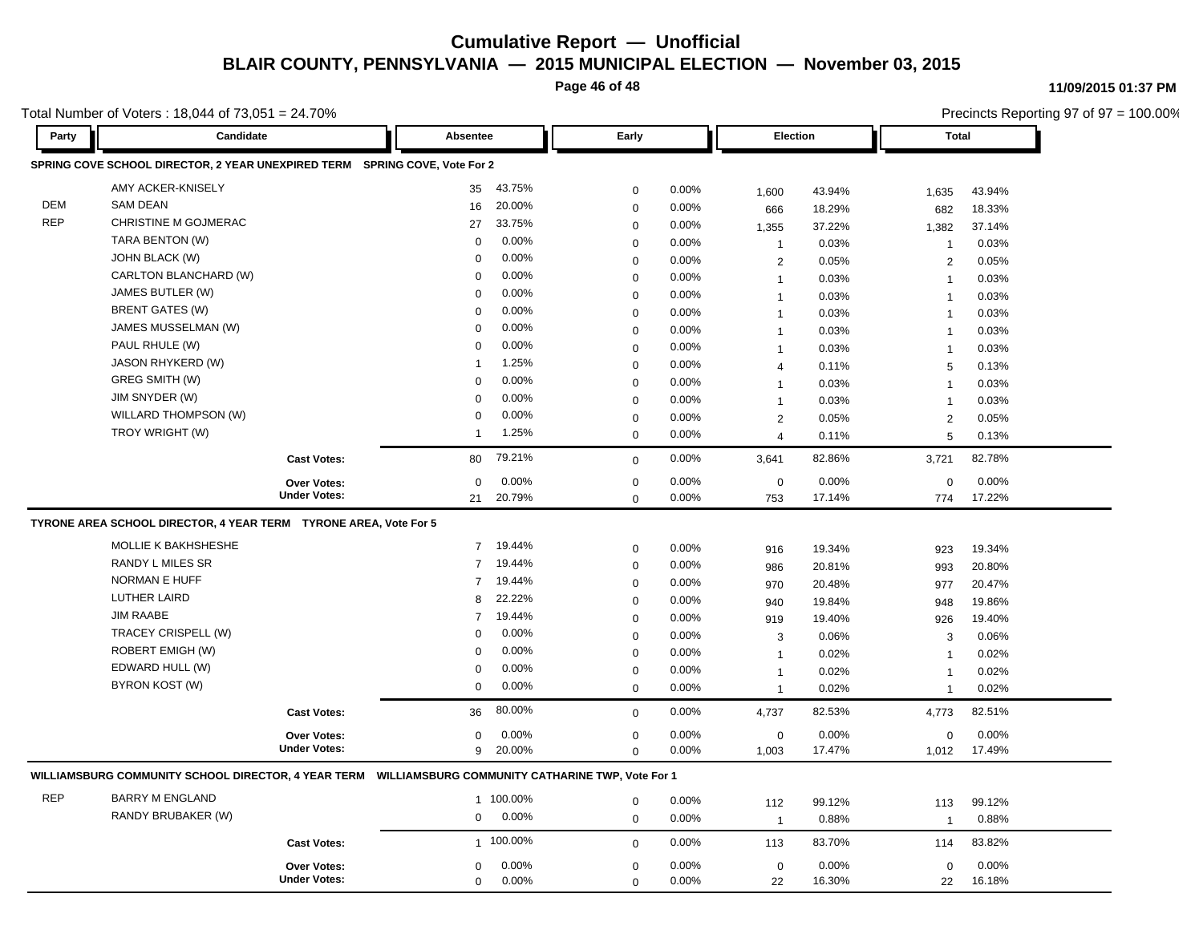**Page 46 of 48**

**11/09/2015 01:37 PM**

Total Number of Voters : 18,044 of 73,051 = 24.70%

| Total Number of Voters: 18,044 of $73,051 = 24.70\%$ |                                                                                                      |                                    |                           |                  |                |                |                 | Precincts Reporting 97 of 97 = 100.00% |                 |  |
|------------------------------------------------------|------------------------------------------------------------------------------------------------------|------------------------------------|---------------------------|------------------|----------------|----------------|-----------------|----------------------------------------|-----------------|--|
| Party                                                | Candidate                                                                                            |                                    | Absentee                  | Early            |                | Election       |                 | <b>Total</b>                           |                 |  |
|                                                      | SPRING COVE SCHOOL DIRECTOR, 2 YEAR UNEXPIRED TERM SPRING COVE, Vote For 2                           |                                    |                           |                  |                |                |                 |                                        |                 |  |
|                                                      | AMY ACKER-KNISELY                                                                                    |                                    | 43.75%<br>35              | 0                | 0.00%          | 1,600          | 43.94%          | 1,635                                  | 43.94%          |  |
| DEM                                                  | <b>SAM DEAN</b>                                                                                      |                                    | 20.00%<br>16              | $\mathsf 0$      | 0.00%          | 666            | 18.29%          | 682                                    | 18.33%          |  |
| <b>REP</b>                                           | CHRISTINE M GOJMERAC                                                                                 |                                    | 27<br>33.75%              | $\pmb{0}$        | 0.00%          | 1,355          | 37.22%          | 1,382                                  | 37.14%          |  |
|                                                      | TARA BENTON (W)                                                                                      |                                    | 0.00%<br>$\mathbf 0$      | $\pmb{0}$        | 0.00%          | $\mathbf{1}$   | 0.03%           | $\overline{1}$                         | 0.03%           |  |
|                                                      | JOHN BLACK (W)                                                                                       |                                    | 0.00%<br>$\mathbf 0$      | $\mathbf 0$      | 0.00%          | $\overline{c}$ | 0.05%           | $\overline{2}$                         | 0.05%           |  |
|                                                      | CARLTON BLANCHARD (W)                                                                                |                                    | 0.00%<br>$\Omega$         | $\mathsf 0$      | 0.00%          | $\mathbf{1}$   | 0.03%           | $\overline{\mathbf{1}}$                | 0.03%           |  |
|                                                      | JAMES BUTLER (W)                                                                                     |                                    | 0.00%<br>0                | 0                | 0.00%          | $\mathbf{1}$   | 0.03%           | $\overline{1}$                         | 0.03%           |  |
|                                                      | <b>BRENT GATES (W)</b>                                                                               |                                    | 0.00%<br>0                | $\mathbf 0$      | 0.00%          | 1              | 0.03%           | $\overline{1}$                         | 0.03%           |  |
|                                                      | JAMES MUSSELMAN (W)                                                                                  |                                    | 0.00%<br>$\Omega$         | $\mathsf 0$      | 0.00%          | $\overline{1}$ | 0.03%           | $\overline{1}$                         | 0.03%           |  |
|                                                      | PAUL RHULE (W)                                                                                       |                                    | 0.00%<br>$\mathbf 0$      | 0                | 0.00%          | $\mathbf{1}$   | 0.03%           | $\overline{1}$                         | 0.03%           |  |
|                                                      | <b>JASON RHYKERD (W)</b>                                                                             |                                    | 1.25%                     | $\mathsf 0$      | 0.00%          | $\overline{4}$ | 0.11%           | 5                                      | 0.13%           |  |
|                                                      | GREG SMITH (W)                                                                                       |                                    | 0.00%<br>$\Omega$         | $\pmb{0}$        | 0.00%          | $\mathbf{1}$   | 0.03%           | $\overline{1}$                         | 0.03%           |  |
|                                                      | JIM SNYDER (W)                                                                                       |                                    | 0.00%<br>$\Omega$         | 0                | 0.00%          | $\mathbf{1}$   | 0.03%           | $\overline{1}$                         | 0.03%           |  |
|                                                      | WILLARD THOMPSON (W)                                                                                 |                                    | 0.00%<br>$\mathbf 0$      | $\pmb{0}$        | 0.00%          | 2              | 0.05%           | 2                                      | 0.05%           |  |
|                                                      | TROY WRIGHT (W)                                                                                      |                                    | 1.25%<br>$\mathbf{1}$     | $\mathbf 0$      | 0.00%          | $\overline{4}$ | 0.11%           | 5                                      | 0.13%           |  |
|                                                      |                                                                                                      | <b>Cast Votes:</b>                 | 79.21%<br>80              | $\mathsf 0$      | 0.00%          | 3,641          | 82.86%          | 3,721                                  | 82.78%          |  |
|                                                      |                                                                                                      | Over Votes:                        | 0.00%<br>$\mathbf 0$      | 0                | 0.00%          | $\mathbf 0$    | 0.00%           | $\mathbf 0$                            | 0.00%           |  |
|                                                      |                                                                                                      | <b>Under Votes:</b>                | 20.79%<br>21              | $\Omega$         | 0.00%          | 753            | 17.14%          | 774                                    | 17.22%          |  |
|                                                      | TYRONE AREA SCHOOL DIRECTOR, 4 YEAR TERM TYRONE AREA, Vote For 5                                     |                                    |                           |                  |                |                |                 |                                        |                 |  |
|                                                      | MOLLIE K BAKHSHESHE                                                                                  |                                    | 19.44%<br>$7^{\circ}$     | 0                | 0.00%          | 916            | 19.34%          | 923                                    | 19.34%          |  |
|                                                      | RANDY L MILES SR                                                                                     |                                    | 19.44%<br>$\overline{7}$  | 0                | 0.00%          | 986            | 20.81%          | 993                                    | 20.80%          |  |
|                                                      | <b>NORMAN E HUFF</b>                                                                                 |                                    | 19.44%<br>$\overline{7}$  | $\pmb{0}$        | 0.00%          | 970            | 20.48%          | 977                                    | 20.47%          |  |
|                                                      | <b>LUTHER LAIRD</b>                                                                                  |                                    | 22.22%<br>8               | $\pmb{0}$        | 0.00%          | 940            | 19.84%          | 948                                    | 19.86%          |  |
|                                                      | <b>JIM RAABE</b>                                                                                     |                                    | 19.44%<br>$\overline{7}$  | $\mathbf 0$      | 0.00%          | 919            | 19.40%          | 926                                    | 19.40%          |  |
|                                                      | TRACEY CRISPELL (W)                                                                                  |                                    | 0.00%<br>$\Omega$         | $\mathbf 0$      | 0.00%          | 3              | 0.06%           | 3                                      | 0.06%           |  |
|                                                      | ROBERT EMIGH (W)                                                                                     |                                    | 0.00%<br>0                | $\mathsf 0$      | 0.00%          | $\overline{1}$ | 0.02%           | $\overline{\mathbf{1}}$                | 0.02%           |  |
|                                                      | EDWARD HULL (W)                                                                                      |                                    | 0.00%<br>0                | 0                | 0.00%          | $\mathbf{1}$   | 0.02%           | $\overline{1}$                         | 0.02%           |  |
|                                                      | BYRON KOST (W)                                                                                       |                                    | 0.00%<br>0                | $\mathbf 0$      | 0.00%          | $\mathbf{1}$   | 0.02%           | $\overline{1}$                         | 0.02%           |  |
|                                                      |                                                                                                      | <b>Cast Votes:</b>                 | 80.00%<br>36              | 0                | 0.00%          | 4,737          | 82.53%          | 4,773                                  | 82.51%          |  |
|                                                      |                                                                                                      |                                    |                           |                  |                |                |                 |                                        |                 |  |
|                                                      |                                                                                                      | Over Votes:<br><b>Under Votes:</b> | 0.00%<br>0<br>20.00%<br>9 | 0<br>$\mathbf 0$ | 0.00%<br>0.00% | 0<br>1,003     | 0.00%<br>17.47% | 0<br>1,012                             | 0.00%<br>17.49% |  |
|                                                      |                                                                                                      |                                    |                           |                  |                |                |                 |                                        |                 |  |
|                                                      | WILLIAMSBURG COMMUNITY SCHOOL DIRECTOR, 4 YEAR TERM WILLIAMSBURG COMMUNITY CATHARINE TWP, Vote For 1 |                                    |                           |                  |                |                |                 |                                        |                 |  |
| <b>REP</b>                                           | <b>BARRY M ENGLAND</b>                                                                               |                                    | 1 100.00%                 | $\mathsf 0$      | 0.00%          | 112            | 99.12%          | 113                                    | 99.12%          |  |
|                                                      | RANDY BRUBAKER (W)                                                                                   |                                    | 0.00%<br>$\mathbf 0$      | 0                | 0.00%          | $\mathbf{1}$   | 0.88%           | $\overline{1}$                         | 0.88%           |  |
|                                                      |                                                                                                      | <b>Cast Votes:</b>                 | 1 100.00%                 | $\mathsf 0$      | 0.00%          | 113            | 83.70%          | 114                                    | 83.82%          |  |
|                                                      |                                                                                                      | Over Votes:                        | 0.00%<br>$\mathbf 0$      | 0                | 0.00%          | $\mathbf 0$    | 0.00%           | $\mathbf 0$                            | 0.00%           |  |
|                                                      |                                                                                                      | <b>Under Votes:</b>                | $\mathbf 0$<br>0.00%      | $\Omega$         | 0.00%          | 22             | 16.30%          | 22                                     | 16.18%          |  |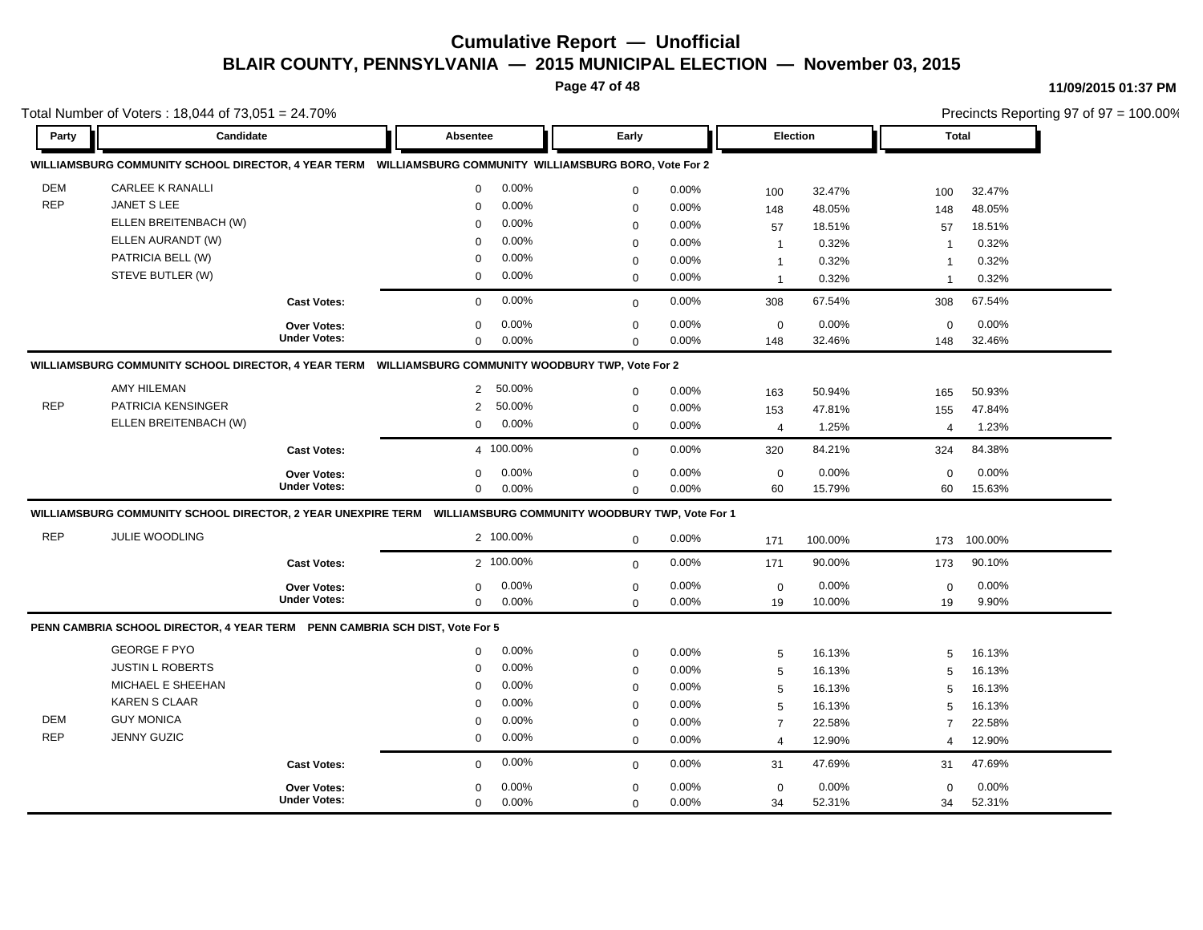**Page 47 of 48**

#### **11/09/2015 01:37 PM**

| Total Number of Voters: 18,044 of 73,051 = 24.70% |                                                                             |                     |                                                                                                               |             |                 |                |              | Precincts Reporting 97 of 97 = 100.00% |         |  |  |
|---------------------------------------------------|-----------------------------------------------------------------------------|---------------------|---------------------------------------------------------------------------------------------------------------|-------------|-----------------|----------------|--------------|----------------------------------------|---------|--|--|
| Party                                             | Candidate                                                                   |                     | Early<br>Absentee                                                                                             |             | <b>Election</b> |                | <b>Total</b> |                                        |         |  |  |
|                                                   |                                                                             |                     | WILLIAMSBURG COMMUNITY SCHOOL DIRECTOR, 4 YEAR TERM  WILLIAMSBURG COMMUNITY WILLIAMSBURG BORO, Vote For 2     |             |                 |                |              |                                        |         |  |  |
| <b>DEM</b>                                        | <b>CARLEE K RANALLI</b>                                                     |                     | 0.00%<br>$\mathbf 0$                                                                                          | $\mathbf 0$ | 0.00%           | 100            | 32.47%       | 100                                    | 32.47%  |  |  |
| <b>REP</b>                                        | <b>JANET S LEE</b>                                                          |                     | 0.00%<br>$\Omega$                                                                                             | $\mathbf 0$ | 0.00%           | 148            | 48.05%       | 148                                    | 48.05%  |  |  |
|                                                   | ELLEN BREITENBACH (W)                                                       |                     | 0.00%<br>$\Omega$                                                                                             | $\mathbf 0$ | 0.00%           | 57             | 18.51%       | 57                                     | 18.51%  |  |  |
|                                                   | ELLEN AURANDT (W)                                                           |                     | 0.00%<br>$\Omega$                                                                                             | $\mathbf 0$ | 0.00%           | $\mathbf{1}$   | 0.32%        | $\overline{\mathbf{1}}$                | 0.32%   |  |  |
|                                                   | PATRICIA BELL (W)                                                           |                     | 0.00%<br>$\Omega$                                                                                             | $\mathbf 0$ | 0.00%           | $\overline{1}$ | 0.32%        | $\mathbf{1}$                           | 0.32%   |  |  |
|                                                   | STEVE BUTLER (W)                                                            |                     | 0.00%<br>$\mathbf 0$                                                                                          | $\mathbf 0$ | 0.00%           | $\overline{1}$ | 0.32%        | $\overline{1}$                         | 0.32%   |  |  |
|                                                   |                                                                             | <b>Cast Votes:</b>  | 0.00%<br>$\mathbf 0$                                                                                          | $\mathbf 0$ | 0.00%           | 308            | 67.54%       | 308                                    | 67.54%  |  |  |
|                                                   |                                                                             | <b>Over Votes:</b>  | 0.00%<br>$\Omega$                                                                                             | $\mathbf 0$ | 0.00%           | $\mathsf 0$    | 0.00%        | $\mathbf 0$                            | 0.00%   |  |  |
|                                                   |                                                                             | <b>Under Votes:</b> | 0.00%<br>$\mathbf 0$                                                                                          | $\Omega$    | 0.00%           | 148            | 32.46%       | 148                                    | 32.46%  |  |  |
|                                                   |                                                                             |                     | WILLIAMSBURG COMMUNITY SCHOOL DIRECTOR, 4 YEAR TERM WILLIAMSBURG COMMUNITY WOODBURY TWP, Vote For 2           |             |                 |                |              |                                        |         |  |  |
|                                                   | AMY HILEMAN                                                                 |                     | 50.00%<br>$\overline{2}$                                                                                      | $\mathbf 0$ | 0.00%           | 163            | 50.94%       | 165                                    | 50.93%  |  |  |
| <b>REP</b>                                        | PATRICIA KENSINGER                                                          |                     | 50.00%<br>2                                                                                                   | $\mathbf 0$ | 0.00%           | 153            | 47.81%       | 155                                    | 47.84%  |  |  |
|                                                   | ELLEN BREITENBACH (W)                                                       |                     | 0.00%<br>$\mathbf 0$                                                                                          | $\mathbf 0$ | 0.00%           | $\overline{4}$ | 1.25%        | $\overline{4}$                         | 1.23%   |  |  |
|                                                   |                                                                             | <b>Cast Votes:</b>  | 4 100.00%                                                                                                     | $\mathbf 0$ | 0.00%           | 320            | 84.21%       | 324                                    | 84.38%  |  |  |
|                                                   |                                                                             | <b>Over Votes:</b>  | 0.00%<br>$\Omega$                                                                                             | $\mathbf 0$ | 0.00%           | $\mathbf 0$    | 0.00%        | $\mathbf 0$                            | 0.00%   |  |  |
|                                                   |                                                                             | <b>Under Votes:</b> | 0.00%<br>$\mathbf 0$                                                                                          | $\mathbf 0$ | 0.00%           | 60             | 15.79%       | 60                                     | 15.63%  |  |  |
|                                                   |                                                                             |                     | WILLIAMSBURG COMMUNITY SCHOOL DIRECTOR, 2 YEAR UNEXPIRE TERM  WILLIAMSBURG COMMUNITY WOODBURY TWP, Vote For 1 |             |                 |                |              |                                        |         |  |  |
| <b>REP</b>                                        | <b>JULIE WOODLING</b>                                                       |                     | 2 100.00%                                                                                                     | $\mathbf 0$ | 0.00%           | 171            | 100.00%      | 173                                    | 100.00% |  |  |
|                                                   |                                                                             | <b>Cast Votes:</b>  | 2 100.00%                                                                                                     | $\mathbf 0$ | 0.00%           | 171            | 90.00%       | 173                                    | 90.10%  |  |  |
|                                                   |                                                                             | Over Votes:         | 0.00%<br>0                                                                                                    | $\mathbf 0$ | 0.00%           | $\mathsf 0$    | 0.00%        | $\mathbf 0$                            | 0.00%   |  |  |
|                                                   |                                                                             | <b>Under Votes:</b> | $\mathbf 0$<br>0.00%                                                                                          | $\Omega$    | 0.00%           | 19             | 10.00%       | 19                                     | 9.90%   |  |  |
|                                                   | PENN CAMBRIA SCHOOL DIRECTOR, 4 YEAR TERM PENN CAMBRIA SCH DIST, Vote For 5 |                     |                                                                                                               |             |                 |                |              |                                        |         |  |  |
|                                                   | <b>GEORGE F PYO</b>                                                         |                     | 0.00%<br>0                                                                                                    | $\mathbf 0$ | 0.00%           | 5              | 16.13%       | 5                                      | 16.13%  |  |  |
|                                                   | <b>JUSTIN L ROBERTS</b>                                                     |                     | 0.00%<br>0                                                                                                    | $\mathbf 0$ | 0.00%           | 5              | 16.13%       | 5                                      | 16.13%  |  |  |
|                                                   | MICHAEL E SHEEHAN                                                           |                     | 0.00%<br>$\Omega$                                                                                             | $\mathbf 0$ | 0.00%           | 5              | 16.13%       | 5                                      | 16.13%  |  |  |
|                                                   | <b>KAREN S CLAAR</b>                                                        |                     | 0.00%<br>$\Omega$                                                                                             | $\mathbf 0$ | 0.00%           | 5              | 16.13%       | 5                                      | 16.13%  |  |  |
| <b>DEM</b>                                        | <b>GUY MONICA</b>                                                           |                     | 0.00%<br>$\Omega$                                                                                             | $\mathbf 0$ | 0.00%           | $\overline{7}$ | 22.58%       | $\overline{7}$                         | 22.58%  |  |  |
| <b>REP</b>                                        | <b>JENNY GUZIC</b>                                                          |                     | 0.00%<br>$\mathbf 0$                                                                                          | $\mathbf 0$ | 0.00%           | $\overline{4}$ | 12.90%       | $\overline{\mathcal{A}}$               | 12.90%  |  |  |
|                                                   |                                                                             | <b>Cast Votes:</b>  | 0.00%<br>$\mathbf 0$                                                                                          | $\mathbf 0$ | 0.00%           | 31             | 47.69%       | 31                                     | 47.69%  |  |  |
|                                                   |                                                                             | <b>Over Votes:</b>  | 0.00%<br>$\Omega$                                                                                             | $\mathbf 0$ | 0.00%           | $\mathbf 0$    | 0.00%        | $\mathbf 0$                            | 0.00%   |  |  |
|                                                   |                                                                             | <b>Under Votes:</b> | 0.00%<br>$\mathbf 0$                                                                                          | $\Omega$    | 0.00%           | 34             | 52.31%       | 34                                     | 52.31%  |  |  |